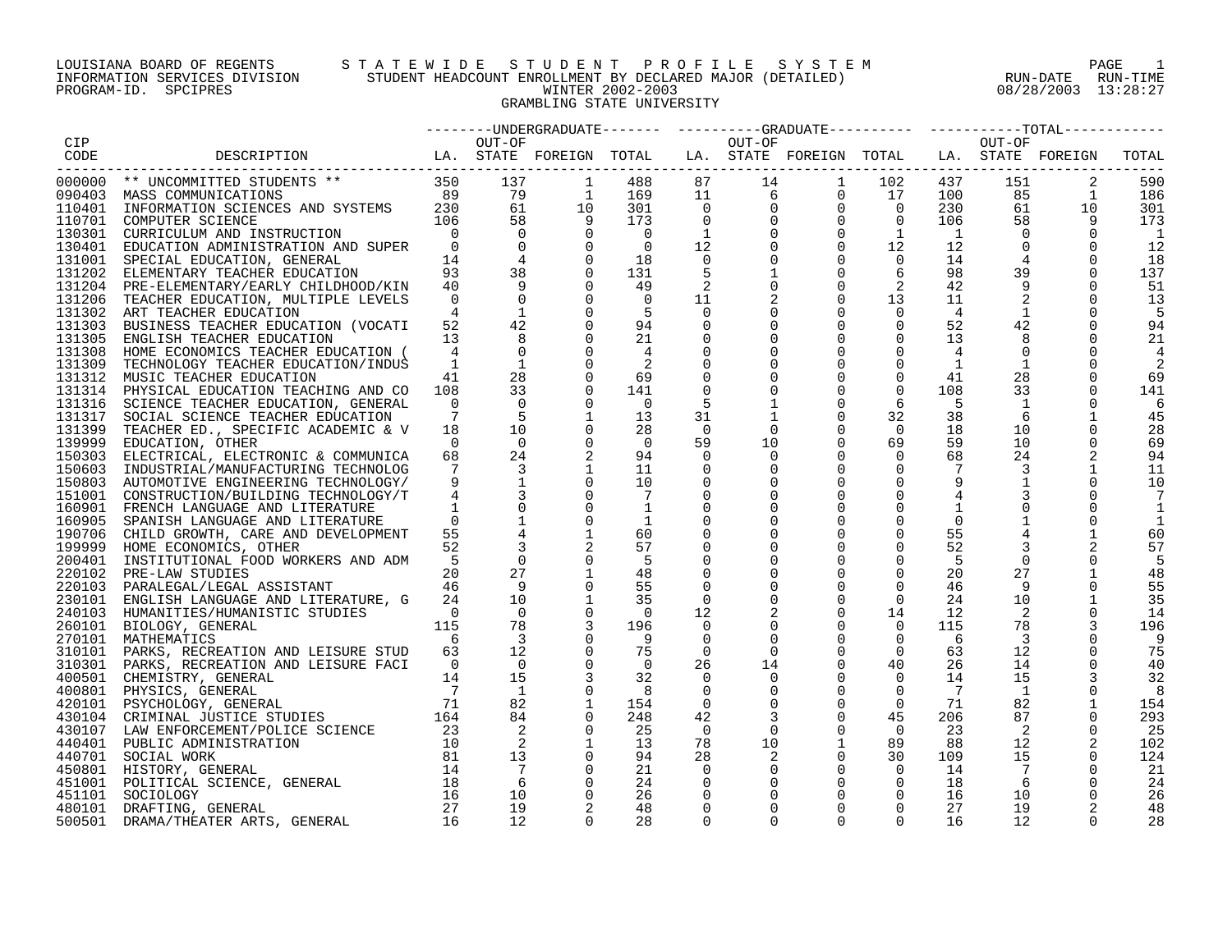#### LOUISIANA BOARD OF REGENTS S T A T E W I D E S T U D E N T P R O F I L E S Y S T E M PAGE 1 INFORMATION SERVICES DIVISION STUDENT HEADCOUNT ENROLLMENT BY DECLARED MAJOR (DETAILED) RUN-DATE RUN-TIME PROGRAM-ID. SPCIPRES WINTER 2002-2003 08/28/2003 13:28:27 GRAMBLING STATE UNIVERSITY

|        |                                                                                                                         |                                         |                         |                          |                |             |                 | --------UNDERGRADUATE-------    ---------GRADUATE---------    ---------TOTAL-------- |                |                 |                 |                |       |
|--------|-------------------------------------------------------------------------------------------------------------------------|-----------------------------------------|-------------------------|--------------------------|----------------|-------------|-----------------|--------------------------------------------------------------------------------------|----------------|-----------------|-----------------|----------------|-------|
| CIP    |                                                                                                                         |                                         | OUT-OF                  |                          |                |             | OUT-OF          |                                                                                      |                |                 | OUT-OF          |                |       |
|        |                                                                                                                         |                                         |                         |                          |                |             |                 |                                                                                      |                |                 |                 |                | TOTAL |
|        |                                                                                                                         |                                         |                         |                          |                |             |                 |                                                                                      |                |                 |                 |                |       |
|        | 000000 ** UNCOMMITTED STUDENTS ** 350 1<br>090403 MASS COMMUNICATIONS 89<br>110401 INFORMATION SCIENCES AND SYSTEMS 230 |                                         | 137                     | $\overline{1}$           | 488            |             |                 |                                                                                      |                | 437             | 151             | 2              | 590   |
|        |                                                                                                                         |                                         | 79                      | $\frac{1}{10}$<br>9<br>0 | 169            |             |                 |                                                                                      |                | 100             | 85              | $\overline{1}$ | 186   |
|        |                                                                                                                         |                                         | 61                      |                          | 301            |             |                 |                                                                                      |                | 230             | 61              | 10             | 301   |
|        | 110701 COMPUTER SCIENCE                                                                                                 | 106                                     | 58                      |                          | 173            |             |                 |                                                                                      |                | 106             | 58              |                | 173   |
|        | 130301 CURRICULUM AND INSTRUCTION                                                                                       | $\overline{0}$                          | $\Omega$                |                          | $\overline{0}$ |             |                 |                                                                                      |                | $\overline{1}$  | $\Omega$        |                | 1     |
| 130401 | EDUCATION ADMINISTRATION AND SUPER                                                                                      | $\overline{0}$                          | $\mathbf 0$             | $\Omega$                 | $\overline{0}$ |             |                 |                                                                                      |                | 12              | $\mathbf 0$     | $\Omega$       | 12    |
| 131001 | SPECIAL EDUCATION, GENERAL                                                                                              | 14                                      | $\overline{4}$          | $\overline{0}$           | 18             | 0           |                 | $\mathbf 0$                                                                          | $\overline{0}$ | 14              |                 | 0              | 18    |
|        | 131202 ELEMENTARY TEACHER EDUCATION                                                                                     | 93                                      | 38                      | $\mathbf 0$              | 131            |             |                 | $\mathbf 0$                                                                          | 6              | 98              | 39              | $\mathbf 0$    | 137   |
|        | 131204 PRE-ELEMENTARY/EARLY CHILDHOOD/KIN                                                                               | 40                                      | 9                       | $\Omega$                 | 49             | 2           |                 | 0                                                                                    | 2              | 42              |                 |                | 51    |
| 131206 | TEACHER EDUCATION, MULTIPLE LEVELS                                                                                      | $\Omega$                                | $\Omega$                | $\Omega$                 | $\overline{0}$ | 11          |                 | $\mathbf 0$                                                                          | 13             | 11              |                 | $\Omega$       | 13    |
|        | 131302 ART TEACHER EDUCATION                                                                                            | 4                                       |                         | $\Omega$                 | -5             | $\Omega$    |                 | $\Omega$                                                                             | $\Omega$       | $\overline{4}$  | 1               | $\Omega$       | .5    |
|        |                                                                                                                         | 52                                      | 42                      | $\mathbf 0$              | 94             | 0           |                 | $\mathbf 0$                                                                          | 0              | 52              | 42              |                | 94    |
|        | 131303 BUSINESS TEACHER EDUCATION (VOCATI                                                                               | 13                                      | 8                       | $\Omega$                 | 21             |             |                 | $\mathbf 0$                                                                          | $\mathbf 0$    | 13              | 8               | $\Omega$       | 21    |
|        | 131305 ENGLISH TEACHER EDUCATION                                                                                        |                                         |                         | $\Omega$                 |                | $\mathbf 0$ |                 |                                                                                      |                |                 |                 |                |       |
|        | 131308 HOME ECONOMICS TEACHER EDUCATION (                                                                               | 4                                       | $\mathbf 0$             |                          |                | 0           |                 |                                                                                      | $\Omega$       | 4               | $\mathbf 0$     |                |       |
|        | 131309 TECHNOLOGY TEACHER EDUCATION/INDUS                                                                               | 1                                       | $\mathbf{1}$            | $\Omega$                 |                | 0           |                 | $\mathbf 0$                                                                          | $\overline{0}$ | <sup>1</sup>    | $\mathbf{1}$    |                |       |
|        | 131312 MUSIC TEACHER EDUCATION                                                                                          | 41                                      | 28                      | $\Omega$                 | 69             | 0           |                 | $\mathbf 0$                                                                          | $\mathbf 0$    | 41              | 28              | 0              | 69    |
|        | 131314 PHYSICAL EDUCATION TEACHING AND CO                                                                               | 108                                     | 33                      | $\mathbf 0$              | 141            | 0           |                 |                                                                                      | $\mathbf 0$    | 108             | 33              |                | 141   |
|        | 131316 SCIENCE TEACHER EDUCATION, GENERAL                                                                               | $\Omega$                                | $\Omega$                | $\Omega$                 | $\Omega$       | 5           |                 | $\mathbf 0$                                                                          | 6              | - 5             | 1               | $\Omega$       | 6     |
| 131317 | SOCIAL SCIENCE TEACHER EDUCATION                                                                                        | 7                                       | -5                      | 1                        | 13             | 31          |                 | $\mathbf 0$                                                                          | 32             | 38              | -6              | 1              | 45    |
|        | 131399 TEACHER ED., SPECIFIC ACADEMIC & V                                                                               | 18                                      | 10                      | $\Omega$                 | 28             | $\Omega$    | $\Omega$        | $\Omega$                                                                             | $\overline{0}$ | 18              | 10              | $\mathbf 0$    | 28    |
|        | 139999 EDUCATION, OTHER                                                                                                 | $\Omega$                                | $\Omega$                | $\Omega$                 | $\overline{0}$ | 59          | 10              | $\Omega$                                                                             | 69             | 59              | 10              | $\Omega$       | 69    |
|        | 150303 ELECTRICAL, ELECTRONIC & COMMUNICA                                                                               | 68                                      | 24                      |                          | 94             | $\Omega$    | $\Omega$        |                                                                                      | $\Omega$       | 68              | 24              | 2              | 94    |
|        | 150603 INDUSTRIAL/MANUFACTURING TECHNOLOG                                                                               | $7\overline{ }$                         | $\overline{3}$          |                          | 11             | $\Omega$    |                 | $\Omega$                                                                             | $\Omega$       | $7\phantom{.0}$ | 3               |                | 11    |
|        | 150803 AUTOMOTIVE ENGINEERING TECHNOLOGY/                                                                               | 9                                       | $\mathbf{1}$            |                          | 10             | 0           |                 | $\Omega$                                                                             | 0              | 9               | $\mathbf{1}$    |                | 10    |
|        | 151001 CONSTRUCTION/BUILDING TECHNOLOGY/T                                                                               | 4                                       |                         |                          | $\overline{7}$ | $\Omega$    |                 |                                                                                      | $\Omega$       |                 |                 |                |       |
|        | 160901 FRENCH LANGUAGE AND LITERATURE                                                                                   |                                         | $\mathbf 0$             | $\mathbf 0$              | 1              | 0           |                 |                                                                                      | $\Omega$       | 1               |                 |                |       |
| 160905 | SPANISH LANGUAGE AND LITERATURE                                                                                         | $\Omega$                                |                         |                          | -1             | $\Omega$    |                 |                                                                                      | 0              | $\Omega$        |                 |                |       |
|        | 190706 CHILD GROWTH, CARE AND DEVELOPMENT                                                                               | 55                                      |                         |                          | 60             |             |                 |                                                                                      | $\mathbf 0$    | 55              |                 |                | 60    |
|        | 199999 HOME ECONOMICS, OTHER                                                                                            | 52                                      |                         |                          | 57             | 0           |                 | $\Omega$                                                                             | $\Omega$       | 52              |                 |                | 57    |
| 200401 | INSTITUTIONAL FOOD WORKERS AND ADM                                                                                      | -5                                      | $\Omega$                | $\Omega$                 | - 5            | $\Omega$    |                 | $\Omega$                                                                             | $\Omega$       | -5              | $\Omega$        | $\mathbf 0$    | 5     |
|        | 220102 PRE-LAW STUDIES                                                                                                  | 20                                      | 27                      |                          | 48             | $\mathbf 0$ |                 | $\mathbf 0$                                                                          | $\Omega$       | 20              | 27              |                | 48    |
|        | 220103 PARALEGAL/LEGAL ASSISTANT                                                                                        | 46                                      | 9                       |                          | 55             | $\Omega$    |                 | $\Omega$                                                                             | $\Omega$       | 46              | 9               |                | 55    |
|        | 230101 ENGLISH LANGUAGE AND LITERATURE, G                                                                               | 24                                      | 10                      |                          | 35             | $\Omega$    |                 | $\mathbf 0$                                                                          | 0              | 24              | 10              |                | 35    |
|        | 240103 HUMANITIES/HUMANISTIC STUDIES                                                                                    | $\overline{0}$                          | $\Omega$                | $\Omega$                 | $\overline{0}$ | 12          |                 | $\Omega$                                                                             | 14             | 12              | 2               |                | 14    |
|        | 260101 BIOLOGY, GENERAL                                                                                                 | 115                                     | 78                      | $\overline{3}$           | 196            | 0           |                 | $\mathbf 0$                                                                          | $\overline{0}$ | 115             | 78              | 3              | 196   |
|        | 270101 MATHEMATICS                                                                                                      | $6\overline{6}$                         | $\overline{\mathbf{3}}$ |                          | - 9            | 0           | 0               | $\mathbf 0$                                                                          | $\mathbf 0$    | - 6             | 3               |                | - 9   |
|        |                                                                                                                         | 63                                      | 12                      |                          | 75             |             |                 | $\mathbf 0$                                                                          | $\overline{0}$ | 63              | 12              |                |       |
| 310101 | PARKS, RECREATION AND LEISURE STUD                                                                                      |                                         |                         |                          |                | 0           | 0               |                                                                                      |                |                 |                 |                | 75    |
|        | 310301 PARKS, RECREATION AND LEISURE FACI                                                                               | $\overline{0}$                          | $\overline{0}$          | $\Omega$                 | $\Omega$       | 26          | 14              | $\mathbf 0$                                                                          | 40             | 26              | 14              |                | 40    |
|        | 400501 CHEMISTRY, GENERAL                                                                                               | 14                                      | 15                      |                          | 32             | $\Omega$    | $\Omega$        | $\Omega$                                                                             | $\Omega$       | 14              | 15              |                | 32    |
| 400801 | PHYSICS, GENERAL                                                                                                        | $\overline{7}$                          | $\overline{1}$          | $\Omega$                 | - 8            | $\Omega$    |                 | $\Omega$                                                                             | $\Omega$       | $\overline{7}$  | $\overline{1}$  | $\Omega$       | 8     |
|        | 420101 PSYCHOLOGY, GENERAL                                                                                              | 71                                      | 82                      |                          | 154            | $\Omega$    |                 | $\mathbf 0$                                                                          | $\Omega$       | 71              | 82              |                | 154   |
|        | 120101 FOILDUDGI, GENERAL<br>430104 CRIMINAL JUSTICE STUDIES                                                            | 164                                     | 84                      | 0                        | 248            | 42          | 3               | 0                                                                                    | 45             | 206             | 87              |                | 293   |
|        | 430107 LAW ENFORCEMENT/POLICE SCIENCE                                                                                   | 23                                      | 2                       | $\Omega$                 | 25             | - 0         | $\Omega$        | $\mathbf 0$                                                                          | $\overline{0}$ | 23              | 2               | $\Omega$       | -25   |
|        | 440401 PUBLIC ADMINISTRATION                                                                                            | 10                                      | 2                       | 1                        | 13             | 78          | 10 <sup>°</sup> | $\mathbf{1}$                                                                         | 89             | 88              | 12              |                | 102   |
|        | 440701 SOCIAL WORK                                                                                                      | $\begin{array}{c} 81 \\ 14 \end{array}$ | 13                      | $\overline{0}$           | 94             | 28          | 2               | $\mathbf 0$                                                                          | 30             | 109             | 15              | 0              | 124   |
|        | 450801 HISTORY, GENERAL                                                                                                 |                                         | $\overline{7}$          | $\Omega$                 | 21             | $\Omega$    |                 | $\mathbf 0$                                                                          | $\overline{0}$ | 14              | $7\overline{ }$ | $\Omega$       | 21    |
|        | 451001 POLITICAL SCIENCE, GENERAL                                                                                       | 18                                      | 6                       | $\mathbf 0$              | 24             | 0           |                 | $\mathbf 0$                                                                          | 0              | 18              | 6               |                | 24    |
| 451101 | SOCIOLOGY                                                                                                               | 16                                      | 10                      | $\Omega$                 | 26             | $\Omega$    |                 | $\mathbf 0$                                                                          | $\Omega$       | 16              | 10              |                | 26    |
|        | 480101 DRAFTING, GENERAL                                                                                                | 27                                      | 19                      |                          | 48             | $\Omega$    |                 | $\Omega$                                                                             | $\Omega$       | 27              | 19              |                | 48    |
| 500501 | DRAMA/THEATER ARTS, GENERAL                                                                                             | 16                                      | 12                      | $\cap$                   | 28             | $\cap$      | $\Omega$        | $\cap$                                                                               | $\Omega$       | 16              | 12              |                | 28    |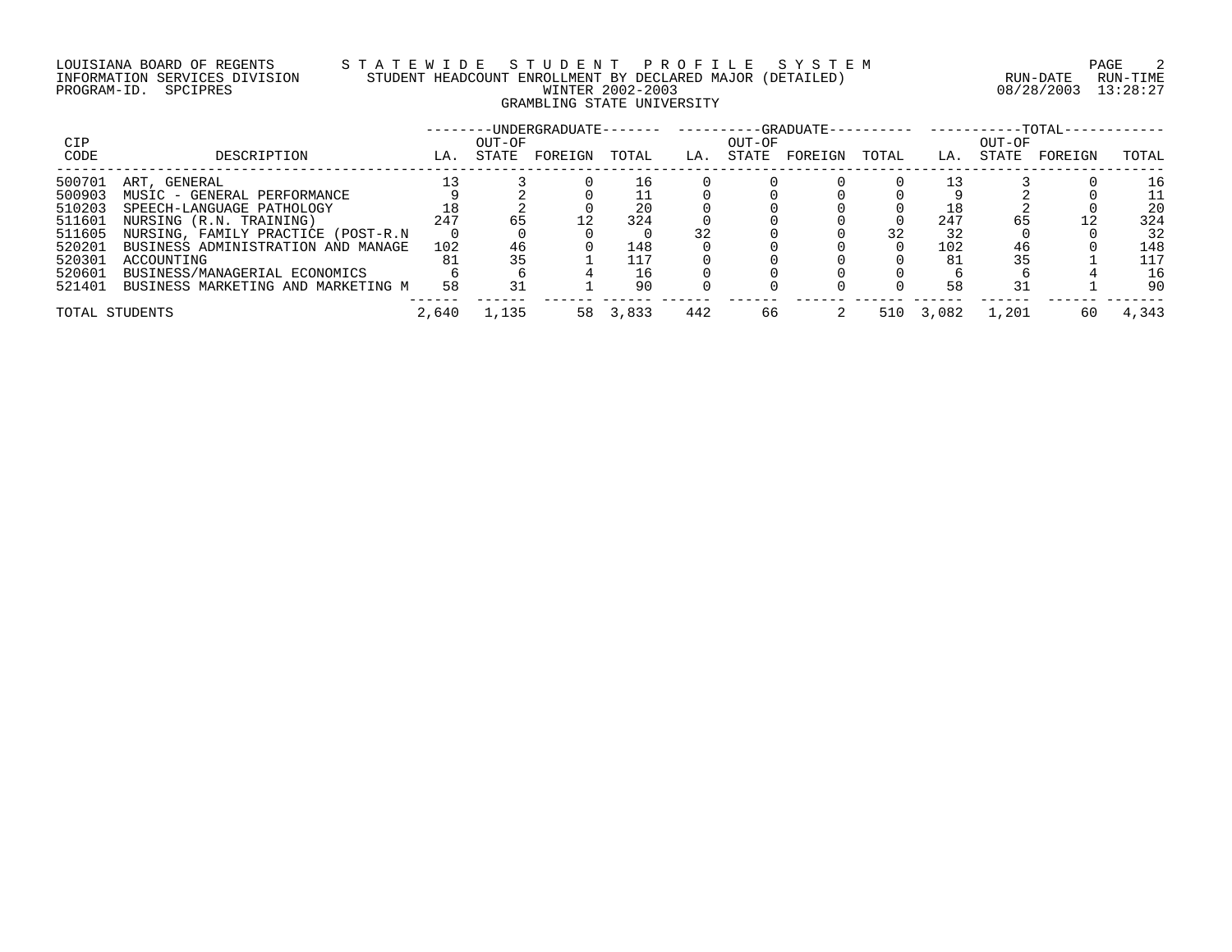# LOUISIANA BOARD OF REGENTS S T A T E W I D E S T U D E N T P R O F I L E S Y S T E M PAGE 2 INFORMATION SERVICES DIVISION STUDENT HEADCOUNT ENROLLMENT BY DECLARED MAJOR (DETAILED) RUN-DATE RUN-TIME PROGRAM-ID. SPCIPRES WINTER 2002-2003 08/28/2003 13:28:27 GRAMBLING STATE UNIVERSITY

|                |                                    |       |        | -UNDERGRADUATE------- |       |     |        | ----------GRADUATE-- |       |       |        | $-TOTAL-$ |       |
|----------------|------------------------------------|-------|--------|-----------------------|-------|-----|--------|----------------------|-------|-------|--------|-----------|-------|
| <b>CIP</b>     |                                    |       | OUT-OF |                       |       |     | OUT-OF |                      |       |       | OUT-OF |           |       |
| CODE           | DESCRIPTION                        | LA.   | STATE  | FOREIGN               | TOTAL | LA. | STATE  | FOREIGN              | TOTAL | LA.   | STATE  | FOREIGN   | TOTAL |
| 500701         | ART, GENERAL                       |       |        |                       | l 6   |     |        |                      |       |       |        |           | 16    |
| 500903         | MUSIC - GENERAL PERFORMANCE        |       |        |                       |       |     |        |                      |       |       |        |           | 11    |
| 510203         | SPEECH-LANGUAGE PATHOLOGY          |       |        |                       |       |     |        |                      |       |       |        |           | 20    |
| 511601         | NURSING (R.N. TRAINING)            | 247   |        |                       | 324   |     |        |                      |       | 247   |        |           | 324   |
| 511605         | NURSING, FAMILY PRACTICE (POST-R.N |       |        |                       |       |     |        |                      | 32    |       |        |           | 32    |
| 520201         | BUSINESS ADMINISTRATION AND MANAGE | 102   | 46     |                       | 148   |     |        |                      |       | 102   |        |           | 148   |
| 520301         | ACCOUNTING                         | 81    |        |                       | 117   |     |        |                      |       | 81    |        |           | 117   |
| 520601         | BUSINESS/MANAGERIAL ECONOMICS      |       |        |                       | 16    |     |        |                      |       |       |        |           | 16    |
| 521401         | BUSINESS MARKETING AND MARKETING M | 58    | 31     |                       | 90    |     |        |                      |       | 58    |        |           | 90    |
| TOTAL STUDENTS |                                    | 2,640 | 1,135  | 58                    | 3,833 | 442 | 66     |                      | 510   | 3,082 | 1,201  | 60        | 4,343 |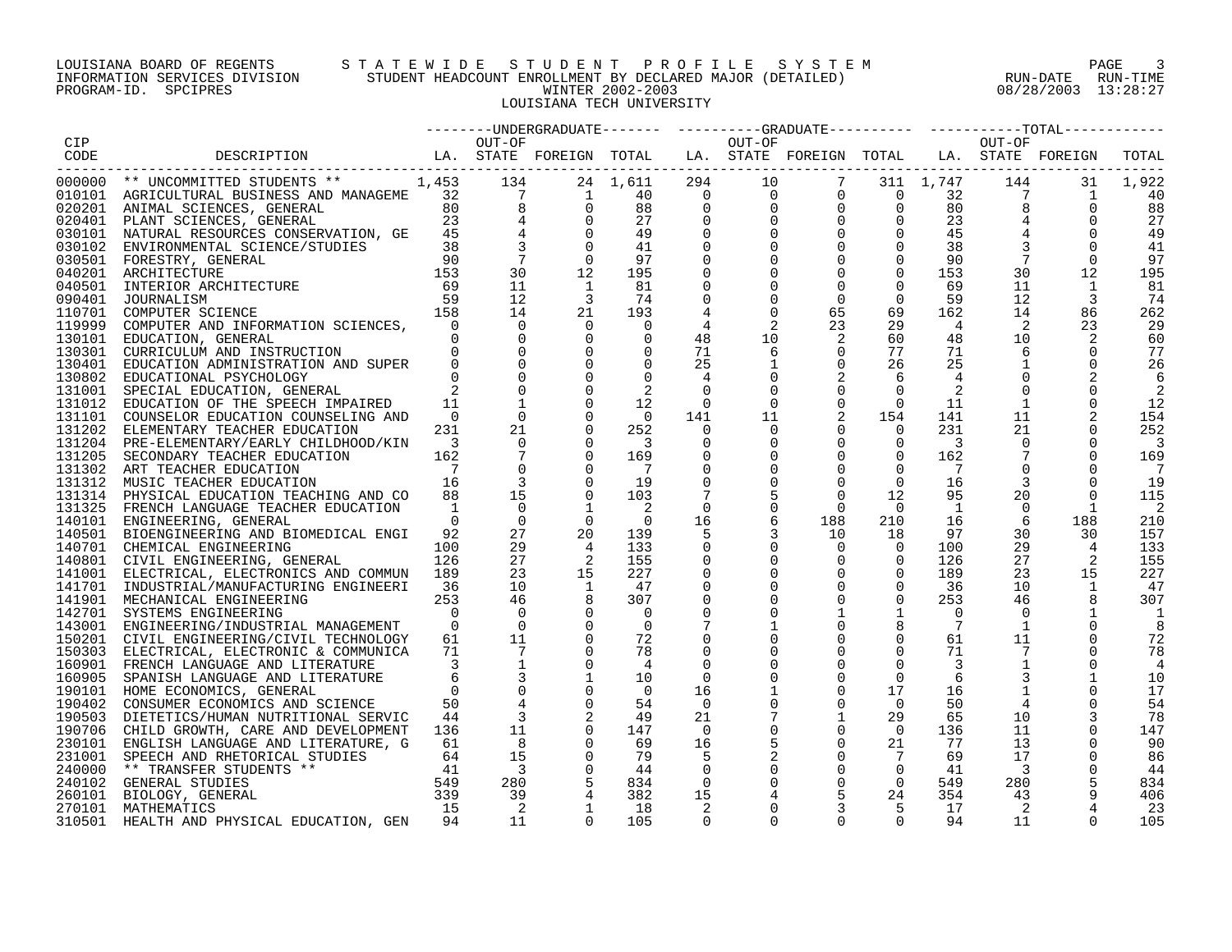#### LOUISIANA BOARD OF REGENTS S T A T E W I D E S T U D E N T P R O F I L E S Y S T E M PAGE 3 INFORMATION SERVICES DIVISION STUDENT HEADCOUNT ENROLLMENT BY DECLARED MAJOR (DETAILED) RUN-DATE RUN-TIME PROGRAM-ID. SPCIPRES WINTER 2002-2003 08/28/2003 13:28:27 LOUISIANA TECH UNIVERSITY

|        |                                                                                                                                                                                                                                              |                         |                                                     |                                        |                          |                      |             | --------UNDERGRADUATE------- ---------GRADUATE--------- ---------TOTAL------                                                                                                                                                        |                      |                 |                            |                                                                                 |             |
|--------|----------------------------------------------------------------------------------------------------------------------------------------------------------------------------------------------------------------------------------------------|-------------------------|-----------------------------------------------------|----------------------------------------|--------------------------|----------------------|-------------|-------------------------------------------------------------------------------------------------------------------------------------------------------------------------------------------------------------------------------------|----------------------|-----------------|----------------------------|---------------------------------------------------------------------------------|-------------|
| CIP    |                                                                                                                                                                                                                                              |                         | OUT-OF                                              |                                        |                          |                      | OUT-OF      |                                                                                                                                                                                                                                     |                      |                 | OUT-OF                     |                                                                                 |             |
| CODE   | LA. STATE FOREIGN TOTAL LA. STATE FOREIGN TOTAL LA. STATE FOREIGN<br>DESCRIPTION                                                                                                                                                             |                         |                                                     |                                        |                          |                      |             |                                                                                                                                                                                                                                     |                      |                 |                            |                                                                                 | TOTAL       |
|        | -------------------------<br>000000 ** UNCOMMITTED STUDENTS ** 1,453 134                                                                                                                                                                     |                         |                                                     |                                        |                          |                      |             | $\begin{array}{cccccccc} 24 & 1,611 & 294 & 10 & 7 & 311 & 1,747 \ 1 & 40 & 0 & 0 & 0 & 0 & 32 \ 0 & 88 & 0 & 0 & 0 & 0 & 80 \ 0 & 27 & 0 & 0 & 0 & 0 & 23 \ 0 & 49 & 0 & 0 & 0 & 0 & 45 \ 0 & 41 & 0 & 0 & 0 & 0 & 38 \end{array}$ |                      |                 |                            |                                                                                 |             |
|        |                                                                                                                                                                                                                                              |                         |                                                     |                                        |                          |                      |             |                                                                                                                                                                                                                                     |                      |                 | 32                         | $\begin{array}{cc} 144 & & 3 \\ 7 & & \\ 8 & & \\ 4 & & \end{array}$<br>31<br>1 | 1,922<br>40 |
|        | 000000 AGRICULTURAL BUSINESS AND MANAGEME<br>020201 ANIMAL SCIENCES, GENERAL<br>020401 PLANT SCIENCES, GENERAL<br>030101 NATURAL RESOURCES CONSERVATION, GE 45 4 0<br>030102 ENVIRONMENTAL SCIENCE/STUDIES 38 3 0                            |                         |                                                     |                                        |                          |                      |             |                                                                                                                                                                                                                                     |                      |                 |                            | $\Omega$                                                                        |             |
|        |                                                                                                                                                                                                                                              |                         |                                                     |                                        |                          |                      |             |                                                                                                                                                                                                                                     |                      |                 |                            |                                                                                 | 88          |
|        |                                                                                                                                                                                                                                              |                         |                                                     |                                        |                          |                      |             |                                                                                                                                                                                                                                     |                      |                 |                            |                                                                                 | 27          |
|        |                                                                                                                                                                                                                                              |                         |                                                     |                                        |                          |                      |             |                                                                                                                                                                                                                                     |                      |                 |                            |                                                                                 | 49          |
|        |                                                                                                                                                                                                                                              |                         | $\overline{7}$                                      |                                        |                          |                      |             |                                                                                                                                                                                                                                     |                      |                 |                            |                                                                                 | 41          |
|        | 030102 ENVIRONMENTAL SCIENCE/STUDIES<br>030501 ENVIRONMENTAL SCIENCE/STUDIES<br>030501 FORESTRY, GENERAL<br>040201 ARCHITECTURE<br>040501 INTERIOR ARCHITECTURE<br>090401 JOURNALISM<br>10701 COMPUTER SCIENCE<br>19999 COMPUTER AND INFORMA |                         |                                                     | $\overline{0}$                         | 97                       | 0                    |             | $\mathbf 0$                                                                                                                                                                                                                         | $\overline{0}$       | 90              |                            | $\Omega$                                                                        | 97          |
|        |                                                                                                                                                                                                                                              |                         | 30                                                  | 12                                     | 195                      | $\mathbf 0$          |             | $\mathbf 0$                                                                                                                                                                                                                         | $\mathbf 0$          | 153             | 30                         | 12                                                                              | 195         |
|        |                                                                                                                                                                                                                                              |                         | 11                                                  |                                        | 81                       |                      |             | $\Omega$                                                                                                                                                                                                                            | $\Omega$             | 69              | 11                         |                                                                                 | 81          |
|        |                                                                                                                                                                                                                                              |                         | 12                                                  | 3                                      | 74                       | $\mathbf 0$          |             | $\Omega$                                                                                                                                                                                                                            | $\Omega$             | 59              | 12                         |                                                                                 | 74          |
|        |                                                                                                                                                                                                                                              |                         | 14                                                  | 21                                     | 193                      |                      | $\Omega$    | 65                                                                                                                                                                                                                                  | 69                   | 162             | 14                         | 86                                                                              | 262         |
|        |                                                                                                                                                                                                                                              |                         | $\overline{0}$                                      |                                        | 0                        | 4                    | 2           | 23                                                                                                                                                                                                                                  | 29                   | $\overline{4}$  | $\overline{\phantom{a}}^2$ | 23                                                                              | 29          |
|        | 130101 EDUCATION, GENERAL                                                                                                                                                                                                                    |                         |                                                     | $\mathbf 0$                            | $\Omega$                 | 48                   | 10          | 2                                                                                                                                                                                                                                   | 60                   | 48              | 10                         |                                                                                 | 60          |
| 130301 | CURRICULUM AND INSTRUCTION                                                                                                                                                                                                                   | $\Omega$                |                                                     |                                        |                          | 71                   | 6           | $\mathbf 0$                                                                                                                                                                                                                         | 77                   | 71              | 6                          | 0                                                                               | 77          |
|        | 130401 EDUCATION ADMINISTRATION AND SUPER                                                                                                                                                                                                    | $\Omega$                | $\begin{matrix} 0 \\ 0 \\ 0 \\ 0 \\ 0 \end{matrix}$ |                                        |                          | 25                   |             | $\mathbf 0$                                                                                                                                                                                                                         | 26                   | 25              |                            | $\Omega$                                                                        | 26          |
|        | 130802 EDUCATIONAL PSYCHOLOGY                                                                                                                                                                                                                | $\Omega$                |                                                     | $\Omega$                               | $\Omega$                 | $\overline{4}$       |             | 2                                                                                                                                                                                                                                   | 6                    | 4               |                            |                                                                                 | 6           |
|        | 131001 SPECIAL EDUCATION, GENERAL                                                                                                                                                                                                            | $\mathbf{2}$            |                                                     |                                        | 2                        | $\overline{0}$       |             | $\mathbf 0$                                                                                                                                                                                                                         | $\mathbf 0$          | -2              | $\mathbf 0$                |                                                                                 | 2           |
|        | 131012 EDUCATION OF THE SPEECH IMPAIRED                                                                                                                                                                                                      | 11                      |                                                     | $\Omega$                               | 12                       | $\overline{0}$       | $\Omega$    | $\mathbf 0$                                                                                                                                                                                                                         | $\overline{0}$       | 11              | $\mathbf{1}$               |                                                                                 | 12          |
|        | 131101 COUNSELOR EDUCATION COUNSELING AND                                                                                                                                                                                                    | $\Omega$                | $\overline{0}$                                      | $\Omega$                               | $\overline{0}$           | 141                  | 11          | 2                                                                                                                                                                                                                                   | 154                  | 141             | 11                         |                                                                                 | 154         |
|        | 131202 ELEMENTARY TEACHER EDUCATION                                                                                                                                                                                                          | 231                     | 21                                                  | $\Omega$                               | 252                      | $\Omega$             | $\mathbf 0$ | $\mathbf 0$                                                                                                                                                                                                                         | $\overline{0}$       | 231             | 21                         |                                                                                 | 252         |
|        | 131204 PRE-ELEMENTARY/EARLY CHILDHOOD/KIN                                                                                                                                                                                                    | $\overline{\mathbf{3}}$ | $\overline{0}$                                      | $\Omega$                               | $\overline{\phantom{a}}$ | 0                    | 0           | $\mathbf 0$                                                                                                                                                                                                                         | $\overline{0}$       | 3               | $\Omega$                   |                                                                                 |             |
|        | 131205 SECONDARY TEACHER EDUCATION                                                                                                                                                                                                           | 162                     | $7\overline{ }$                                     |                                        | 169                      | 0                    |             | $\mathbf 0$                                                                                                                                                                                                                         | 0                    | 162             | $7\phantom{.0}$            |                                                                                 | 169         |
|        | 131302 ART TEACHER EDUCATION                                                                                                                                                                                                                 | $\overline{7}$          |                                                     | $\Omega$                               | $\overline{7}$           | $\mathbf 0$          |             | $\mathbf 0$                                                                                                                                                                                                                         | $\Omega$             | 7               |                            |                                                                                 |             |
| 131312 | MUSIC TEACHER EDUCATION                                                                                                                                                                                                                      | 16                      | $\overline{3}$                                      | $\Omega$                               | 19                       |                      |             | $\mathbf 0$                                                                                                                                                                                                                         | $\mathbf 0$          | 16              |                            |                                                                                 | 19          |
|        | 131314 PHYSICAL EDUCATION TEACHING AND CO                                                                                                                                                                                                    | 88                      | 15                                                  | $\Omega$                               | 103                      | 7                    |             | $\Omega$                                                                                                                                                                                                                            | 12                   | 95              | 20                         |                                                                                 | 115         |
|        | 131325 FRENCH LANGUAGE TEACHER EDUCATION                                                                                                                                                                                                     | $\overline{1}$          | $\Omega$                                            |                                        |                          | $\Omega$             |             | $\Omega$                                                                                                                                                                                                                            | $\overline{0}$       | 1               | $\Omega$                   | -1                                                                              | 2           |
|        | 140101 ENGINEERING, GENERAL                                                                                                                                                                                                                  | $\Omega$                | $\overline{0}$                                      | $\Omega$                               | $\bigcap$                | 16                   | 6           | 188                                                                                                                                                                                                                                 | 210                  | 16              | 6                          | 188                                                                             | 210         |
|        | 140501 BIOENGINEERING AND BIOMEDICAL ENGI                                                                                                                                                                                                    | 92                      | 27                                                  | 20                                     | 139                      | 5                    |             | 10                                                                                                                                                                                                                                  | 18                   | 97              | 30                         | 30                                                                              | 157         |
|        | 140701 CHEMICAL ENGINEERING                                                                                                                                                                                                                  | 100                     | 29                                                  | $\overline{4}$                         | 133                      | 0                    |             | $\mathbf 0$                                                                                                                                                                                                                         | $\mathbf{0}$         | 100             | 29                         | 4                                                                               | 133         |
|        | 140801 CIVIL ENGINEERING, GENERAL                                                                                                                                                                                                            | 126                     | 27                                                  | $\begin{array}{c} 2 \\ 15 \end{array}$ | 155                      | 0                    |             | $\mathbf 0$                                                                                                                                                                                                                         | $\overline{0}$       | 126             | 27                         | 2                                                                               | 155         |
|        | 141001 ELECTRICAL, ELECTRONICS AND COMMUN 189                                                                                                                                                                                                |                         | 23                                                  |                                        | 227                      | $\mathbf 0$          |             | $\mathbf 0$                                                                                                                                                                                                                         | $\mathbf 0$          | 189             | 23                         | 15                                                                              | 227         |
| 141701 | INDUSTRIAL/MANUFACTURING ENGINEERI                                                                                                                                                                                                           | 36                      | 10 <sup>°</sup>                                     |                                        | 47                       | 0                    |             | $\mathbf 0$                                                                                                                                                                                                                         | $\mathbf 0$          | 36              | 10                         |                                                                                 | 47          |
|        | 141901 MECHANICAL ENGINEERING                                                                                                                                                                                                                | 253                     | 46                                                  |                                        | 307                      | $\mathbf 0$          |             | $\Omega$                                                                                                                                                                                                                            | $\Omega$             | 253             | 46                         |                                                                                 | 307         |
|        | 142701 SYSTEMS ENGINEERING                                                                                                                                                                                                                   | $\bigcap$               | $\Omega$                                            |                                        | $\bigcirc$               | $\Omega$             |             |                                                                                                                                                                                                                                     | $\mathbf{1}$         | $\Omega$        | $\Omega$                   |                                                                                 | 1           |
|        | 143001 ENGINEERING/INDUSTRIAL MANAGEMENT                                                                                                                                                                                                     | $\overline{0}$          | $\overline{0}$                                      |                                        | $\overline{0}$           |                      |             | $\mathbf 0$                                                                                                                                                                                                                         |                      | $7\overline{ }$ | $\mathbf{1}$               |                                                                                 |             |
|        | 150201 CIVIL ENGINEERING/CIVIL TECHNOLOGY                                                                                                                                                                                                    | 61                      | 11                                                  | $\mathbf 0$                            | 72                       |                      |             |                                                                                                                                                                                                                                     | $\mathbf 0$          | 61              | 11                         |                                                                                 | 72          |
|        | 150303 ELECTRICAL, ELECTRONIC & COMMUNICA                                                                                                                                                                                                    | 71                      |                                                     |                                        | 78                       |                      |             |                                                                                                                                                                                                                                     |                      | 71              |                            |                                                                                 | 78          |
|        | 160901 FRENCH LANGUAGE AND LITERATURE                                                                                                                                                                                                        | 3                       | $\mathbf{1}$                                        |                                        | $\overline{4}$           | $\Omega$             |             | $\mathbf 0$                                                                                                                                                                                                                         | $\Omega$             |                 |                            |                                                                                 | 4           |
|        | 160905 SPANISH LANGUAGE AND LITERATURE                                                                                                                                                                                                       |                         |                                                     |                                        | 10                       | 0                    |             | $\Omega$                                                                                                                                                                                                                            | $\Omega$             | -6              |                            |                                                                                 | 10          |
|        | 190101 HOME ECONOMICS, GENERAL                                                                                                                                                                                                               |                         | $\mathbf 0$                                         |                                        | $\overline{0}$<br>54     | 16                   |             | $\mathbf 0$<br>$\mathbf 0$                                                                                                                                                                                                          | 17<br>$\overline{0}$ | 16<br>50        |                            |                                                                                 | 17          |
|        | 190402 CONSUMER ECONOMICS AND SCIENCE                                                                                                                                                                                                        | 50<br>44                |                                                     |                                        | 49                       | $\overline{0}$       |             |                                                                                                                                                                                                                                     | 29                   | 65              | $4\overline{ }$<br>10      |                                                                                 | 54<br>78    |
| 190503 | DIETETICS/HUMAN NUTRITIONAL SERVIC                                                                                                                                                                                                           |                         | 11                                                  |                                        |                          | 21<br>$\overline{0}$ |             | $\mathbf 0$                                                                                                                                                                                                                         | $\overline{0}$       |                 | 11                         |                                                                                 |             |
|        | 190706 CHILD GROWTH, CARE AND DEVELOPMENT                                                                                                                                                                                                    | 136<br>61               | 8                                                   | $\begin{matrix}0\\0\\0\end{matrix}$    | 147<br>69                | 16                   |             | $\mathbf 0$                                                                                                                                                                                                                         | 21                   | 136<br>77       | 13                         | 0                                                                               | 147<br>90   |
|        | 230101 ENGLISH LANGUAGE AND LITERATURE, G                                                                                                                                                                                                    |                         | 15                                                  | $\mathbf 0$                            | 79                       |                      | 5           | $\mathbf 0$                                                                                                                                                                                                                         | 7                    | 69              | 17                         |                                                                                 |             |
| 231001 | SPEECH AND RHETORICAL STUDIES<br>240000 ** TRANSFER STUDENTS **                                                                                                                                                                              |                         | $\overline{\mathbf{3}}$                             | $\Omega$                               | 44                       | 5<br>0               |             | $\mathbf 0$                                                                                                                                                                                                                         | $\overline{0}$       | 41              | $\overline{\phantom{a}}$   | 0                                                                               | 86<br>44    |
|        | DIES 64<br>41<br>549<br>549<br>339<br>240102 GENERAL STUDIES                                                                                                                                                                                 |                         | 280                                                 |                                        | 834                      | 0                    |             | $\mathbf 0$                                                                                                                                                                                                                         | $\overline{0}$       | 549             | 280                        |                                                                                 | 834         |
|        | 260101 BIOLOGY, GENERAL                                                                                                                                                                                                                      |                         | 39                                                  | 4                                      | 382                      | 15                   |             | 5                                                                                                                                                                                                                                   | 24                   | 354             | 43                         | 9                                                                               | 406         |
|        | 270101 MATHEMATICS                                                                                                                                                                                                                           | 15                      | 2                                                   | 1                                      | 18                       | 2                    |             | 3                                                                                                                                                                                                                                   | - 5                  | 17              | 2                          |                                                                                 | 23          |
| 310501 | HEALTH AND PHYSICAL EDUCATION, GEN                                                                                                                                                                                                           | 94                      | 11                                                  | $\cap$                                 | 105                      | $\Omega$             | $\cap$      | $\Omega$                                                                                                                                                                                                                            | $\cap$               | 94              | 11                         |                                                                                 | 105         |
|        |                                                                                                                                                                                                                                              |                         |                                                     |                                        |                          |                      |             |                                                                                                                                                                                                                                     |                      |                 |                            |                                                                                 |             |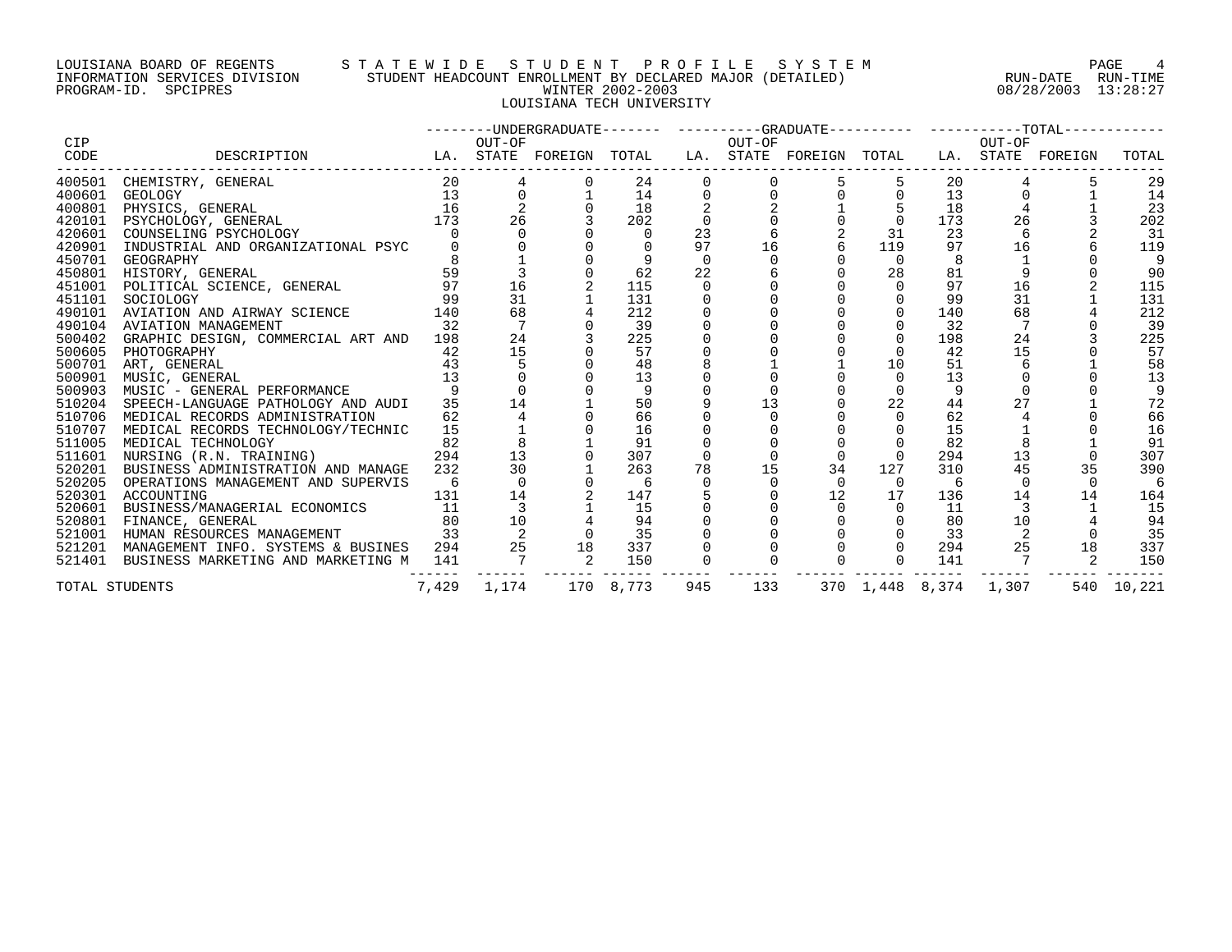#### LOUISIANA BOARD OF REGENTS S T A T E W I D E S T U D E N T P R O F I L E S Y S T E M PAGE 4 INFORMATION SERVICES DIVISION STUDENT HEADCOUNT ENROLLMENT BY DECLARED MAJOR (DETAILED) RUN-DATE RUN-TIME PROGRAM-ID. SPCIPRES WINTER 2002-2003 08/28/2003 13:28:27 LOUISIANA TECH UNIVERSITY

|                    |                                                                                                                                           |                                          |          |                |                |     |     | --------UNDERGRADUATE------- ---------GRADUATE---------- -----------TOTAL----------- |                 |     |        |        |            |
|--------------------|-------------------------------------------------------------------------------------------------------------------------------------------|------------------------------------------|----------|----------------|----------------|-----|-----|--------------------------------------------------------------------------------------|-----------------|-----|--------|--------|------------|
| <b>CIP</b><br>CODE | LA. STATE FOREIGN TOTAL LA. STATE FOREIGN TOTAL LA. STATE FOREIGN<br>DESCRIPTION                                                          |                                          | OUT-OF   |                | <b>OUT-OF</b>  |     |     |                                                                                      |                 |     | OUT-OF |        | TOTAL      |
|                    |                                                                                                                                           |                                          |          |                |                |     |     |                                                                                      |                 |     |        |        |            |
|                    | 400501 CHEMISTRY, GENERAL 20                                                                                                              |                                          |          |                | 24             |     |     |                                                                                      |                 | 20  |        |        | 29         |
| 400601             |                                                                                                                                           |                                          |          |                | 14             |     |     |                                                                                      |                 | 13  |        |        | 14         |
| 400801             |                                                                                                                                           |                                          |          |                | 18             |     |     |                                                                                      |                 | 18  |        |        | 23         |
| 420101             | GEOLOGY 13 0<br>PHYSICS, GENERAL 16 2<br>PSYCHOLOGY, GENERAL 16 2<br>PSYCHOLOGY, GENERAL 173 26<br>COUNCEL LATER COUNCER IN THE POUND CON |                                          |          |                | 202            |     |     |                                                                                      | $\overline{0}$  | 173 | 26     |        | 202        |
| 420601             | COUNSELING PSYCHOLOGY                                                                                                                     |                                          |          |                | $\overline{0}$ | 23  |     |                                                                                      | 31              | 23  |        |        | - 31       |
| 420901             | INDUSTRIAL AND ORGANIZATIONAL PSYC                                                                                                        |                                          |          |                |                | 97  | 16  |                                                                                      | 119             | 97  | 16     |        | 119        |
|                    | 450701 GEOGRAPHY                                                                                                                          |                                          |          |                |                |     |     |                                                                                      | $\Omega$        |     |        |        | 9          |
| 450801             | GEOGRAPHY<br>HISTORY, GENERAL<br>POLITICAL SCIENCE, GENERAL                                                                               | 59                                       |          |                | 62             | 22  |     |                                                                                      | 28              | 81  |        |        | 90         |
| 451001             |                                                                                                                                           | 97                                       | 16       |                | 115            |     |     |                                                                                      | $\Omega$        | 97  | 16     |        | 115        |
| 451101             | SOCIOLOGY                                                                                                                                 |                                          | 31       |                | 131            |     |     |                                                                                      |                 | 99  | 31     |        | 131        |
| 490101             | AVIATION AND AIRWAY SCIENCE                                                                                                               | $\begin{array}{c} 99 \\ 140 \end{array}$ | 68       |                | 212            |     |     |                                                                                      | $\Omega$        | 140 | 68     |        | 212        |
| 490104             | AVIATION MANAGEMENT                                                                                                                       | 32                                       |          |                | 39             |     |     |                                                                                      |                 | 32  |        |        | 39         |
| 500402             | GRAPHIC DESIGN, COMMERCIAL ART AND 198                                                                                                    |                                          | 24       |                | 225            |     |     |                                                                                      |                 | 198 | 24     |        | 225        |
| 500605             | PHOTOGRAPHY                                                                                                                               | 42                                       | 15       |                | 57             |     |     |                                                                                      |                 | 42  | 15     |        | 57         |
| 500701             | ART, GENERAL                                                                                                                              | 43                                       |          |                | 48             |     |     |                                                                                      | 10              | 51  |        |        | 58         |
| 500901             | MUSIC, GENERAL                                                                                                                            | 13                                       |          |                | 13             |     |     |                                                                                      |                 | 13  |        |        | 13         |
| 500903             | MUSIC - GENERAL PERFORMANCE                                                                                                               |                                          |          |                | 9              |     |     |                                                                                      |                 |     |        |        |            |
| 510204             | SPEECH-LANGUAGE PATHOLOGY AND AUDI                                                                                                        | 35                                       | 14       |                | 50             |     | 13  |                                                                                      | 22              | 44  | 27     |        | 72         |
| 510706             | MEDICAL RECORDS ADMINISTRATION                                                                                                            | 62                                       |          |                | 66             |     |     |                                                                                      | $\mathbf 0$     | 62  |        |        | 66         |
| 510707             | MEDICAL RECORDS TECHNOLOGY/TECHNIC                                                                                                        | 15                                       |          |                | 16             |     |     |                                                                                      |                 | 15  |        |        | 16         |
| 511005             | MEDICAL TECHNOLOGY                                                                                                                        | 82                                       |          |                | 91             |     |     |                                                                                      |                 | 82  |        |        | 91         |
| 511601             | 294<br>NURSING (R.N. TRAINING)                                                                                                            |                                          | 13       |                | 307            |     |     | $\Omega$                                                                             | $\Omega$        | 294 | 13     |        | 307        |
| 520201             | BUSINESS ADMINISTRATION AND MANAGE                                                                                                        | 232                                      | 30       |                | 263            | 78  | 15  | 34                                                                                   | 127             | 310 | 45     | 35     | 390        |
| 520205             | OPERATIONS MANAGEMENT AND SUPERVIS                                                                                                        | 6                                        | $\Omega$ |                | -6             |     |     | $\cap$                                                                               | $\overline{0}$  | -6  |        | $\cap$ | 6          |
| 520301             | ACCOUNTING                                                                                                                                | 131                                      | 14       |                | 147            |     |     | 12                                                                                   | 17              | 136 | 14     | 14     | 164        |
| 520601             | BUSINESS/MANAGERIAL ECONOMICS                                                                                                             | 11                                       |          |                | $15$           |     |     |                                                                                      |                 | 11  |        |        | 15         |
| 520801             | FINANCE, GENERAL                                                                                                                          | 80                                       | 10       |                | 94             |     |     |                                                                                      |                 | 80  |        |        | 94         |
| 521001             | 33<br>HUMAN RESOURCES MANAGEMENT                                                                                                          |                                          |          |                | 35             |     |     |                                                                                      |                 | 33  |        |        | 35         |
|                    | 521201 MANAGEMENT INFO. SYSTEMS & BUSINES 294 25                                                                                          |                                          |          |                | 337            |     |     |                                                                                      |                 | 294 | 25     | 18     | 337        |
|                    | 521401 BUSINESS MARKETING AND MARKETING M                                                                                                 | 141                                      |          | $\frac{18}{2}$ | 150            |     |     |                                                                                      | $\Omega$        | 141 |        |        | 150        |
|                    | TOTAL STUDENTS                                                                                                                            | 7,429                                    | 1,174    |                | 170 8,773      | 945 | 133 |                                                                                      | 370 1,448 8,374 |     | 1,307  |        | 540 10,221 |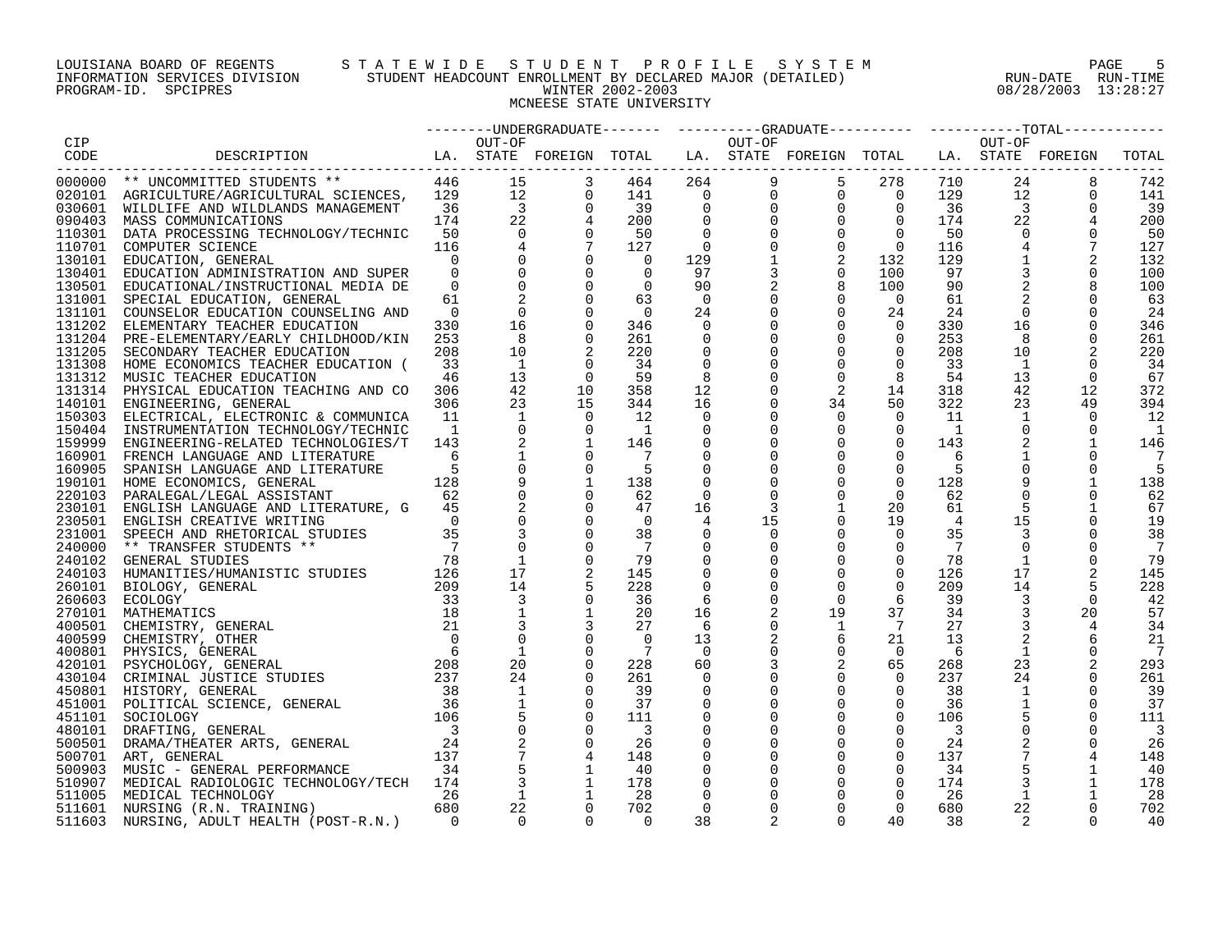# LOUISIANA BOARD OF REGENTS STA TEWIDE STUDENT PROFILE SYSTEM NAGE 5 INFORMATION SERVICES DIVISION STUDENT HEADCOUNT ENROLLMENT BY DECLARED MAJOR (DETAILED) RUN-DATE RUN-DATE RUN-TIME<br>PROGRAM-ID. SPCIPRES 13:28:27 PROGRAM-ID. SPCIPRES WINTER 2002-2003 08/28/2003 13:28:27 MCNEESE STATE UNIVERSITY

|                  |                                                                                                                                                                                                                                                |                                 |                      |                                                                                  |                         |                   |                                                                    | --------UNDERGRADUATE-------  ---------GRADUATE---------  ----------TOTAL-------                                                                                                |                            |            |                               |              |            |
|------------------|------------------------------------------------------------------------------------------------------------------------------------------------------------------------------------------------------------------------------------------------|---------------------------------|----------------------|----------------------------------------------------------------------------------|-------------------------|-------------------|--------------------------------------------------------------------|---------------------------------------------------------------------------------------------------------------------------------------------------------------------------------|----------------------------|------------|-------------------------------|--------------|------------|
| CIP              |                                                                                                                                                                                                                                                |                                 | OUT-OF               |                                                                                  |                         |                   | OUT-OF                                                             |                                                                                                                                                                                 |                            |            | OUT-OF                        |              |            |
| CODE             | LA. STATE FOREIGN TOTAL LA. STATE FOREIGN TOTAL LA. STATE FOREIGN<br>DESCRIPTION                                                                                                                                                               |                                 |                      |                                                                                  |                         |                   |                                                                    |                                                                                                                                                                                 |                            |            |                               |              | TOTAL      |
|                  | 446                                                                                                                                                                                                                                            |                                 |                      |                                                                                  |                         |                   |                                                                    | $\begin{array}{cccccc} 9 & 5 & 278 & 710\ 9 & 0 & 0 & 129\ 0 & 0 & 0 & 174\ 0 & 0 & 0 & 50\ 0 & 0 & 0 & 174\ 0 & 0 & 0 & 116\ 1 & 2 & 132 & 129\ 3 & 0 & 100 & 90\ \end{array}$ |                            |            | 24                            |              |            |
|                  | 000000 ** UNCOMMITTED STUDENTS **<br>020101 AGRICULTURE/AGRICULTURAL SCIENCES, 129                                                                                                                                                             |                                 | 15                   | 3<br>$\begin{array}{ccc} 1\,2 \\ 3 \\ 2\,2 \\ 0 \\ 4 \\ 0 \\ 0 \\ 0 \end{array}$ | 464<br>141              |                   | $\begin{bmatrix} 264 & 0 \\ 0 & 0 \\ 0 & 0 \\ 0 & 0 \end{bmatrix}$ |                                                                                                                                                                                 |                            |            | 12                            | 8<br>0       | 742<br>141 |
|                  |                                                                                                                                                                                                                                                | 36                              |                      |                                                                                  |                         |                   |                                                                    |                                                                                                                                                                                 |                            |            |                               | $\mathbf 0$  |            |
|                  | 030601 WILDLIFE AND WILDLANDS MANAGEMENT                                                                                                                                                                                                       | 174                             |                      |                                                                                  | 39<br>200               |                   |                                                                    |                                                                                                                                                                                 |                            |            | $\overline{\mathbf{3}}$<br>22 |              | 39<br>200  |
|                  | 090403 MASS COMMUNICATIONS                                                                                                                                                                                                                     |                                 |                      |                                                                                  |                         |                   |                                                                    |                                                                                                                                                                                 |                            |            |                               |              |            |
|                  | 110301 DATA PROCESSING TECHNOLOGY/TECHNIC                                                                                                                                                                                                      | 50                              |                      |                                                                                  | 50                      |                   |                                                                    |                                                                                                                                                                                 |                            |            | $\mathbf 0$                   | $\Omega$     | 50         |
|                  | 110701 COMPUTER SCIENCE                                                                                                                                                                                                                        | 116<br>$\Omega$                 |                      |                                                                                  | 127                     | $\overline{0}$    |                                                                    |                                                                                                                                                                                 |                            |            | $\overline{4}$                |              | 127        |
|                  | 130101 EDUCATION, GENERAL                                                                                                                                                                                                                      |                                 |                      |                                                                                  | $\overline{0}$          | 129               |                                                                    |                                                                                                                                                                                 |                            |            | $\mathbf{1}$                  | 2            | 132        |
| 130401           | EDUCATION ADMINISTRATION AND SUPER                                                                                                                                                                                                             | $\overline{0}$<br>$\Omega$      |                      | $\overline{0}$                                                                   | $\Omega$<br>$\Omega$    | 97                |                                                                    |                                                                                                                                                                                 |                            |            | $\mathsf 3$<br>2              | $\mathbf 0$  | 100        |
|                  | 130501 EDUCATIONAL/INSTRUCTIONAL MEDIA DE                                                                                                                                                                                                      |                                 |                      | $\mathbf 0$                                                                      |                         | 90                |                                                                    | 8                                                                                                                                                                               | 100                        | 90         |                               |              | 100        |
| 131001           | SPECIAL EDUCATION, GENERAL                                                                                                                                                                                                                     | 61                              |                      | $\mathbf 0$                                                                      | 63                      | $\overline{0}$    | $\mathbf 0$                                                        | $\overline{0}$<br>$\mathbf 0$                                                                                                                                                   | $\overline{0}$             | 61         |                               |              | 63         |
|                  | 131101 COUNSELOR EDUCATION COUNSELING AND                                                                                                                                                                                                      | $\overline{\phantom{0}}$<br>330 | $\overline{0}$<br>16 | 0                                                                                | $\overline{0}$          | 24                | 0                                                                  | $\mathbf 0$                                                                                                                                                                     | 24                         | 24<br>330  | $\mathbf 0$<br>16             | 0            | 24         |
| 131202           | ELEMENTARY TEACHER EDUCATION                                                                                                                                                                                                                   |                                 | - 8                  |                                                                                  | 346                     | $\overline{0}$    | 0                                                                  |                                                                                                                                                                                 | 0                          |            |                               | 0            | 346        |
|                  | 131204 PRE-ELEMENTARY/EARLY CHILDHOOD/KIN                                                                                                                                                                                                      | 253<br>208                      | 10                   |                                                                                  | 261<br>220              | 0<br>$\mathbf 0$  | $\mathbf 0$<br>$\mathbf 0$                                         | $\mathbf 0$<br>$\mathbf 0$                                                                                                                                                      | $\overline{0}$<br>$\Omega$ | 253<br>208 | 8<br>10                       | $\mathbf 0$  | 261<br>220 |
| 131205           | SECONDARY TEACHER EDUCATION                                                                                                                                                                                                                    |                                 |                      |                                                                                  |                         |                   |                                                                    |                                                                                                                                                                                 |                            |            |                               |              |            |
|                  | 131308 HOME ECONOMICS TEACHER EDUCATION (                                                                                                                                                                                                      | 33                              | $\overline{1}$       |                                                                                  | 34                      | $\mathbf 0$       | $\mathbf 0$                                                        | $\mathbf 0$                                                                                                                                                                     | $\mathbf 0$                | 33         | $\mathbf{1}$                  | $\mathbf 0$  | 34         |
|                  | 131312 MUSIC TEACHER EDUCATION                                                                                                                                                                                                                 | 46<br>306                       | 13<br>42             | $\overline{0}$<br>10                                                             | 59<br>358               | 8<br>12           | 0<br>0                                                             | $\mathbf 0$<br>2                                                                                                                                                                | 8<br>14                    | 54<br>318  | 13<br>42                      | 0<br>12      | 67<br>372  |
|                  | 131314 PHYSICAL EDUCATION TEACHING AND CO                                                                                                                                                                                                      | 306                             | 23                   | 15                                                                               |                         |                   | $\Omega$                                                           |                                                                                                                                                                                 | 50                         | 322        |                               | 49           | 394        |
| 150303           | 140101 ENGINEERING, GENERAL                                                                                                                                                                                                                    | 11                              | 1                    | $\Omega$                                                                         | 344<br>12               | 16<br>$\mathbf 0$ | 0                                                                  | 34<br>$\mathbf 0$                                                                                                                                                               | $\overline{0}$             | 11         | 23<br>$\mathbf{1}$            | $\mathbf 0$  | 12         |
|                  | ELECTRICAL, ELECTRONIC & COMMUNICA                                                                                                                                                                                                             | $\overline{1}$                  | $\mathbf 0$          | 0                                                                                | $\overline{1}$          |                   | 0                                                                  |                                                                                                                                                                                 | 0                          | - 1        | $\mathbf 0$                   | 0            |            |
| 150404<br>159999 | INSTRUMENTATION TECHNOLOGY/TECHNIC<br>ENGINEERING-RELATED TECHNOLOGIES/T                                                                                                                                                                       | 143                             |                      |                                                                                  | 146                     | 0<br>0            |                                                                    | 0<br>0                                                                                                                                                                          | 0                          | 143        | 2                             |              | - 1<br>146 |
|                  | 160901 FRENCH LANGUAGE AND LITERATURE                                                                                                                                                                                                          | 6                               |                      |                                                                                  |                         | 0                 | 0                                                                  | 0                                                                                                                                                                               | 0                          | 6          |                               |              |            |
| 160905           | SPANISH LANGUAGE AND LITERATURE                                                                                                                                                                                                                |                                 |                      | $\mathbf 0$                                                                      | - 5                     | $\mathbf 0$       | $\Omega$                                                           | $\Omega$                                                                                                                                                                        | $\mathbf 0$                | 5          |                               |              | 5          |
|                  | 190101 HOME ECONOMICS, GENERAL                                                                                                                                                                                                                 | 128                             |                      | $\mathbf{1}$                                                                     | 138                     | $\mathbf 0$       | 0                                                                  | $\mathbf 0$                                                                                                                                                                     | $\mathbf 0$                | 128        | 9                             | $\mathbf{1}$ | 138        |
| 220103           | PARALEGAL/LEGAL ASSISTANT                                                                                                                                                                                                                      | 62                              |                      |                                                                                  | 62                      | 0                 | 0                                                                  | $\mathbf 0$                                                                                                                                                                     | $\mathbf 0$                | 62         | $\mathbf 0$                   | 0            | 62         |
| 230101           | ENGLISH LANGUAGE AND LITERATURE, G                                                                                                                                                                                                             | 45                              |                      |                                                                                  | 47                      | 16                | 3                                                                  | $\mathbf{1}$                                                                                                                                                                    | 20                         | 61         | 5                             | 1            | 67         |
| 230501           | ENGLISH CREATIVE WRITING                                                                                                                                                                                                                       | $\Omega$                        |                      |                                                                                  | $\Omega$                | 4                 | 15                                                                 | $\mathsf{O}$                                                                                                                                                                    | 19                         | 4          | 15                            |              | 19         |
| 231001           | SPEECH AND RHETORICAL STUDIES                                                                                                                                                                                                                  | 35                              |                      |                                                                                  | 38                      | $\mathbf 0$       | 0                                                                  | $\mathbf 0$                                                                                                                                                                     | 0                          | 35         | 3                             | $\mathbf 0$  | 38         |
|                  | 240000 ** TRANSFER STUDENTS **                                                                                                                                                                                                                 | $\overline{7}$                  |                      |                                                                                  | $\overline{7}$          | 0                 | 0                                                                  | $\mathbf 0$                                                                                                                                                                     | 0                          | 7          | $\mathbf 0$                   | $\Omega$     | 7          |
|                  | 240000 ** TRANSFER STUDENTS ** 78<br>240102 GENERAL STUDIES 78<br>260101 BIOLOGY, GENERAL 2126<br>260101 BIOLOGY, GENERAL 209<br>260603 ECOLOGY 33<br>270101 MATHEMATICS 18<br>400501 CHEMISTRY, GENERAL 21<br>400599 CHEMISTRY, OTHER 0<br>42 |                                 |                      |                                                                                  | 79                      | $\mathbf 0$       |                                                                    | $\mathbf 0$                                                                                                                                                                     | 0                          | 78         | 1                             | 0            | 79         |
|                  |                                                                                                                                                                                                                                                |                                 | 17                   |                                                                                  | 145                     | 0                 | 0                                                                  | $\mathbf 0$                                                                                                                                                                     | $\mathbf 0$                | 126        | 17                            |              | 145        |
|                  |                                                                                                                                                                                                                                                |                                 | 14                   |                                                                                  | 228                     | $\Omega$          | $\Omega$                                                           | $\Omega$                                                                                                                                                                        | $\Omega$                   | 209        | 14                            |              | 228        |
|                  |                                                                                                                                                                                                                                                |                                 | $\overline{3}$       |                                                                                  | 36                      | 6                 | $\mathbf 0$                                                        | $\mathbf 0$                                                                                                                                                                     | 6                          | 39         | 3                             | $\mathbf 0$  | 42         |
|                  |                                                                                                                                                                                                                                                |                                 |                      |                                                                                  | 20                      | 16                |                                                                    | 19                                                                                                                                                                              | 37                         | 34         | 3                             | 20           | 57         |
|                  |                                                                                                                                                                                                                                                |                                 | 3                    |                                                                                  | 27                      | 6                 | 0                                                                  | $\mathbf{1}$                                                                                                                                                                    | $7\overline{ }$            | 27         | 3                             | 4            | 34         |
|                  |                                                                                                                                                                                                                                                |                                 |                      |                                                                                  | $\Omega$                | 13                |                                                                    | 6                                                                                                                                                                               | 21                         | 13         | 2                             | 6            | 21         |
|                  |                                                                                                                                                                                                                                                |                                 | $\mathbf{1}$         | $\mathbf 0$                                                                      | - 7                     | $\overline{0}$    | 0                                                                  | $\mathbf 0$                                                                                                                                                                     | $\mathbf 0$                | 6          | 1                             | $\mathbf 0$  | 7          |
|                  |                                                                                                                                                                                                                                                |                                 | 20                   | $\mathbf 0$                                                                      | 228                     | 60                |                                                                    | 2                                                                                                                                                                               | 65                         | 268        | 23                            |              | 293        |
|                  |                                                                                                                                                                                                                                                |                                 | 24                   |                                                                                  | 261                     | 0                 | 0                                                                  | 0                                                                                                                                                                               | $\mathbf 0$                | 237        | 24                            | 0            | 261        |
|                  | 450801 HISTORY, GENERAL                                                                                                                                                                                                                        |                                 | $\mathbf{1}$         |                                                                                  | 39                      | 0                 | 0                                                                  | $\mathbf 0$                                                                                                                                                                     | $\mathbf 0$                | 38         | 1                             | 0            | 39         |
|                  | 451001 POLITICAL SCIENCE, GENERAL                                                                                                                                                                                                              |                                 |                      |                                                                                  | 37                      | $\Omega$          | $\Omega$                                                           | $\mathbf 0$                                                                                                                                                                     | $\mathbf 0$                | 36         |                               | $\Omega$     | 37         |
| 451101           | SOCIOLOGY                                                                                                                                                                                                                                      |                                 |                      |                                                                                  | 111                     | $\mathbf 0$       | 0                                                                  | $\mathsf 0$                                                                                                                                                                     | $\mathbf 0$                | 106        |                               | $\Omega$     | 111        |
| 480101           | $\begin{array}{r} 38 \\ 38 \\ 36 \\ 106 \\ 3 \end{array}$<br>DRAFTING, GENERAL                                                                                                                                                                 |                                 |                      |                                                                                  | $\overline{\mathbf{3}}$ | 0                 |                                                                    | 0                                                                                                                                                                               | 0                          | 3          | $\mathsf 0$                   |              | 3          |
|                  | $\begin{array}{c} 24 \\ 23 \end{array}$<br>500501 DRAMA/THEATER ARTS, GENERAL                                                                                                                                                                  |                                 |                      |                                                                                  | 26                      | 0                 | 0                                                                  | 0                                                                                                                                                                               | 0                          | 24         | $\sqrt{2}$                    | $\Omega$     | 26         |
|                  | 500701 ART, GENERAL                                                                                                                                                                                                                            |                                 |                      |                                                                                  | 148                     | 0                 | 0                                                                  | $\mathbf 0$                                                                                                                                                                     | $\mathbf 0$                | 137        |                               |              | 148        |
|                  | 34<br>500903 MUSIC - GENERAL PERFORMANCE                                                                                                                                                                                                       |                                 |                      |                                                                                  | 40                      | 0                 | 0                                                                  | 0                                                                                                                                                                               | 0                          | 34         |                               | 1            | 40         |
|                  | 510907 MEDICAL RADIOLOGIC TECHNOLOGY/TECH 174                                                                                                                                                                                                  |                                 | 3                    |                                                                                  | 178                     | 0                 | 0                                                                  | 0                                                                                                                                                                               | $\overline{0}$             | 174        | 3                             | 1            | 178        |
| 511005           | MEDICAL TECHNOLOGY                                                                                                                                                                                                                             | 26                              |                      |                                                                                  | 28                      | 0                 |                                                                    | 0                                                                                                                                                                               | 0                          | 26         | 1                             | 1            | 28         |
|                  | 511601 NURSING (R.N. TRAINING)                                                                                                                                                                                                                 | 680                             | 22                   | $\Omega$                                                                         | 702                     | $\Omega$          |                                                                    | $\Omega$                                                                                                                                                                        | $\Omega$                   | 680        | 22                            | $\Omega$     | 702        |
| 511603           | NURSING, ADULT HEALTH (POST-R.N.)                                                                                                                                                                                                              | $\bigcap$                       | $\Omega$             | $\Omega$                                                                         | $\Omega$                | 38                | 2                                                                  | $\Omega$                                                                                                                                                                        | 40                         | 38         |                               | $\Omega$     | 40         |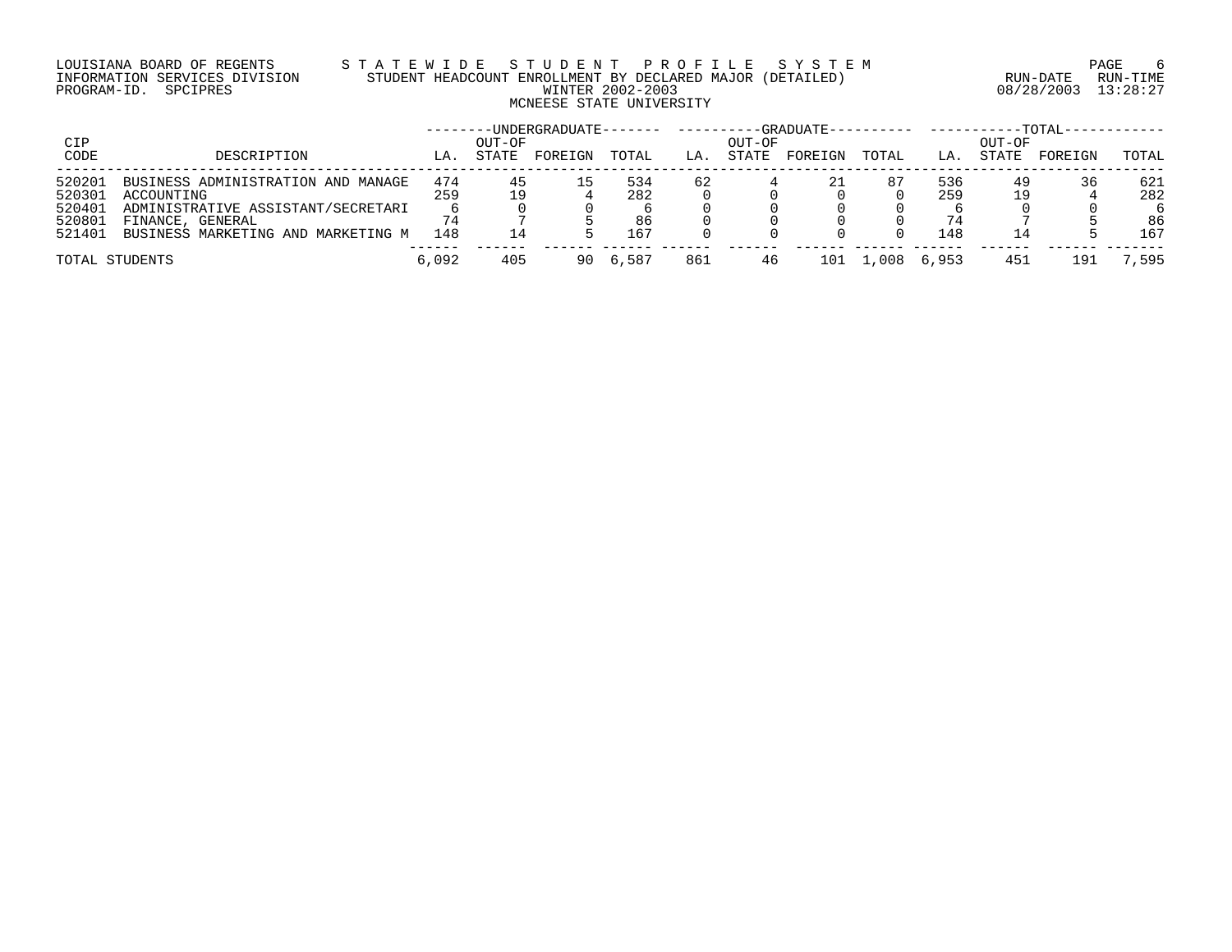# LOUISIANA BOARD OF REGENTS S T A T E W I D E S T U D E N T P R O F I L E S Y S T E M PAGE 6 INFORMATION SERVICES DIVISION STUDENT HEADCOUNT ENROLLMENT BY DECLARED MAJOR (DETAILED) RUN-DATE RUN-TIME PROGRAM-ID. SPCIPRES WINTER 2002-2003 08/28/2003 13:28:27 MCNEESE STATE UNIVERSITY

| CIP    |                                    |       | OUT-OF | -UNDERGRADUATE------- |       |     | OUT-OF | $-$ -GRADUATE $-$ |               |       | OUT-OF | $-TOTAL-$ |       |
|--------|------------------------------------|-------|--------|-----------------------|-------|-----|--------|-------------------|---------------|-------|--------|-----------|-------|
| CODE   | DESCRIPTION                        | LA.   | STATE  | FOREIGN               | TOTAL | LA. | STATE  | FOREIGN           | TOTAL         | LA.   | STATE  | FOREIGN   | TOTAL |
| 520201 | BUSINESS ADMINISTRATION AND MANAGE | 474   | 45     |                       | 534   | 62  |        | 21                | 87            | 536   | 49     | 36        | 621   |
| 520301 | ACCOUNTING                         | 259   |        |                       | 282   |     |        |                   |               | 259   |        |           | 282   |
| 520401 | ADMINISTRATIVE ASSISTANT/SECRETARI |       |        |                       |       |     |        |                   |               |       |        |           |       |
| 520801 | FINANCE, GENERAL                   |       |        |                       | 86    |     |        |                   |               | 74    |        |           | 86    |
| 521401 | BUSINESS MARKETING AND MARKETING M | 148   |        |                       | 167   |     |        |                   |               | 148   | ⊥ 4    |           | 167   |
|        | TOTAL STUDENTS                     | 6,092 | 405    | 90.                   | 6,587 | 861 | 46     | 101               | $^\circ$ ,008 | 6,953 | 451    | 191       | 7.595 |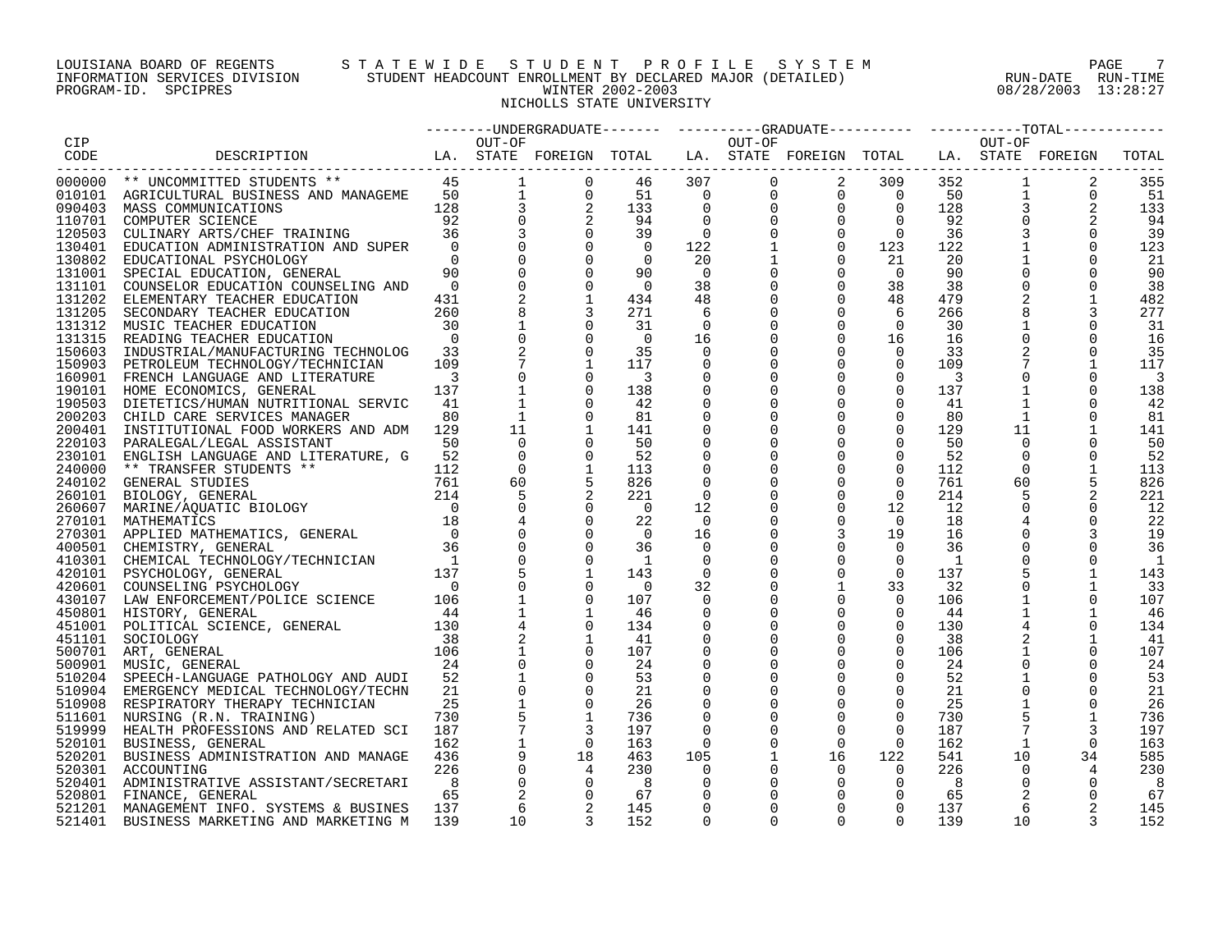# LOUISIANA BOARD OF REGENTS S T A T E W I D E S T U D E N T P R O F I L E S Y S T E M PAGE 7 INFORMATION SERVICES DIVISION STUDENT HEADCOUNT ENROLLMENT BY DECLARED MAJOR (DETAILED) RUN-DATE RUN-TIME DOULSIANA BOARD OF RUBNIS<br>INFORMATION STUDENT HEADCOUNT ENROLLMENT BY DECLARED MAJOR (DETAILED) RUN-DATE RUN-TIME<br>PROGRAM-ID. SPCIPRES 08/28/2003 13:28:27 NICHOLLS STATE UNIVERSITY

| CIP    |                                                                                                |                          | OUT-OF                   |                                                                 |                          |                          |                |                |                |              | OUT-OF         |                |       |
|--------|------------------------------------------------------------------------------------------------|--------------------------|--------------------------|-----------------------------------------------------------------|--------------------------|--------------------------|----------------|----------------|----------------|--------------|----------------|----------------|-------|
| CODE   | LA. STATE FOREIGN TOTAL LA. STATE FOREIGN TOTAL LA. STATE FOREIGN<br>DESCRIPTION               |                          |                          |                                                                 |                          |                          |                |                |                |              |                |                | TOTAL |
|        | ------------------------                                                                       |                          |                          |                                                                 |                          |                          |                |                |                |              |                |                |       |
|        |                                                                                                |                          |                          | $\overline{0}$                                                  | 46                       |                          |                |                |                | 352          | $\mathbf{1}$   | 2              | 355   |
|        |                                                                                                |                          |                          | $\begin{array}{ccc} 1 & 0 \\ 3 & 2 \\ 0 & 2 \end{array}$        | 51                       |                          |                |                |                | 50           | $\mathbf{1}$   | $\overline{0}$ | - 51  |
|        |                                                                                                |                          |                          |                                                                 | 133                      |                          |                |                |                | 128          | 3              |                | 133   |
|        |                                                                                                |                          |                          |                                                                 | 94                       |                          |                |                |                | 92           |                |                | - 94  |
|        |                                                                                                |                          |                          |                                                                 | 39                       |                          |                |                |                | 36           |                | $\Omega$       | 39    |
|        |                                                                                                |                          |                          |                                                                 | $\overline{0}$           |                          |                |                |                | 122          |                |                |       |
|        |                                                                                                |                          |                          | $\begin{matrix} 0 \\ 0 \\ 0 \end{matrix}$                       | $\overline{0}$           |                          |                |                |                | 20           |                |                | 123   |
|        |                                                                                                |                          |                          |                                                                 |                          |                          |                |                |                |              |                | $\Omega$       | 21    |
|        |                                                                                                |                          |                          | $\mathbf 0$                                                     | 90                       |                          |                |                |                | 90           |                | $\Omega$       | 90    |
| 131101 | COUNSELOR EDUCATION COUNSELING AND                                                             | $\overline{0}$           | $\mathbf 0$              |                                                                 | $\overline{0}$           |                          |                |                |                | 38           | 0              |                | 38    |
|        | 131202 ELEMENTARY TEACHER EDUCATION                                                            | 431                      | 2                        | 1                                                               | 434                      |                          |                |                |                | 479          |                |                | 482   |
| 131205 | SECONDARY TEACHER EDUCATION                                                                    | 260                      |                          |                                                                 | 271                      |                          |                |                |                | 266          |                | 3              | 277   |
|        | 131312 MUSIC TEACHER EDUCATION                                                                 | 30                       |                          | $\Omega$                                                        | 31                       |                          |                |                |                | 30           |                | $\Omega$       | -31   |
|        | 131315 READING TEACHER EDUCATION                                                               | $\overline{0}$           | $\mathsf{O}\xspace$      | $\overline{0}$                                                  | $\overline{0}$           |                          |                |                |                | 16           |                | $\mathbf 0$    | 16    |
|        | 150603 INDUSTRIAL/MANUFACTURING TECHNOLOG 33                                                   |                          |                          | $\overline{0}$                                                  | 35                       |                          |                |                |                | 33           |                |                | 35    |
|        | 150903 PETROLEUM TECHNOLOGY/TECHNICIAN                                                         | 109                      | $7\phantom{.0}$          | 1                                                               | 117                      |                          |                |                |                | 109          |                |                | 117   |
|        | 160901 FRENCH LANGUAGE AND LITERATURE                                                          | $\overline{\phantom{a}}$ | $\Omega$                 | $\Omega$                                                        | $\overline{\phantom{a}}$ | $\Omega$                 |                | $\Omega$       | $\Omega$       | -3           |                |                | 3     |
|        | 190101 HOME ECONOMICS, GENERAL                                                                 | 137                      | $\overline{\phantom{a}}$ |                                                                 | 138                      | 0                        |                | $\mathbf 0$    | $\Omega$       | 137          |                |                | 138   |
|        | 190503 DIETETICS/HUMAN NUTRITIONAL SERVIC                                                      | 41                       |                          |                                                                 | -42                      |                          |                | $\mathbf 0$    | $\mathbf 0$    | 41           |                |                | -42   |
|        |                                                                                                |                          |                          | $\Omega$                                                        |                          |                          |                | $\mathbf 0$    |                |              |                |                |       |
|        | 200203 CHILD CARE SERVICES MANAGER                                                             | 80                       | 1                        |                                                                 | 81                       |                          |                |                | $\mathbf{0}$   | 80           |                |                | 81    |
| 200401 | INSTITUTIONAL FOOD WORKERS AND ADM                                                             | 129                      | 11                       |                                                                 | 141                      |                          |                | $\mathbf 0$    | $\overline{0}$ | 129          | 11             |                | 141   |
| 220103 | PARALEGAL/LEGAL ASSISTANT                                                                      | 50                       | $\Omega$                 |                                                                 | 50                       |                          |                | $\mathbf 0$    | $\Omega$       | 50           | $\Omega$       |                | 50    |
| 230101 | ENGLISH LANGUAGE AND LITERATURE, G                                                             | 52                       | $\overline{0}$           |                                                                 | 52                       |                          |                | $\mathbf 0$    | $\Omega$       | 52           | $\mathbf 0$    |                | 52    |
|        |                                                                                                |                          | $\Omega$                 |                                                                 | 113                      |                          | $\Omega$       | $\Omega$       | $\Omega$       | 112          | $\Omega$       |                | 113   |
|        |                                                                                                |                          | 60                       |                                                                 | 826                      |                          |                | $\mathbf 0$    | $\mathbf 0$    | 761          | 60             |                | 826   |
|        |                                                                                                |                          | 5                        |                                                                 | 221                      | $\Omega$                 |                | $\mathbf 0$    | $\Omega$       | 214          | 5              |                | 221   |
|        |                                                                                                |                          | $\overline{0}$           | $\Omega$                                                        | $\overline{0}$           | 12                       | $\Omega$       | $\mathbf 0$    | 12             | 12           | 0              |                | 12    |
|        |                                                                                                |                          |                          |                                                                 | 22                       | $\overline{0}$           | 0              | $\mathbf 0$    | $\overline{0}$ | 18           |                |                | 22    |
|        |                                                                                                |                          | $\overline{0}$           | $\Omega$                                                        | $\overline{0}$           | 16                       | $\Omega$       | $\overline{3}$ | 19             | 16           |                |                | 19    |
|        |                                                                                                |                          | $\mathbf 0$              | $\Omega$                                                        | 36                       | $\mathbf 0$              |                | $\mathbf 0$    | $\Omega$       | 36           |                | 0              | 36    |
|        | 410301 CHEMICAL TECHNOLOGY/TECHNICIAN                                                          |                          | $\overline{0}$           | $\Omega$                                                        | $\overline{1}$           | 0                        |                | $\mathbf 0$    | $\overline{0}$ | $\mathbf{1}$ |                |                | - 1   |
|        | $\begin{array}{cc}\n\text{HMICIAN} & 1 \\ 137 \\ 0\n\end{array}$<br>420101 PSYCHOLOGY, GENERAL |                          |                          | 1                                                               | 143                      | $\Omega$                 |                | $\mathbf 0$    | $\Omega$       | 137          |                |                | 143   |
|        | 420601 COUNSELING PSYCHOLOGY                                                                   |                          | $\mathbf 0$              | $\Omega$                                                        | $\overline{0}$           | 32                       | $\mathbf 0$    | $\mathbf{1}$   | 33             | 32           | 0              |                | 33    |
|        |                                                                                                |                          |                          |                                                                 |                          |                          |                |                |                |              |                |                |       |
|        | 430107 LAW ENFORCEMENT/POLICE SCIENCE                                                          | 106                      | $\mathbf{1}$             | $\Omega$                                                        | 107                      | $\Omega$                 | $\Omega$       | $\mathbf 0$    | $\overline{0}$ | 106          |                |                | 107   |
|        | 450801 HISTORY, GENERAL                                                                        | 44                       |                          | 1                                                               | -46                      | $\Omega$                 | $\Omega$       | $\Omega$       | $\Omega$       | 44           |                | 1              | -46   |
|        | 451001 POLITICAL SCIENCE, GENERAL 130                                                          |                          |                          | 0                                                               | 134                      | 0                        | $\mathbf 0$    | $\mathbf 0$    | $\mathbf{0}$   | 130          |                | 0              | 134   |
| 451101 | SOCIOLOGY<br>$\frac{38}{106}$                                                                  | 38                       |                          |                                                                 | -41                      |                          |                | $\mathbf 0$    | $\mathbf 0$    | 38           |                |                | -41   |
|        | 500701 ART, GENERAL                                                                            |                          |                          |                                                                 | 107                      |                          |                | $\mathbf 0$    | $\Omega$       | 106          |                |                | 107   |
|        | 500901 MUSIC, GENERAL                                                                          | 24                       |                          |                                                                 | 24                       |                          |                | $\mathbf 0$    | $\Omega$       | 24           |                |                | 24    |
| 510204 | SPEECH-LANGUAGE PATHOLOGY AND AUDI                                                             | 52                       |                          | $\Omega$                                                        | 53                       |                          |                | $\Omega$       | $\Omega$       | 52           |                | $\Omega$       | 53    |
| 510904 | EMERGENCY MEDICAL TECHNOLOGY/TECHN                                                             | 21                       | $\mathsf 0$              |                                                                 | 21                       |                          |                | $\mathbf 0$    | $\mathbf 0$    | 21           |                |                | 21    |
| 510908 | RESPIRATORY THERAPY TECHNICIAN                                                                 | 25                       |                          | $\Omega$                                                        | 26                       |                          |                | $\mathbf 0$    | $\mathbf 0$    | 25           |                |                | 26    |
|        | 511601 NURSING (R.N. TRAINING)                                                                 | 730                      |                          | 1                                                               | 736                      |                          |                | $\mathbf 0$    | $\Omega$       | 730          |                |                | 736   |
|        | 519999 HEALTH PROFESSIONS AND RELATED SCI                                                      | 187                      | $\overline{7}$           |                                                                 | 197                      | $\Omega$                 |                | $\Omega$       | $\Omega$       | 187          |                | 3              | 197   |
|        | 520101 BUSINESS, GENERAL                                                                       | 162                      | $\mathbf{1}$             | $\overline{0}$                                                  | 163                      | $\overline{\phantom{0}}$ | $\overline{0}$ | $\overline{0}$ | $\overline{0}$ | 162          | $\mathbf{1}$   | $\Omega$       | 163   |
|        |                                                                                                | 436                      | 9                        |                                                                 | 463                      | 105                      | $\mathbf{1}$   | 16             | 122            | 541          | 10             | 34             | 585   |
|        | 520201 BUSINESS ADMINISTRATION AND MANAGE                                                      |                          |                          |                                                                 |                          |                          |                |                |                |              |                |                |       |
|        | 520301 ACCOUNTING                                                                              | 226                      | $\mathbf 0$              |                                                                 | 230                      | 0                        | $\Omega$       | $\overline{0}$ | $\overline{0}$ | 226          | $\mathbf 0$    | 4              | 230   |
|        | 520401 ADMINISTRATIVE ASSISTANT/SECRETARI                                                      | - 8                      | $\mathbf 0$              | $\begin{array}{c} 0 \\ 18 \\ 4 \\ 0 \\ 0 \\ 2 \\ 2 \end{array}$ | - 8                      | $\Omega$                 |                | $\overline{0}$ | $\Omega$       | 8            | $\overline{0}$ |                | - 8   |
|        | 520801 FINANCE, GENERAL                                                                        | 65                       | 2                        |                                                                 | 67                       | $\Omega$                 |                | $\mathbf 0$    | $\Omega$       | 65           | $\overline{2}$ |                | 67    |
|        | 521201 MANAGEMENT INFO. SYSTEMS & BUSINES                                                      | 137                      | 6                        |                                                                 | 145                      | $\Omega$                 |                | $\Omega$       | $\Omega$       | 137          | 6              | 2              | 145   |
| 521401 | BUSINESS MARKETING AND MARKETING M                                                             | 139                      | 10                       |                                                                 | 152                      | $\Omega$                 | $\Omega$       | $\Omega$       | $\Omega$       | 139          | 10             |                | 152   |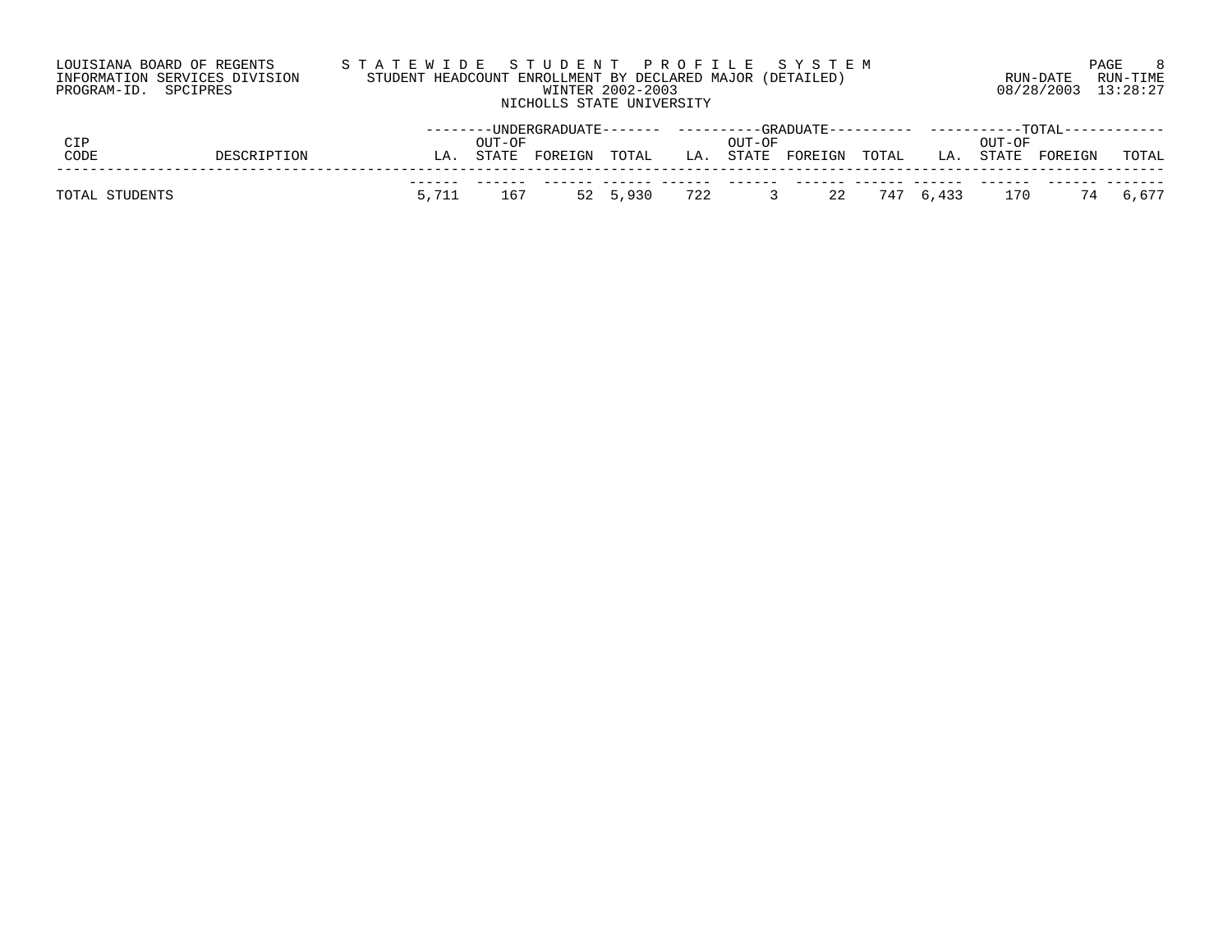| LOUISIANA BOARD OF REGENTS    | STATEWIDE STUDENT PROFILE SYSTEM                          |                     | PAGE     |
|-------------------------------|-----------------------------------------------------------|---------------------|----------|
| INFORMATION SERVICES DIVISION | STUDENT HEADCOUNT ENROLLMENT BY DECLARED MAJOR (DETAILED) | RIIN-DATE           | RUN-TIME |
| PROGRAM-ID. SPCIPRES          | WINTER 2002-2003                                          | 08/28/2003 13:28:27 |          |
|                               | NICHOLLS STATE UNIVERSITY                                 |                     |          |

| CIP                 |  |       | OUL-OE |         |              |     | OUL-OE | --------UNDERGRADUATE-------    ---------GRADUATE---------    ----------TOTAL |              |     | OUT-OF |         |          |
|---------------------|--|-------|--------|---------|--------------|-----|--------|-------------------------------------------------------------------------------|--------------|-----|--------|---------|----------|
| CODE<br>DESCRIPTION |  | LA    | STATE  | FOREIGN | TOTAL        | LA. |        | STATE FOREIGN                                                                 | TOTAL        | LA. | STATE  | FOREIGN | TOTAL    |
| TOTAL STUDENTS      |  | 5,711 | 167    |         | 52 5,930 722 |     |        |                                                                               | 22 747 6,433 |     | 170    |         | 74 6,677 |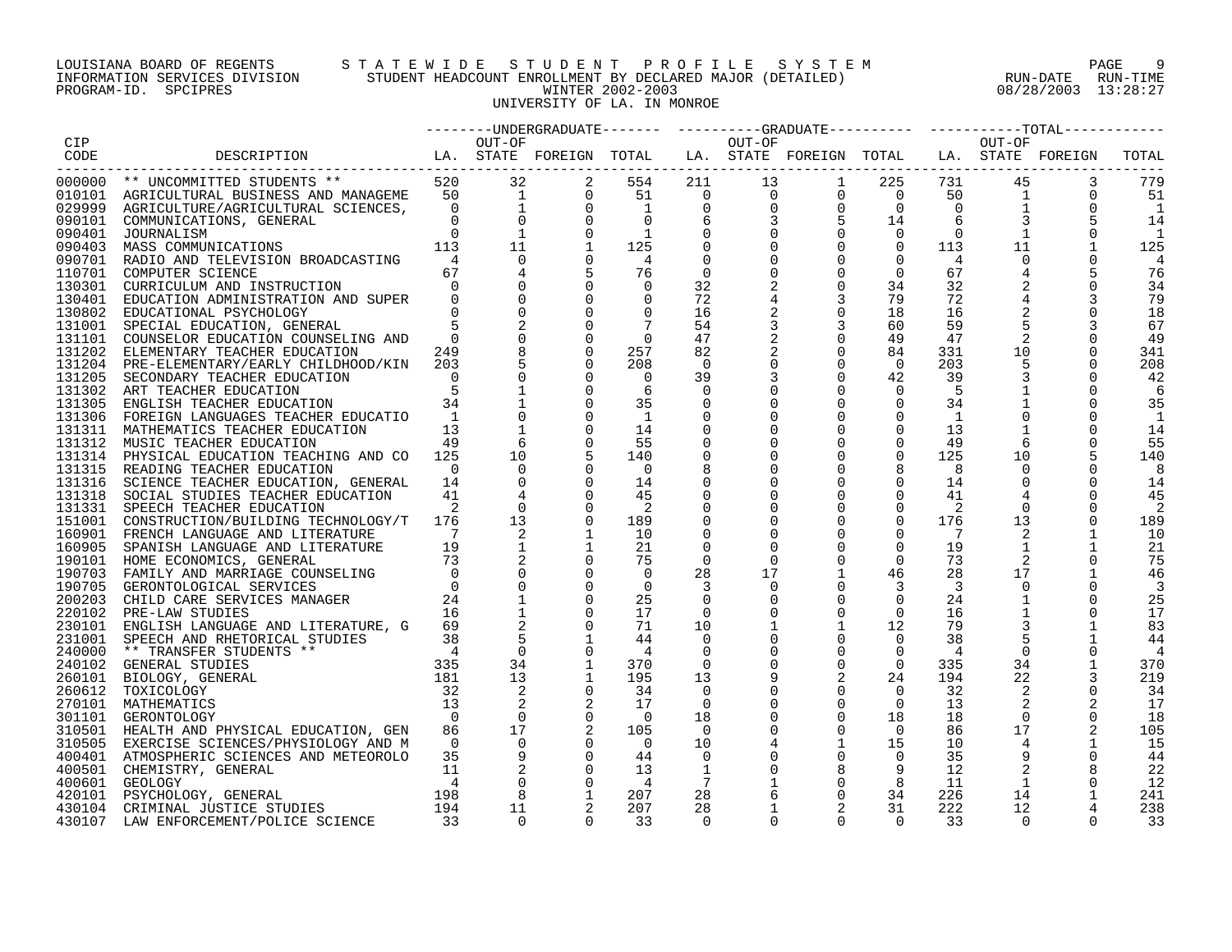PROGRAM-ID. SPCIPRES

# LOUISIANA BOARD OF REGENTS STATEWIDE STUDENT PROFILE SYSTEM NAGE 9 INFORMATION SERVICES DIVISION STUDENT HEADCOUNT ENROLLMENT BY DECLARED MAJOR (DETAILED) RUN-DATE RUN-DATE RUN-TIME<br>PROGRAM-ID. SPCIPRES 13:28:27 UNIVERSITY OF LA. IN MONROE

|        |                                                                                                                      |                |          |                |                |                 |          | --------UNDERGRADUATE------- ---------GRADUATE--------- ---------TOTAL--------                                                                   |                |                |                |          |       |
|--------|----------------------------------------------------------------------------------------------------------------------|----------------|----------|----------------|----------------|-----------------|----------|--------------------------------------------------------------------------------------------------------------------------------------------------|----------------|----------------|----------------|----------|-------|
| CIP    |                                                                                                                      |                | OUT-OF   |                |                |                 | OUT-OF   |                                                                                                                                                  |                |                | OUT-OF         |          |       |
| CODE   | LA. STATE FOREIGN TOTAL LA. STATE FOREIGN TOTAL LA. STATE FOREIGN<br>DESCRIPTION                                     |                |          |                |                |                 |          |                                                                                                                                                  |                |                |                |          | TOTAL |
|        | -------------------------                                                                                            |                |          |                |                |                 |          |                                                                                                                                                  |                |                |                |          |       |
|        |                                                                                                                      |                |          | 2              | 554            |                 |          | $\begin{array}{cccccccc} 211 & 13 & 1 & 225 & 731 \ 0 & 0 & 0 & 0 & 50 \ 0 & 0 & 0 & 0 & 0 \ 6 & 3 & 5 & 14 & 6 \ 0 & 0 & 0 & 0 & 0 \end{array}$ |                |                | 45             | 3        | 779   |
|        |                                                                                                                      |                |          | $\mathbf{0}$   | 51             |                 |          |                                                                                                                                                  |                |                | $\mathbf{1}$   | 0        | 51    |
|        |                                                                                                                      |                |          | $\overline{0}$ | $\overline{1}$ |                 |          |                                                                                                                                                  |                |                |                |          | -1    |
| 090101 | COMMUNICATIONS, GENERAL                                                                                              |                |          |                |                |                 |          |                                                                                                                                                  |                |                |                |          | 14    |
| 090401 | JOURNALISM                                                                                                           | $\Omega$       |          |                |                |                 |          |                                                                                                                                                  |                |                | 1              |          |       |
| 090403 | MASS COMMUNICATIONS                                                                                                  | 113            | 11       | $\mathbf{1}$   | 125            | $\overline{0}$  |          | $\Omega$                                                                                                                                         | $\overline{0}$ | 113            | 11             |          | 125   |
| 090701 | RADIO AND TELEVISION BROADCASTING                                                                                    |                |          |                | 4              |                 |          |                                                                                                                                                  | $\mathbf 0$    | 4              |                |          |       |
| 110701 | COMPUTER SCIENCE                                                                                                     | 67             |          |                | 76             | $\overline{0}$  |          | $\mathbf 0$                                                                                                                                      | $\Omega$       | 67             |                |          | 76    |
| 130301 | CURRICULUM AND INSTRUCTION                                                                                           | $\Omega$       |          |                | $\overline{0}$ | 32              |          | 0                                                                                                                                                | 34             | 32             |                |          | 34    |
|        | 130401 EDUCATION ADMINISTRATION AND SUPER                                                                            | $\Omega$       |          |                |                | 72              |          | 3                                                                                                                                                | 79             | 72             |                |          | 79    |
|        | 130802 EDUCATIONAL PSYCHOLOGY                                                                                        | $\Omega$       |          |                | $\Omega$       | 16              |          | $\mathbf 0$                                                                                                                                      | 18             | 16             |                |          | 18    |
|        | 131001 SPECIAL EDUCATION, GENERAL                                                                                    |                |          |                |                | 54              |          | 3                                                                                                                                                | 60             | 59             |                |          | 67    |
|        | 131101 COUNSELOR EDUCATION COUNSELING AND                                                                            | $\bigcap$      |          |                | $\bigcirc$     | 47              | 2        | $\mathbf 0$                                                                                                                                      | 49             | 47             |                |          | 49    |
|        | 131202 ELEMENTARY TEACHER EDUCATION                                                                                  | 249            |          |                | 257            | 82              |          | 0                                                                                                                                                | 84             | 331            | 10             |          | 341   |
|        |                                                                                                                      | 203            |          |                | 208            | $\Omega$        |          | $\overline{0}$                                                                                                                                   | $\Omega$       | 203            |                |          | 208   |
|        | 131204 PRE-ELEMENTARY/EARLY CHILDHOOD/KIN                                                                            |                |          |                |                |                 |          | $\overline{0}$                                                                                                                                   |                |                |                |          |       |
|        | 131205 SECONDARY TEACHER EDUCATION                                                                                   |                |          |                | $\Omega$       | 39              |          |                                                                                                                                                  | 42             | 39             |                |          | 42    |
|        | 131302 ART TEACHER EDUCATION                                                                                         |                |          |                | 6              | $\Omega$        |          |                                                                                                                                                  | $\Omega$       | -5             |                |          |       |
|        | 131305 ENGLISH TEACHER EDUCATION                                                                                     | 34             |          |                | 35             | 0               |          | $\mathbf 0$                                                                                                                                      | $\overline{0}$ | 34             |                |          | 35    |
|        | 131306 FOREIGN LANGUAGES TEACHER EDUCATIO                                                                            | <sup>-1</sup>  |          |                | 1              | 0               |          | $\Omega$                                                                                                                                         | $\Omega$       | 1              |                |          |       |
|        | 131311 MATHEMATICS TEACHER EDUCATION                                                                                 | 13             |          |                | 14             | 0               |          | $\Omega$                                                                                                                                         | $\Omega$       | 13             |                |          | 14    |
|        | 131312 MUSIC TEACHER EDUCATION                                                                                       | 49             |          |                | 55             |                 |          | $\Omega$                                                                                                                                         | $\Omega$       | 49             |                |          | 55    |
|        | 131314 PHYSICAL EDUCATION TEACHING AND CO                                                                            | 125            | 10       |                | 140            |                 |          | $\overline{0}$                                                                                                                                   | $\overline{0}$ | 125            | 10             |          | 140   |
|        | 131315 READING TEACHER EDUCATION                                                                                     | $\cap$         |          |                | $\Omega$       | 8               |          |                                                                                                                                                  | 8              | - 8            |                |          | 8     |
|        | 131316 SCIENCE TEACHER EDUCATION, GENERAL                                                                            | 14             |          |                | 14             | $\mathbf 0$     |          | $\Omega$                                                                                                                                         | $\Omega$       | 14             |                |          | 14    |
|        | 131318 SOCIAL STUDIES TEACHER EDUCATION                                                                              | 41             |          |                | 45             | 0               |          | $\Omega$                                                                                                                                         | $\Omega$       | 41             |                |          | 45    |
|        | 131331 SPEECH TEACHER EDUCATION                                                                                      |                |          |                | $\overline{2}$ |                 |          | $\mathbf 0$                                                                                                                                      | $\overline{0}$ | 2              |                |          |       |
|        | 151001 CONSTRUCTION/BUILDING TECHNOLOGY/T                                                                            | 176            | 13       |                | 189            |                 |          | $\overline{0}$                                                                                                                                   | $\overline{0}$ | 176            | 13             |          | 189   |
|        | 160901 FRENCH LANGUAGE AND LITERATURE                                                                                |                | 2        |                | 10             |                 |          | $\Omega$                                                                                                                                         | $\Omega$       | 7              |                |          | 10    |
|        | 160905 SPANISH LANGUAGE AND LITERATURE                                                                               | 19             |          |                | 21             |                 |          |                                                                                                                                                  | $\mathbf 0$    | 19             | $\mathbf{1}$   |          | 21    |
|        | 190101 HOME ECONOMICS, GENERAL<br>190703 FAMILY AND MARRIAGE COUNSELING                                              | 73             |          |                | 75             | $\overline{0}$  |          | $\mathbf 0$                                                                                                                                      | $\mathbf 0$    | 73             |                |          | 75    |
|        |                                                                                                                      |                |          |                | $\Omega$       | 28              | 17       |                                                                                                                                                  | 46             | 28             | 17             |          | 46    |
| 190705 | GERONTOLOGICAL SERVICES                                                                                              | $\Omega$       |          |                | 0              |                 |          |                                                                                                                                                  | 3              | $\overline{3}$ |                |          | 3     |
|        | 200203 CHILD CARE SERVICES MANAGER                                                                                   | 24             |          |                | 25             |                 |          | $\Omega$                                                                                                                                         | $\Omega$       | 24             |                |          | 25    |
|        | 220102 PRE-LAW STUDIES                                                                                               | 16             |          |                | 17             | 0               |          | $\mathbf 0$                                                                                                                                      | $\mathbf 0$    | 16             |                |          | 17    |
|        | 230101 ENGLISH LANGUAGE AND LITERATURE, G                                                                            | 69             |          |                | 71             | 10              |          |                                                                                                                                                  | 12             | 79             |                |          | 83    |
|        | 231001 SPEECH AND RHETORICAL STUDIES                                                                                 |                |          |                | 44             | $\Omega$        |          | $\overline{0}$                                                                                                                                   | $\Omega$       | 38             |                |          | 44    |
| 240000 | ** TRANSFER STUDENTS **                                                                                              |                |          |                | $\overline{4}$ | $\Omega$        |          | $\Omega$                                                                                                                                         | $\overline{0}$ | -4             |                |          | 4     |
| 240102 | GENERAL STUDIES                                                                                                      |                | 34       |                | 370            | $\overline{0}$  |          | $\mathbf 0$                                                                                                                                      | $\overline{0}$ | 335            | 34             |          | 370   |
| 260101 | $MTS$ ** 38<br>NTS ** 335<br>181<br>BIOLOGY, GENERAL                                                                 |                | 13       |                | 195            | 13              |          |                                                                                                                                                  | 24             | 194            | 22             |          | 219   |
| 260612 | TOXICOLOGY                                                                                                           |                |          |                | 34             | $\Omega$        |          | $\mathbf 0$                                                                                                                                      | $\Omega$       | 32             |                |          | 34    |
|        | 270101 MATHEMATICS                                                                                                   | 13             | 2        |                | 17             | $\Omega$        |          | $\Omega$                                                                                                                                         | $\overline{0}$ | 13             |                |          | 17    |
|        | 301101 GERONTOLOGY                                                                                                   | $\overline{0}$ |          |                | $\bigcirc$     | 18              |          | $\mathbf 0$                                                                                                                                      | 18             | 18             | $\overline{0}$ |          | 18    |
| 310501 |                                                                                                                      | 86             | 17       |                | 105            | 0               |          | 0                                                                                                                                                | $\overline{0}$ | 86             | 17             |          | 105   |
|        | HEALTH AND PHYSICAL EDUCATION, GEN                                                                                   | $\overline{0}$ |          |                | $\overline{0}$ |                 |          |                                                                                                                                                  |                |                |                |          |       |
|        | 310505 EXERCISE SCIENCES/PHYSIOLOGY AND M                                                                            |                | 9        |                |                | 10              |          | $\overline{0}$                                                                                                                                   | 15<br>$\Omega$ | 10             |                |          | - 15  |
|        | 400401 ATMOSPHERIC SCIENCES AND METEOROLO                                                                            | 35             |          |                | 44             | $\overline{0}$  |          |                                                                                                                                                  |                | 35             | 9              |          | 44    |
|        |                                                                                                                      |                |          |                | 13             | 1               |          |                                                                                                                                                  | 9              | 12             |                |          | 22    |
|        | 400501 CHEMISTRY, GENERAL 11<br>400601 GEOLOGY 420101 PSYCHOLOGY, GENERAL 198<br>430104 CRIMINAL JUSTICE STUDIES 194 |                |          |                | 4              | $7\phantom{.0}$ |          | $\mathsf{O}$                                                                                                                                     | 8              | 11             | $\mathbf{1}$   |          | 12    |
|        |                                                                                                                      |                | 8        |                | 207            | 28              |          | $\overline{0}$                                                                                                                                   | 34             | 226            | 14             |          | 241   |
|        |                                                                                                                      |                | 11       |                | 207            | 28              |          | $\overline{2}$                                                                                                                                   | 31             | 222            | 12             |          | 238   |
|        | 430107 LAW ENFORCEMENT/POLICE SCIENCE                                                                                | 33             | $\Omega$ |                | 33             | $\Omega$        | $\Omega$ | $\Omega$                                                                                                                                         | $\Omega$       | 33             | $\Omega$       | $\Omega$ | 33    |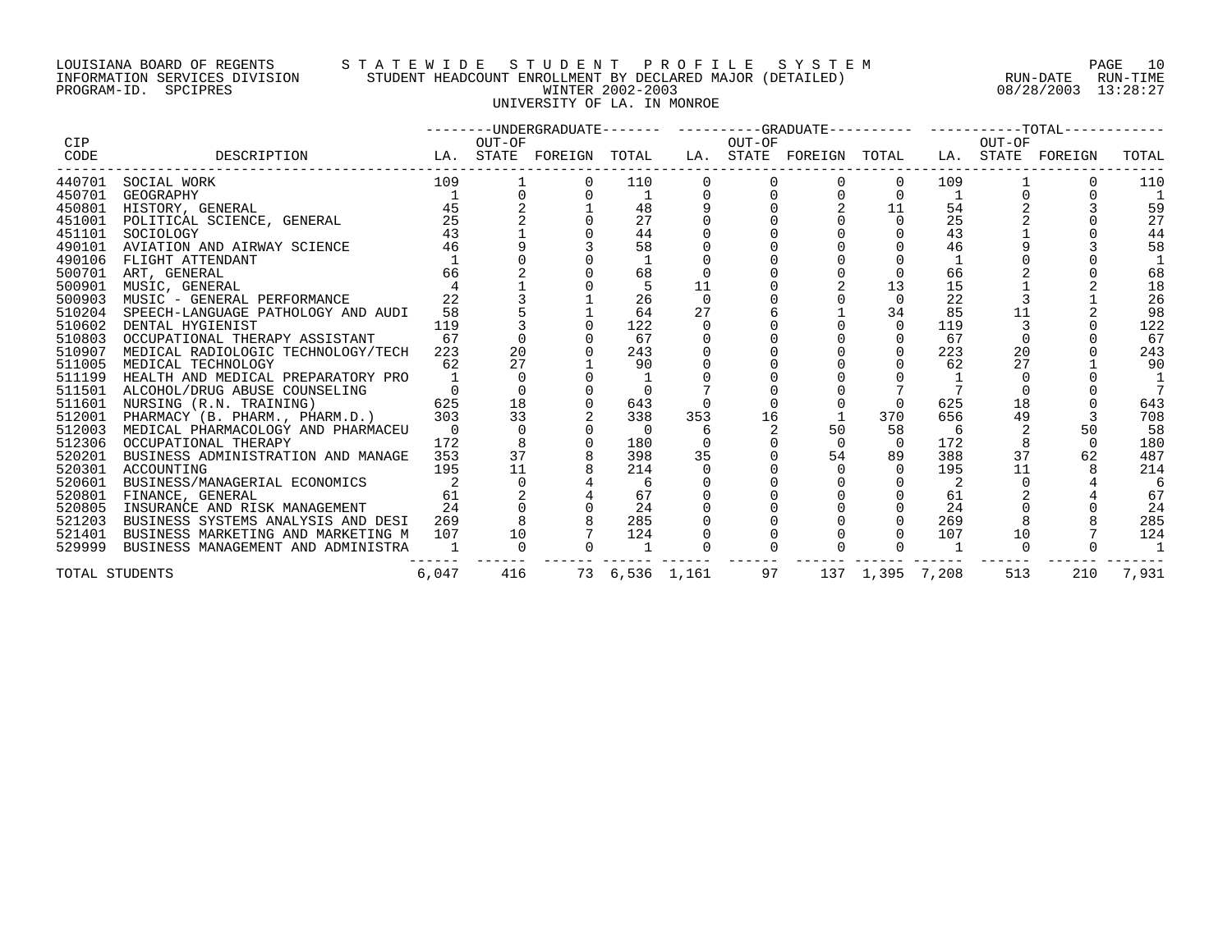# LOUISIANA BOARD OF REGENTS S T A T E W I D E S T U D E N T P R O F I L E S Y S T E M PAGE 10 INFORMATION SERVICES DIVISION STUDENT HEADCOUNT ENROLLMENT BY DECLARED MAJOR (DETAILED) RUN-DATE RUN-TIME PROGRAM-ID. SPCIPRES WINTER 2002-2003 08/28/2003 13:28:27 UNIVERSITY OF LA. IN MONROE

|        |                                                                                                                                                                                                                                                                                                  |              |         |                                                   |                |     |    | --------UNDERGRADUATE------- ---------GRADUATE---------- ----------TOTAL----------- |                                       |     |     |     |                |
|--------|--------------------------------------------------------------------------------------------------------------------------------------------------------------------------------------------------------------------------------------------------------------------------------------------------|--------------|---------|---------------------------------------------------|----------------|-----|----|-------------------------------------------------------------------------------------|---------------------------------------|-----|-----|-----|----------------|
| CIP    |                                                                                                                                                                                                                                                                                                  |              |         |                                                   |                |     |    |                                                                                     |                                       |     |     |     |                |
| CODE   | OUT-OF OUT-OF OUT-OF OUT-OF OUT-OF DESCRIPTION LA. STATE FOREIGN TOTAL LA. STATE POREIGN TOTAL LA. STATE FOREIGN                                                                                                                                                                                 |              |         |                                                   |                |     |    |                                                                                     |                                       |     |     |     | TOTAL          |
|        | $\begin{tabular}{lllllllll} 440701 & \texttt{SOCIAL WORK} & & & & & & & \\ 450701 & \texttt{GEOGRAPHY} & & & & & 1 & & \\ 450801 & \texttt{HISTORY, GENERAL} & & & & 45 & & \textbf{``} \\ 451001 & \texttt{POLITICAL SCIERCE, GENERAL} & & & & 25 & & \\ & & & & & & 43 & & & \\ \end{tabular}$ |              | $109$ 1 |                                                   | $0$ 110        |     |    |                                                                                     | $\overline{0}$                        |     | 109 |     | 110            |
|        |                                                                                                                                                                                                                                                                                                  |              |         |                                                   | $\mathbf{1}$   |     |    |                                                                                     |                                       |     |     |     |                |
|        |                                                                                                                                                                                                                                                                                                  |              |         |                                                   | 48             |     |    |                                                                                     | $\begin{matrix}0&&0\0&&1\end{matrix}$ | 54  |     |     | 59             |
|        |                                                                                                                                                                                                                                                                                                  |              |         |                                                   | 27             |     |    |                                                                                     |                                       | 25  |     |     | 27             |
|        | $\frac{43}{46}$                                                                                                                                                                                                                                                                                  |              |         |                                                   | 44             |     |    |                                                                                     |                                       | 43  |     |     | 44             |
| 490101 | AVIATION AND AIRWAY SCIENCE                                                                                                                                                                                                                                                                      |              |         |                                                   | 58             |     |    |                                                                                     |                                       | 46  |     |     | 58             |
| 490106 | FLIGHT ATTENDANT<br>$\begin{array}{c} 1 \\ 66 \end{array}$                                                                                                                                                                                                                                       | $\mathbf{1}$ |         |                                                   |                |     |    |                                                                                     |                                       |     |     |     |                |
| 500701 | ART, GENERAL                                                                                                                                                                                                                                                                                     |              |         |                                                   | 68             |     |    |                                                                                     |                                       | 66  |     |     | 68             |
| 500901 | MUSIC, GENERAL                                                                                                                                                                                                                                                                                   |              |         |                                                   |                | 11  |    |                                                                                     | 13                                    | 15  |     |     | 18             |
| 500903 | MUSIC - GENERAL PERFORMANCE                                                                                                                                                                                                                                                                      | 22           |         |                                                   | 26             |     |    |                                                                                     |                                       | 22  |     |     | 26             |
| 510204 | SPEECH-LANGUAGE PATHOLOGY AND AUDI                                                                                                                                                                                                                                                               | 58           |         |                                                   | 64             | 27  |    |                                                                                     | 34                                    | 85  |     |     | 98             |
| 510602 | DENTAL HYGIENIST                                                                                                                                                                                                                                                                                 | 119          |         |                                                   | 122            |     |    |                                                                                     | $\Omega$                              | 119 |     |     | 122            |
| 510803 | OCCUPATIONAL THERAPY ASSISTANT                                                                                                                                                                                                                                                                   | 67           |         |                                                   | 67             |     |    |                                                                                     |                                       | 67  |     |     | 67             |
| 510907 | MEDICAL RADIOLOGIC TECHNOLOGY/TECH                                                                                                                                                                                                                                                               | 223          | 20      |                                                   | 243            |     |    |                                                                                     | $\Omega$                              | 223 | 20  |     | 243            |
| 511005 | MEDICAL TECHNOLOGY                                                                                                                                                                                                                                                                               | 62           | 27      |                                                   | 90             |     |    |                                                                                     |                                       | 62  | 27  |     | 90             |
| 511199 | HEALTH AND MEDICAL PREPARATORY PRO                                                                                                                                                                                                                                                               |              |         |                                                   |                |     |    |                                                                                     |                                       |     |     |     |                |
|        | 511501 ALCOHOL/DRUG ABUSE COUNSELING 0 0<br>511601 NURSING (R.N. TRAINING) 625 18<br>512001 PHARMACY (B. PHARM., PHARM.D.), 2013 33                                                                                                                                                              |              |         |                                                   |                |     |    |                                                                                     |                                       |     |     |     |                |
|        |                                                                                                                                                                                                                                                                                                  |              |         |                                                   | 643            |     |    |                                                                                     |                                       | 625 | 18  |     | 643            |
|        |                                                                                                                                                                                                                                                                                                  |              |         |                                                   | 338            | 353 | 16 |                                                                                     | 370                                   | 656 | 49  |     | 708            |
| 512003 | MEDICAL PHARMACOLOGY AND PHARMACEU 0                                                                                                                                                                                                                                                             |              |         |                                                   | $\overline{0}$ |     |    | 50                                                                                  | 58                                    | 6   |     | 50  | 58             |
|        | 512306 OCCUPATIONAL THERAPY                                                                                                                                                                                                                                                                      | 172          |         |                                                   | 180            |     |    | $\Omega$                                                                            | $\overline{0}$                        | 172 |     |     | 180            |
| 520201 | BUSINESS ADMINISTRATION AND MANAGE                                                                                                                                                                                                                                                               | 353          |         | $\begin{array}{c}\n 0 \\  8 \\  37\n \end{array}$ | 398            | 35  |    | 54                                                                                  | 89                                    | 388 | 37  | 62  | 487            |
| 520301 | ACCOUNTING                                                                                                                                                                                                                                                                                       | 195          | 11      |                                                   | 214            |     |    |                                                                                     |                                       | 195 | 11  |     | 214            |
| 520601 | BUSINESS/MANAGERIAL ECONOMICS 2<br>TIMAMOR GENERAL ECONOMICS 61                                                                                                                                                                                                                                  |              |         |                                                   |                |     |    |                                                                                     |                                       |     |     |     | 6              |
| 520801 |                                                                                                                                                                                                                                                                                                  |              |         |                                                   | 67             |     |    |                                                                                     |                                       | 61  |     |     | 67             |
| 520805 | INSURANCE AND RISK MANAGEMENT                                                                                                                                                                                                                                                                    | 24           |         |                                                   | 24             |     |    |                                                                                     |                                       | 24  |     |     | 24             |
| 521203 | BUSINESS SYSTEMS ANALYSIS AND DESI 269                                                                                                                                                                                                                                                           |              |         |                                                   | 285            |     |    |                                                                                     |                                       | 269 |     |     | 285            |
|        | 521401 BUSINESS MARKETING AND MARKETING M 107 10                                                                                                                                                                                                                                                 |              |         |                                                   | 124            |     |    |                                                                                     |                                       | 107 | 10  |     | 124            |
|        | 529999 BUSINESS MANAGEMENT AND ADMINISTRA                                                                                                                                                                                                                                                        |              |         |                                                   | $\overline{1}$ |     |    |                                                                                     |                                       |     |     |     | $\overline{1}$ |
|        | TOTAL STUDENTS                                                                                                                                                                                                                                                                                   | 6,047        |         |                                                   |                |     |    | 416 73 6,536 1,161 97 137 1,395 7,208                                               |                                       |     | 513 | 210 | 7,931          |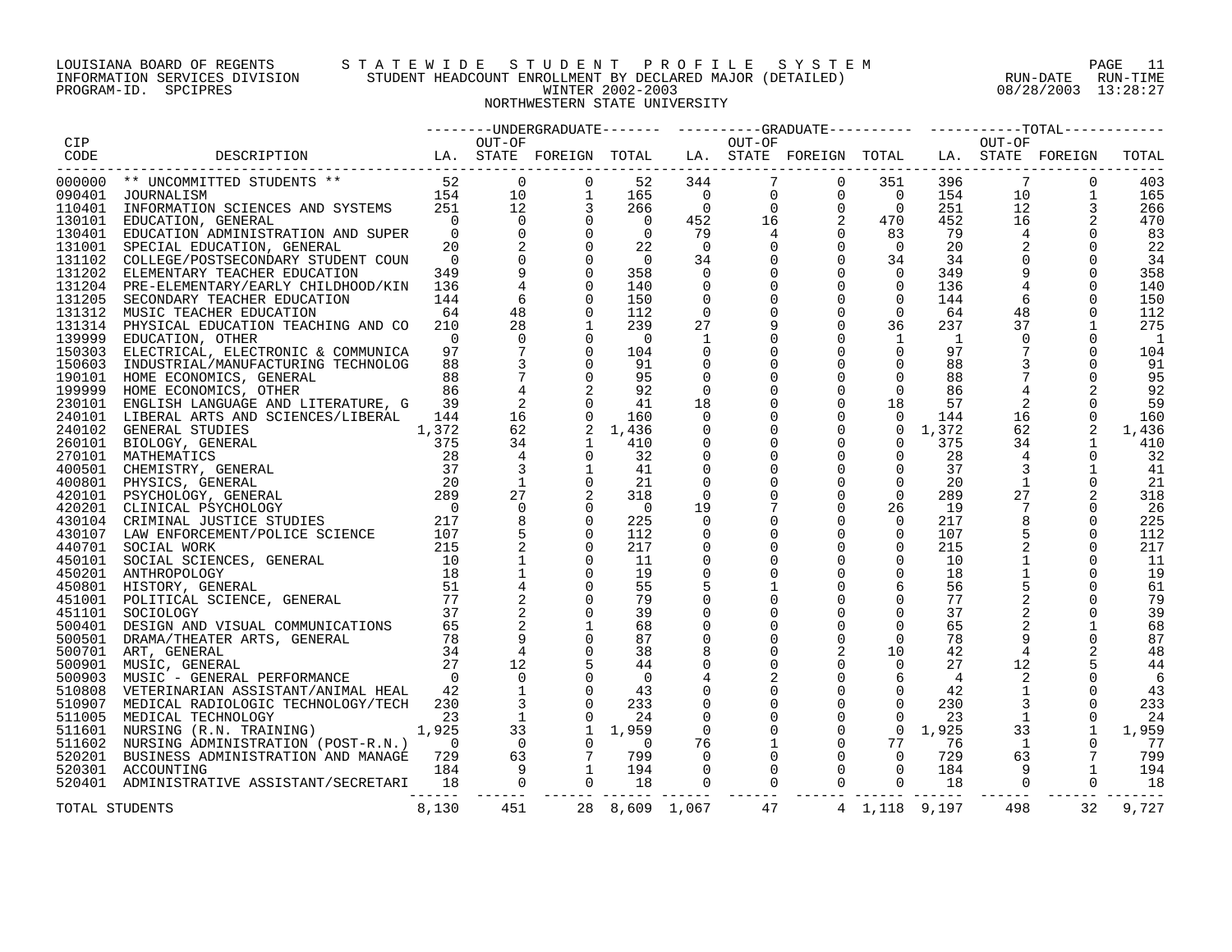#### LOUISIANA BOARD OF REGENTS S T A T E W I D E S T U D E N T P R O F I L E S Y S T E M PAGE 11 INFORMATION SERVICES DIVISION STUDENT HEADCOUNT ENROLLMENT BY DECLARED MAJOR (DETAILED) RUN-DATE RUN-TIME PROGRAM-ID. SPCIPRES WINTER 2002-2003 08/28/2003 13:28:27 NORTHWESTERN STATE UNIVERSITY

|                |                                                                                                                                                                                                                                                                                                                                                                                                                       |       |                 |                                                                                                          |                |                          |                |                                                                                                                                                                                                                                                                                                                                       |                                                |                 |                 | -------UNDERGRADUATE------- ---------GRADUATE---------  ----------TOTAL------- |                |
|----------------|-----------------------------------------------------------------------------------------------------------------------------------------------------------------------------------------------------------------------------------------------------------------------------------------------------------------------------------------------------------------------------------------------------------------------|-------|-----------------|----------------------------------------------------------------------------------------------------------|----------------|--------------------------|----------------|---------------------------------------------------------------------------------------------------------------------------------------------------------------------------------------------------------------------------------------------------------------------------------------------------------------------------------------|------------------------------------------------|-----------------|-----------------|--------------------------------------------------------------------------------|----------------|
| CIP            |                                                                                                                                                                                                                                                                                                                                                                                                                       |       | OUT-OF          |                                                                                                          |                |                          | OUT-OF         |                                                                                                                                                                                                                                                                                                                                       |                                                |                 | OUT-OF          |                                                                                |                |
| CODE           |                                                                                                                                                                                                                                                                                                                                                                                                                       |       |                 |                                                                                                          |                |                          |                |                                                                                                                                                                                                                                                                                                                                       |                                                |                 |                 |                                                                                | TOTAL          |
|                |                                                                                                                                                                                                                                                                                                                                                                                                                       |       |                 |                                                                                                          |                |                          |                |                                                                                                                                                                                                                                                                                                                                       |                                                |                 |                 |                                                                                |                |
|                |                                                                                                                                                                                                                                                                                                                                                                                                                       |       | $\overline{0}$  | $\mathbf 0$                                                                                              | 52             | 344                      |                |                                                                                                                                                                                                                                                                                                                                       |                                                | 351 396         | $\overline{7}$  | $\mathbf 0$                                                                    | 403            |
|                |                                                                                                                                                                                                                                                                                                                                                                                                                       |       |                 |                                                                                                          | 165            | $\overline{0}$           |                |                                                                                                                                                                                                                                                                                                                                       |                                                | 154             | 10              | $\mathbf{1}$                                                                   | 165            |
|                |                                                                                                                                                                                                                                                                                                                                                                                                                       |       |                 |                                                                                                          |                |                          |                |                                                                                                                                                                                                                                                                                                                                       | $\begin{matrix} 0 & 0 \\ 0 & 0 \end{matrix}$   |                 |                 |                                                                                |                |
|                |                                                                                                                                                                                                                                                                                                                                                                                                                       |       |                 |                                                                                                          | 266            | $\overline{0}$           |                |                                                                                                                                                                                                                                                                                                                                       | $\overline{0}$                                 | 251             |                 | $\begin{array}{c}\n12 \\ 12 \\ 16\n\end{array}$                                | 266            |
|                |                                                                                                                                                                                                                                                                                                                                                                                                                       |       |                 |                                                                                                          | $\overline{0}$ | 452                      |                |                                                                                                                                                                                                                                                                                                                                       | $\overline{2}$<br>470                          | 452             |                 |                                                                                | 470            |
|                |                                                                                                                                                                                                                                                                                                                                                                                                                       |       |                 |                                                                                                          | $\overline{0}$ | 79                       | $\overline{4}$ | $\mathbf 0$                                                                                                                                                                                                                                                                                                                           | 83                                             | 79              | $\overline{4}$  | $\mathbf 0$                                                                    | 83             |
|                |                                                                                                                                                                                                                                                                                                                                                                                                                       |       |                 |                                                                                                          | 22             | $\overline{\phantom{0}}$ | 0              | $\mathbf 0$                                                                                                                                                                                                                                                                                                                           | $\overline{0}$                                 | 20              |                 |                                                                                | 22             |
|                |                                                                                                                                                                                                                                                                                                                                                                                                                       |       |                 |                                                                                                          | $\overline{0}$ | 34                       |                | $\mathbf 0$                                                                                                                                                                                                                                                                                                                           | 34                                             | 34              | $\mathbf 0$     | $\Omega$                                                                       | 34             |
|                |                                                                                                                                                                                                                                                                                                                                                                                                                       |       |                 |                                                                                                          | 358            | $\overline{0}$           |                | $\mathbf 0$                                                                                                                                                                                                                                                                                                                           | $\overline{0}$                                 | 349             | $\mathsf 9$     | $\Omega$                                                                       | 358            |
|                |                                                                                                                                                                                                                                                                                                                                                                                                                       |       |                 |                                                                                                          | 140            | 0                        |                | $\mathbf 0$                                                                                                                                                                                                                                                                                                                           | $\overline{0}$                                 | 136             |                 |                                                                                | 140            |
|                |                                                                                                                                                                                                                                                                                                                                                                                                                       |       |                 |                                                                                                          | 150            | $\Omega$                 |                | $\Omega$                                                                                                                                                                                                                                                                                                                              | $\Omega$                                       | 144             | 6               | $\Omega$                                                                       | 150            |
|                |                                                                                                                                                                                                                                                                                                                                                                                                                       |       |                 |                                                                                                          | 112            | $\overline{0}$           |                | $\mathbf 0$                                                                                                                                                                                                                                                                                                                           | $\overline{0}$                                 |                 | 48              |                                                                                |                |
|                |                                                                                                                                                                                                                                                                                                                                                                                                                       |       |                 |                                                                                                          |                |                          |                |                                                                                                                                                                                                                                                                                                                                       |                                                | 64              |                 |                                                                                | 112            |
|                |                                                                                                                                                                                                                                                                                                                                                                                                                       |       |                 |                                                                                                          | 239            | 27                       |                | $\mathbf 0$                                                                                                                                                                                                                                                                                                                           | 36                                             | 237             | 37              |                                                                                | 275            |
|                |                                                                                                                                                                                                                                                                                                                                                                                                                       |       |                 |                                                                                                          | $\overline{0}$ | -1                       |                | $\overline{0}$                                                                                                                                                                                                                                                                                                                        | <sup>1</sup>                                   | 1               | $\overline{0}$  |                                                                                | $\overline{1}$ |
|                |                                                                                                                                                                                                                                                                                                                                                                                                                       |       | $\frac{7}{3}$   |                                                                                                          | 104            |                          |                | $\overline{0}$                                                                                                                                                                                                                                                                                                                        | $\mathbf 0$                                    | 97              | $7\phantom{.0}$ | $\Omega$                                                                       | 104            |
|                | 150603 INDUSTRIAL/MANUFACTURING TECHNOLOG                                                                                                                                                                                                                                                                                                                                                                             | 88    | $\overline{3}$  | $\Omega$                                                                                                 | 91             | $\mathbf 0$              |                | $\Omega$                                                                                                                                                                                                                                                                                                                              | $\mathbf 0$                                    | 88              |                 | $\Omega$                                                                       | 91             |
|                | 190101 HOME ECONOMICS, GENERAL                                                                                                                                                                                                                                                                                                                                                                                        | 88    | $7\phantom{.0}$ | $\mathbf 0$                                                                                              | 95             | 0                        |                | $\mathbf 0$                                                                                                                                                                                                                                                                                                                           | $\mathbf 0$                                    | 88              |                 |                                                                                | 95             |
|                | 199999 HOME ECONOMICS, OTHER                                                                                                                                                                                                                                                                                                                                                                                          | 86    | $\overline{4}$  | 2                                                                                                        | 92             | $\overline{0}$           |                | $\mathbf 0$                                                                                                                                                                                                                                                                                                                           | $\mathbf 0$                                    | 86              |                 |                                                                                | 92             |
|                | 230101 ENGLISH LANGUAGE AND LITERATURE, G                                                                                                                                                                                                                                                                                                                                                                             | 39    | $\overline{a}$  | $\Omega$                                                                                                 | 41             | 18                       |                | $\mathbf 0$                                                                                                                                                                                                                                                                                                                           | 18                                             | 57              | 2               |                                                                                | 59             |
|                | 240101 LIBERAL ARTS AND SCIENCES/LIBERAL 144                                                                                                                                                                                                                                                                                                                                                                          |       | 16              | $\mathbf 0$                                                                                              | 160            | 0                        |                | $\mathbf 0$                                                                                                                                                                                                                                                                                                                           | $\overline{0}$                                 | 144             | 16              | $\overline{0}$                                                                 | 160            |
|                |                                                                                                                                                                                                                                                                                                                                                                                                                       |       |                 |                                                                                                          |                |                          |                | $\overline{0}$                                                                                                                                                                                                                                                                                                                        |                                                |                 |                 |                                                                                |                |
|                | $\begin{tabular}{ c c c c c c c} \multicolumn{1}{c}{\textbf{240101}} & \multicolumn{1}{c}{\textbf{LIBERAL} \textbf{ARTS AND SCIENTES/LIBERAL} & \textbf{144} & \textbf{16} \\ \textbf{240102} & \textbf{GEDERRAL} & \textbf{375} & \textbf{62} \\ \textbf{240101} & \textbf{BIOLOGY, GENERAL} & \textbf{1,372} & \textbf{62} \\ \textbf{270101} & \textbf{MATHEMATICS} & \textbf{375} & \textbf{34} \\ \textbf{27010$ |       |                 | 2                                                                                                        | 1,436          | 0                        |                |                                                                                                                                                                                                                                                                                                                                       |                                                | $0 \quad 1.372$ | 62              | 2                                                                              | 1,436          |
|                |                                                                                                                                                                                                                                                                                                                                                                                                                       |       |                 | 1                                                                                                        | 410            | 0                        |                | $\mathbf 0$                                                                                                                                                                                                                                                                                                                           | $\overline{0}$                                 | 375             | 34              | $\mathbf{1}$                                                                   | 410            |
|                |                                                                                                                                                                                                                                                                                                                                                                                                                       |       |                 | $\Omega$                                                                                                 | 32             | $\mathbf 0$              |                | $\mathbf{0}$                                                                                                                                                                                                                                                                                                                          | $\overline{0}$                                 | 28              | $\overline{4}$  | $\overline{0}$                                                                 | 32             |
|                |                                                                                                                                                                                                                                                                                                                                                                                                                       |       |                 |                                                                                                          | 41             | $\Omega$                 |                | $\Omega$                                                                                                                                                                                                                                                                                                                              | $\Omega$                                       | 37              |                 |                                                                                | 41             |
|                |                                                                                                                                                                                                                                                                                                                                                                                                                       |       |                 | $\Omega$                                                                                                 | 21             | $\mathbf 0$              |                | $\mathbf 0$                                                                                                                                                                                                                                                                                                                           | $\overline{0}$                                 | 20              | 1               | $\overline{0}$                                                                 | 21             |
|                |                                                                                                                                                                                                                                                                                                                                                                                                                       |       |                 | 2                                                                                                        | 318            | $\overline{0}$           |                | $\mathsf{O}$                                                                                                                                                                                                                                                                                                                          | $\overline{0}$                                 | 289             | 27              |                                                                                | 318            |
|                |                                                                                                                                                                                                                                                                                                                                                                                                                       |       |                 | $\Omega$                                                                                                 | $\overline{0}$ | 19                       |                | $\mathbf 0$                                                                                                                                                                                                                                                                                                                           | 26                                             | 19              |                 |                                                                                | 26             |
|                |                                                                                                                                                                                                                                                                                                                                                                                                                       |       |                 | $\Omega$                                                                                                 | 225            | $\Omega$                 |                | $\Omega$                                                                                                                                                                                                                                                                                                                              | $\Omega$                                       | 217             | 8               | $\Omega$                                                                       | 225            |
|                |                                                                                                                                                                                                                                                                                                                                                                                                                       |       |                 | $\Omega$                                                                                                 | 112            | $\Omega$                 |                | $\Omega$                                                                                                                                                                                                                                                                                                                              | $\overline{0}$                                 | 107             |                 | $\Omega$                                                                       | 112            |
|                |                                                                                                                                                                                                                                                                                                                                                                                                                       |       |                 | $\mathbf 0$                                                                                              |                |                          |                | $\mathbf{0}$                                                                                                                                                                                                                                                                                                                          | $\mathbf 0$                                    |                 |                 | $\Omega$                                                                       |                |
|                |                                                                                                                                                                                                                                                                                                                                                                                                                       |       |                 |                                                                                                          | 217            | 0                        |                |                                                                                                                                                                                                                                                                                                                                       |                                                | 215             |                 |                                                                                | 217            |
|                |                                                                                                                                                                                                                                                                                                                                                                                                                       |       |                 | $\Omega$                                                                                                 | 11             | 0                        |                | $\Omega$                                                                                                                                                                                                                                                                                                                              | $\mathbf 0$                                    | 10              |                 |                                                                                | -11            |
|                |                                                                                                                                                                                                                                                                                                                                                                                                                       |       |                 | $\Omega$                                                                                                 | 19             | $\mathbf 0$              |                | $\mathbf 0$                                                                                                                                                                                                                                                                                                                           | $\mathbf 0$                                    | 18              |                 | $\Omega$                                                                       | 19             |
|                |                                                                                                                                                                                                                                                                                                                                                                                                                       |       |                 |                                                                                                          | 55             |                          |                | $\mathbf 0$                                                                                                                                                                                                                                                                                                                           | 6                                              | 56              |                 |                                                                                | 61             |
|                |                                                                                                                                                                                                                                                                                                                                                                                                                       |       |                 |                                                                                                          | 79             |                          |                | $\Omega$                                                                                                                                                                                                                                                                                                                              | $\Omega$                                       | 77              |                 | $\Omega$                                                                       | 79             |
|                |                                                                                                                                                                                                                                                                                                                                                                                                                       |       |                 | $\Omega$                                                                                                 | 39             |                          |                | $\Omega$                                                                                                                                                                                                                                                                                                                              | $\Omega$                                       | 37              |                 | $\mathbf 0$                                                                    | 39             |
|                |                                                                                                                                                                                                                                                                                                                                                                                                                       |       |                 |                                                                                                          | 68             |                          |                | $\mathbf 0$                                                                                                                                                                                                                                                                                                                           | $\mathbf 0$                                    | 65              |                 |                                                                                | 68             |
|                |                                                                                                                                                                                                                                                                                                                                                                                                                       |       |                 |                                                                                                          | 87             |                          |                | $\mathbf 0$                                                                                                                                                                                                                                                                                                                           | $\mathbf 0$                                    | 78              |                 |                                                                                | 87             |
|                |                                                                                                                                                                                                                                                                                                                                                                                                                       |       |                 |                                                                                                          | 38             |                          |                |                                                                                                                                                                                                                                                                                                                                       | 10                                             | 42              | $\overline{4}$  |                                                                                | 48             |
|                |                                                                                                                                                                                                                                                                                                                                                                                                                       |       |                 | 5                                                                                                        | 44             |                          |                | $\mathbf 0$                                                                                                                                                                                                                                                                                                                           | $\overline{0}$                                 | 27              | 12              |                                                                                | 44             |
|                |                                                                                                                                                                                                                                                                                                                                                                                                                       |       |                 |                                                                                                          |                |                          |                | $\mathbf 0$                                                                                                                                                                                                                                                                                                                           |                                                |                 |                 |                                                                                |                |
|                |                                                                                                                                                                                                                                                                                                                                                                                                                       |       |                 |                                                                                                          | $\overline{0}$ |                          |                |                                                                                                                                                                                                                                                                                                                                       | 6                                              | $\overline{4}$  | 2               |                                                                                | 6              |
|                | 510808 VETERINARIAN ASSISTANT/ANIMAL HEAL                                                                                                                                                                                                                                                                                                                                                                             | 42    | $\frac{1}{3}$   |                                                                                                          |                | $\mathbf 0$              |                | $\mathbf 0$                                                                                                                                                                                                                                                                                                                           | $\overline{0}$                                 | 42              | $\mathbf{1}$    | $\Omega$                                                                       | 43             |
|                | 510907 MEDICAL RADIOLOGIC TECHNOLOGY/TECH                                                                                                                                                                                                                                                                                                                                                                             | 230   |                 |                                                                                                          |                | $\mathbf 0$              |                |                                                                                                                                                                                                                                                                                                                                       | $\Omega$                                       | 230             |                 | $\Omega$                                                                       | 233            |
|                | 511005 MEDICAL TECHNOLOGY                                                                                                                                                                                                                                                                                                                                                                                             | 23    |                 |                                                                                                          |                | $\overline{0}$           |                |                                                                                                                                                                                                                                                                                                                                       | $\overline{0}$                                 | 23              | $\overline{1}$  | 0                                                                              | 24             |
|                | 511601 NURSING (R.N. TRAINING) 1,925                                                                                                                                                                                                                                                                                                                                                                                  |       |                 | $\begin{array}{cccc} 1 & 0 & 43 \\ 3 & 0 & 233 \\ 1 & 0 & 24 \\ 33 & 1 & 1,959 \\ 0 & 0 & 0 \end{array}$ |                | $\overline{0}$           |                |                                                                                                                                                                                                                                                                                                                                       | $\frac{0}{77}$                                 | $0 \quad 1,925$ |                 | $33 \atop 27$                                                                  | 1,959          |
|                | 511602 NURSING ADMINISTRATION (POST-R.N.) 0                                                                                                                                                                                                                                                                                                                                                                           |       |                 |                                                                                                          |                | 76                       |                |                                                                                                                                                                                                                                                                                                                                       |                                                | 76              | $\overline{1}$  | $\Omega$                                                                       | 77             |
|                | 520201 BUSINESS ADMINISTRATION AND MANAGE 729                                                                                                                                                                                                                                                                                                                                                                         |       |                 |                                                                                                          |                | $\overline{0}$           |                |                                                                                                                                                                                                                                                                                                                                       |                                                | 729             | 63              |                                                                                | 799            |
|                | 520301 ACCOUNTING                                                                                                                                                                                                                                                                                                                                                                                                     |       |                 |                                                                                                          |                | $\Omega$                 | $\Omega$       |                                                                                                                                                                                                                                                                                                                                       |                                                | 184             |                 | $\begin{array}{c} 7 \\ 1 \end{array}$<br>$9^{\circ}$                           | 194            |
|                | 12001 NOT NOT THE 2 29<br>RATION AND MANAGE 729 63 7 799<br>SISTANT/SECRETARI 18 0 0 18<br>520401 ADMINISTRATIVE ASSISTANT/SECRETARI                                                                                                                                                                                                                                                                                  |       |                 |                                                                                                          |                | $\overline{0}$           | $\mathbf 0$    | $\begin{bmatrix} 0 & 0 & 0 \\ 0 & 0 & 0 \\ 0 & 0 & 0 \\ 0 & 0 & 0 \\ 0 & 0 & 0 \\ 0 & 0 & 0 \\ 0 & 0 & 0 \\ 0 & 0 & 0 \\ 0 & 0 & 0 \\ 0 & 0 & 0 \\ 0 & 0 & 0 \\ 0 & 0 & 0 \\ 0 & 0 & 0 \\ 0 & 0 & 0 \\ 0 & 0 & 0 \\ 0 & 0 & 0 \\ 0 & 0 & 0 \\ 0 & 0 & 0 \\ 0 & 0 & 0 \\ 0 & 0 & 0 \\ 0 & 0 & 0 \\ 0 & 0 & 0 \\ 0 & 0 & 0 \\ 0 & 0 & $ | $\begin{matrix} 0 \\ 0 \\ 0 \\ 0 \end{matrix}$ | 18              |                 | $\overline{0}$<br>$\overline{0}$                                               | 18             |
|                |                                                                                                                                                                                                                                                                                                                                                                                                                       |       | -------         |                                                                                                          |                |                          |                |                                                                                                                                                                                                                                                                                                                                       |                                                |                 |                 |                                                                                |                |
| TOTAL STUDENTS |                                                                                                                                                                                                                                                                                                                                                                                                                       | 8,130 | 451             |                                                                                                          | 28 8,609 1,067 |                          | 47             |                                                                                                                                                                                                                                                                                                                                       | 4 1,118 9,197                                  |                 | 498             | 32                                                                             | 9,727          |
|                |                                                                                                                                                                                                                                                                                                                                                                                                                       |       |                 |                                                                                                          |                |                          |                |                                                                                                                                                                                                                                                                                                                                       |                                                |                 |                 |                                                                                |                |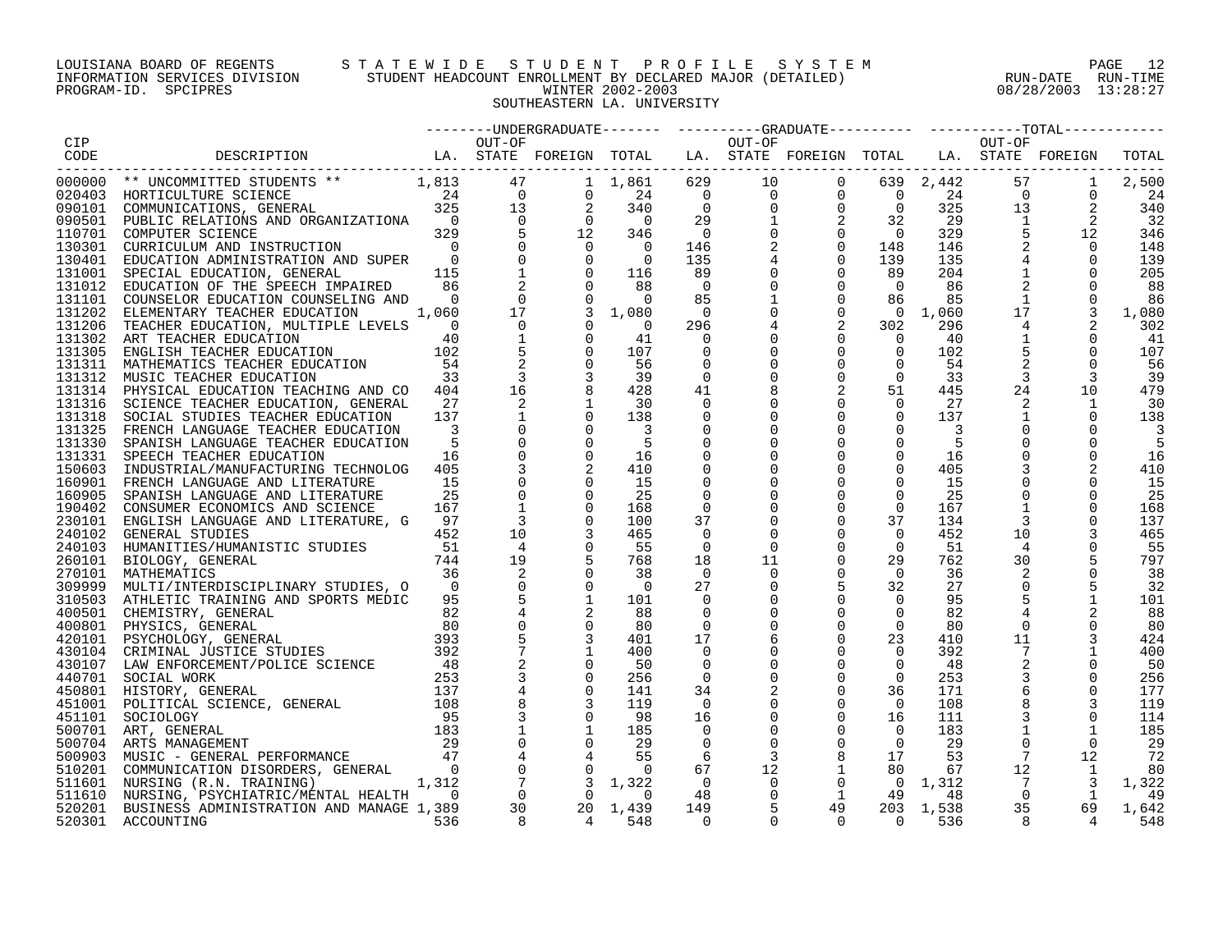# LOUISIANA BOARD OF REGENTS S T A T E W I D E S T U D E N T P R O F I L E S Y S T E M PAGE 12 INFORMATION SERVICES DIVISION STUDENT HEADCOUNT ENROLLMENT BY DECLARED MAJOR (DETAILED) RUN-DATE RUN-TIME PROGRAM-ID. SPCIPRES WINTER 2002-2003 08/28/2003 13:28:27 SOUTHEASTERN LA. UNIVERSITY

|  |  |  |  |  |  | TOTAL      |
|--|--|--|--|--|--|------------|
|  |  |  |  |  |  |            |
|  |  |  |  |  |  | 2,500      |
|  |  |  |  |  |  | 24         |
|  |  |  |  |  |  | 340        |
|  |  |  |  |  |  | 32         |
|  |  |  |  |  |  | 346        |
|  |  |  |  |  |  | 148        |
|  |  |  |  |  |  | 139        |
|  |  |  |  |  |  | 205        |
|  |  |  |  |  |  | - 88       |
|  |  |  |  |  |  | 86         |
|  |  |  |  |  |  | 1,080      |
|  |  |  |  |  |  | 302        |
|  |  |  |  |  |  | 41         |
|  |  |  |  |  |  | 107        |
|  |  |  |  |  |  | 56         |
|  |  |  |  |  |  | -39        |
|  |  |  |  |  |  | 479        |
|  |  |  |  |  |  | 30         |
|  |  |  |  |  |  | 138        |
|  |  |  |  |  |  |            |
|  |  |  |  |  |  | -5         |
|  |  |  |  |  |  | 16         |
|  |  |  |  |  |  | 410        |
|  |  |  |  |  |  | 15         |
|  |  |  |  |  |  | 25         |
|  |  |  |  |  |  | 168        |
|  |  |  |  |  |  | 137        |
|  |  |  |  |  |  | 465        |
|  |  |  |  |  |  | 55         |
|  |  |  |  |  |  | 797        |
|  |  |  |  |  |  | 38         |
|  |  |  |  |  |  | 32         |
|  |  |  |  |  |  |            |
|  |  |  |  |  |  | 101<br>88  |
|  |  |  |  |  |  |            |
|  |  |  |  |  |  | -80        |
|  |  |  |  |  |  | 424<br>400 |
|  |  |  |  |  |  |            |
|  |  |  |  |  |  | 50         |
|  |  |  |  |  |  | 256        |
|  |  |  |  |  |  | 177        |
|  |  |  |  |  |  | 119        |
|  |  |  |  |  |  | 114        |
|  |  |  |  |  |  | 185        |
|  |  |  |  |  |  | -29        |
|  |  |  |  |  |  | 72         |
|  |  |  |  |  |  | -80        |
|  |  |  |  |  |  | 1,322      |
|  |  |  |  |  |  | - 49       |
|  |  |  |  |  |  | 1,642      |
|  |  |  |  |  |  | 548        |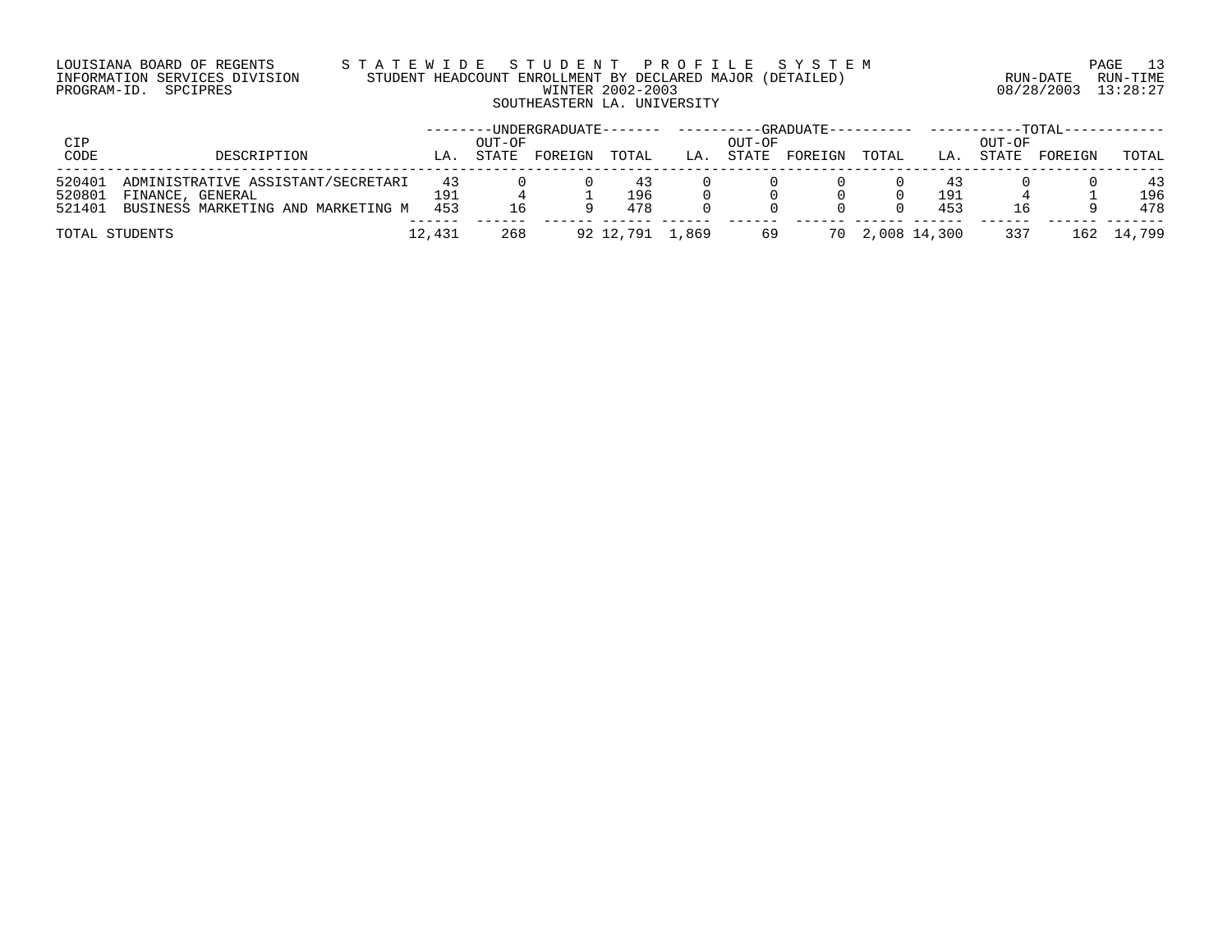# LOUISIANA BOARD OF REGENTS S T A T E W I D E S T U D E N T P R O F I L E S Y S T E M PAGE 13 INFORMATION SERVICES DIVISION STUDENT HEADCOUNT ENROLLMENT BY DECLARED MAJOR (DETAILED) RUN-DATE RUN-TIME PROGRAM-ID. SPCIPRES WINTER 2002-2003 08/28/2003 13:28:27 SOUTHEASTERN LA. UNIVERSITY

| CIP                        |                                                                                              |                  | OUT-OF | $-$ UNDERGRADUATE $---$ |                  |     | OUT-OF | $-$ GRADUATE---------- |                 |                   | OUT-OF | – ТОТАТ – – |                  |
|----------------------------|----------------------------------------------------------------------------------------------|------------------|--------|-------------------------|------------------|-----|--------|------------------------|-----------------|-------------------|--------|-------------|------------------|
| CODE                       | DESCRIPTION                                                                                  | LA.              | STATE  | FOREIGN                 | TOTAL            | LA. | STATE  | FOREIGN                | TOTAL           | LA.               | STATE  | FOREIGN     | TOTAL            |
| 520401<br>520801<br>521401 | ADMINISTRATIVE ASSISTANT/SECRETARI<br>FINANCE, GENERAL<br>BUSINESS MARKETING AND MARKETING M | 43<br>191<br>453 |        |                         | 43<br>196<br>478 |     |        |                        |                 | -43<br>191<br>453 |        |             | 43<br>196<br>478 |
|                            | TOTAL STUDENTS                                                                               | 12,431           | 268    |                         | 92 12,791 1,869  |     | 69     |                        | 70 2,008 14,300 |                   | 337    |             | 162 14,799       |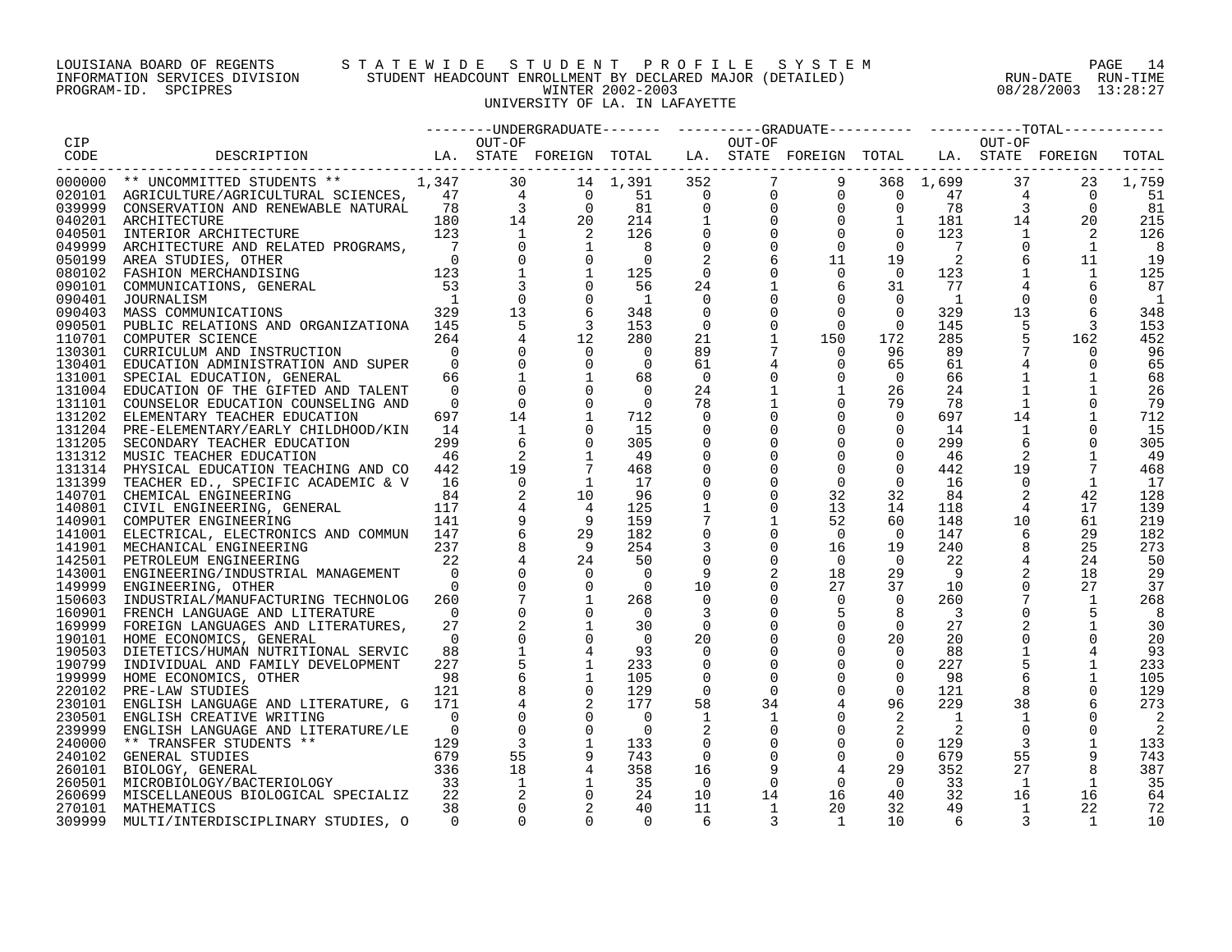# LOUISIANA BOARD OF REGENTS STATEWIDE STUDENT PROFILE SYSTEM PAGE 14 INFORMATION SERVICES DIVISION STUDENT HEADCOUNT ENROLLMENT BY DECLARED MAJOR (DETAILED) RUN-DATE RUN-DATE RUN-TIME<br>PROGRAM-ID. SPCIPRES 13:28:27 PROGRAM-ID. SPCIPRES WINTER 2002-2003 08/28/2003 13:28:27 UNIVERSITY OF LA. IN LAFAYETTE

|        |                                                                                  |                |                |                |                          |                |                                             | -------DINDERGRADUATE------- ---------GRADUATE--------- --------TOTAL------- |                |                |                |                |                          |
|--------|----------------------------------------------------------------------------------|----------------|----------------|----------------|--------------------------|----------------|---------------------------------------------|------------------------------------------------------------------------------|----------------|----------------|----------------|----------------|--------------------------|
| CIP    |                                                                                  |                | OUT-OF         |                |                          |                | OUT-OF                                      |                                                                              |                |                | OUT-OF         |                |                          |
| CODE   | LA. STATE FOREIGN TOTAL LA. STATE FOREIGN TOTAL LA. STATE FOREIGN<br>DESCRIPTION |                |                |                |                          |                |                                             |                                                                              |                |                |                |                | TOTAL                    |
|        |                                                                                  |                |                |                |                          |                |                                             |                                                                              |                |                |                |                |                          |
|        | 000000 ** UNCOMMITTED STUDENTS ** 1,347                                          |                | 30             |                | 14 1,391                 | 352            |                                             | 7<br>9                                                                       |                | 368 1,699      | 37             | 23             | 1,759                    |
|        |                                                                                  |                |                | $\overline{0}$ | 51                       |                | $\begin{bmatrix} 0 \\ 0 \\ 1 \end{bmatrix}$ |                                                                              |                | 47             | 4              | $\overline{0}$ | 51                       |
|        |                                                                                  |                |                | $\overline{0}$ | 81                       |                |                                             |                                                                              |                | 78             | $\overline{3}$ | $\Omega$       | 81                       |
|        | 040201 ARCHITECTURE                                                              |                |                | 20             | 214                      |                |                                             | $\begin{array}{cccc} 0 & 0 & 0 \ 0 & 0 & 0 \ 0 & 0 & 1 \end{array}$          |                | 181            | 14             | 20             | 215                      |
| 040501 | INTERIOR ARCHITECTURE                                                            | 123            | 1              |                | 126                      |                |                                             | $\mathbf 0$                                                                  | $\overline{0}$ | 123            | 1              | 2              | 126                      |
| 049999 | ARCHITECTURE AND RELATED PROGRAMS,                                               | $\overline{7}$ |                |                | - 8                      | $\mathbf 0$    |                                             | $\mathbf 0$                                                                  | $\Omega$       |                | $\mathbf 0$    | 1              | 8                        |
| 050199 | AREA STUDIES, OTHER<br>$\begin{array}{c}0\\123\end{array}$                       |                |                |                | $\Omega$                 |                | 6                                           | 11                                                                           | 19             | 2              |                | 11             | 19                       |
|        | 080102 FASHION MERCHANDISING                                                     |                |                |                | 125                      | $\overline{0}$ |                                             | $\mathbf 0$                                                                  | $\Omega$       | 123            |                | 1              | 125                      |
| 090101 | COMMUNICATIONS, GENERAL                                                          | 53             |                |                | 56                       | 24             |                                             | 6                                                                            | 31             | 77             |                |                | 87                       |
| 090401 | JOURNALISM                                                                       | $\sqrt{1}$     | $\mathbf 0$    |                | $\overline{\phantom{a}}$ | 0              |                                             | $\mathbf 0$                                                                  | $\overline{0}$ | -1             | $\Omega$       |                | $\overline{\phantom{a}}$ |
| 090403 | MASS COMMUNICATIONS                                                              | 329            | 13             |                | 348                      | 0              |                                             | $\mathbf 0$                                                                  | $\Omega$       | 329            | 13             | 6              | 348                      |
|        | 090501 PUBLIC RELATIONS AND ORGANIZATIONA 145                                    |                | 5              | $\overline{3}$ | 153                      | $\mathbf{0}$   |                                             | $\Omega$                                                                     | $\Omega$       | 145            | 5              | 3              | 153                      |
| 110701 | COMPUTER SCIENCE                                                                 | 264            |                |                | 280                      | 21             |                                             | 150                                                                          | 172            | 285            |                | 162            | 452                      |
| 130301 | CURRICULUM AND INSTRUCTION                                                       | $\overline{0}$ |                |                | $\Omega$                 | 89             |                                             | $\Omega$                                                                     | 96             | 89             |                |                | 96                       |
| 130401 | EDUCATION ADMINISTRATION AND SUPER                                               | $\Omega$       |                |                | $\overline{0}$           | 61             |                                             | $\Omega$                                                                     | 65             | 61             |                | $\Omega$       | 65                       |
| 131001 | SPECIAL EDUCATION, GENERAL                                                       | 66             |                |                | 68                       | $\overline{0}$ |                                             | $\mathbf 0$                                                                  | $\mathbf 0$    | 66             | $\mathbf{1}$   |                | 68                       |
| 131004 | EDUCATION OF THE GIFTED AND TALENT                                               | $\Omega$       |                |                | $\Omega$                 | 24             |                                             | $\mathbf{1}$                                                                 | 26             | 24             |                |                | 26                       |
| 131101 | COUNSELOR EDUCATION COUNSELING AND                                               | $\Omega$       | $\Omega$       |                | $\Omega$                 | 78             |                                             | 0                                                                            | 79             | 78             | 1              | 0              | 79                       |
| 131202 | ELEMENTARY TEACHER EDUCATION                                                     | 697            | 14             | $\mathbf{1}$   | 712                      | $\Omega$       |                                             | $\mathbf 0$                                                                  | $\Omega$       | 697            | 14             | $\mathbf{1}$   | 712                      |
|        | 131204 PRE-ELEMENTARY/EARLY CHILDHOOD/KIN                                        | 14             | $\mathbf{1}$   |                | 15                       | $\Omega$       |                                             | $\mathbf 0$                                                                  | $\mathbf 0$    | 14             | 1              | 0              | 15                       |
|        | 131205 SECONDARY TEACHER EDUCATION                                               | 299            |                |                | 305                      |                |                                             | $\Omega$                                                                     | $\overline{0}$ | 299            | 6              |                | 305                      |
| 131312 | MUSIC TEACHER EDUCATION                                                          | 46             | 2              |                | 49                       |                |                                             | 0                                                                            | 0              | 46             | 2              | 1              | 49                       |
| 131314 | PHYSICAL EDUCATION TEACHING AND CO                                               | 442            | 19             |                | 468                      | $\mathbf 0$    |                                             | $\Omega$                                                                     | $\Omega$       | 442            | 19             | 7              | 468                      |
|        | 131399 TEACHER ED., SPECIFIC ACADEMIC & V                                        | 16             | $\Omega$       | 1              | 17                       | $\mathbf 0$    |                                             | $\mathbf 0$                                                                  | $\Omega$       | 16             | $\Omega$       | 1              | 17                       |
|        | 140701 CHEMICAL ENGINEERING                                                      | 84             | 2              | 10             | 96                       | $\mathbf 0$    | $\Omega$                                    | 32                                                                           | 32             | 84             | 2              | 42             | 128                      |
|        | 140801 CIVIL ENGINEERING, GENERAL                                                | 117            |                |                | 125                      |                |                                             | 13                                                                           | 14             | 118            | $\overline{4}$ | 17             | 139                      |
|        | 140901 COMPUTER ENGINEERING                                                      | 141            |                |                | 159                      | 7              |                                             | 52                                                                           | 60             | 148            | 10             | 61             | 219                      |
|        | 141001 ELECTRICAL, ELECTRONICS AND COMMUN 147                                    |                |                | 29             | 182                      | $\Omega$       | $\Omega$                                    | $\Omega$                                                                     | $\overline{0}$ | 147            | 6              | 29             | 182                      |
|        | 141901 MECHANICAL ENGINEERING                                                    | 237            |                | - 9            | 254                      |                |                                             | 16                                                                           | 19             | 240            |                | 25             | 273                      |
| 142501 | PETROLEUM ENGINEERING                                                            | 22             |                | 24             | 50                       | $\mathbf 0$    |                                             | $\overline{0}$                                                               | $\Omega$       | 22             |                | 24             | 50                       |
|        | 143001 ENGINEERING/INDUSTRIAL MANAGEMENT                                         | $\overline{0}$ |                | $\Omega$       | $\Omega$                 | 9              |                                             | 18                                                                           | 29             | 9              | $\overline{2}$ | 18             | 29                       |
| 149999 | ENGINEERING, OTHER                                                               | $\Omega$       |                | $\Omega$       | $\Omega$                 | 10             |                                             | 27                                                                           | 37             | 10             |                | 27             | 37                       |
| 150603 | INDUSTRIAL/MANUFACTURING TECHNOLOG                                               | 260            |                |                | 268                      | $\Omega$       | $\Omega$                                    | $\mathbf 0$                                                                  | $\Omega$       | 260            |                | 1              | 268                      |
|        |                                                                                  | $\Omega$       |                |                | $\Omega$                 | 3              |                                             | 5                                                                            | 8              | $\overline{3}$ | $\mathsf 0$    | 5              | 8                        |
|        | 160901 FRENCH LANGUAGE AND LITERATURE                                            | 27             |                |                | 30                       | 0              |                                             | 0                                                                            | $\mathbf 0$    | 27             |                | 1              | 30                       |
| 169999 | FOREIGN LANGUAGES AND LITERATURES,<br>190101 HOME ECONOMICS, GENERAL             | $\Omega$       |                |                | - 0                      | 20             |                                             | $\mathbf 0$                                                                  | 20             | 20             | $\mathbf 0$    |                | 20                       |
| 190503 |                                                                                  | 88             |                |                | 93                       | $\Omega$       |                                             | $\Omega$                                                                     | $\Omega$       | 88             | $\mathbf{1}$   |                | 93                       |
|        | DIETETICS/HUMAN NUTRITIONAL SERVIC                                               |                |                |                |                          |                |                                             |                                                                              |                |                |                |                |                          |
| 190799 | INDIVIDUAL AND FAMILY DEVELOPMENT                                                | 227            |                |                | 233                      | 0              |                                             | 0                                                                            | $\mathbf 0$    | 227            |                |                | 233                      |
| 199999 | HOME ECONOMICS, OTHER                                                            | 98             |                |                | 105                      | 0              |                                             |                                                                              | $\overline{0}$ | 98             |                |                | 105                      |
| 220102 | PRE-LAW STUDIES                                                                  | 121            |                |                | 129                      | 0              | 0                                           | $\mathbf 0$                                                                  | $\overline{0}$ | 121            |                |                | 129                      |
| 230101 | ENGLISH LANGUAGE AND LITERATURE, G                                               | 171            |                |                | 177                      | 58             | 34                                          | 4                                                                            | 96             | 229            | 38             |                | 273                      |
| 230501 | ENGLISH CREATIVE WRITING                                                         | $\Omega$       |                |                | $\overline{0}$           | $\mathbf{1}$   |                                             | $\mathbf 0$                                                                  | 2              | $\overline{1}$ | 1              |                | 2                        |
| 239999 | ENGLISH LANGUAGE AND LITERATURE/LE                                               | $\Omega$       | $\mathbf 0$    |                | $\Omega$                 |                |                                             | $\mathbf 0$                                                                  | 2              | 2              | $\mathbf 0$    |                | 2                        |
| 240000 | ** TRANSFER STUDENTS **                                                          | 129            | $\overline{3}$ |                | 133                      | 0              |                                             | $\mathbf 0$                                                                  | $\overline{0}$ | 129            | 3              |                | 133                      |
|        | 240102 GENERAL STUDIES                                                           | 679            | 55             |                | 743                      | $\Omega$       |                                             | $\Omega$                                                                     | $\Omega$       | 679            | 55             | 9              | 743                      |
| 260101 | BIOLOGY, GENERAL<br>$\begin{array}{c} 336 \\ 33 \end{array}$                     |                | 18             |                | 358                      | 16             | 9                                           | 4                                                                            | 29             | 352            | 27             | 8              | 387                      |
| 260501 | MICROBIOLOGY/BACTERIOLOGY                                                        |                | $\overline{1}$ |                | 35                       | $\overline{0}$ | $\Omega$                                    | $\mathbf 0$                                                                  | $\overline{0}$ | 33             | 1              | 1              | 35                       |
| 260699 | MISCELLANEOUS BIOLOGICAL SPECIALIZ                                               | 22             | 2              |                | 24                       | 10             | 14                                          | 16                                                                           | 40             | 32             | 16             | 16             | 64                       |
| 270101 | MATHEMATICS                                                                      | 38             |                |                | 40                       | 11             | 1                                           | 20                                                                           | 32             | 49             | 1              | 22             | 72                       |
| 309999 | MULTI/INTERDISCIPLINARY STUDIES, O                                               | $\Omega$       | $\Omega$       | $\Omega$       | $\Omega$                 | 6              | 3                                           | <sup>1</sup>                                                                 | 10             | 6              |                | $\overline{1}$ | 10                       |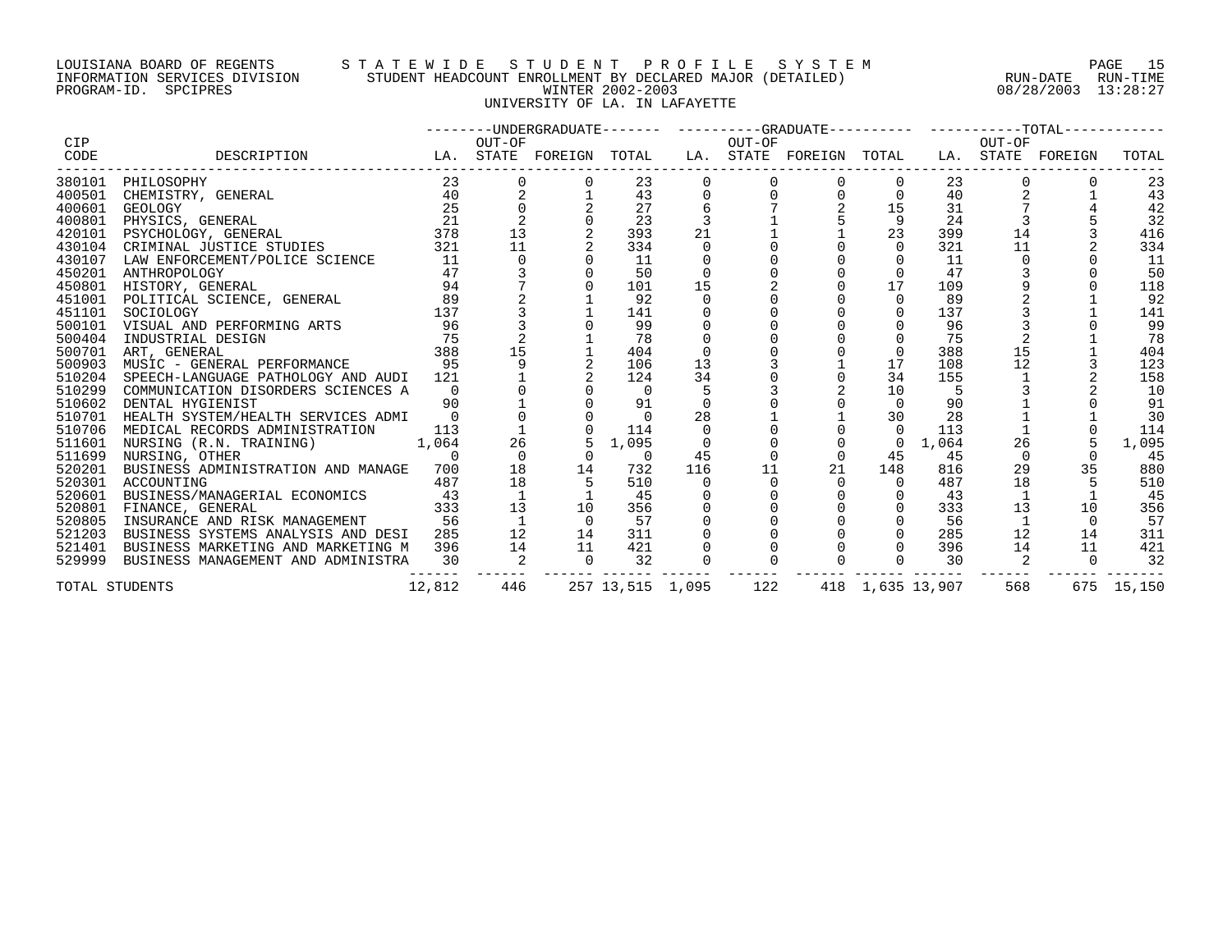# LOUISIANA BOARD OF REGENTS S T A T E W I D E S T U D E N T P R O F I L E S Y S T E M PAGE 15 INFORMATION SERVICES DIVISION STUDENT HEADCOUNT ENROLLMENT BY DECLARED MAJOR (DETAILED) RUN-DATE RUN-TIME PROGRAM-ID. SPCIPRES WINTER 2002-2003 08/28/2003 13:28:27 UNIVERSITY OF LA. IN LAFAYETTE

|             |                                                                                                                                                                                                                                                                                  |        |                            |                          |                |                          |          | --------UNDERGRADUATE------- ---------GRADUATE---------- ----------TOTAL----------- |                |                  |                |          |            |
|-------------|----------------------------------------------------------------------------------------------------------------------------------------------------------------------------------------------------------------------------------------------------------------------------------|--------|----------------------------|--------------------------|----------------|--------------------------|----------|-------------------------------------------------------------------------------------|----------------|------------------|----------------|----------|------------|
| CIP<br>CODE | LA. STATE FOREIGN TOTAL LA. STATE FOREIGN TOTAL LA. STATE FOREIGN<br>DESCRIPTION                                                                                                                                                                                                 |        | OUT-OF                     |                          |                |                          | OUT-OF   |                                                                                     |                |                  | OUT-OF         |          | TOTAL      |
|             | 380101 PHILOSOPHY                                                                                                                                                                                                                                                                | 23     |                            | 0                        | 23             | $\mathbf 0$              |          | $\overline{0}$                                                                      |                | 23               |                |          | 23         |
|             |                                                                                                                                                                                                                                                                                  |        |                            |                          | 43             | 0                        | $\Omega$ | $\frac{0}{2}$                                                                       | $\mathbf 0$    | 40               |                |          | 43         |
|             |                                                                                                                                                                                                                                                                                  |        |                            |                          | 27             |                          |          |                                                                                     | 15             | 31               |                |          | 42         |
|             |                                                                                                                                                                                                                                                                                  |        | $\frac{2}{13}$             |                          | 23             | $\mathbf{3}$             |          |                                                                                     | 9              | 24               |                |          | 32         |
|             |                                                                                                                                                                                                                                                                                  |        |                            |                          | 393            | 21                       |          |                                                                                     | 23             | 399              | 14             |          | 416        |
|             |                                                                                                                                                                                                                                                                                  |        | 11                         |                          | 334            | 0                        |          |                                                                                     | $\overline{0}$ | 321              | 11             |          | 334        |
|             |                                                                                                                                                                                                                                                                                  |        | $\overline{0}$             |                          | 11             |                          |          |                                                                                     |                | 11               | 0              |          | -11        |
|             | ANTAROFOLOGY<br>HISTORY, GENERAL<br>POLITICAL SCIENCE, GENERAL<br>SOCIOLOGY<br>VISUAL AND PERFORMING ARTS<br>INDUSTRIAL DESIGN<br>THE SOCIOLOGY<br>THE SOCIOLOGY<br>THE SOCIOLOGY<br>THE SOCIOLOGY<br>THE SOCIOLOGY<br>THE SOCIOLOGY<br>THE SOCIOLOGY<br><br>450201 ANTHROPOLOGY |        |                            |                          | 50             | $\overline{0}$           |          |                                                                                     | $\overline{0}$ | 47               |                |          | 50         |
| 450801      |                                                                                                                                                                                                                                                                                  |        |                            |                          | 101            | 15                       |          |                                                                                     | 17             | 109              |                |          | 118        |
| 451001      |                                                                                                                                                                                                                                                                                  |        |                            |                          | 92             | $\Omega$                 |          |                                                                                     | $\Omega$       | 89               |                |          | 92         |
| 451101      |                                                                                                                                                                                                                                                                                  |        |                            |                          | 141            | $\mathbf 0$              |          |                                                                                     | $\overline{0}$ | 137              |                |          | 141        |
| 500101      |                                                                                                                                                                                                                                                                                  |        |                            |                          | 99             |                          |          |                                                                                     |                | 96               |                |          | 99         |
| 500404      | $\frac{75}{28}$                                                                                                                                                                                                                                                                  |        |                            |                          | 78             |                          |          |                                                                                     |                | 75               |                |          | 78         |
| 500701      | ART, GENERAL                                                                                                                                                                                                                                                                     |        | 15                         |                          | 404            |                          |          |                                                                                     | $\Omega$       | 388              | 15             |          | 404        |
| 500903      | MUSIC - GENERAL PERFORMANCE 95                                                                                                                                                                                                                                                   |        |                            |                          | 106            | 13                       |          |                                                                                     | 17             | 108              | 12             |          | 123        |
| 510204      | SPEECH-LANGUAGE PATHOLOGY AND AUDI 121                                                                                                                                                                                                                                           |        |                            |                          | 124            | 34                       |          |                                                                                     | 34             | 155              |                |          | 158        |
| 510299      | COMMUNICATION DISORDERS SCIENCES A 0                                                                                                                                                                                                                                             |        |                            |                          | $\overline{0}$ |                          |          | 2                                                                                   | 10             | $-5$             |                |          | 10         |
| 510602      | DENTAL HYGIENIST                                                                                                                                                                                                                                                                 | 90     |                            |                          | 91             | $\overline{0}$           |          |                                                                                     | $\overline{0}$ | 90               |                |          | 91         |
| 510701      | HEALTH SYSTEM/HEALTH SERVICES ADMI 0                                                                                                                                                                                                                                             |        |                            |                          | $\overline{0}$ | 28                       |          |                                                                                     | 30             | 28               |                |          | 30         |
|             | 510706 MEDICAL RECORDS ADMINISTRATION                                                                                                                                                                                                                                            | 113    |                            |                          | 114            | $\overline{\phantom{0}}$ |          |                                                                                     | $\overline{0}$ | 113              |                |          | 114        |
| 511601      |                                                                                                                                                                                                                                                                                  |        | 26                         |                          | 1,095          | $\overline{\mathbf{0}}$  |          | $\mathbf 0$                                                                         | $\overline{0}$ | 1,064            | 26             |          | 1,095      |
| 511699      | MEDICAL RECORDS ADMINISIRATION 1,064<br>NURSING (R.N. TRAINING) 1,064                                                                                                                                                                                                            |        | $\overline{0}$             |                          | $\overline{0}$ | 45                       |          | $\mathbf 0$                                                                         | 45             | 45               | $\overline{0}$ |          | 45         |
| 520201      | BUSINESS ADMINISTRATION AND MANAGE 700                                                                                                                                                                                                                                           |        | 18                         | 14                       | 732            | 116                      | 11       | 21                                                                                  | 148            | 816              | 29             | 35       | 880        |
| 520301      | ACCOUNTING                                                                                                                                                                                                                                                                       | 487    | 18                         |                          | 510            | $\Omega$                 | 0        | $\mathbf{0}$                                                                        | $\Omega$       | 487              | 18             |          | 510        |
| 520601      | BUSINESS/MANAGERIAL ECONOMICS 43<br>FINANCE, GENERAL 333                                                                                                                                                                                                                         |        | <sup>1</sup>               |                          | 45             |                          |          |                                                                                     | $\Omega$       | 43               | 1              |          | 45         |
| 520801      |                                                                                                                                                                                                                                                                                  |        | 13                         | 10                       | 356            |                          |          |                                                                                     | $\Omega$       | 333              | 13             | 10       | 356        |
| 520805      | INSURANCE AND RISK MANAGEMENT                                                                                                                                                                                                                                                    | 56     | $\overline{1}$             | $\Omega$                 | 57             | $\mathbf 0$              |          |                                                                                     | $\Omega$       | 56               |                |          | 57         |
| 521203      | BUSINESS SYSTEMS ANALYSIS AND DESI 285                                                                                                                                                                                                                                           |        | 12                         | 14                       | 311            |                          |          |                                                                                     | $\mathbf 0$    | 285              | 12             | 14       | 311        |
| 521401      | BUSINESS MARKETING AND MARKETING M 396                                                                                                                                                                                                                                           |        | 14                         | 11                       | 421            |                          |          |                                                                                     | $\Omega$       | 396              | 14             | 11       | 421        |
|             | 529999 BUSINESS MANAGEMENT AND ADMINISTRA                                                                                                                                                                                                                                        | 30     | $\overline{\phantom{a}}$ 2 | $\overline{0}$           | 32             |                          |          |                                                                                     |                | 30               |                | $\Omega$ | 32         |
|             | TOTAL STUDENTS                                                                                                                                                                                                                                                                   | 12,812 |                            | 446 257 13,515 1,095 122 |                |                          |          |                                                                                     |                | 418 1,635 13,907 |                | 568      | 675 15,150 |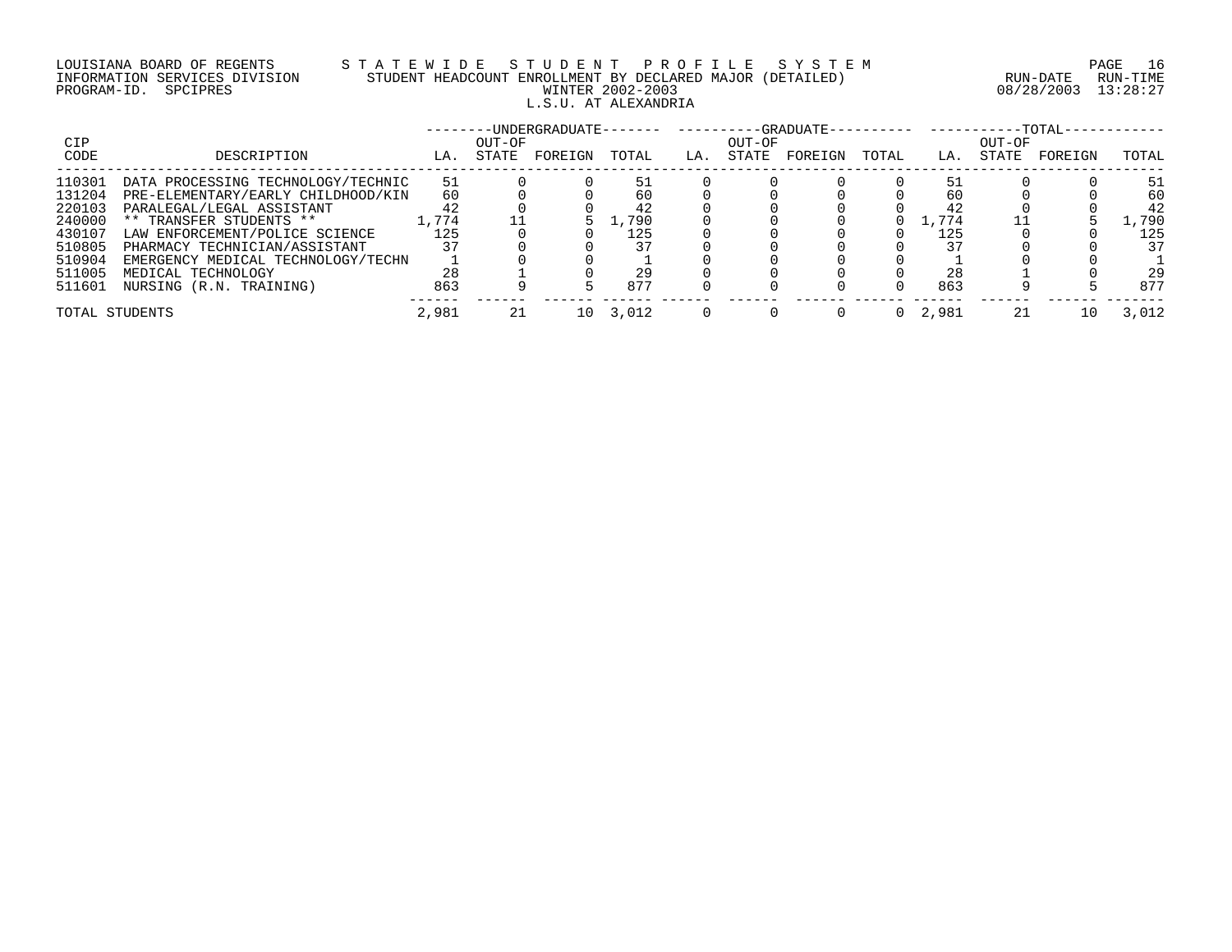# LOUISIANA BOARD OF REGENTS S T A T E W I D E S T U D E N T P R O F I L E S Y S T E M PAGE 16 INFORMATION SERVICES DIVISION STUDENT HEADCOUNT ENROLLMENT BY DECLARED MAJOR (DETAILED) RUN-DATE RUN-TIME PROGRAM-ID. SPCIPRES WINTER 2002-2003 08/28/2003 13:28:27 L.S.U. AT ALEXANDRIA

|                |                                    |       |        | -UNDERGRADUATE------- |       |     |        | ----------GRADUATE-- |       |         |        | $-TOTAL-$ |       |
|----------------|------------------------------------|-------|--------|-----------------------|-------|-----|--------|----------------------|-------|---------|--------|-----------|-------|
| CIP            |                                    |       | OUT-OF |                       |       |     | OUT-OF |                      |       |         | OUT-OF |           |       |
| CODE           | DESCRIPTION                        | LA.   | STATE  | FOREIGN               | TOTAL | LA. | STATE  | FOREIGN              | TOTAL | LA.     | STATE  | FOREIGN   | TOTAL |
| 110301         | DATA PROCESSING TECHNOLOGY/TECHNIC | 51    |        |                       | 51    |     |        |                      |       |         |        |           | 51    |
| 131204         | PRE-ELEMENTARY/EARLY CHILDHOOD/KIN | 60    |        |                       | 60    |     |        |                      |       | 60      |        |           | 60    |
| 220103         | PARALEGAL/LEGAL ASSISTANT          | 42    |        |                       |       |     |        |                      |       | 42      |        |           | 42    |
| 240000         | ** TRANSFER STUDENTS **            | .,774 |        |                       | .790  |     |        |                      |       | . . 774 |        |           | .790  |
| 430107         | LAW ENFORCEMENT/POLICE SCIENCE     | 125   |        |                       | 125   |     |        |                      |       | 125     |        |           | 125   |
| 510805         | PHARMACY TECHNICIAN/ASSISTANT      |       |        |                       |       |     |        |                      |       |         |        |           | 37    |
| 510904         | EMERGENCY MEDICAL TECHNOLOGY/TECHN |       |        |                       |       |     |        |                      |       |         |        |           |       |
| 511005         | MEDICAL TECHNOLOGY                 | 28    |        |                       |       |     |        |                      |       | 28      |        |           | 29    |
| 511601         | NURSING (R.N. TRAINING)            | 863   |        |                       | 877   |     |        |                      |       | 863     |        |           | 877   |
| TOTAL STUDENTS |                                    | 2,981 |        | 10                    | 3,012 |     |        |                      |       | 2,981   |        | 10        | 3,012 |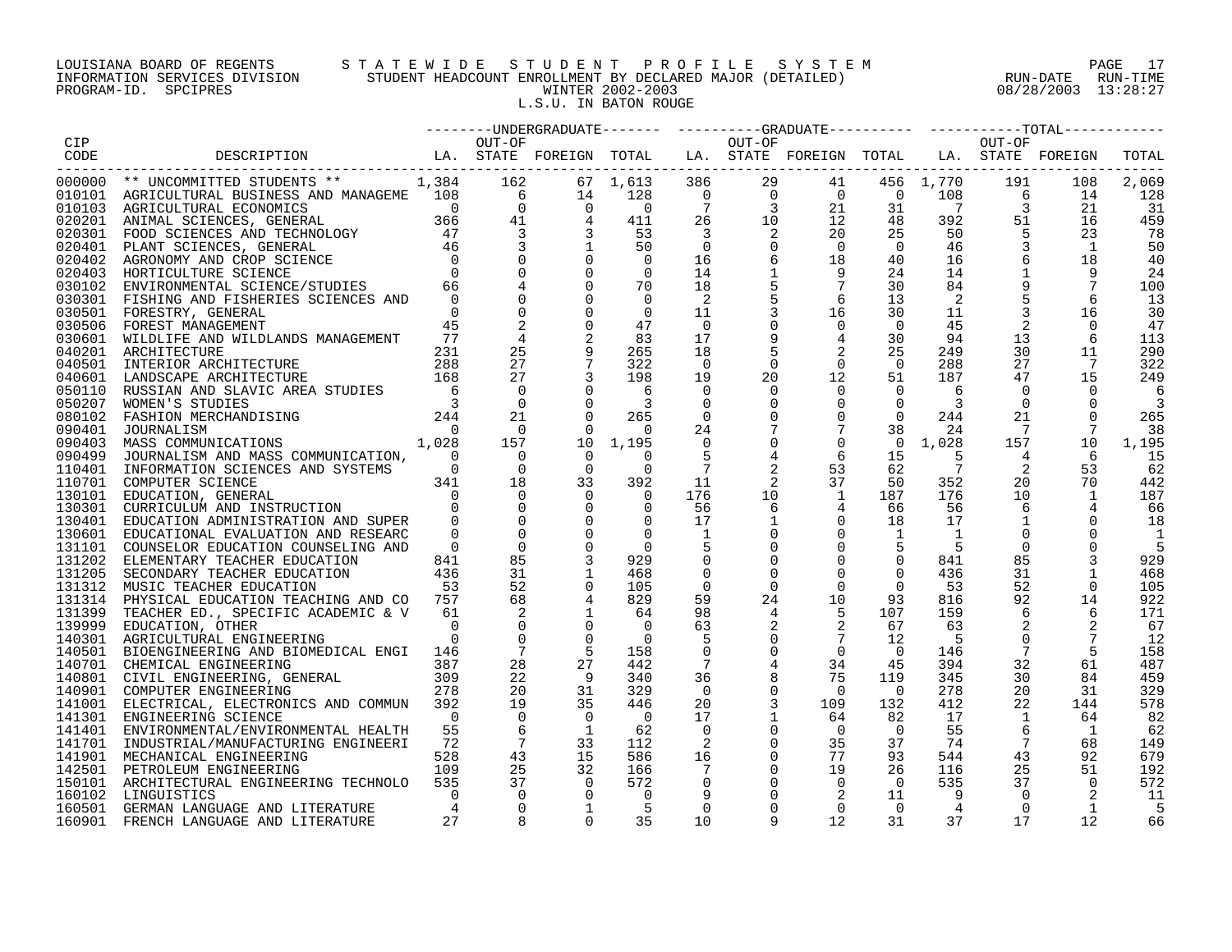# LOUISIANA BOARD OF REGENTS S T A T E W I D E S T U D E N T P R O F I L E S Y S T E M PAGE 17 INFORMATION SERVICES DIVISION STUDENT HEADCOUNT ENROLLMENT BY DECLARED MAJOR (DETAILED) RUN-DATE RUN-TIME PROGRAM-ID. SPCIPRES WINTER 2002-2003 08/28/2003 13:28:27 L.S.U. IN BATON ROUGE

|            |                                                                                                                                                                                                                                      |                |                                                                         |                      |                          |                            |                                                                             |                                                                                                                                                                                                                                                                                                                                                                                                                     |                      |                |                 | --------UNDERGRADUATE------- ---------GRADUATE--------- ---------TOTAL------- |       |
|------------|--------------------------------------------------------------------------------------------------------------------------------------------------------------------------------------------------------------------------------------|----------------|-------------------------------------------------------------------------|----------------------|--------------------------|----------------------------|-----------------------------------------------------------------------------|---------------------------------------------------------------------------------------------------------------------------------------------------------------------------------------------------------------------------------------------------------------------------------------------------------------------------------------------------------------------------------------------------------------------|----------------------|----------------|-----------------|-------------------------------------------------------------------------------|-------|
| <b>CIP</b> |                                                                                                                                                                                                                                      |                | OUT-OF                                                                  |                      |                          |                            | OUT-OF                                                                      |                                                                                                                                                                                                                                                                                                                                                                                                                     |                      |                | OUT-OF          |                                                                               |       |
| CODE       | DESCRIPTION LA. STATE FOREIGN TOTAL LA. STATE FOREIGN TOTAL LA. STATE FOREIGN                                                                                                                                                        |                |                                                                         |                      |                          |                            |                                                                             |                                                                                                                                                                                                                                                                                                                                                                                                                     |                      |                |                 |                                                                               | TOTAL |
|            | 000000 ** UNCOMMITTED STUDENTS ** $1,384$ 162 67 1,613 386<br>010101 AGRICULTURAL BUSINESS AND MANAGEME 108 6 14 128 0<br>010103 AGRICULTURAL BUSINESS AND MANAGEME 108 6 14 128 0<br>020201 ANIMAL SCIENCES, GENERAL 366 41 4 411 2 |                |                                                                         |                      |                          |                            |                                                                             | $\begin{array}{cccc} 200 & 29 & 41 & 456 \\ 0 & 0 & 0 & 0 \\ 7 & 3 & 21 & 31 \\ 26 & 10 & 12 & 48 \\ 3 & 2 & 31 & 31 \\ 3 & 3 & 3 & 32 \end{array}$                                                                                                                                                                                                                                                                 |                      |                |                 |                                                                               |       |
|            |                                                                                                                                                                                                                                      |                |                                                                         |                      |                          |                            |                                                                             |                                                                                                                                                                                                                                                                                                                                                                                                                     |                      | 41 456 1,770   | 191             | 108                                                                           | 2,069 |
|            |                                                                                                                                                                                                                                      |                |                                                                         |                      |                          |                            |                                                                             |                                                                                                                                                                                                                                                                                                                                                                                                                     |                      | 108            | $\overline{6}$  | 14                                                                            | 128   |
|            |                                                                                                                                                                                                                                      |                |                                                                         |                      |                          |                            |                                                                             |                                                                                                                                                                                                                                                                                                                                                                                                                     |                      | $\overline{7}$ | $\overline{3}$  | 21                                                                            | -31   |
|            |                                                                                                                                                                                                                                      |                |                                                                         |                      |                          |                            |                                                                             |                                                                                                                                                                                                                                                                                                                                                                                                                     |                      | 392            | 51              | 16                                                                            | 459   |
|            |                                                                                                                                                                                                                                      |                |                                                                         |                      |                          |                            |                                                                             |                                                                                                                                                                                                                                                                                                                                                                                                                     |                      | 50             | 5               | 23                                                                            | 78    |
|            |                                                                                                                                                                                                                                      |                |                                                                         |                      |                          |                            | $\overline{0}$                                                              | $\bigcirc$                                                                                                                                                                                                                                                                                                                                                                                                          | $\overline{0}$       | 46             |                 | 1                                                                             | 50    |
|            |                                                                                                                                                                                                                                      |                |                                                                         |                      |                          |                            | 6                                                                           | 18                                                                                                                                                                                                                                                                                                                                                                                                                  | 40                   | 16             |                 | 18                                                                            | 40    |
|            |                                                                                                                                                                                                                                      |                |                                                                         |                      |                          |                            |                                                                             | - 9                                                                                                                                                                                                                                                                                                                                                                                                                 | 24                   | 14             | $\mathbf{1}$    | 9                                                                             | 24    |
| 030102     | ENVIRONMENTAL SCIENCE/STUDIES 66                                                                                                                                                                                                     |                |                                                                         |                      | 70                       | 18                         |                                                                             | $7\phantom{.0}$                                                                                                                                                                                                                                                                                                                                                                                                     | 30                   | 84             |                 |                                                                               | 100   |
| 030301     | FISHING AND FISHERIES SCIENCES AND                                                                                                                                                                                                   | $\Omega$       |                                                                         |                      | $\overline{\phantom{0}}$ | $\overline{\phantom{0}}^2$ | 5                                                                           | 6                                                                                                                                                                                                                                                                                                                                                                                                                   | 13                   | 2              |                 | 6                                                                             | 13    |
| 030501     | FORESTRY, GENERAL                                                                                                                                                                                                                    | $\overline{0}$ |                                                                         |                      | $\overline{0}$           | 11                         |                                                                             | 16                                                                                                                                                                                                                                                                                                                                                                                                                  | 30                   | 11             |                 | 16                                                                            | 30    |
| 030506     | FOREST MANAGEMENT                                                                                                                                                                                                                    | 45             |                                                                         |                      | 47                       | $\overline{0}$             |                                                                             |                                                                                                                                                                                                                                                                                                                                                                                                                     | $\overline{0}$       | 45             |                 | $\Omega$                                                                      | 47    |
| 030601     | WILDLIFE AND WILDLANDS MANAGEMENT                                                                                                                                                                                                    | 77             |                                                                         |                      | 83                       | 17                         |                                                                             |                                                                                                                                                                                                                                                                                                                                                                                                                     | 30                   | 94             | 13              | 6                                                                             | 113   |
| 040201     |                                                                                                                                                                                                                                      |                | 25                                                                      |                      | 265                      | 18                         |                                                                             |                                                                                                                                                                                                                                                                                                                                                                                                                     | 25                   | 249            | 30              | 11                                                                            | 290   |
| 040501     |                                                                                                                                                                                                                                      |                |                                                                         | 27                   | 322                      | $\overline{0}$             |                                                                             |                                                                                                                                                                                                                                                                                                                                                                                                                     | $\overline{0}$       | 288            | 27              | $\overline{7}$                                                                | 322   |
|            |                                                                                                                                                                                                                                      |                | 27                                                                      |                      | 198                      |                            |                                                                             |                                                                                                                                                                                                                                                                                                                                                                                                                     | 51                   |                | 47              | 15                                                                            |       |
| 040601     |                                                                                                                                                                                                                                      |                | $\Omega$                                                                |                      |                          | 19<br>$\Omega$             |                                                                             |                                                                                                                                                                                                                                                                                                                                                                                                                     | $\Omega$             | 187            | $\Omega$        | $\Omega$                                                                      | 249   |
| 050110     | ARCHITECTURE 231<br>INTERIOR ARCHITECTURE 288<br>LANDSCAPE ARCHITECTURE 168<br>RUSSIAN AND SLAVIC AREA STUDIES 6<br>WOMEN'S STUDIES                                                                                                  |                |                                                                         |                      |                          |                            |                                                                             | $\begin{array}{ccc} 9 & & 4 \\ 5 & & 2 \\ 0 & & 0 \\ 20 & & 12 \\ 0 & & & \\ 0 & & & \\ 0 & & & \\ 0 & & & \\ 0 & & & \\ 0 & & & \\ 0 & & & \\ 0 & & & \\ 0 & & & \\ 0 & & & \\ 0 & & & \\ 0 & & & \\ 0 & & & \\ 0 & & & \\ 0 & & & \\ 0 & & & \\ 0 & & & & \\ 0 & & & & \\ 0 & & & & \\ 0 & & & & \\ 0 & & & & \\ 0 & & & & \\ 0 & & & & \\ 0 & & & & \\ 0 & & & & & \\ 0 & & & & & \\ 0 & & & & & \\ 0 & & & & &$ |                      | 6              |                 |                                                                               |       |
| 050207     | WOMEN'S STUDIES                                                                                                                                                                                                                      |                | $\overline{0}$                                                          |                      |                          | 0                          |                                                                             |                                                                                                                                                                                                                                                                                                                                                                                                                     | $\overline{0}$       | 3              | $\mathbf 0$     |                                                                               |       |
| 080102     |                                                                                                                                                                                                                                      |                | 21                                                                      | $\Omega$             | 265                      | $\overline{0}$             |                                                                             | $\mathsf{O}$                                                                                                                                                                                                                                                                                                                                                                                                        | $\Omega$             | 244            | 21              | $\Omega$                                                                      | 265   |
| 090401     | JOURNALISM<br>$\begin{array}{c} 0 \\ 1,028 \end{array}$                                                                                                                                                                              | $\overline{0}$ | $\overline{0}$                                                          | $\Omega$             | $\overline{0}$           | 24                         |                                                                             | $7\overline{ }$                                                                                                                                                                                                                                                                                                                                                                                                     | 38                   | 24             | $\overline{7}$  | 7                                                                             | 38    |
| 090403     | MASS COMMUNICATIONS                                                                                                                                                                                                                  |                | 157                                                                     |                      | 10 1,195                 | $\mathbf 0$                |                                                                             | $\mathbf 0$                                                                                                                                                                                                                                                                                                                                                                                                         | $\overline{0}$       | 1,028          | 157             | 10                                                                            | 1,195 |
| 090499     | JOURNALISM AND MASS COMMUNICATION, 0                                                                                                                                                                                                 |                | $\overline{0}$                                                          | $\Omega$             | $\Omega$                 | 5                          | $\begin{array}{c} 0 \\ 0 \\ 7 \\ 4 \\ 2 \\ 2 \\ 10 \\ \epsilon \end{array}$ | 6                                                                                                                                                                                                                                                                                                                                                                                                                   | 15                   | -5             | 4               | 6                                                                             | 15    |
|            | 110401 INFORMATION SCIENCES AND SYSTEMS                                                                                                                                                                                              | $\overline{0}$ | $\overline{0}$<br>$\begin{matrix} &0& &0\\ 3\,4\,1& & &18 \end{matrix}$ | $\overline{0}$       | $\Omega$                 | $\overline{7}$             |                                                                             | 53                                                                                                                                                                                                                                                                                                                                                                                                                  | 62                   | $\overline{7}$ | 2               | 53                                                                            | 62    |
|            | 110701 COMPUTER SCIENCE                                                                                                                                                                                                              |                |                                                                         | 33                   | 392                      | 11                         |                                                                             | 37                                                                                                                                                                                                                                                                                                                                                                                                                  | 50                   | 352            | 20              | 70                                                                            | 442   |
| 130101     |                                                                                                                                                                                                                                      | $\bigcap$      | $\begin{matrix}0\\0\\0\end{matrix}$                                     |                      | $\overline{0}$           | 176                        |                                                                             | 1                                                                                                                                                                                                                                                                                                                                                                                                                   | 187                  | 176            | 10              | 1                                                                             | 187   |
| 130301     |                                                                                                                                                                                                                                      |                |                                                                         | $\overline{0}$       | $\overline{0}$           | 56                         | 6                                                                           |                                                                                                                                                                                                                                                                                                                                                                                                                     | 66                   | 56             | 6               |                                                                               | 66    |
| 130401     | EDUCATION ADMINISTRATION AND SUPER 0                                                                                                                                                                                                 |                |                                                                         | $\Omega$             | $\overline{0}$           | 17                         | 1                                                                           | $\overline{0}$                                                                                                                                                                                                                                                                                                                                                                                                      | 18                   | 17             | $\mathbf{1}$    |                                                                               | 18    |
| 130601     | EDUCATIONAL EVALUATION AND RESEARC                                                                                                                                                                                                   | $\cap$         |                                                                         |                      | $\overline{0}$           | <sup>1</sup>               |                                                                             | $\overline{0}$                                                                                                                                                                                                                                                                                                                                                                                                      | $\mathbf{1}$         | 1              |                 |                                                                               |       |
|            | 131101 COUNSELOR EDUCATION COUNSELING AND                                                                                                                                                                                            | $\overline{0}$ |                                                                         |                      | $\bigcirc$               |                            |                                                                             | $\mathbf 0$                                                                                                                                                                                                                                                                                                                                                                                                         |                      |                | $\mathbf 0$     |                                                                               | 5     |
| 131202     | ELEMENTARY TEACHER EDUCATION                                                                                                                                                                                                         | 841            | 85                                                                      |                      | 929                      | $\mathbf 0$                |                                                                             | $\mathbf 0$                                                                                                                                                                                                                                                                                                                                                                                                         | $\mathsf{O}$         | 841            | 85              |                                                                               | 929   |
|            | 131205 SECONDARY TEACHER EDUCATION<br>131312 MUSIC TEACHER EDUCATION                                                                                                                                                                 | 436            | 31                                                                      |                      | 468                      | 0                          | $\overline{0}$                                                              | $\mathbf 0$                                                                                                                                                                                                                                                                                                                                                                                                         | $\overline{0}$       | 436            | 31              |                                                                               | 468   |
|            | 131312 MUSIC TEACHER EDUCATION                                                                                                                                                                                                       | 53             | 52                                                                      |                      | 105                      | $\overline{0}$             | $\overline{0}$                                                              | $\Omega$                                                                                                                                                                                                                                                                                                                                                                                                            | $\Omega$             | 53             | 52              |                                                                               | 105   |
| 131314     | PHYSICAL EDUCATION TEACHING AND CO 757                                                                                                                                                                                               |                | 68                                                                      |                      | 829                      | 59                         | 24                                                                          |                                                                                                                                                                                                                                                                                                                                                                                                                     | 93                   | 816            | 92              | 14                                                                            | 922   |
|            | 131399 TEACHER ED., SPECIFIC ACADEMIC & V                                                                                                                                                                                            | 61             |                                                                         |                      | 64                       | 98                         | 4                                                                           |                                                                                                                                                                                                                                                                                                                                                                                                                     | 107                  | 159            | 6               | 6                                                                             | 171   |
| 139999     | EDUCATION, OTHER                                                                                                                                                                                                                     | $\Omega$       |                                                                         |                      | $\overline{0}$           | 63                         |                                                                             |                                                                                                                                                                                                                                                                                                                                                                                                                     | 67                   | 63             |                 |                                                                               | 67    |
| 140301     | AGRICULTURAL ENGINEERING                                                                                                                                                                                                             | $\cap$         |                                                                         | $\Omega$             | $\bigcap$                | -5                         |                                                                             |                                                                                                                                                                                                                                                                                                                                                                                                                     | 12                   | - 5            | $\Omega$        |                                                                               | 12    |
|            | 140501 BIOENGINEERING AND BIOMEDICAL ENGI 146                                                                                                                                                                                        |                | $\overline{7}$                                                          |                      | 158                      | $\overline{0}$             | $\overline{0}$                                                              | $\begin{array}{r} 10 \\ 10 \\ 2 \\ 7 \\ 0 \\ 34 \\ 75 \end{array}$                                                                                                                                                                                                                                                                                                                                                  | $\Omega$             | 146            | $7\phantom{.0}$ |                                                                               | 158   |
|            | 140701 CHEMICAL ENGINEERING                                                                                                                                                                                                          | 387            | 28                                                                      | 27                   | 442                      | 7                          |                                                                             |                                                                                                                                                                                                                                                                                                                                                                                                                     | 45                   | 394            | 32              | 61                                                                            | 487   |
|            | 140801 CHEMICAL ENGINEERING, GENERAL 309<br>140801 CIVIL ENGINEERING, GENERAL 309<br>140901 COMPUTER ENGINEERING 378                                                                                                                 |                | 22                                                                      |                      | 340                      | 36                         |                                                                             |                                                                                                                                                                                                                                                                                                                                                                                                                     | 119                  | 345            | 30              | 84                                                                            | 459   |
|            | 140901 COMPUTER ENGINEERING                                                                                                                                                                                                          | 278            | 20                                                                      | 31                   | 329                      | $\overline{0}$             | 0                                                                           | $\overline{0}$                                                                                                                                                                                                                                                                                                                                                                                                      | $\overline{0}$       | 278            | 20              | 31                                                                            | 329   |
| 141001     | ELECTRICAL, ELECTRONICS AND COMMUN                                                                                                                                                                                                   | 392            | 19                                                                      | 35                   | 446                      | 20                         | 3                                                                           | 109                                                                                                                                                                                                                                                                                                                                                                                                                 | 132                  | 412            | 22              | 144                                                                           | 578   |
|            | 141301 ENGINEERING SCIENCE                                                                                                                                                                                                           | $\overline{0}$ | $\overline{0}$                                                          |                      | $\overline{0}$           | 17                         |                                                                             | 64                                                                                                                                                                                                                                                                                                                                                                                                                  | 82                   | 17             | <sup>1</sup>    | 64                                                                            | 82    |
| 141401     |                                                                                                                                                                                                                                      | 55             |                                                                         |                      | 62                       | $\overline{0}$             | 0                                                                           | $\overline{0}$                                                                                                                                                                                                                                                                                                                                                                                                      | $\overline{0}$       | 55             | 6               | 1                                                                             | 62    |
| 141701     | ENVIRONMENTAL/ENVIRONMENTAL HEALTH<br>INDUSTRIAL/MANUFACTURING ENGINEERI                                                                                                                                                             | 72             | $\overline{7}$                                                          | 33                   | 112                      | 2                          | $\mathbf 0$                                                                 | 35                                                                                                                                                                                                                                                                                                                                                                                                                  | 37                   | 74             | $7\phantom{.0}$ | 68                                                                            | 149   |
|            |                                                                                                                                                                                                                                      |                | 43                                                                      | 15                   | 586                      |                            | $\overline{0}$                                                              | 77                                                                                                                                                                                                                                                                                                                                                                                                                  | 93                   | 544            | 43              | 92                                                                            | 679   |
| 141901     | MECHANICAL ENGINEERING                                                                                                                                                                                                               | 528            | 25                                                                      |                      |                          | 16                         |                                                                             | 19                                                                                                                                                                                                                                                                                                                                                                                                                  |                      |                |                 |                                                                               |       |
| 142501     | PETROLEUM ENGINEERING                                                                                                                                                                                                                | 109            | 37                                                                      | 32<br>$\overline{0}$ | 166                      | - 7                        | $\overline{0}$                                                              |                                                                                                                                                                                                                                                                                                                                                                                                                     | 26<br>$\overline{0}$ | 116            | 25              | 51                                                                            | 192   |
| 150101     | ARCHITECTURAL ENGINEERING TECHNOLO                                                                                                                                                                                                   | 535            |                                                                         |                      | 572                      | $\mathbf 0$                | $\overline{0}$                                                              | $\overline{0}$                                                                                                                                                                                                                                                                                                                                                                                                      |                      | 535            | 37              | 0                                                                             | 572   |
| 160102     | LINGUISTICS                                                                                                                                                                                                                          | $\Omega$       | $\overline{0}$                                                          |                      | $\overline{\mathbf{0}}$  | 9                          |                                                                             | 2                                                                                                                                                                                                                                                                                                                                                                                                                   | 11                   |                | $\Omega$        |                                                                               | 11    |
| 160501     | GERMAN LANGUAGE AND LITERATURE                                                                                                                                                                                                       |                | $\Omega$                                                                |                      | $-5$                     | $\Omega$                   |                                                                             | $\Omega$                                                                                                                                                                                                                                                                                                                                                                                                            | $\Omega$             | 4              | $\Omega$        | $\overline{1}$                                                                | 5     |
| 160901     | FRENCH LANGUAGE AND LITERATURE                                                                                                                                                                                                       | 27             |                                                                         | $\Omega$             | 35                       | 10                         | 9                                                                           | 12                                                                                                                                                                                                                                                                                                                                                                                                                  | 31                   | 37             | 17              | 12                                                                            | 66    |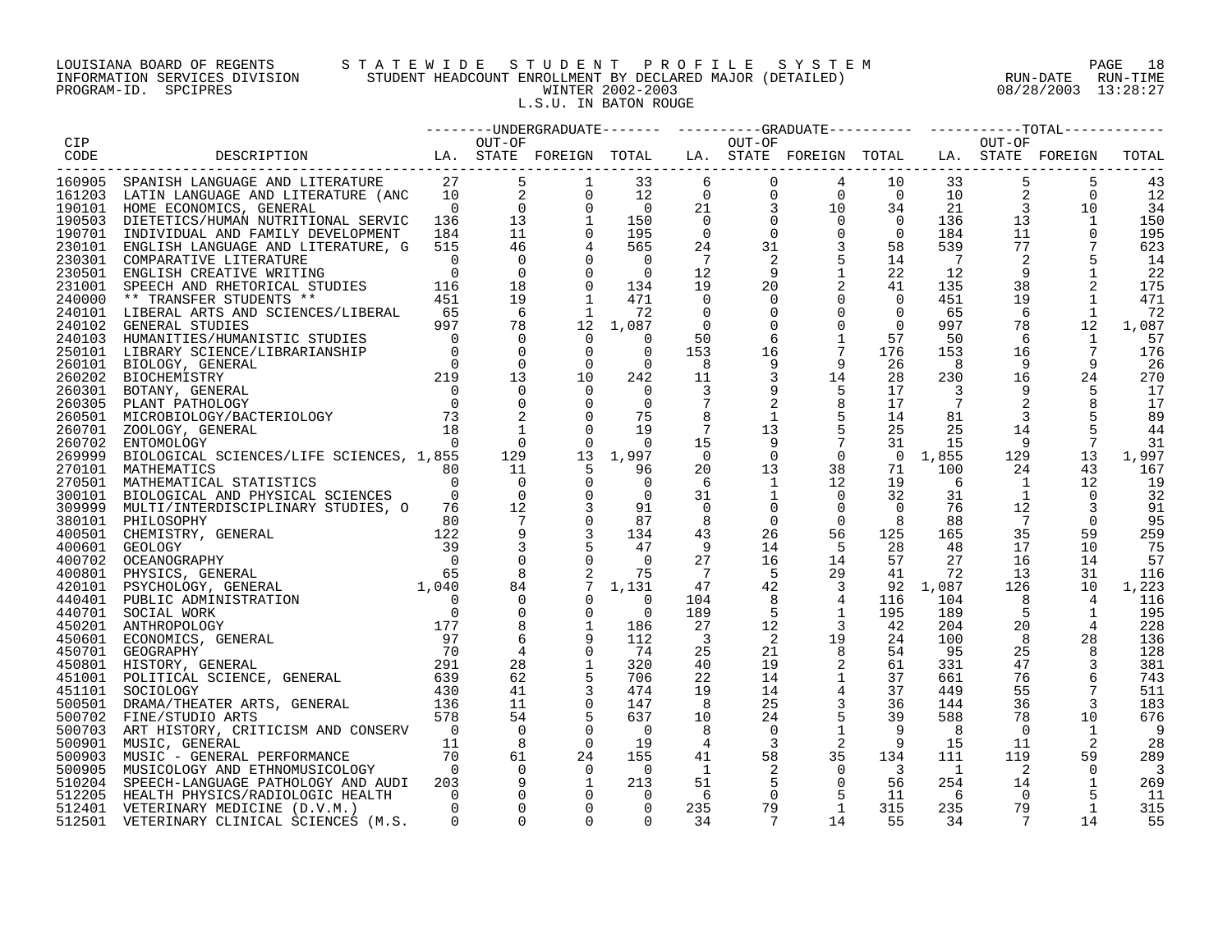# LOUISIANA BOARD OF REGENTS S T A T E W I D E S T U D E N T P R O F I L E S Y S T E M PAGE 18 INFORMATION SERVICES DIVISION STUDENT HEADCOUNT ENROLLMENT BY DECLARED MAJOR (DETAILED) RUN-DATE RUN-TIME PROGRAM-ID. SPCIPRES WINTER 2002-2003 08/28/2003 13:28:27 L.S.U. IN BATON ROUGE

|        |                                                                                                                                                                                                                                            |                |                     |                 |                          |                         |                         |                                                                                                                                                                                                                    |                         |                      |                            | --------UNDERGRADUATE-------  ---------GRADUATE---------  ----------TOTAL------- |                          |
|--------|--------------------------------------------------------------------------------------------------------------------------------------------------------------------------------------------------------------------------------------------|----------------|---------------------|-----------------|--------------------------|-------------------------|-------------------------|--------------------------------------------------------------------------------------------------------------------------------------------------------------------------------------------------------------------|-------------------------|----------------------|----------------------------|----------------------------------------------------------------------------------|--------------------------|
| CIP    |                                                                                                                                                                                                                                            |                | OUT-OF              |                 |                          |                         | OUT-OF                  |                                                                                                                                                                                                                    |                         |                      | OUT-OF                     |                                                                                  |                          |
| CODE   | LA. STATE FOREIGN TOTAL LA. STATE FOREIGN TOTAL LA. STATE FOREIGN<br>DESCRIPTION                                                                                                                                                           |                |                     |                 |                          |                         |                         |                                                                                                                                                                                                                    |                         |                      |                            |                                                                                  | TOTAL                    |
|        |                                                                                                                                                                                                                                            |                |                     |                 |                          |                         |                         |                                                                                                                                                                                                                    |                         |                      |                            |                                                                                  |                          |
|        | 160905 SPANISH LANGUAGE AND LITERATURE                                                                                                                                                                                                     | 27             | $5^{\circ}$         | 1               | 33                       | $6\overline{6}$         | $\mathbf 0$             | 4                                                                                                                                                                                                                  |                         | 10                   | 5<br>33                    | 5                                                                                | 43                       |
|        | 161203 LATIN LANGUAGE AND LITERATURE (ANC                                                                                                                                                                                                  |                | $\frac{10}{0}$<br>2 | $\mathbf 0$     | 12                       |                         |                         |                                                                                                                                                                                                                    |                         | $\overline{0}$<br>10 |                            | $\overline{0}$                                                                   | 12                       |
|        | 190101 HOME ECONOMICS, GENERAL                                                                                                                                                                                                             | $\overline{0}$ | $\overline{0}$      | $\mathbf 0$     | $\overline{0}$           |                         |                         |                                                                                                                                                                                                                    |                         | 34<br>21             | $\mathbf{3}$               | 10                                                                               | 34                       |
|        | 190503 DIETETICS/HUMAN NUTRITIONAL SERVIC 136                                                                                                                                                                                              |                | 13                  |                 | 150                      |                         |                         |                                                                                                                                                                                                                    | $\overline{0}$          | 136                  | 13                         | 1                                                                                | 150                      |
|        | 190701 INDIVIDUAL AND FAMILY DEVELOPMENT                                                                                                                                                                                                   | 184            | 11                  |                 | 195                      |                         |                         |                                                                                                                                                                                                                    | $\overline{0}$          | 184                  | 11                         | $\Omega$                                                                         | 195                      |
|        | 230101 ENGLISH LANGUAGE AND LITERATURE, G                                                                                                                                                                                                  | 515            | 46                  |                 | 565                      |                         |                         |                                                                                                                                                                                                                    | 58                      | 539                  | 77                         |                                                                                  | 623                      |
|        | 230301 COMPARATIVE LITERATURE                                                                                                                                                                                                              | 0              | $\overline{0}$      |                 | $\overline{\phantom{0}}$ |                         |                         |                                                                                                                                                                                                                    | 14                      | $\overline{7}$       | 2                          |                                                                                  | 14                       |
|        | 230501 ENGLISH CREATIVE WRITING                                                                                                                                                                                                            | $\Omega$       | $\overline{0}$      |                 | $\overline{0}$           |                         |                         | $\begin{array}{cccc} 6 & 0 & 4 \ 0 & 0 & 0 & 0 \ 21 & 3 & 10 & 0 \ 0 & 0 & 0 & 0 \ 24 & 31 & 3 & 5 \ 7 & 2 & 5 & 12 \ 19 & 20 & 2 & 2 \ 0 & 0 & 0 & 0 \ 0 & 0 & 0 & 0 \ 0 & 0 & 0 & 0 \ 0 & 0 & 6 & 0 \end{array}$ | 22                      | 12                   | 9                          | $\mathbf{1}$                                                                     | 22                       |
| 231001 | SPEECH AND RHETORICAL STUDIES                                                                                                                                                                                                              | 116            | 18                  | $\Omega$        | 134                      |                         |                         |                                                                                                                                                                                                                    | 41                      | 135                  | 38                         |                                                                                  | 175                      |
|        | 240000 ** TRANSFER STUDENTS **                                                                                                                                                                                                             | 451            | 19                  | 1               | 471                      |                         |                         |                                                                                                                                                                                                                    | $\overline{0}$          | 451                  | 19                         | $\mathbf{1}$                                                                     | 471                      |
|        | 240101 LIBERAL ARTS AND SCIENCES/LIBERAL                                                                                                                                                                                                   | 65             | 6                   | 1               | 72                       |                         |                         |                                                                                                                                                                                                                    | $\overline{0}$          | 65                   | 6                          | $\mathbf{1}$                                                                     | -72                      |
|        | 240102 GENERAL STUDIES                                                                                                                                                                                                                     | 997            | 78                  | 12              | 1,087                    |                         |                         |                                                                                                                                                                                                                    | $\overline{0}$          | 997                  | 78                         | 12                                                                               | 1,087                    |
|        | 240103 HUMANITIES/HUMANISTIC STUDIES                                                                                                                                                                                                       | $\overline{0}$ | $\Omega$            | $\Omega$        | $\Omega$                 | 50                      | 6                       | $\mathbf{1}$                                                                                                                                                                                                       | 57                      | 50                   | 6                          | 1                                                                                | 57                       |
|        | 250101 LIBRARY SCIENCE/LIBRARIANSHIP                                                                                                                                                                                                       |                | $\Omega$            | $\Omega$        | $\Omega$                 | 153                     | 16                      | $7\overline{ }$                                                                                                                                                                                                    | 176                     | 153                  | 16                         | $7\phantom{.0}$                                                                  | 176                      |
|        | 260101 BIOLOGY, GENERAL                                                                                                                                                                                                                    |                | $\Omega$            | $\Omega$        | $\Omega$                 | - 8                     |                         | 9                                                                                                                                                                                                                  | 26                      | $_{\rm 8}$           | - 9                        | 9                                                                                | -26                      |
|        | 260202 BIOCHEMISTRY                                                                                                                                                                                                                        |                | 13                  | 10              | 242                      | 11                      |                         | 14                                                                                                                                                                                                                 | 28                      | 230                  | 16                         | 24                                                                               | 270                      |
| 260301 | BOTANY, GENERAL                                                                                                                                                                                                                            |                |                     |                 | $\Omega$                 |                         |                         | 5                                                                                                                                                                                                                  | 17                      | 3                    |                            |                                                                                  | 17                       |
|        | 260305 PLANT PATHOLOGY                                                                                                                                                                                                                     |                | $\Omega$            |                 | $\overline{0}$           | 7                       |                         | 8                                                                                                                                                                                                                  | 17                      | $7\phantom{.0}$      | 2                          |                                                                                  | 17                       |
|        | EXERIBILIP 0<br>ARIANSHIP 0<br>0<br>219<br>0<br>0<br>0<br>73<br>260501 MICROBIOLOGY/BACTERIOLOGY                                                                                                                                           |                |                     |                 | 75                       | 8                       | 1                       | 5                                                                                                                                                                                                                  | 14                      | 81                   |                            |                                                                                  | 89                       |
| 260701 | ZOOLOGY, GENERAL                                                                                                                                                                                                                           | 18             |                     |                 | 19                       | 7                       | 13                      | 5                                                                                                                                                                                                                  | 25                      | 25                   | 14                         |                                                                                  | 44                       |
|        | 260702 ENTOMOLOGY                                                                                                                                                                                                                          | $\overline{0}$ | $\Omega$            |                 | - 0                      | 15                      | 9                       | 7                                                                                                                                                                                                                  | 31                      | 15                   | - 9                        |                                                                                  | 31                       |
|        | 269999 BIOLOGICAL SCIENCES/LIFE SCIENCES, 1,855                                                                                                                                                                                            |                | 129                 | 13              | 1,997                    | $\overline{0}$          | $\mathbf 0$             | $\mathbf 0$                                                                                                                                                                                                        |                         | $0 \quad 1,855$      | 129                        | 13                                                                               | 1,997                    |
|        | 270101 MATHEMATICS                                                                                                                                                                                                                         | 80             | 11                  | -5              | 96                       | 20                      | 13                      | 38                                                                                                                                                                                                                 | 71                      | 100                  | 24                         | 43                                                                               | 167                      |
|        | 270501 MATHEMATICAL STATISTICS                                                                                                                                                                                                             | $\mathbf 0$    | $\overline{0}$      | $\mathbf 0$     | $\overline{0}$           | 6                       | $\overline{1}$          | 12                                                                                                                                                                                                                 | 19                      | 6                    | 1                          | 12                                                                               | 19                       |
|        | 300101 BIOLOGICAL AND PHYSICAL SCIENCES                                                                                                                                                                                                    | $\Omega$       | $\overline{0}$      |                 | $\Omega$                 | 31                      |                         | $\overline{0}$                                                                                                                                                                                                     | 32                      | 31                   | 1                          | 0                                                                                | 32                       |
|        | 309999 MULTI/INTERDISCIPLINARY STUDIES, O                                                                                                                                                                                                  | 76             | 12                  |                 | 91<br>87                 | $\overline{0}$          | $\Omega$                | $\overline{0}$<br>$\mathbf 0$                                                                                                                                                                                      | $\overline{0}$          | 76                   | 12                         | $\Omega$                                                                         | 91<br>95                 |
|        | 380101 PHILOSOPHY                                                                                                                                                                                                                          | 80             |                     |                 | 134                      | 8                       | $\overline{0}$          | 56                                                                                                                                                                                                                 | 8 <sup>8</sup><br>125   | 88<br>165            | $\overline{7}$<br>35       | 59                                                                               | 259                      |
|        | $\begin{array}{c c} & & 122 \\ \hline 122 & & 39 \\ 0 & & 65 \\ \hline \text{L} & & 1,040 \\ \hline \text{ION} & & 0 \\ & & 0 \\ \end{array}$<br>400501 CHEMISTRY, GENERAL<br>400601 GEOLOGY                                               |                |                     |                 | 47                       | 43<br>$\overline{9}$    | 26<br>14                | 5                                                                                                                                                                                                                  | 28                      | 48                   | 17                         | 10                                                                               | 75                       |
| 400702 | OCEANOGRAPHY                                                                                                                                                                                                                               |                |                     |                 | $\overline{0}$           | 27                      | 16                      | 14                                                                                                                                                                                                                 | 57                      | 27                   | 16                         | 14                                                                               | 57                       |
|        | 400801 PHYSICS, GENERAL                                                                                                                                                                                                                    |                | 8                   |                 | 75                       | $\overline{7}$          | 5                       | 29                                                                                                                                                                                                                 | 41                      | 72                   | 13                         | 31                                                                               | 116                      |
|        | 420101 PSYCHOLOGY, GENERAL                                                                                                                                                                                                                 |                | 84                  | $7\phantom{.0}$ | 1,131                    | 47                      | 42                      | $\mathbf{3}$                                                                                                                                                                                                       | 92                      | 1,087                | 126                        | 10                                                                               | 1,223                    |
| 440401 | PUBLIC ADMINISTRATION                                                                                                                                                                                                                      |                | $\mathbf 0$         | $\Omega$        | $\overline{0}$           | 104                     | 8                       | $4\overline{ }$                                                                                                                                                                                                    | 116                     | 104                  | 8                          | 4                                                                                | 116                      |
|        |                                                                                                                                                                                                                                            |                | $\mathbf 0$         | $\Omega$        | $\overline{0}$           | 189                     | -5                      | $\mathbf{1}$                                                                                                                                                                                                       | 195                     | 189                  | -5                         | 1                                                                                | 195                      |
|        |                                                                                                                                                                                                                                            |                | 8                   |                 | 186                      | 27                      | 12                      | $\overline{3}$                                                                                                                                                                                                     | 42                      | 204                  | 20                         | 4                                                                                | 228                      |
|        |                                                                                                                                                                                                                                            |                |                     |                 | 112                      | $\overline{\mathbf{3}}$ | $\overline{\mathbf{c}}$ | 19                                                                                                                                                                                                                 | 24                      | 100                  | 8                          | 28                                                                               | 136                      |
|        |                                                                                                                                                                                                                                            |                | 4                   |                 | 74                       | 25                      | 21                      | 8                                                                                                                                                                                                                  | 54                      | 95                   | 25                         | 8                                                                                | 128                      |
|        |                                                                                                                                                                                                                                            |                | 28                  |                 | 320                      | 40                      | 19                      | 2                                                                                                                                                                                                                  | 61                      | 331                  | 47                         | 3                                                                                | 381                      |
|        | 440401 PUBLIC ADMINISTRATION<br>440701 SOCIAL WORK<br>450201 ANTHROPOLOGY<br>450601 ECONOMICS, GENERAL<br>450601 GEOGRAPHY<br>450801 HISTORY, GENERAL<br>451001 POLITICAL SCIENCE, GENERAL<br>430<br>471101 SOCIOLOGY<br>430<br>430<br>430 |                | 62                  |                 | 706                      | 22                      | 14                      | $\mathbf{1}$                                                                                                                                                                                                       | 37                      | 661                  | 76                         |                                                                                  | 743                      |
|        |                                                                                                                                                                                                                                            |                | 41                  |                 | 474                      | 19                      | 14                      | $\overline{4}$                                                                                                                                                                                                     | 37                      | 449                  | 55                         |                                                                                  | 511                      |
| 500501 |                                                                                                                                                                                                                                            |                | 11                  |                 | 147                      | - 8                     | 25                      | $\mathbf{3}$                                                                                                                                                                                                       | 36                      | 144                  | 36                         | 3                                                                                | 183                      |
|        | NOCIOLOGY<br>DRAMA/THEATER ARTS, GENERAL 136<br>578<br>500702 FINE/STUDIO ARTS                                                                                                                                                             |                | 54                  |                 | 637                      | 10                      | 24                      | 5                                                                                                                                                                                                                  | 39                      | 588                  | 78                         | 10                                                                               | 676                      |
| 500703 | ART HISTORY, CRITICISM AND CONSERV 0                                                                                                                                                                                                       |                | $\overline{0}$      |                 | $\overline{0}$           | 8                       | $\Omega$                | $\mathbf{1}$                                                                                                                                                                                                       | 9                       | 8                    | $\overline{0}$             | 1                                                                                | - 9                      |
|        | 500901 MUSIC, GENERAL                                                                                                                                                                                                                      | 11             | 8                   | $\Omega$        | 19                       | 4                       | 3                       | 2                                                                                                                                                                                                                  | 9                       | 15                   | 11                         |                                                                                  | 28                       |
| 500903 | MUSIC - GENERAL PERFORMANCE                                                                                                                                                                                                                | 70             | 61                  | 24              | 155                      | 41                      | 58                      | 35                                                                                                                                                                                                                 | 134                     | 111                  | 119                        | 59                                                                               | 289                      |
| 500905 | MUSICOLOGY AND ETHNOMUSICOLOGY                                                                                                                                                                                                             | $\overline{0}$ | $\overline{0}$      | $\overline{0}$  | $\overline{\phantom{0}}$ | <sup>1</sup>            | 2                       | $\mathsf{O}$                                                                                                                                                                                                       | $\overline{\mathbf{3}}$ | $\mathbf{1}$         | $\overline{\phantom{0}}^2$ | $\mathbf 0$                                                                      | $\overline{\phantom{a}}$ |
| 510204 | SPEECH-LANGUAGE PATHOLOGY AND AUDI                                                                                                                                                                                                         | 203            |                     |                 | 213                      | 51                      |                         | $\overline{0}$                                                                                                                                                                                                     | 56                      | 254                  | 14                         | 1                                                                                | 269                      |
| 512205 | HEALTH PHYSICS/RADIOLOGIC HEALTH                                                                                                                                                                                                           | $\Omega$       |                     |                 | $\overline{0}$           | - 6                     | 0                       | 5                                                                                                                                                                                                                  | 11                      | 6                    | $\mathbf 0$                |                                                                                  | -11                      |
|        | 512401 VETERINARY MEDICINE (D.V.M.)                                                                                                                                                                                                        |                |                     | $\Omega$        | $\overline{0}$           | 235                     | 79                      | 1                                                                                                                                                                                                                  | 315                     | 235                  | 79                         | 1                                                                                | 315                      |
|        | 512501 VETERINARY CLINICAL SCIENCES (M.S.                                                                                                                                                                                                  | $\Omega$       | $\Omega$            | $\Omega$        | $\Omega$                 | 34                      | 7                       | 14                                                                                                                                                                                                                 | 55                      | 34                   | $7\phantom{.0}$            | 14                                                                               | 55                       |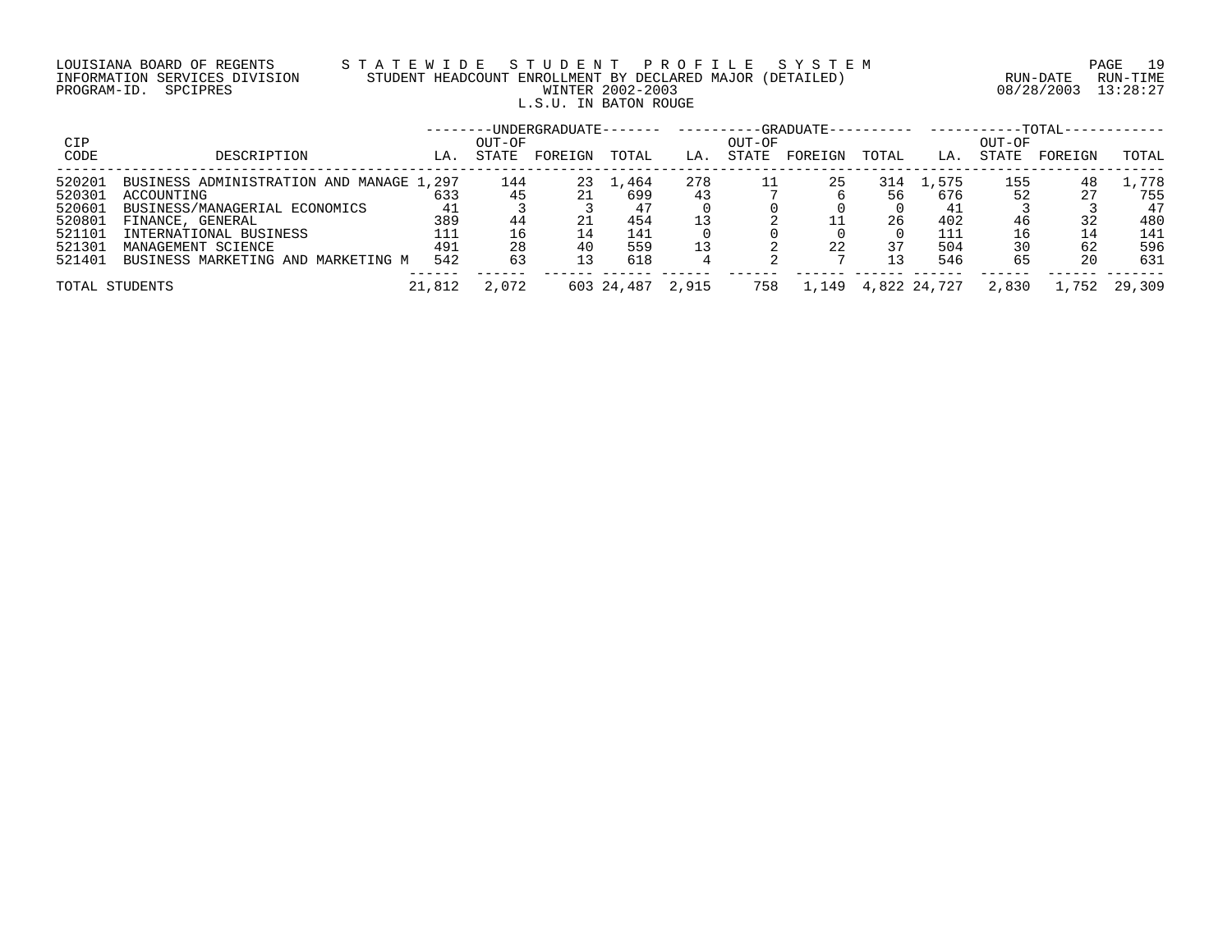# LOUISIANA BOARD OF REGENTS S T A T E W I D E S T U D E N T P R O F I L E S Y S T E M PAGE 19 INFORMATION SERVICES DIVISION STUDENT HEADCOUNT ENROLLMENT BY DECLARED MAJOR (DETAILED) RUN-DATE RUN-TIME PROGRAM-ID. SPCIPRES WINTER 2002-2003 08/28/2003 13:28:27 L.S.U. IN BATON ROUGE

|        |                                          |        |        |         |                  |     |        |         |       |                       |        | --TOTAL- |              |
|--------|------------------------------------------|--------|--------|---------|------------------|-----|--------|---------|-------|-----------------------|--------|----------|--------------|
| CIP    |                                          |        | OUT-OF |         |                  |     | OUT-OF |         |       |                       | OUT-OF |          |              |
| CODE   | DESCRIPTION                              | LA.    | STATE  | FOREIGN | TOTAL            | LA. | STATE  | FOREIGN | TOTAL | LA.                   | STATE  | FOREIGN  | TOTAL        |
| 520201 | BUSINESS ADMINISTRATION AND MANAGE 1,297 |        | 144    | 23      | 1,464            | 278 |        | 25      | 314   | 1,575                 | 155    | 48       | . . 778      |
| 520301 | ACCOUNTING                               | 633    |        |         | 699              |     |        |         |       | 676                   | 52     | 27       | 755          |
| 520601 | BUSINESS/MANAGERIAL ECONOMICS            | 41     |        |         |                  |     |        |         |       |                       |        |          | 47           |
| 520801 | FINANCE, GENERAL                         | 389    | 44     | 21      | 454              |     |        |         | 26    | 402                   |        |          | 480          |
| 521101 | INTERNATIONAL BUSINESS                   | 111    |        |         | 141              |     |        |         |       | 111                   |        | 14       | 141          |
| 521301 | MANAGEMENT SCIENCE                       | 491    | 28     | 40      | 559              |     |        | 22      |       | 504                   |        | 62       | 596          |
| 521401 | BUSINESS MARKETING AND MARKETING M       | 542    | 63     |         | 618              |     |        |         |       | 546                   | 65     | 20       | 631          |
|        |                                          |        |        |         |                  |     |        |         |       |                       |        |          |              |
|        | TOTAL STUDENTS                           | 21,812 | 2,072  |         | 603 24,487 2,915 |     | 758    |         |       | 1, 149 4, 822 24, 727 | 2,830  |          | 1,752 29,309 |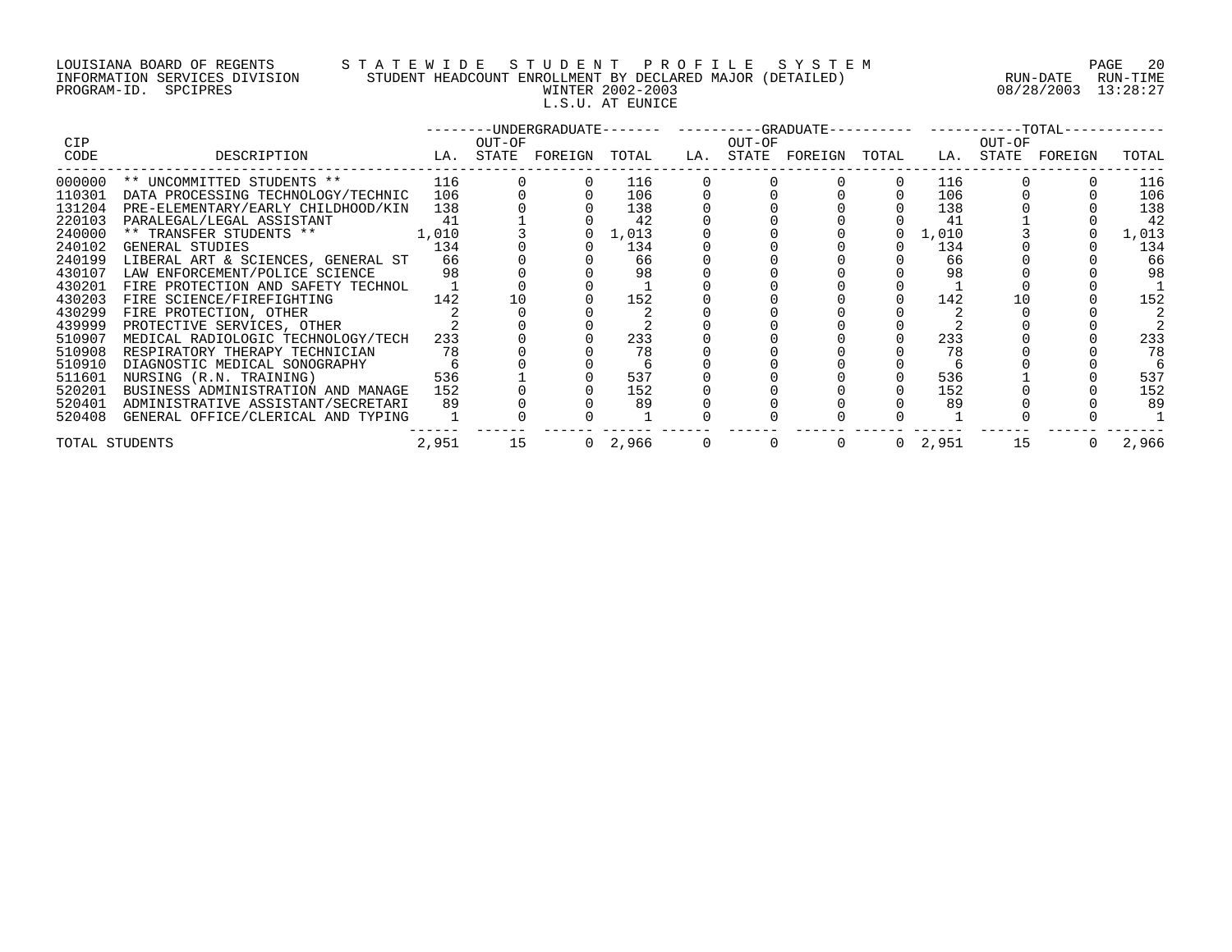# LOUISIANA BOARD OF REGENTS S T A T E W I D E S T U D E N T P R O F I L E S Y S T E M PAGE 20 INFORMATION SERVICES DIVISION STUDENT HEADCOUNT ENROLLMENT BY DECLARED MAJOR (DETAILED) RUN-DATE RUN-TIME PROGRAM-ID. SPCIPRES WINTER 2002-2003 08/28/2003 13:28:27 L.S.U. AT EUNICE

|                |                                                                                                                                                                                                                                                                                                     |    |          |        |                 |  | --------UNDERGRADUATE------- ---------GRADUATE---------- ----------TOTAL----------- |                 |        |       |
|----------------|-----------------------------------------------------------------------------------------------------------------------------------------------------------------------------------------------------------------------------------------------------------------------------------------------------|----|----------|--------|-----------------|--|-------------------------------------------------------------------------------------|-----------------|--------|-------|
| CIP            |                                                                                                                                                                                                                                                                                                     |    |          | OUT-OF |                 |  | OUT-OF                                                                              |                 | OUT-OF |       |
| CODE           | LA. STATE FOREIGN TOTAL LA. STATE FOREIGN TOTAL LA. STATE FOREIGN<br>DESCRIPTION                                                                                                                                                                                                                    |    |          |        |                 |  |                                                                                     |                 |        | TOTAL |
|                | $\begin{tabular}{lllllllllllll} 0.00000 & ** & UNCOMMITTED STUDENTS & ** & 116 \\ 110301 & DATA PROCESSING TECHNOLOGY/TECHNIC & 106 \\ 131204 & PRE-ELEMENTARY/EARLY CHILDHOOD/KIN & 138 \\ 220103 & PARALEGAL/LEGAL ASSISTANT & 41 \\ 240000 & ** TRANSFER STUDENTS & ** & 1,010 \\ \end{tabular}$ |    |          |        | 116             |  |                                                                                     | 116             |        | 116   |
|                |                                                                                                                                                                                                                                                                                                     |    |          |        | 106             |  |                                                                                     | 106             |        | 106   |
|                |                                                                                                                                                                                                                                                                                                     |    |          |        | 138             |  |                                                                                     | 138             |        | 138   |
|                |                                                                                                                                                                                                                                                                                                     |    |          |        | 42              |  |                                                                                     | -41             |        | 42    |
|                |                                                                                                                                                                                                                                                                                                     |    |          |        | $0 \quad 1,013$ |  |                                                                                     | $0\quad 1\,010$ |        | 1,013 |
| 240102         | 134<br>GENERAL STUDIES                                                                                                                                                                                                                                                                              |    |          |        | 134             |  |                                                                                     | 134             |        | 134   |
|                | 240199 LIBERAL ART & SCIENCES, GENERAL ST 66                                                                                                                                                                                                                                                        |    |          |        | 66              |  |                                                                                     | 66              |        | 66    |
|                | 430107 LAW ENFORCEMENT/POLICE SCIENCE 98                                                                                                                                                                                                                                                            |    |          |        | 98              |  |                                                                                     | 98              |        | 98    |
| 430201         | FIRE PROTECTION AND SAFETY TECHNOL 1                                                                                                                                                                                                                                                                |    |          |        |                 |  |                                                                                     |                 |        |       |
| 430203         | 142<br>FIRE SCIENCE/FIREFIGHTING                                                                                                                                                                                                                                                                    |    | 10       |        | 152             |  |                                                                                     | 142             |        | 152   |
| 430299         | FIRE PROTECTION, OTHER                                                                                                                                                                                                                                                                              |    |          |        |                 |  |                                                                                     |                 |        |       |
| 439999         | PROTECTIVE SERVICES, OTHER                                                                                                                                                                                                                                                                          |    |          |        |                 |  |                                                                                     |                 |        |       |
| 510907         | MEDICAL RADIOLOGIC TECHNOLOGY/TECH 233                                                                                                                                                                                                                                                              |    |          |        | 233             |  |                                                                                     | 233             |        | 233   |
| 510908         | RESPIRATORY THERAPY TECHNICIAN                                                                                                                                                                                                                                                                      | 78 |          |        | 78              |  |                                                                                     | 78              |        | 78    |
| 510910         |                                                                                                                                                                                                                                                                                                     |    |          |        |                 |  |                                                                                     |                 |        |       |
| 511601         |                                                                                                                                                                                                                                                                                                     |    |          |        | 537             |  |                                                                                     | 536             |        | 537   |
| 520201         | BUSINESS ADMINISTRATION AND MANAGE 152                                                                                                                                                                                                                                                              |    |          |        | 152             |  |                                                                                     | 152             |        | 152   |
|                | 520401 ADMINISTRATIVE ASSISTANT/SECRETARI                                                                                                                                                                                                                                                           | 89 |          |        | 89              |  |                                                                                     | 89              |        | 89    |
|                | 520408 GENERAL OFFICE/CLERICAL AND TYPING                                                                                                                                                                                                                                                           |    |          |        |                 |  |                                                                                     |                 |        |       |
| TOTAL STUDENTS |                                                                                                                                                                                                                                                                                                     |    | 2,951 15 |        |                 |  | $0 \quad 2.966$ $0 \quad 0 \quad 0 \quad 0 \quad 2.951$ 15 0                        |                 |        | 2,966 |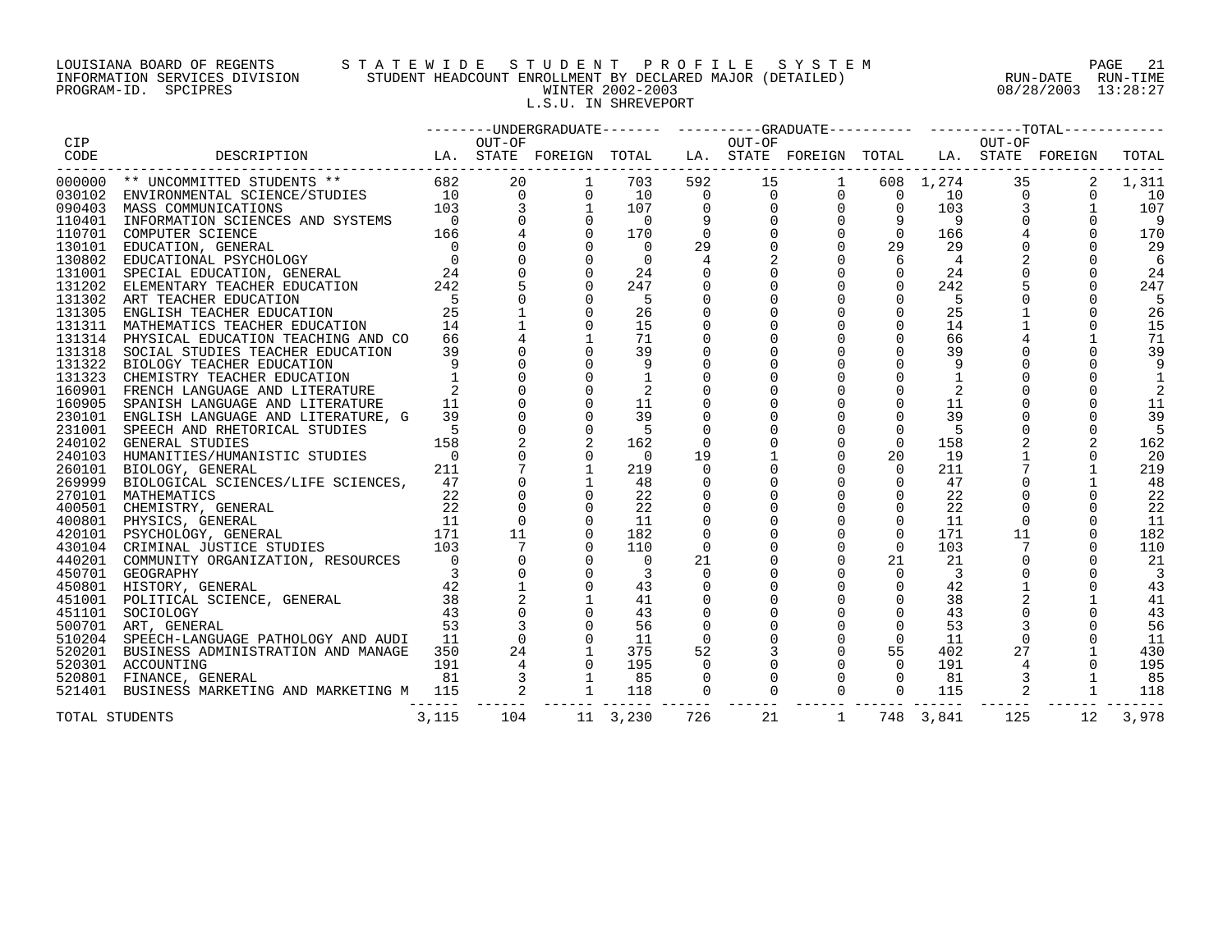# LOUISIANA BOARD OF REGENTS S T A T E W I D E S T U D E N T P R O F I L E S Y S T E M PAGE 21 INFORMATION SERVICES DIVISION STUDENT HEADCOUNT ENROLLMENT BY DECLARED MAJOR (DETAILED) RUN-DATE RUN-TIME PROGRAM-ID. SPCIPRES WINTER 2002-2003 08/28/2003 13:28:27 L.S.U. IN SHREVEPORT

|        |                                                                                                                                                                                                               |       |        |                         |                |             |                                                                                                                                                                                                                                                                                |                |                         |        | --------UNDERGRADUATE------- ---------GRADUATE---------- ----------TOTAL---------- |                |
|--------|---------------------------------------------------------------------------------------------------------------------------------------------------------------------------------------------------------------|-------|--------|-------------------------|----------------|-------------|--------------------------------------------------------------------------------------------------------------------------------------------------------------------------------------------------------------------------------------------------------------------------------|----------------|-------------------------|--------|------------------------------------------------------------------------------------|----------------|
| CIP    |                                                                                                                                                                                                               |       | OUT-OF |                         |                | OUT-OF      |                                                                                                                                                                                                                                                                                |                |                         | OUT-OF |                                                                                    |                |
| CODE   | DESCRIPTION THA. STATE FOREIGN TOTAL TA. STATE FOREIGN TOTAL TA. STATE FOREIGN                                                                                                                                |       |        |                         |                |             |                                                                                                                                                                                                                                                                                |                |                         |        |                                                                                    | TOTAL          |
|        |                                                                                                                                                                                                               |       |        |                         |                |             | $\begin{array}{cccccccc} 592 & 15 & 1 & 608 & 1,274 & 35\ 0 & 0 & 0 & 0 & 10 & 0\ 0 & 0 & 0 & 0 & 103 & 3\ 9 & 0 & 0 & 9 & 9 & 0\ 0 & 0 & 0 & 0 & 166 & 4\ 29 & 0 & 0 & 29 & 29 & 0\ 4 & 2 & 0 & 6 & 4 & 2\ 0 & 0 & 0 & 0 & 242 & 5\ 0 & 0 & 0 & 0 & 0 & 242 & 5\ \end{array}$ |                |                         |        |                                                                                    | 1,311          |
|        |                                                                                                                                                                                                               |       |        |                         | $\overline{0}$ |             |                                                                                                                                                                                                                                                                                |                |                         |        | $\Omega$                                                                           | 10             |
|        |                                                                                                                                                                                                               |       |        |                         | $\overline{0}$ |             |                                                                                                                                                                                                                                                                                |                |                         |        |                                                                                    | 107            |
|        |                                                                                                                                                                                                               |       |        |                         |                |             |                                                                                                                                                                                                                                                                                |                |                         |        |                                                                                    | - 9            |
|        |                                                                                                                                                                                                               |       |        |                         |                |             |                                                                                                                                                                                                                                                                                |                |                         |        | $\Omega$                                                                           | 170            |
|        |                                                                                                                                                                                                               |       |        |                         |                |             |                                                                                                                                                                                                                                                                                |                |                         |        |                                                                                    | -29            |
|        |                                                                                                                                                                                                               |       |        |                         |                |             |                                                                                                                                                                                                                                                                                |                |                         |        |                                                                                    | 6              |
|        |                                                                                                                                                                                                               |       |        |                         |                |             |                                                                                                                                                                                                                                                                                |                |                         |        |                                                                                    | 24             |
|        |                                                                                                                                                                                                               |       |        |                         |                |             |                                                                                                                                                                                                                                                                                |                |                         |        |                                                                                    | 247            |
|        |                                                                                                                                                                                                               |       |        | $-5$                    | $\mathbf 0$    |             | $\mathbf{0}$                                                                                                                                                                                                                                                                   | $\mathbf 0$    | 5                       |        |                                                                                    | $-5$           |
|        | 131302 ART TEACHER EDUCATION 5<br>131305 ENGLISH TEACHER EDUCATION 25<br>131311 MATHEMATICS TEACHER EDUCATION 14                                                                                              |       |        | 26                      | $\mathbf{0}$   |             | $\Omega$                                                                                                                                                                                                                                                                       | $\Omega$       | 25                      |        |                                                                                    | 26             |
|        |                                                                                                                                                                                                               |       |        | 15                      |                |             | $\Omega$                                                                                                                                                                                                                                                                       | $\overline{0}$ | 14                      |        | $\Omega$                                                                           | 15             |
| 131314 | PHYSICAL EDUCATION TEACHING AND CO                                                                                                                                                                            | 66 —  |        | 71                      |                |             |                                                                                                                                                                                                                                                                                | $\Omega$       | 66                      |        |                                                                                    | 71             |
| 131318 | SOCIAL STUDIES TEACHER EDUCATION                                                                                                                                                                              | 39    |        | 39                      |                |             |                                                                                                                                                                                                                                                                                | $\Omega$       | 39                      |        |                                                                                    | 39             |
|        | 131322 BIOLOGY TEACHER EDUCATION                                                                                                                                                                              |       |        | 9                       |                |             |                                                                                                                                                                                                                                                                                | $\mathbf 0$    | 9                       |        |                                                                                    | 9              |
|        | 131323 CHEMISTRY TEACHER EDUCATION                                                                                                                                                                            |       |        |                         |                |             |                                                                                                                                                                                                                                                                                | $\overline{0}$ |                         |        |                                                                                    |                |
|        | 160901 FRENCH LANGUAGE AND LITERATURE                                                                                                                                                                         |       |        |                         |                |             |                                                                                                                                                                                                                                                                                | $\Omega$       |                         |        |                                                                                    |                |
|        | 160905 SPANISH LANGUAGE AND LITERATURE                                                                                                                                                                        | 11    |        | 11                      |                |             |                                                                                                                                                                                                                                                                                | $\Omega$       | 11                      |        |                                                                                    | 11             |
|        | 230101 ENGLISH LANGUAGE AND LITERATURE, G                                                                                                                                                                     | 39    |        | 39                      | $\mathbf 0$    |             |                                                                                                                                                                                                                                                                                | $\mathbf 0$    | 39                      |        |                                                                                    | 39             |
| 231001 | SPEECH AND RHETORICAL STUDIES<br>GENERAL STUDIES<br>HUMANITIES/HUMANISTIC STUDIES<br>BIOLOGY, GENERAL<br>BIOLOGY, GENERAL<br>BIOLOGICAL SCIENCES/LIFE SCIENCES, 47<br>9                                       |       |        | $-5$                    |                |             | $\Omega$                                                                                                                                                                                                                                                                       | $\Omega$       | - 5                     |        |                                                                                    | .5             |
|        | 240102 GENERAL STUDIES                                                                                                                                                                                        |       |        | 162                     | $\Omega$       |             | $\Omega$                                                                                                                                                                                                                                                                       | $\Omega$       | 158                     |        |                                                                                    | 162            |
|        | 240103 HUMANITIES/HUMANISTIC STUDIES                                                                                                                                                                          |       |        | $\overline{0}$          | 19             |             | $\mathbf 0$                                                                                                                                                                                                                                                                    | 20             | 19                      |        |                                                                                    | -20            |
| 260101 |                                                                                                                                                                                                               |       |        | 219                     | $\overline{0}$ |             | $\mathbf 0$                                                                                                                                                                                                                                                                    | $\mathbf 0$    | 211                     |        |                                                                                    | 219            |
| 269999 |                                                                                                                                                                                                               |       |        | 48                      | 0              |             | $\Omega$                                                                                                                                                                                                                                                                       | $\Omega$       | 47                      |        |                                                                                    | 48             |
|        |                                                                                                                                                                                                               |       |        | 22                      |                |             | $\Omega$                                                                                                                                                                                                                                                                       | $\mathbf 0$    | 22                      |        |                                                                                    | 22             |
|        |                                                                                                                                                                                                               |       |        | 22                      |                |             | $\mathbf 0$                                                                                                                                                                                                                                                                    | $\mathbf 0$    | 22                      |        |                                                                                    | 22             |
|        |                                                                                                                                                                                                               |       |        | 11                      |                |             |                                                                                                                                                                                                                                                                                | $\overline{0}$ | - 11                    |        |                                                                                    | 11             |
|        |                                                                                                                                                                                                               |       | 11     | 182                     |                |             | $\Omega$                                                                                                                                                                                                                                                                       | $\overline{0}$ | 171                     | 11     |                                                                                    | 182            |
|        |                                                                                                                                                                                                               |       |        | 110                     | $\mathbf{0}$   |             | $\mathbf 0$                                                                                                                                                                                                                                                                    | $\overline{0}$ | 103                     |        |                                                                                    | 110            |
|        | 2003<br>22<br>22<br>22<br>400801 MATHEMATICS (SENERAL 22<br>400801 PHYSICS, GENERAL 11<br>420101 PSYCHOLOGY, GENERAL 171<br>430104 CRIMINAL JUSTICE STUDIES 103<br>440201 COMMUNITY ORGANIZATION, RESOURCES 0 |       |        | $\overline{0}$          | 21             |             |                                                                                                                                                                                                                                                                                | 21             | 21                      |        |                                                                                    | -21            |
|        |                                                                                                                                                                                                               |       |        | $\overline{\mathbf{3}}$ | $\overline{0}$ |             |                                                                                                                                                                                                                                                                                | $\mathbf 0$    | $\overline{\mathbf{3}}$ |        |                                                                                    | $\overline{3}$ |
|        | 450701 GEOGRAPHY<br>450801 HISTORY, GENERAL 42<br>451001 POLITICAL SCIENCE, GENERAL 38<br>52011 12011 CAV                                                                                                     |       |        | 43                      |                |             |                                                                                                                                                                                                                                                                                | $\Omega$       | 42                      |        |                                                                                    | 43             |
|        |                                                                                                                                                                                                               |       |        | 41                      |                |             |                                                                                                                                                                                                                                                                                | $\mathbf 0$    | 38                      |        |                                                                                    | 41             |
| 451101 | $\frac{1}{43}$<br>SOCIOLOGY                                                                                                                                                                                   |       |        | 43                      |                |             |                                                                                                                                                                                                                                                                                | $\overline{0}$ | 43                      |        |                                                                                    | 43             |
|        | 500701 ART, GENERAL                                                                                                                                                                                           |       |        | 56                      | $\overline{0}$ |             | $\mathbf 0$                                                                                                                                                                                                                                                                    | $\overline{0}$ | 53                      |        | $\Omega$                                                                           | 56             |
| 510204 | SPEECH-LANGUAGE PATHOLOGY AND AUDI 11                                                                                                                                                                         |       |        | 11                      | $\Omega$       |             | $\Omega$                                                                                                                                                                                                                                                                       | $\overline{0}$ | 11                      |        |                                                                                    | 11             |
|        | 520201 BUSINESS ADMINISTRATION AND MANAGE 350                                                                                                                                                                 |       |        | 375                     | 52             |             | $\mathsf{O}$                                                                                                                                                                                                                                                                   | 55             | 402                     | 27     |                                                                                    | 430            |
|        | 520301 ACCOUNTING                                                                                                                                                                                             |       |        | 195                     | $\overline{0}$ |             | $\overline{0}$                                                                                                                                                                                                                                                                 | $\overline{0}$ | 191                     |        |                                                                                    | 195            |
| 520801 | FINANCE, GENERAL                                                                                                                                                                                              |       |        | 85                      | $\Omega$       |             | $\Omega$                                                                                                                                                                                                                                                                       | $\Omega$       | 81                      |        |                                                                                    | 85             |
|        | 43 0<br>ATHOLOGY AND AUDI 11 0<br>RATION AND MANAGE 350 24 1<br>53 3 0<br>191 4 0<br>53 3 0<br>191 4 0<br>81 3 1<br>5 AND MARKETING M 115 2<br>521401 BUSINESS MARKETING AND MARKETING M 115                  |       |        | 118                     | $\overline{0}$ | $\mathbf 0$ | $\overline{0}$                                                                                                                                                                                                                                                                 | $\overline{0}$ | 115                     |        |                                                                                    | 118            |
|        |                                                                                                                                                                                                               |       |        |                         |                |             |                                                                                                                                                                                                                                                                                |                |                         |        |                                                                                    |                |
|        | TOTAL STUDENTS                                                                                                                                                                                                | 3,115 | 104    | 11 3,230                | 726            | 21          | $\overline{1}$                                                                                                                                                                                                                                                                 |                | 748 3,841               | 125    | 12                                                                                 | 3,978          |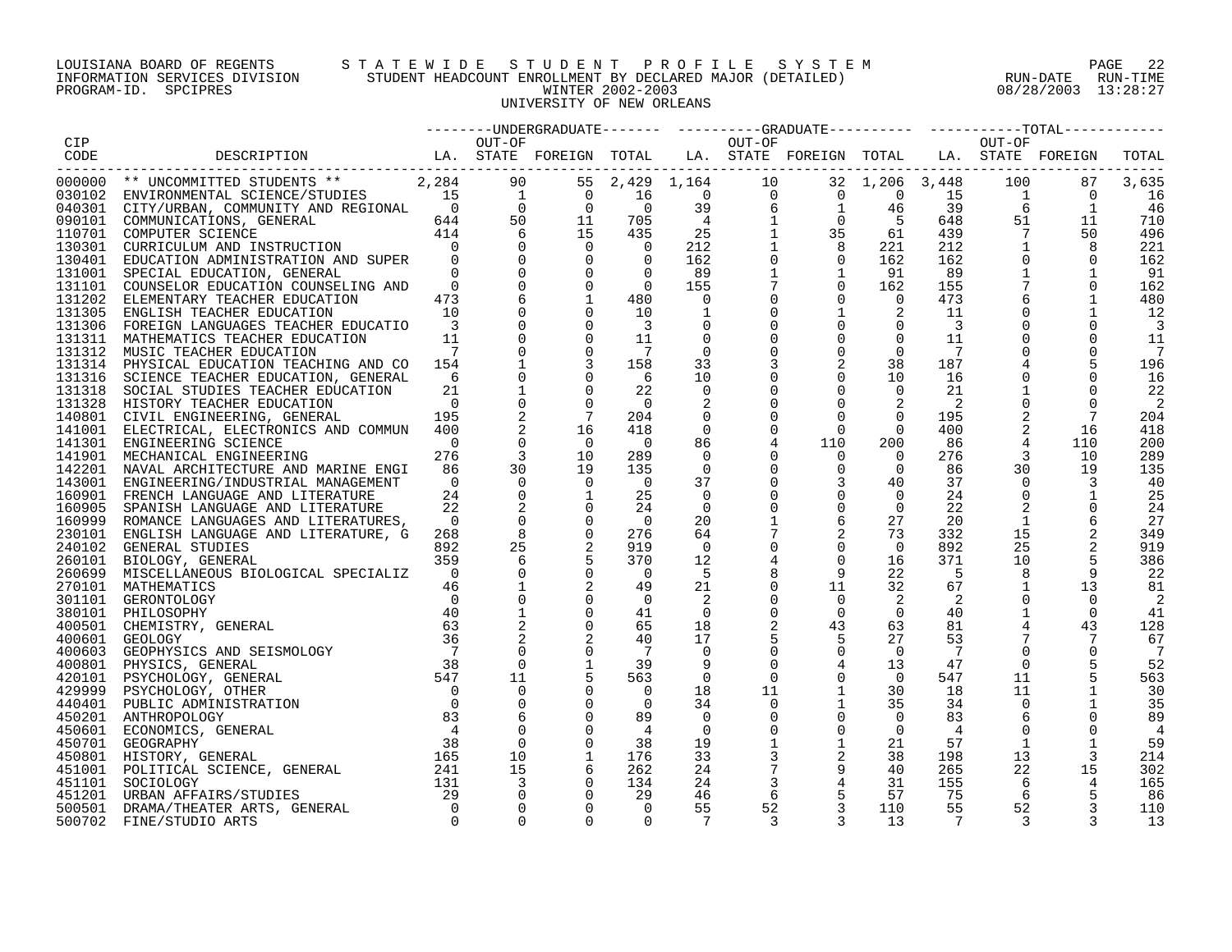## LOUISIANA BOARD OF REGENTS S T A T E W I D E S T U D E N T P R O F I L E S Y S T E M PAGE 22 INFORMATION SERVICES DIVISION STUDENT HEADCOUNT ENROLLMENT BY DECLARED MAJOR (DETAILED) RUN-DATE RUN-TIME PROGRAM-ID. SPCIPRES WINTER 2002-2003 08/28/2003 13:28:27 UNIVERSITY OF NEW ORLEANS

| CIP  |                                                                                                                                                                                                                                |           |          |        |                |  |    |                      |                |                                                                                                                 |                            |
|------|--------------------------------------------------------------------------------------------------------------------------------------------------------------------------------------------------------------------------------|-----------|----------|--------|----------------|--|----|----------------------|----------------|-----------------------------------------------------------------------------------------------------------------|----------------------------|
| CODE | OUT-OF OUT-OF CONFIDENTION DESCRIPTION LA STATE FOREIGN TOTAL LA STATE FORE ON THE STATE PORE ON THE STATE STATE STATE STATE STATE STATE STATE STATE STATE STATE STATE STATE STATE STATE STATE STATE STATE STATE STATE STATE S |           |          |        |                |  |    |                      |                |                                                                                                                 | TOTAL                      |
|      |                                                                                                                                                                                                                                |           |          |        |                |  |    |                      |                |                                                                                                                 |                            |
|      |                                                                                                                                                                                                                                |           |          |        |                |  |    |                      |                |                                                                                                                 | 3,635                      |
|      |                                                                                                                                                                                                                                |           |          |        |                |  |    |                      |                |                                                                                                                 | <sup>16</sup>              |
|      |                                                                                                                                                                                                                                |           |          |        |                |  |    |                      |                |                                                                                                                 | -46                        |
|      |                                                                                                                                                                                                                                |           |          |        |                |  |    |                      |                |                                                                                                                 | 710                        |
|      |                                                                                                                                                                                                                                |           |          |        |                |  |    |                      |                |                                                                                                                 | 496                        |
|      |                                                                                                                                                                                                                                |           |          |        |                |  |    |                      |                |                                                                                                                 | 221                        |
|      |                                                                                                                                                                                                                                |           |          |        |                |  |    |                      |                |                                                                                                                 | 162                        |
|      |                                                                                                                                                                                                                                |           |          |        |                |  |    |                      |                |                                                                                                                 | 91                         |
|      |                                                                                                                                                                                                                                |           |          |        |                |  |    |                      |                |                                                                                                                 | 162                        |
|      |                                                                                                                                                                                                                                |           |          |        |                |  |    |                      |                |                                                                                                                 | 480                        |
|      |                                                                                                                                                                                                                                |           |          |        |                |  |    |                      |                |                                                                                                                 | 12                         |
|      |                                                                                                                                                                                                                                |           |          |        |                |  |    |                      |                |                                                                                                                 | -3                         |
|      |                                                                                                                                                                                                                                |           |          |        |                |  |    |                      |                |                                                                                                                 |                            |
|      |                                                                                                                                                                                                                                |           |          |        |                |  |    |                      |                |                                                                                                                 | 11<br>$\overline{7}$       |
|      |                                                                                                                                                                                                                                |           |          |        |                |  |    |                      |                |                                                                                                                 |                            |
|      |                                                                                                                                                                                                                                |           |          |        |                |  |    |                      |                |                                                                                                                 | 196                        |
|      |                                                                                                                                                                                                                                |           |          |        |                |  |    |                      |                |                                                                                                                 | 16                         |
|      |                                                                                                                                                                                                                                |           |          |        |                |  |    |                      |                |                                                                                                                 | -22                        |
|      |                                                                                                                                                                                                                                |           |          |        |                |  |    |                      |                |                                                                                                                 | $\overline{\phantom{0}}^2$ |
|      |                                                                                                                                                                                                                                |           |          |        |                |  |    |                      |                |                                                                                                                 | 204                        |
|      |                                                                                                                                                                                                                                |           |          |        |                |  |    |                      |                |                                                                                                                 | 418                        |
|      |                                                                                                                                                                                                                                |           |          |        |                |  |    |                      |                |                                                                                                                 | 200                        |
|      |                                                                                                                                                                                                                                |           |          |        |                |  |    |                      |                |                                                                                                                 | 289                        |
|      |                                                                                                                                                                                                                                |           |          |        |                |  |    |                      |                |                                                                                                                 | 135                        |
|      |                                                                                                                                                                                                                                |           |          |        |                |  |    |                      |                |                                                                                                                 | 40                         |
|      |                                                                                                                                                                                                                                |           |          |        |                |  |    |                      |                |                                                                                                                 | 25                         |
|      |                                                                                                                                                                                                                                |           |          |        |                |  |    |                      |                |                                                                                                                 | 24                         |
|      |                                                                                                                                                                                                                                |           |          |        |                |  |    |                      |                |                                                                                                                 | 27                         |
|      |                                                                                                                                                                                                                                |           |          |        |                |  |    |                      |                |                                                                                                                 | 349                        |
|      |                                                                                                                                                                                                                                |           |          |        |                |  |    |                      |                |                                                                                                                 | 919                        |
|      |                                                                                                                                                                                                                                |           |          |        |                |  |    |                      |                |                                                                                                                 | 386                        |
|      |                                                                                                                                                                                                                                |           |          |        |                |  |    |                      |                |                                                                                                                 | 22                         |
|      |                                                                                                                                                                                                                                |           |          |        |                |  |    |                      |                |                                                                                                                 | 81                         |
|      |                                                                                                                                                                                                                                |           |          |        |                |  |    |                      |                |                                                                                                                 | 2                          |
|      |                                                                                                                                                                                                                                |           |          |        |                |  |    |                      |                |                                                                                                                 | 41                         |
|      |                                                                                                                                                                                                                                |           |          |        |                |  |    |                      |                |                                                                                                                 | 128                        |
|      |                                                                                                                                                                                                                                |           |          |        |                |  |    |                      |                |                                                                                                                 | 67                         |
|      |                                                                                                                                                                                                                                |           |          |        |                |  |    |                      |                |                                                                                                                 |                            |
|      |                                                                                                                                                                                                                                |           |          |        |                |  |    |                      |                |                                                                                                                 | 52                         |
|      |                                                                                                                                                                                                                                |           |          |        |                |  |    |                      |                |                                                                                                                 | 563                        |
|      |                                                                                                                                                                                                                                |           |          |        |                |  |    |                      |                |                                                                                                                 | 30                         |
|      |                                                                                                                                                                                                                                |           |          |        | $\overline{0}$ |  |    | 34                   | $\overline{0}$ |                                                                                                                 | 35                         |
|      |                                                                                                                                                                                                                                |           |          |        | 89             |  |    | 83                   | 6              |                                                                                                                 | 89                         |
|      |                                                                                                                                                                                                                                |           |          |        | $\overline{4}$ |  |    |                      | $\Omega$       |                                                                                                                 |                            |
|      |                                                                                                                                                                                                                                |           |          |        | 38             |  |    | $\overline{4}$<br>57 | $\mathbf{1}$   |                                                                                                                 | 59                         |
|      |                                                                                                                                                                                                                                |           |          |        |                |  |    |                      |                | $\begin{array}{cccc} 1 & & 1 \\ 13 & & 3 \\ 22 & & 15 \\ 6 & & 4 \\ 6 & & 5 \\ 52 & & 3 \\ 3 & & 3 \end{array}$ |                            |
|      |                                                                                                                                                                                                                                |           |          |        | 176            |  | 38 | 198                  |                |                                                                                                                 | 214                        |
|      |                                                                                                                                                                                                                                |           |          |        | 262            |  |    | 265                  |                |                                                                                                                 | 302                        |
|      |                                                                                                                                                                                                                                |           |          |        | 134            |  |    | 155                  |                |                                                                                                                 | 165                        |
|      |                                                                                                                                                                                                                                |           |          |        | 29             |  |    | 75                   | 6              |                                                                                                                 | - 86                       |
|      |                                                                                                                                                                                                                                |           |          |        | $\overline{0}$ |  |    | 55                   |                |                                                                                                                 | 110                        |
|      | 500702 FINE/STUDIO ARTS                                                                                                                                                                                                        | $\bigcap$ | $\Omega$ | $\cap$ | $\bigcap$      |  |    | 7                    | 3              |                                                                                                                 | 13                         |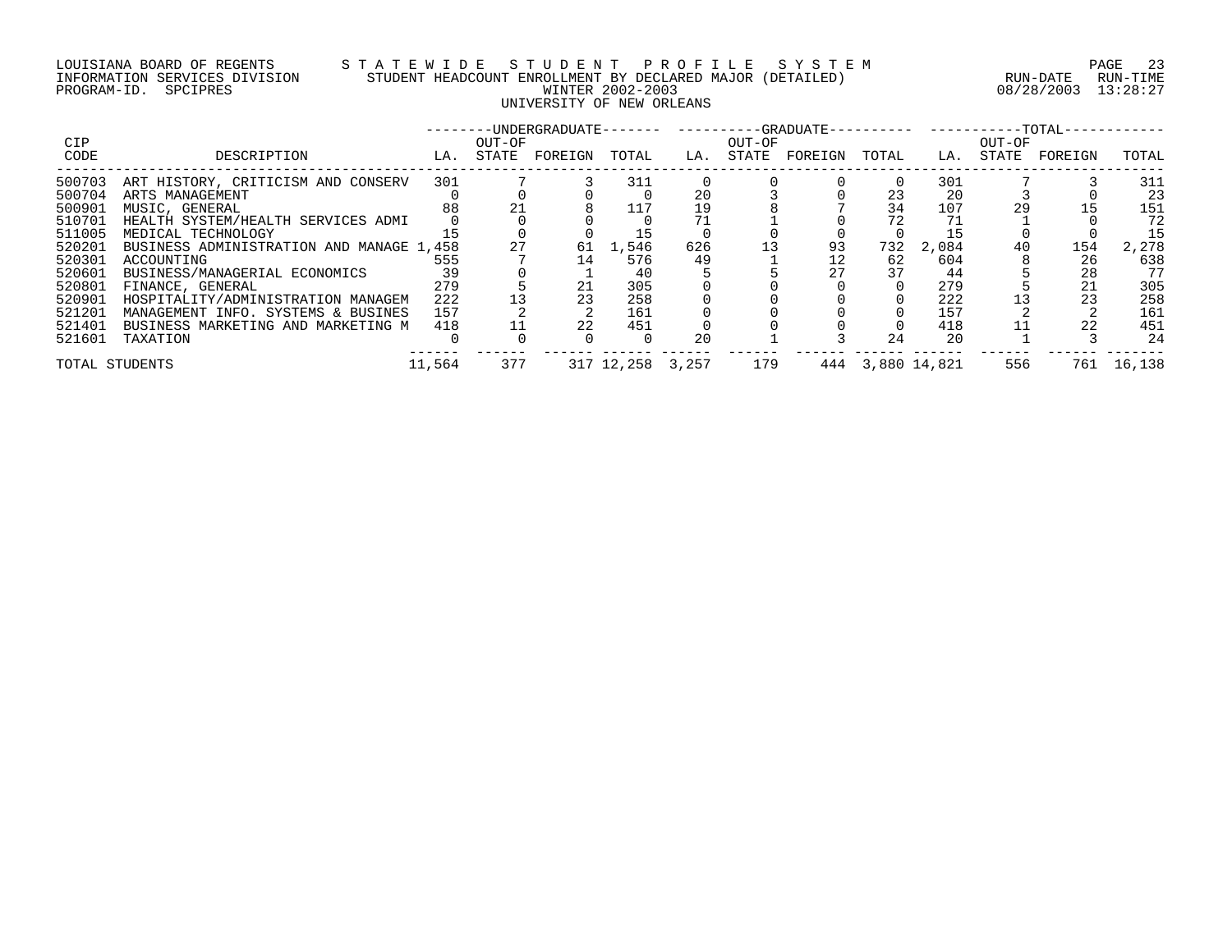# LOUISIANA BOARD OF REGENTS S T A T E W I D E S T U D E N T P R O F I L E S Y S T E M PAGE 23 INFORMATION SERVICES DIVISION STUDENT HEADCOUNT ENROLLMENT BY DECLARED MAJOR (DETAILED) RUN-DATE RUN-TIME PROGRAM-ID. SPCIPRES WINTER 2002-2003 08/28/2003 13:28:27 UNIVERSITY OF NEW ORLEANS

| <b>CIP</b>                 |                                                                              |            | OUT-OF |          |                  |           | OUT-OF |          |           |                  | ------- ----------TOTAL-<br>OUT-OF |           |                    |
|----------------------------|------------------------------------------------------------------------------|------------|--------|----------|------------------|-----------|--------|----------|-----------|------------------|------------------------------------|-----------|--------------------|
| CODE                       | DESCRIPTION                                                                  | LA.        | STATE  | FOREIGN  | TOTAL            | LA.       | STATE  | FOREIGN  | TOTAL     | LA.              | STATE                              | FOREIGN   | TOTAL              |
| 500703<br>500704           | ART HISTORY, CRITICISM AND CONSERV<br>ARTS MANAGEMENT                        | 301        |        |          | 311              | 20        |        |          | 23        | 301<br>20        |                                    |           | 311<br>23          |
| 500901<br>510701           | MUSIC, GENERAL<br>HEALTH SYSTEM/HEALTH SERVICES ADMI                         | 88         | 21     |          |                  | 19        |        |          | 34<br>72  | 107              | 29                                 |           | 151<br>72          |
| 511005<br>520201<br>520301 | MEDICAL TECHNOLOGY<br>BUSINESS ADMINISTRATION AND MANAGE 1,458<br>ACCOUNTING | 555        |        | 61<br>14 | 1,546<br>576     | 626<br>49 |        | 93<br>12 | 732<br>62 | 2,084<br>604     | 40                                 | 154<br>26 | 15<br>2,278<br>638 |
| 520601<br>520801           | BUSINESS/MANAGERIAL ECONOMICS<br>FINANCE, GENERAL                            | 279        |        |          | 40<br>305        |           |        |          | 37        | 44<br>279        |                                    | 28        | 77<br>305          |
| 520901<br>521201           | HOSPITALITY/ADMINISTRATION MANAGEM<br>MANAGEMENT INFO. SYSTEMS & BUSINES     | 222<br>157 |        | 23       | 258<br>161       |           |        |          |           | 222<br>157       |                                    | 23        | 258<br>161         |
| 521401<br>521601           | BUSINESS MARKETING AND MARKETING M<br>TAXATION                               | 418        |        | 22       | 451              | 20        |        |          | 24        | 418<br>20        |                                    | 22        | 451<br>24          |
| TOTAL STUDENTS             |                                                                              | 11,564     | 377    |          | 317 12,258 3,257 |           | 179    |          |           | 444 3,880 14,821 | 556                                | 761       | 16,138             |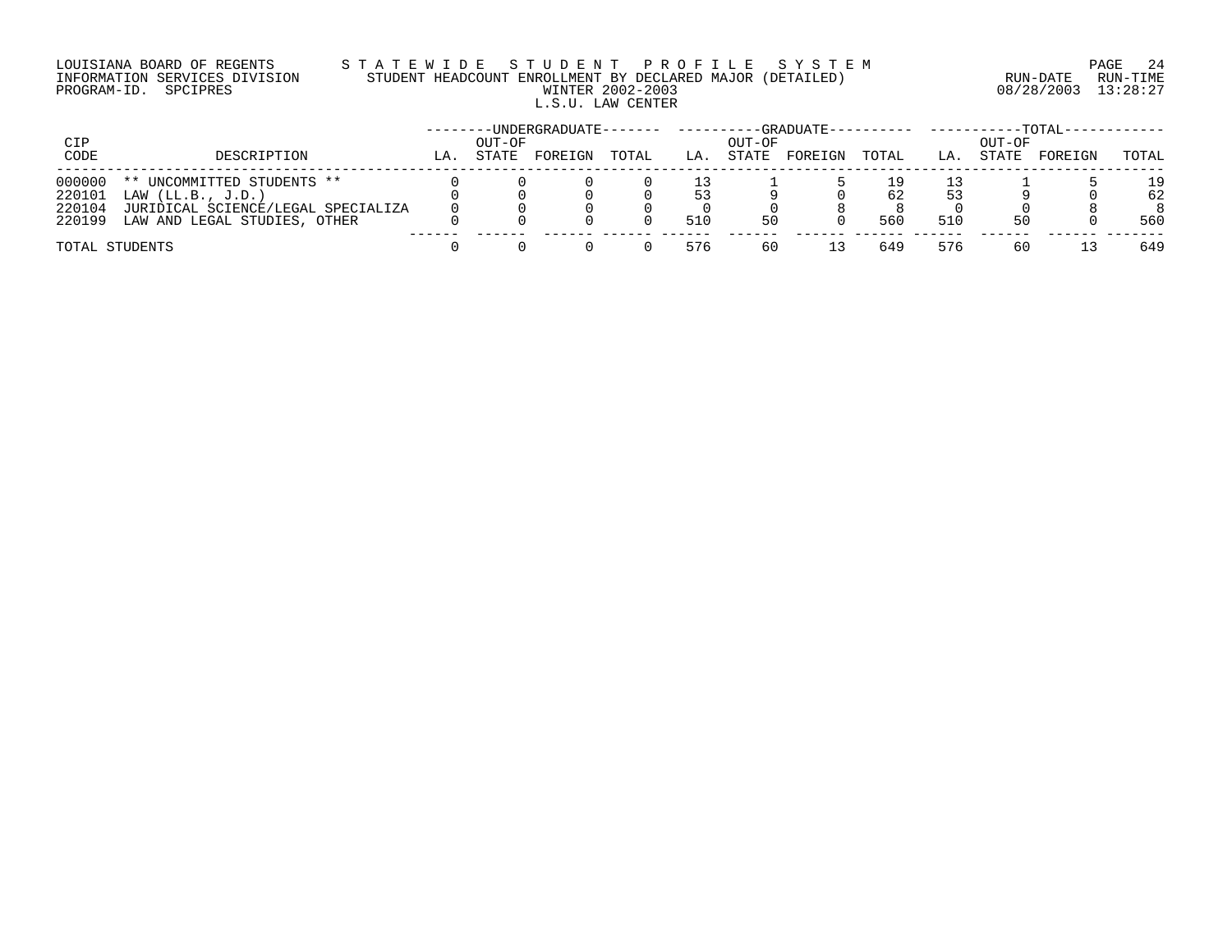# LOUISIANA BOARD OF REGENTS S T A T E W I D E S T U D E N T P R O F I L E S Y S T E M PAGE 24 INFORMATION SERVICES DIVISION STUDENT HEADCOUNT ENROLLMENT BY DECLARED MAJOR (DETAILED) RUN-DATE RUN-TIME PROGRAM-ID. SPCIPRES WINTER 2002-2003 08/28/2003 13:28:27 L.S.U. LAW CENTER

| CIP    |                                    |     | OUT-OF | -----UNDERGRADUATE------- |       |     | OUT-OF | -GRADUATE--- |       |     | OUT-OF | $-TOTAT -$ |       |
|--------|------------------------------------|-----|--------|---------------------------|-------|-----|--------|--------------|-------|-----|--------|------------|-------|
| CODE   | DESCRIPTION                        | LA. | STATE  | FOREIGN                   | TOTAL | LA. | STATE  | FOREIGN      | TOTAL | LA. | STATE  | FOREIGN    | TOTAL |
| 000000 | ** UNCOMMITTED STUDENTS **         |     |        |                           |       |     |        |              |       |     |        |            | 19    |
| 220101 | LAW $(LL.B., J.D.)$                |     |        |                           |       | 53  |        |              | 62    | 53  |        |            | 62    |
| 220104 | JURIDICAL SCIENCE/LEGAL SPECIALIZA |     |        |                           |       |     |        |              |       |     |        |            |       |
| 220199 | LAW AND LEGAL STUDIES, OTHER       |     |        |                           |       | 510 | 50     |              | 560   | 510 | 50     |            | 560   |
|        | TOTAL STUDENTS                     |     |        |                           |       | 576 | 60     |              | 649   | 576 | 60     |            | 649   |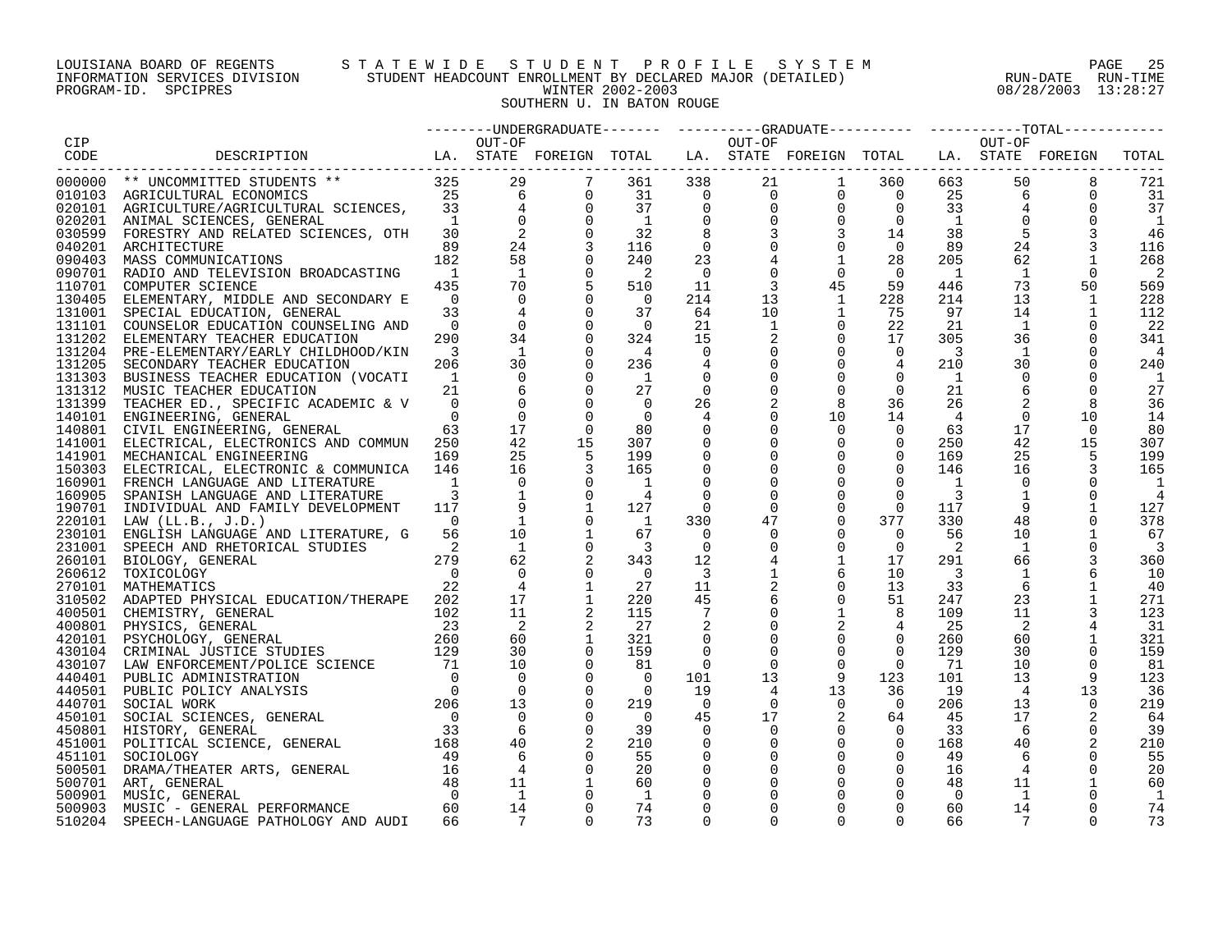# LOUISIANA BOARD OF REGENTS S T A T E W I D E S T U D E N T P R O F I L E S Y S T E M PAGE 25 INFORMATION SERVICES DIVISION STUDENT HEADCOUNT ENROLLMENT BY DECLARED MAJOR (DETAILED) RUN-DATE RUN-TIME PROGRAM-ID. SPCIPRES WINTER 2002-2003 08/28/2003 13:28:27 SOUTHERN U. IN BATON ROUGE

|        |                                                                                                                                                                                                                                                                                                                                                                                                                                                                |                            |                          |                                     |                            |                          | OUT-OF          |                                                                                                                                                                                                                |                |                          | OUT-OF          |             |       |
|--------|----------------------------------------------------------------------------------------------------------------------------------------------------------------------------------------------------------------------------------------------------------------------------------------------------------------------------------------------------------------------------------------------------------------------------------------------------------------|----------------------------|--------------------------|-------------------------------------|----------------------------|--------------------------|-----------------|----------------------------------------------------------------------------------------------------------------------------------------------------------------------------------------------------------------|----------------|--------------------------|-----------------|-------------|-------|
|        | $\begin{tabular}{lllllllllll} & CIP & & & & & & & & & \\ \hline \texttt{CODE} & & & & & & & & & \\ \hline 000000 & ** & UNCOMMITTED STUDENTS & ** & & & & 325 & & 29 & & 7 \\ 010103 & AGRICULITURAL ECONOMICS & & & & & 25 & & 6 & & 0 \\ 020101 & AGRICULTURE/AGRICULTURAL SCIENCES, & & & 33 & & 4 & & 0 \\ 020101 & AGRICULTURE/AGRICULTURAL SCIENCES, & & & & 1 & & 0 & & 0 \\ 020101 & ANIMAL SCIENTES, GENERAL & & & & 1 & &$                           |                            |                          |                                     |                            |                          |                 |                                                                                                                                                                                                                |                |                          |                 |             | TOTAL |
|        |                                                                                                                                                                                                                                                                                                                                                                                                                                                                |                            |                          |                                     |                            |                          |                 |                                                                                                                                                                                                                |                |                          |                 |             |       |
|        |                                                                                                                                                                                                                                                                                                                                                                                                                                                                |                            |                          |                                     |                            |                          |                 | $\begin{array}{cccccccc} 361 & 338 & 21 & 1 & 360 & 663 \\ 31 & 0 & 0 & 0 & 0 & 25 \\ 37 & 0 & 0 & 0 & 0 & 33 \\ 1 & 0 & 0 & 0 & 0 & 1 \\ 32 & 8 & 3 & 3 & 14 & 38 \\ 116 & 0 & 0 & 0 & 0 & 89 \\ \end{array}$ |                |                          | 50<br>663 — 10  | 8           | 721   |
|        |                                                                                                                                                                                                                                                                                                                                                                                                                                                                |                            |                          |                                     | 31                         |                          |                 |                                                                                                                                                                                                                |                |                          | 6               | $\mathbf 0$ | 31    |
|        |                                                                                                                                                                                                                                                                                                                                                                                                                                                                |                            |                          |                                     |                            |                          |                 |                                                                                                                                                                                                                |                |                          |                 |             | 37    |
|        |                                                                                                                                                                                                                                                                                                                                                                                                                                                                |                            |                          |                                     |                            |                          |                 |                                                                                                                                                                                                                |                |                          |                 |             | 1     |
|        |                                                                                                                                                                                                                                                                                                                                                                                                                                                                |                            |                          |                                     |                            |                          |                 |                                                                                                                                                                                                                |                |                          |                 |             | 46    |
|        |                                                                                                                                                                                                                                                                                                                                                                                                                                                                |                            |                          |                                     |                            |                          |                 |                                                                                                                                                                                                                |                |                          | 24              |             | 116   |
|        |                                                                                                                                                                                                                                                                                                                                                                                                                                                                |                            |                          |                                     | 240                        | 23                       |                 | $\mathbf{1}$                                                                                                                                                                                                   | 28             | 205                      | 62              | 1           | 268   |
|        | 090701 RADIO AND TELEVISION BROADCASTING                                                                                                                                                                                                                                                                                                                                                                                                                       | $\overline{1}$             | $\overline{1}$           | $\mathbf 0$                         | $\overline{\phantom{0}}^2$ | $\overline{\phantom{0}}$ | $\mathbf 0$     | $\mathbf 0$                                                                                                                                                                                                    | $\overline{0}$ | $\mathbf{1}$             | $\overline{1}$  | 0           | -2    |
| 110701 | COMPUTER SCIENCE                                                                                                                                                                                                                                                                                                                                                                                                                                               | 435                        | 70                       |                                     | 510                        | 11                       | 3               | 45                                                                                                                                                                                                             | 59             | 446                      | 73              | 50          | 569   |
|        | 130405 ELEMENTARY, MIDDLE AND SECONDARY E                                                                                                                                                                                                                                                                                                                                                                                                                      | $\overline{0}$             | $\Omega$                 | $\mathbf 0$                         | $\overline{0}$             | 214                      | 13              | $\mathbf{1}$                                                                                                                                                                                                   | 228            | 214                      | 13              | 1           | 228   |
|        | 131001 SPECIAL EDUCATION, GENERAL                                                                                                                                                                                                                                                                                                                                                                                                                              | 33                         | $\overline{4}$           | $\Omega$                            | 37                         | 64                       | 10 <sup>°</sup> | $\mathbf{1}$                                                                                                                                                                                                   | 75             | 97                       | 14              | 1           | 112   |
|        | 131101 COUNSELOR EDUCATION COUNSELING AND                                                                                                                                                                                                                                                                                                                                                                                                                      | $\overline{0}$             | $\overline{0}$           | $\mathbf 0$                         | $\overline{\phantom{0}}$   | 21                       | 1               | $\mathbf 0$                                                                                                                                                                                                    | 22             | 21                       | $\mathbf{1}$    | $\Omega$    | -22   |
|        | 131202 ELEMENTARY TEACHER EDUCATION                                                                                                                                                                                                                                                                                                                                                                                                                            | 290                        | 34                       | $\Omega$                            | 324                        | 15                       | 2               | $\mathbf 0$                                                                                                                                                                                                    | 17             | 305                      | 36              | $\Omega$    | 341   |
|        | 131204 PRE-ELEMENTARY/EARLY CHILDHOOD/KIN                                                                                                                                                                                                                                                                                                                                                                                                                      | $\overline{\mathbf{3}}$    | $\overline{1}$           | $\Omega$                            | $\overline{4}$             | 0                        |                 | $\overline{0}$                                                                                                                                                                                                 | $\overline{0}$ | 3                        | 1               |             | 4     |
|        | 131205 SECONDARY TEACHER EDUCATION                                                                                                                                                                                                                                                                                                                                                                                                                             | 206                        | 30                       | $\Omega$                            | 236                        | 4                        |                 | $\mathbf 0$                                                                                                                                                                                                    | 4              | 210                      | 30              | 0           | 240   |
|        | 131303 BUSINESS TEACHER EDUCATION (VOCATI                                                                                                                                                                                                                                                                                                                                                                                                                      | $\overline{1}$             | $\mathbf 0$              | $\mathbf 0$                         | $\overline{1}$             | 0                        |                 | $\mathbf 0$                                                                                                                                                                                                    | $\mathbf 0$    | <sup>1</sup>             | $\Omega$        | 0           | 1     |
|        | 131312 MUSIC TEACHER EDUCATION                                                                                                                                                                                                                                                                                                                                                                                                                                 | 21                         | 6                        | $\mathbf 0$                         | 27                         | 0                        |                 | $\mathbf 0$                                                                                                                                                                                                    | $\mathbf 0$    | 21                       | 6               |             | 27    |
|        | 131399 TEACHER ED., SPECIFIC ACADEMIC & V                                                                                                                                                                                                                                                                                                                                                                                                                      | $\overline{0}$             | $\Omega$                 | $\Omega$                            | $\overline{0}$             | 26                       |                 | 8                                                                                                                                                                                                              | 36             | 26                       |                 | 8           | 36    |
|        | 140101 ENGINEERING, GENERAL                                                                                                                                                                                                                                                                                                                                                                                                                                    | $\overline{0}$             | $\mathbf 0$              | $\Omega$                            | $\overline{0}$             | 4                        |                 | 10                                                                                                                                                                                                             | 14             | 4                        | $\overline{0}$  | 10          | 14    |
|        |                                                                                                                                                                                                                                                                                                                                                                                                                                                                | 63                         | 17                       | $\Omega$                            | 80                         | $\mathbf 0$              |                 | $\mathbf 0$                                                                                                                                                                                                    | $\overline{0}$ | 63                       | 17              | - 0         | 80    |
|        | 140801 CIVIL ENGINEERING, GENERAL                                                                                                                                                                                                                                                                                                                                                                                                                              |                            | 42                       | 15                                  |                            |                          |                 | $\mathbf 0$                                                                                                                                                                                                    |                |                          | 42              |             |       |
|        | 141001 ELECTRICAL, ELECTRONICS AND COMMUN 250                                                                                                                                                                                                                                                                                                                                                                                                                  |                            |                          |                                     | 307                        | $\mathbf 0$              |                 |                                                                                                                                                                                                                | $\overline{0}$ | 250                      |                 | 15          | 307   |
|        | 141901 MECHANICAL ENGINEERING                                                                                                                                                                                                                                                                                                                                                                                                                                  | 169                        | 25                       |                                     | 199                        | $\mathbf 0$              |                 | $\mathbf 0$                                                                                                                                                                                                    | $\overline{0}$ | 169                      | 25              |             | 199   |
|        | 150303 ELECTRICAL, ELECTRONIC & COMMUNICA 146                                                                                                                                                                                                                                                                                                                                                                                                                  |                            | 16                       |                                     | 165                        | $\Omega$                 |                 | $\Omega$                                                                                                                                                                                                       | $\Omega$       | 146                      | 16              |             | 165   |
|        | 160901 FRENCH LANGUAGE AND LITERATURE                                                                                                                                                                                                                                                                                                                                                                                                                          | $\overline{1}$             | $\overline{0}$           |                                     | - 1                        |                          |                 | $\mathbf 0$                                                                                                                                                                                                    | $\mathbf 0$    | <sup>1</sup>             | 0               |             |       |
|        | 160905 SPANISH LANGUAGE AND LITERATURE                                                                                                                                                                                                                                                                                                                                                                                                                         | 3                          | $\overline{\phantom{a}}$ | $\begin{matrix}0\\0\\1\end{matrix}$ | 4                          |                          |                 | $\Omega$                                                                                                                                                                                                       | $\mathbf 0$    | 3                        |                 |             | 4     |
|        | 190701 INDIVIDUAL AND FAMILY DEVELOPMENT                                                                                                                                                                                                                                                                                                                                                                                                                       | 117                        |                          |                                     | 127                        | 0                        | $\Omega$        | $\mathbf 0$                                                                                                                                                                                                    | $\overline{0}$ | 117                      |                 |             | 127   |
|        | 220101 LAW (LL.B., J.D.)                                                                                                                                                                                                                                                                                                                                                                                                                                       | $\overline{0}$             |                          | $\Omega$                            | $\overline{1}$             | 330                      | 47              | $\overline{0}$                                                                                                                                                                                                 | 377            | 330                      | 48              |             | 378   |
|        | 230101 ENGLISH LANGUAGE AND LITERATURE, G                                                                                                                                                                                                                                                                                                                                                                                                                      | 56                         | 10                       | $\mathbf{1}$                        | 67                         | $\overline{0}$           | $\Omega$        | $\overline{0}$                                                                                                                                                                                                 | $\overline{0}$ | 56                       | 10              |             | 67    |
|        | 231001 SPEECH AND RHETORICAL STUDIES                                                                                                                                                                                                                                                                                                                                                                                                                           | $\overline{\phantom{0}}^2$ | $\overline{1}$           | $\Omega$                            | $\overline{\mathbf{3}}$    | $\Omega$                 | $\Omega$        | $\mathbf 0$                                                                                                                                                                                                    | $\Omega$       | 2                        | 1               |             | -3    |
|        | 260101 BIOLOGY, GENERAL<br>$\begin{array}{c} 279 \\0 \\22 \end{array}$                                                                                                                                                                                                                                                                                                                                                                                         |                            | 62                       |                                     | 343                        | 12                       |                 | $\mathbf{1}$                                                                                                                                                                                                   | 17             | 291                      | 66              |             | 360   |
|        | 260612 TOXICOLOGY                                                                                                                                                                                                                                                                                                                                                                                                                                              |                            | $\mathbf 0$              | $\Omega$                            | $\overline{0}$             | $\overline{\mathbf{3}}$  |                 | 6                                                                                                                                                                                                              | 10             | $\overline{\phantom{a}}$ | $\mathbf{1}$    |             | 10    |
| 270101 | MATHEMATICS                                                                                                                                                                                                                                                                                                                                                                                                                                                    |                            | $\overline{4}$           |                                     | 27                         | 11                       | 2               | $\overline{0}$                                                                                                                                                                                                 | 13             | 33                       | 6               |             | 40    |
|        | 310502 ADAPTED PHYSICAL EDUCATION/THERAPE 202                                                                                                                                                                                                                                                                                                                                                                                                                  |                            | 17                       |                                     | 220                        | 45                       |                 | $\mathbf 0$                                                                                                                                                                                                    | 51             | 247                      | 23              |             | 271   |
|        |                                                                                                                                                                                                                                                                                                                                                                                                                                                                |                            | 11                       |                                     | 115                        | 7                        |                 | $\mathbf{1}$                                                                                                                                                                                                   | 8              | 109                      | 11              |             | 123   |
|        |                                                                                                                                                                                                                                                                                                                                                                                                                                                                |                            | $\overline{2}$           |                                     | 27                         | 2                        |                 | 2                                                                                                                                                                                                              | $\overline{4}$ | 25                       | $\overline{2}$  |             | - 31  |
|        |                                                                                                                                                                                                                                                                                                                                                                                                                                                                |                            | 60                       | $\mathbf{1}$                        | 321                        | $\overline{0}$           |                 | $\mathbf 0$                                                                                                                                                                                                    | $\overline{0}$ | 260                      | 60              |             | 321   |
|        |                                                                                                                                                                                                                                                                                                                                                                                                                                                                |                            | 30                       | $\mathbf 0$                         | 159                        |                          |                 | $\mathbf 0$                                                                                                                                                                                                    | $\Omega$       | 129                      | 30              | $\mathbf 0$ | 159   |
|        | $\begin{tabular}{lllllllllllll} \multicolumn{2}{c }{\textbf{400501}} & \multicolumn{2}{c }{\textbf{CHEMISTRY}}, & \multicolumn{2}{c }{\textbf{ENERAL}} & \multicolumn{2}{c }{\textbf{202}} \\ \multicolumn{2}{c }{\textbf{400801}} & \multicolumn{2}{c }{\textbf{PHYSICS}}, & \multicolumn{2}{c }{\textbf{GENERAL}} & \multicolumn{2}{c }{\textbf{23}} \\ \multicolumn{2}{c }{\textbf{420101}} & \multicolumn{2}{c }{\textbf{PSYCHOLOGY}}, & \multicolumn{2}{$ |                            | 10                       | $\Omega$                            | 81                         | $\overline{0}$           | $\Omega$        | $\Omega$                                                                                                                                                                                                       | $\overline{0}$ | 71                       | 10              | $\Omega$    | - 81  |
|        |                                                                                                                                                                                                                                                                                                                                                                                                                                                                |                            | $\Omega$                 | $\Omega$                            | $\cap$                     | 101                      | 13              | 9                                                                                                                                                                                                              | 123            | 101                      | 13              | 9           | 123   |
|        |                                                                                                                                                                                                                                                                                                                                                                                                                                                                |                            | $\overline{0}$           | $\Omega$                            | $\overline{0}$             | 19                       | 4               | 13                                                                                                                                                                                                             | 36             | 19                       | $\overline{4}$  | 13          | 36    |
|        |                                                                                                                                                                                                                                                                                                                                                                                                                                                                |                            | 13                       | $\Omega$                            | 219                        | $\overline{0}$           | $\Omega$        | $\overline{0}$                                                                                                                                                                                                 | $\overline{0}$ | 206                      | 13              | $\Omega$    | 219   |
|        |                                                                                                                                                                                                                                                                                                                                                                                                                                                                |                            | $\overline{0}$           | 0                                   | $\overline{0}$             | 45                       | 17              | 2                                                                                                                                                                                                              | 64             | 45                       | 17              |             | 64    |
|        |                                                                                                                                                                                                                                                                                                                                                                                                                                                                |                            | $6^{\circ}$              | $\overline{0}$                      | 39                         | $\Omega$                 | $\Omega$        | $\mathbf 0$                                                                                                                                                                                                    | $\overline{0}$ | 33                       | - 6             | $\Omega$    | 39    |
|        |                                                                                                                                                                                                                                                                                                                                                                                                                                                                |                            | 40                       | 2                                   | 210                        | 0                        |                 | $\mathbf 0$                                                                                                                                                                                                    | $\overline{0}$ | 168                      | 40              |             | 210   |
|        | 440401 PUBLIC ADMINISTRATION<br>440401 PUBLIC ADMINISTRATION<br>440501 PUBLIC POLICY ANALYSIS<br>460701 SOCIAL WORK<br>450101 SOCIAL SCIENCES, GENERAL<br>451001 HISTORY, GENERAL<br>451001 POLITICAL SCIENCE, GENERAL<br>451101 SOCIOLOGY<br>                                                                                                                                                                                                                 |                            | 6                        | $\overline{0}$                      |                            |                          |                 | $\overline{0}$                                                                                                                                                                                                 | $\overline{0}$ |                          |                 |             |       |
|        | 451101 SOCIOLOGY                                                                                                                                                                                                                                                                                                                                                                                                                                               | 49                         |                          |                                     | 55                         | 0                        |                 | $\mathbf 0$                                                                                                                                                                                                    |                | 49                       | 6               | 0           | 55    |
|        |                                                                                                                                                                                                                                                                                                                                                                                                                                                                |                            | $\overline{4}$           | $\overline{0}$                      | 20                         | $\mathbf 0$              |                 |                                                                                                                                                                                                                | $\mathbf 0$    | 16                       | $\overline{4}$  | $\Omega$    | 20    |
|        | 451101 SOCIOLOGY<br>500501 DRAMA/THEATER ARTS, GENERAL 16<br>500701 ART, GENERAL 48<br>500901 MUSIC, GENERAL PERFORMANCE 60<br>500903 MUSIC - GENERAL PERFORMANCE 60                                                                                                                                                                                                                                                                                           |                            | 11                       |                                     | 60                         |                          |                 |                                                                                                                                                                                                                | 0              | 48                       | 11              |             | 60    |
|        |                                                                                                                                                                                                                                                                                                                                                                                                                                                                |                            | $\overline{1}$           |                                     | - 1                        |                          |                 |                                                                                                                                                                                                                | $\Omega$       | $\Omega$                 | <sup>1</sup>    |             | -1    |
|        |                                                                                                                                                                                                                                                                                                                                                                                                                                                                |                            | 14                       | $\Omega$                            | 74                         | $\Omega$                 |                 | $\Omega$                                                                                                                                                                                                       | $\Omega$       | 60                       | 14              | $\Omega$    | 74    |
| 510204 | SPEECH-LANGUAGE PATHOLOGY AND AUDI                                                                                                                                                                                                                                                                                                                                                                                                                             | 66                         | $\overline{7}$           | $\cap$                              | 73                         |                          | $\cap$          | $\cap$                                                                                                                                                                                                         | $\cap$         | 66                       | $7\overline{7}$ |             | 73    |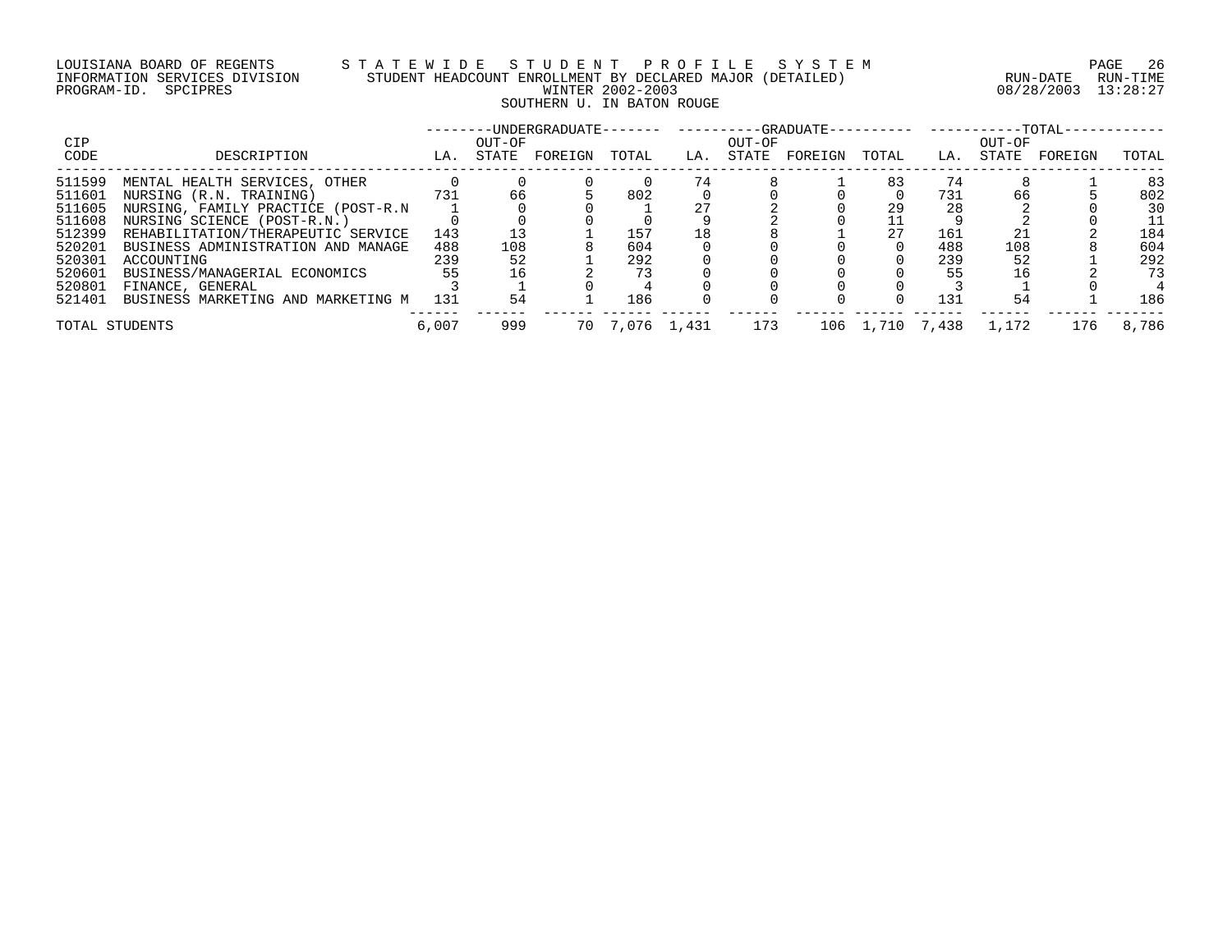# LOUISIANA BOARD OF REGENTS S T A T E W I D E S T U D E N T P R O F I L E S Y S T E M PAGE 26 INFORMATION SERVICES DIVISION STUDENT HEADCOUNT ENROLLMENT BY DECLARED MAJOR (DETAILED) RUN-DATE RUN-TIME PROGRAM-ID. SPCIPRES WINTER 2002-2003 08/28/2003 13:28:27 SOUTHERN U. IN BATON ROUGE

| CIP            |                                    |       | OUT-OF |         |       |             | OUT-OF |         |       |                 | OUT-OF | $-TOTAL-$ |       |
|----------------|------------------------------------|-------|--------|---------|-------|-------------|--------|---------|-------|-----------------|--------|-----------|-------|
| CODE           | DESCRIPTION                        | LA.   | STATE  | FOREIGN | TOTAL | LA.         | STATE  | FOREIGN | TOTAL | LA.             | STATE  | FOREIGN   | TOTAL |
| 511599         | MENTAL HEALTH SERVICES, OTHER      |       |        |         |       |             |        |         | 83    |                 |        |           | 83    |
| 511601         | NURSING (R.N. TRAINING)            | 731   | 66     |         | 802   |             |        |         |       | 731             | 66     |           | 802   |
| 511605         | NURSING, FAMILY PRACTICE (POST-R.N |       |        |         |       |             |        |         | 29    | 28              |        |           | 30    |
| 511608         | NURSING SCIENCE (POST-R.N.)        |       |        |         |       |             |        |         |       |                 |        |           | 11    |
| 512399         | REHABILITATION/THERAPEUTIC SERVICE | 143   |        |         | 157   | 18          |        |         | 27    | 161             |        |           | 184   |
| 520201         | BUSINESS ADMINISTRATION AND MANAGE | 488   | 108    |         | 604   |             |        |         |       | 488             | 108    |           | 604   |
| 520301         | ACCOUNTING                         | 239   | 52     |         | 292   |             |        |         |       | 239             | 52     |           | 292   |
| 520601         | BUSINESS/MANAGERIAL ECONOMICS      | 55    |        |         |       |             |        |         |       |                 |        |           | 73    |
| 520801         | FINANCE, GENERAL                   |       |        |         |       |             |        |         |       |                 |        |           |       |
| 521401         | BUSINESS MARKETING AND MARKETING M | 131   | 54     |         | 186   |             |        |         |       | 131             | 54     |           | 186   |
| TOTAL STUDENTS |                                    | 6,007 | 999    | 70      |       | 7,076 1,431 | 173    |         |       | 106 1,710 7,438 | 1,172  | 176       | 8,786 |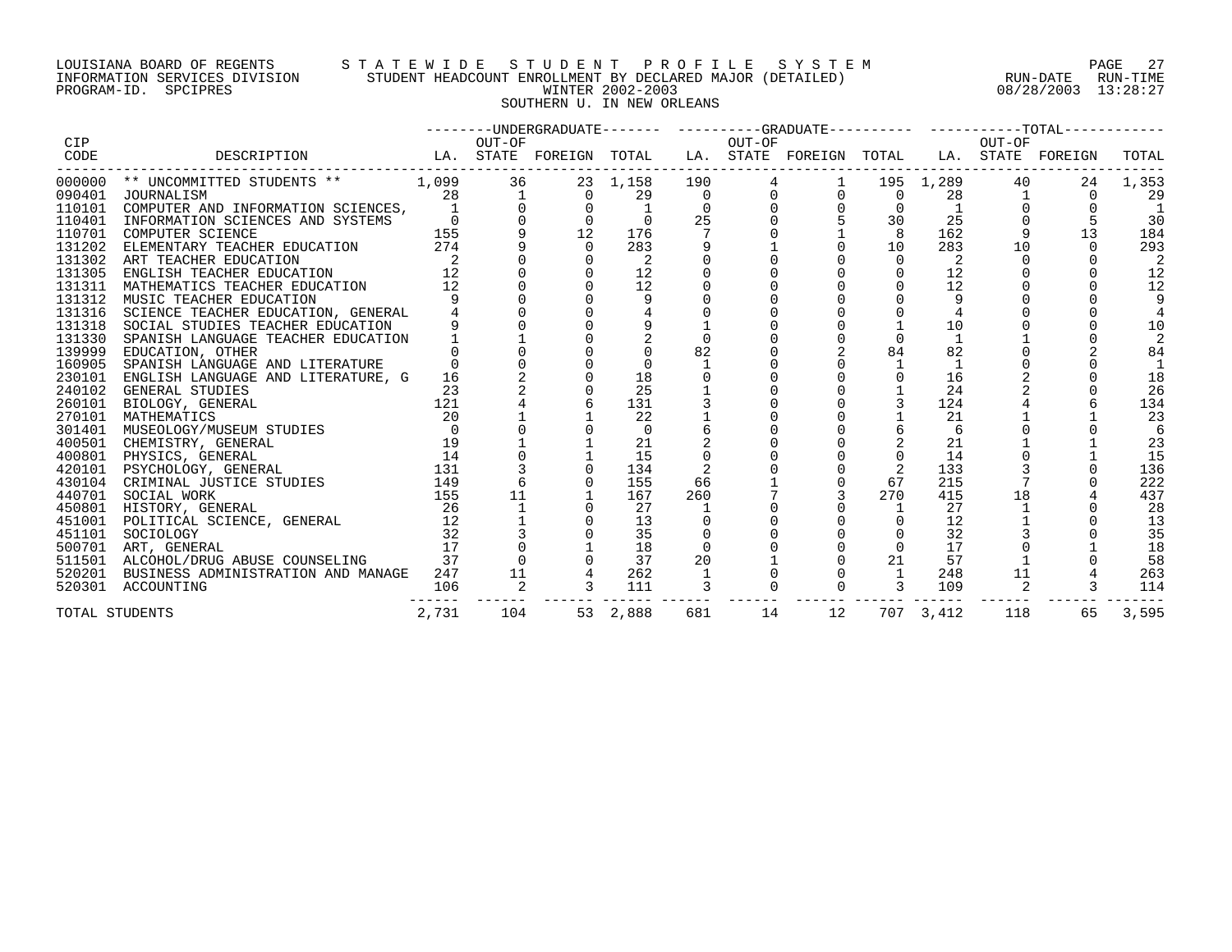# LOUISIANA BOARD OF REGENTS S T A T E W I D E S T U D E N T P R O F I L E S Y S T E M PAGE 27 INFORMATION SERVICES DIVISION STUDENT HEADCOUNT ENROLLMENT BY DECLARED MAJOR (DETAILED) RUN-DATE RUN-TIME PROGRAM-ID. SPCIPRES WINTER 2002-2003 08/28/2003 13:28:27 SOUTHERN U. IN NEW ORLEANS

|                    |                                                                                                                                                                                                                                                                                                                                                        |                |              |          |                |                 |                |                |                |             |        | -------UNDERGRADUATE------- ---------GRADUATE---------- ----------TOTAL---------- |       |
|--------------------|--------------------------------------------------------------------------------------------------------------------------------------------------------------------------------------------------------------------------------------------------------------------------------------------------------------------------------------------------------|----------------|--------------|----------|----------------|-----------------|----------------|----------------|----------------|-------------|--------|-----------------------------------------------------------------------------------|-------|
| <b>CIP</b><br>CODE | LA. STATE FOREIGN TOTAL LA. STATE FOREIGN TOTAL LA. STATE FOREIGN<br>DESCRIPTION                                                                                                                                                                                                                                                                       |                | OUT-OF       |          |                |                 | OUT-OF         |                |                |             | OUT-OF |                                                                                   | TOTAL |
|                    | 000000 ** UNCOMMITTED STUDENTS **                                                                                                                                                                                                                                                                                                                      | 1,099          | 36           |          | 23 1,158       | 190             |                | $4\degree$     |                | 1 195 1,289 | 40     | 24                                                                                | 1,353 |
|                    | 090401 JOURNALISM                                                                                                                                                                                                                                                                                                                                      | 28             | $\mathbf{1}$ | $\Omega$ | 29             | $\overline{0}$  | $\overline{0}$ | $\overline{0}$ | $\overline{0}$ | 28          |        | $\Omega$                                                                          | 29    |
|                    | 110101 COMPUTER AND INFORMATION SCIENCES,                                                                                                                                                                                                                                                                                                              |                |              |          |                |                 |                |                |                |             |        |                                                                                   |       |
|                    | 110401 INFORMATION SCIENCES AND SYSTEMS                                                                                                                                                                                                                                                                                                                |                |              |          |                | 25              |                |                | 30             | 25          |        |                                                                                   | 30    |
|                    | 110701 COMPUTER SCIENCE                                                                                                                                                                                                                                                                                                                                | 155            |              | 12       | 176            | $7\phantom{.0}$ |                |                | 8              | 162         |        | 13                                                                                | 184   |
| 131202             | ELEMENTARY TEACHER EDUCATION                                                                                                                                                                                                                                                                                                                           | 274            |              | $\Omega$ | 283            |                 |                |                | 10             | 283         | 10     | $\Omega$                                                                          | 293   |
|                    | 131302 ART TEACHER EDUCATION                                                                                                                                                                                                                                                                                                                           |                |              |          | $\overline{2}$ |                 |                |                | $\Omega$       | 2           |        |                                                                                   | 2     |
| 131305             | ENGLISH TEACHER EDUCATION                                                                                                                                                                                                                                                                                                                              | 12             |              |          | 12             |                 |                |                |                | 12          |        |                                                                                   | 12    |
|                    | 131311 MATHEMATICS TEACHER EDUCATION                                                                                                                                                                                                                                                                                                                   | 12             |              |          | 12             |                 |                |                |                | 12          |        |                                                                                   | 12    |
|                    | 131312 MUSIC TEACHER EDUCATION                                                                                                                                                                                                                                                                                                                         |                |              |          |                |                 |                |                |                |             |        |                                                                                   |       |
|                    | 131316 SCIENCE TEACHER EDUCATION, GENERAL                                                                                                                                                                                                                                                                                                              |                |              |          |                |                 |                |                |                |             |        |                                                                                   |       |
| 131318             | SOCIAL STUDIES TEACHER EDUCATION                                                                                                                                                                                                                                                                                                                       |                |              |          |                |                 |                |                |                | 10          |        |                                                                                   | 10    |
| 131330             | SPANISH LANGUAGE TEACHER EDUCATION                                                                                                                                                                                                                                                                                                                     |                |              |          |                |                 |                |                |                |             |        |                                                                                   |       |
| 139999             | EDUCATION, OTHER                                                                                                                                                                                                                                                                                                                                       |                |              |          |                | 82              |                |                | 84             | 82          |        |                                                                                   | 84    |
| 160905             | SPANISH LANGUAGE AND LITERATURE                                                                                                                                                                                                                                                                                                                        |                |              |          |                |                 |                |                |                |             |        |                                                                                   |       |
| 230101             | ENGLISH LANGUAGE AND LITERATURE, G                                                                                                                                                                                                                                                                                                                     | 16             |              |          | 18             |                 |                |                |                | 16          |        |                                                                                   | 18    |
| 240102             | GENERAL STUDIES                                                                                                                                                                                                                                                                                                                                        | 23             |              |          | 25             |                 |                |                |                | 24          |        |                                                                                   | 26    |
| 260101             | 121<br>BIOLOGY, GENERAL                                                                                                                                                                                                                                                                                                                                |                |              |          | 131            |                 |                |                | $\mathbf{3}$   | 124         |        |                                                                                   | 134   |
| 270101             | MATHEMATICS                                                                                                                                                                                                                                                                                                                                            | 20             |              |          | 22             |                 |                |                |                | 21          |        |                                                                                   | 23    |
|                    |                                                                                                                                                                                                                                                                                                                                                        |                |              |          | $\overline{0}$ |                 |                |                |                | 6           |        |                                                                                   |       |
|                    |                                                                                                                                                                                                                                                                                                                                                        |                |              |          | 21             |                 |                |                |                | 21          |        |                                                                                   | 23    |
|                    |                                                                                                                                                                                                                                                                                                                                                        |                |              |          | 15             |                 |                |                |                | 14          |        |                                                                                   | 15    |
|                    |                                                                                                                                                                                                                                                                                                                                                        |                |              |          | 134            |                 |                |                | 2              | 133         |        |                                                                                   | 136   |
|                    |                                                                                                                                                                                                                                                                                                                                                        |                |              |          | 155            | 66              |                |                | 67             | 215         |        |                                                                                   | 222   |
|                    | $\begin{tabular}{lllllllllll} \textbf{440701} & \textbf{SOCIAL WOK} & & & & & & & 155 \\ \textbf{450801} & \textbf{HISTORY}, & \textbf{GENERAL} & & & & 155 \\ \textbf{451001} & \textbf{POLITICAL SCIERAL} & & & 26 \\ \textbf{451101} & \textbf{SOCIOLOGY} & & & 32 \\ \textbf{500701} & \textbf{ART}, & \textbf{GENERAL} & & & 17 \\ \end{tabular}$ |                | 11           |          | 167            | 260             |                |                | 270            | 415         | 18     |                                                                                   | 437   |
|                    |                                                                                                                                                                                                                                                                                                                                                        |                |              |          | 27             |                 |                |                |                | 27          |        |                                                                                   | 28    |
|                    |                                                                                                                                                                                                                                                                                                                                                        |                |              |          | 13             |                 |                |                |                | 12          |        |                                                                                   | 13    |
|                    |                                                                                                                                                                                                                                                                                                                                                        |                |              |          | 35             |                 |                |                |                | 32          |        |                                                                                   | 35    |
|                    | 500701 ART, GENERAL                                                                                                                                                                                                                                                                                                                                    |                |              |          | 18             |                 |                |                | $\Omega$       | 17          |        |                                                                                   | 18    |
|                    | 511501 ALCOHOL/DRUG ABUSE COUNSELING                                                                                                                                                                                                                                                                                                                   | $\frac{1}{37}$ |              |          | 37             | 20              |                |                | 21             | 57          |        |                                                                                   | 58    |
|                    | 520201 BUSINESS ADMINISTRATION AND MANAGE 247                                                                                                                                                                                                                                                                                                          |                | 11           |          | 262            |                 |                |                | 1              | 248         | 11     |                                                                                   | 263   |
|                    | 520301 ACCOUNTING                                                                                                                                                                                                                                                                                                                                      | 106            |              |          | 111            |                 |                |                |                | 109         |        |                                                                                   | 114   |
|                    | TOTAL STUDENTS                                                                                                                                                                                                                                                                                                                                         | 2,731          | 104          |          | 53 2,888       | 681             | 14             | 12             |                | 707 3,412   | 118    | 65                                                                                | 3,595 |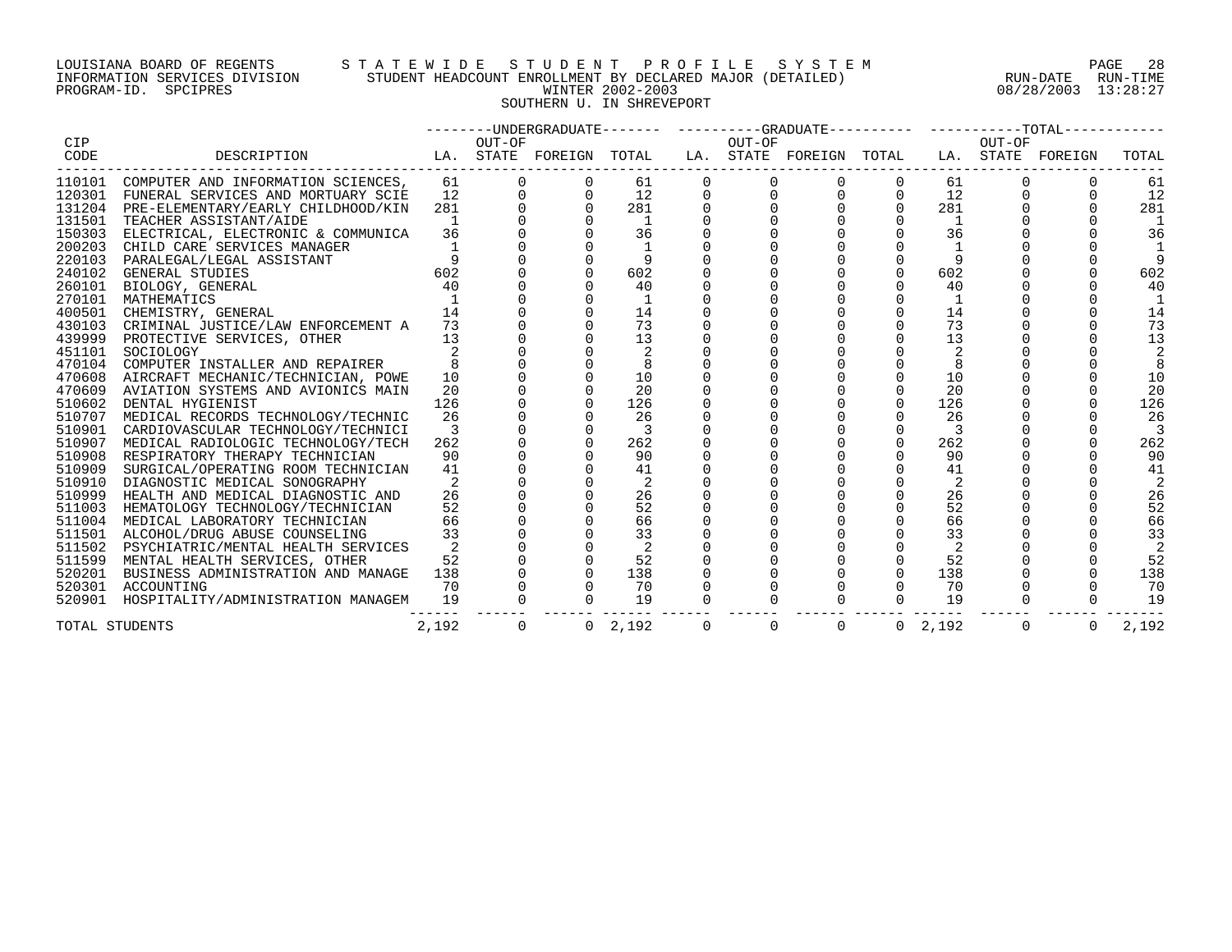# LOUISIANA BOARD OF REGENTS S T A T E W I D E S T U D E N T P R O F I L E S Y S T E M PAGE 28 INFORMATION SERVICES DIVISION STUDENT HEADCOUNT ENROLLMENT BY DECLARED MAJOR (DETAILED) RUN-DATE RUN-TIME PROGRAM-ID. SPCIPRES WINTER 2002-2003 08/28/2003 13:28:27 SOUTHERN U. IN SHREVEPORT

|                |                                                                                  |                |                |                         |             |             | --------UNDERGRADUATE------- ----------GRADUATE---------- -----------TOTAL------ |                |                 |             |                |       |
|----------------|----------------------------------------------------------------------------------|----------------|----------------|-------------------------|-------------|-------------|----------------------------------------------------------------------------------|----------------|-----------------|-------------|----------------|-------|
| CIP            |                                                                                  |                | OUT-OF         |                         |             | OUT-OF      |                                                                                  |                |                 | OUT-OF      |                |       |
| CODE           | LA. STATE FOREIGN TOTAL LA. STATE FOREIGN TOTAL LA. STATE FOREIGN<br>DESCRIPTION |                |                |                         |             |             |                                                                                  |                |                 |             |                | TOTAL |
|                | 110101 COMPUTER AND INFORMATION SCIENCES,                                        | 61             |                | 61                      | $\mathbf 0$ |             |                                                                                  |                | 61              |             |                | 61    |
|                | 120301 FUNERAL SERVICES AND MORTUARY SCIE                                        | 12             |                | 12                      |             |             |                                                                                  | $\overline{0}$ | 12              |             |                | 12    |
|                | 131204 PRE-ELEMENTARY/EARLY CHILDHOOD/KIN                                        | 281            |                | 281                     |             |             |                                                                                  | $\mathbf 0$    | 281             |             |                | 281   |
| 131501         | TEACHER ASSISTANT/AIDE                                                           |                |                | $\overline{1}$          |             |             |                                                                                  |                | <sup>1</sup>    |             |                |       |
|                | 150303 ELECTRICAL, ELECTRONIC & COMMUNICA                                        | 36             |                | 36                      |             |             |                                                                                  |                | 36              |             |                | 36    |
| 200203         | CHILD CARE SERVICES MANAGER                                                      |                |                |                         |             |             |                                                                                  |                | $\overline{1}$  |             |                |       |
| 220103         | PARALEGAL/LEGAL ASSISTANT                                                        |                |                |                         |             |             |                                                                                  |                |                 |             |                |       |
| 240102         | GENERAL STUDIES                                                                  | 602            |                | 602                     |             |             |                                                                                  |                | 602             |             |                | 602   |
|                | 260101 BIOLOGY, GENERAL                                                          | 40             |                | 40                      |             |             |                                                                                  |                | 40              |             |                | 40    |
| 270101         | MATHEMATICS                                                                      |                |                |                         |             |             |                                                                                  |                | $\overline{1}$  |             |                |       |
| 400501         | CHEMISTRY, GENERAL                                                               | 14             |                | 14                      |             |             |                                                                                  |                | 14              |             |                | 14    |
| 430103         | CRIMINAL JUSTICE/LAW ENFORCEMENT A                                               | 73             |                | 73                      |             |             |                                                                                  |                | 73              |             |                | 73    |
| 439999         | PROTECTIVE SERVICES, OTHER                                                       | 13             |                | 13                      |             |             |                                                                                  |                | 13              |             |                | 13    |
| 451101         | SOCIOLOGY                                                                        |                |                | 2                       |             |             |                                                                                  |                |                 |             |                |       |
| 470104         | COMPUTER INSTALLER AND REPAIRER                                                  |                |                |                         |             |             |                                                                                  |                |                 |             |                |       |
| 470608         | AIRCRAFT MECHANIC/TECHNICIAN, POWE                                               | 10             |                | 10                      |             |             |                                                                                  |                | 10              |             |                | 10    |
|                | 470609 AVIATION SYSTEMS AND AVIONICS MAIN                                        | 20             |                | 20                      |             |             |                                                                                  |                | 20              |             |                | 20    |
| 510602         | DENTAL HYGIENIST                                                                 | 126            |                | 126                     |             |             |                                                                                  |                | 126             |             |                | 126   |
|                | 510707 MEDICAL RECORDS TECHNOLOGY/TECHNIC                                        | 26             |                | 26                      |             |             |                                                                                  |                | 26              |             |                | 26    |
|                | 510901 CARDIOVASCULAR TECHNOLOGY/TECHNICI                                        | $\overline{3}$ |                | $\overline{\mathbf{3}}$ |             |             |                                                                                  |                | 3               |             |                |       |
| 510907         | MEDICAL RADIOLOGIC TECHNOLOGY/TECH                                               | 262            |                | 262                     |             |             |                                                                                  | $\Omega$       | 262             |             |                | 262   |
| 510908         | RESPIRATORY THERAPY TECHNICIAN                                                   | 90             |                | 90                      |             |             |                                                                                  |                | 90              |             |                | 90    |
| 510909         | SURGICAL/OPERATING ROOM TECHNICIAN                                               | 41             |                | 41                      |             |             |                                                                                  |                | 41              |             |                | 41    |
| 510910         | DIAGNOSTIC MEDICAL SONOGRAPHY                                                    |                |                | 2                       |             |             |                                                                                  |                | 2               |             |                |       |
| 510999         | HEALTH AND MEDICAL DIAGNOSTIC AND                                                | 26             |                | 26                      |             |             |                                                                                  |                | 26              |             |                | 26    |
| 511003         | HEMATOLOGY TECHNOLOGY/TECHNICIAN                                                 | 52             |                | 52                      |             |             |                                                                                  |                | 52              |             |                | 52    |
| 511004         | MEDICAL LABORATORY TECHNICIAN                                                    | 66             |                | 66                      |             |             |                                                                                  |                | 66              |             |                | 66    |
|                | 511501 ALCOHOL/DRUG ABUSE COUNSELING                                             | 33             |                | 33                      |             |             |                                                                                  |                | 33              |             |                | 33    |
|                | 511502 PSYCHIATRIC/MENTAL HEALTH SERVICES                                        | 2              |                | -2                      |             |             |                                                                                  |                | 2               |             |                |       |
| 511599         | MENTAL HEALTH SERVICES, OTHER                                                    | 52             |                | 52                      |             |             |                                                                                  | $\overline{0}$ | 52              |             |                | 52    |
| 520201         | BUSINESS ADMINISTRATION AND MANAGE                                               | 138            |                | 138                     |             |             |                                                                                  | $\Omega$       | 138             |             |                | 138   |
|                | 520301 ACCOUNTING                                                                | 70             |                | 70                      |             |             |                                                                                  |                | 70              |             |                | 70    |
| 520901         | HOSPITALITY/ADMINISTRATION MANAGEM                                               | 19             |                | 19                      |             |             |                                                                                  |                | 19              |             |                | 19    |
| TOTAL STUDENTS |                                                                                  | 2,192          | $\overline{0}$ | $0 \quad 2,192$         | $\Omega$    | $\mathbf 0$ | $\overline{0}$                                                                   |                | $0 \quad 2,192$ | $\mathbf 0$ | $\overline{0}$ | 2,192 |
|                |                                                                                  |                |                |                         |             |             |                                                                                  |                |                 |             |                |       |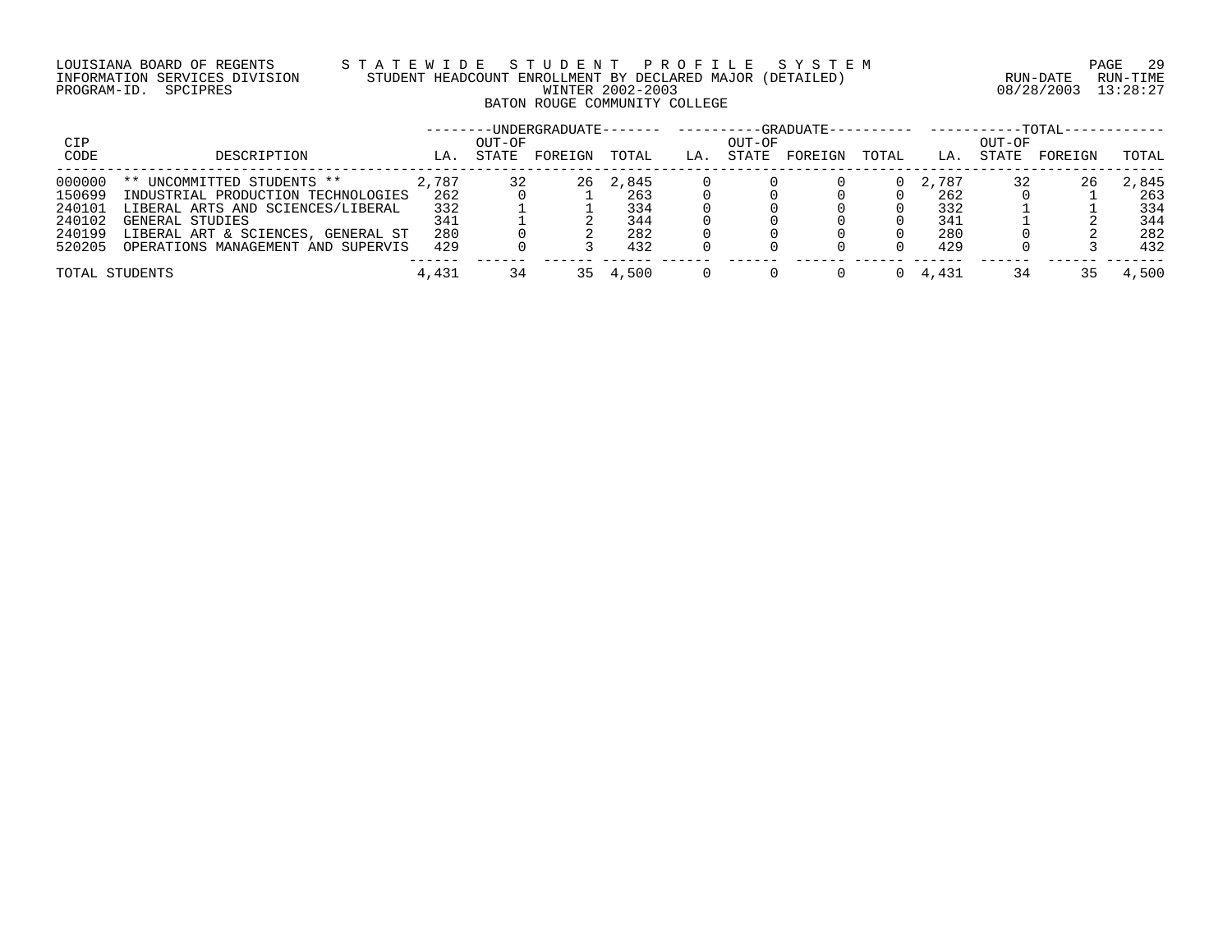# LOUISIANA BOARD OF REGENTS S T A T E W I D E S T U D E N T P R O F I L E S Y S T E M PAGE 29 INFORMATION SERVICES DIVISION STUDENT HEADCOUNT ENROLLMENT BY DECLARED MAJOR (DETAILED) RUN-DATE RUN-TIME PROGRAM-ID. SPCIPRES WINTER 2002-2003 08/28/2003 13:28:27 BATON ROUGE COMMUNITY COLLEGE

|                |                                    |       |        | -UNDERGRADUATE- |       |     |        | -GRADUATE---------- |       |       |        | $-{\tt TOTAL}-$ |       |
|----------------|------------------------------------|-------|--------|-----------------|-------|-----|--------|---------------------|-------|-------|--------|-----------------|-------|
| CIP            |                                    |       | OUT-OF |                 |       |     | OUT-OF |                     |       |       | OUT-OF |                 |       |
| CODE           | DESCRIPTION                        | LA.   | STATE  | FOREIGN         | TOTAL | LA. | STATE  | FOREIGN             | TOTAL | LA.   | STATE  | FOREIGN         | TOTAL |
| 000000         | ** UNCOMMITTED STUDENTS **         | 2,787 |        | 26              | 2,845 |     |        |                     |       | 2,787 |        | 26              | 2,845 |
| 150699         | INDUSTRIAL PRODUCTION TECHNOLOGIES | 262   |        |                 | 263   |     |        |                     |       | 262   |        |                 | 263   |
| 240101         | LIBERAL ARTS AND SCIENCES/LIBERAL  | 332   |        |                 | 334   |     |        |                     |       | 332   |        |                 | 334   |
| 240102         | GENERAL STUDIES                    | 341   |        |                 | 344   |     |        |                     |       | 341   |        |                 | 344   |
| 240199         | LIBERAL ART & SCIENCES, GENERAL ST | 280   |        |                 | 282   |     |        |                     |       | 280   |        |                 | 282   |
| 520205         | OPERATIONS MANAGEMENT AND SUPERVIS | 429   |        |                 | 432   |     |        |                     |       | 429   |        |                 | 432   |
| TOTAL STUDENTS |                                    | 4,431 | 34     | 35.             | 4,500 |     |        |                     |       | 4,431 | 34     |                 | 4,500 |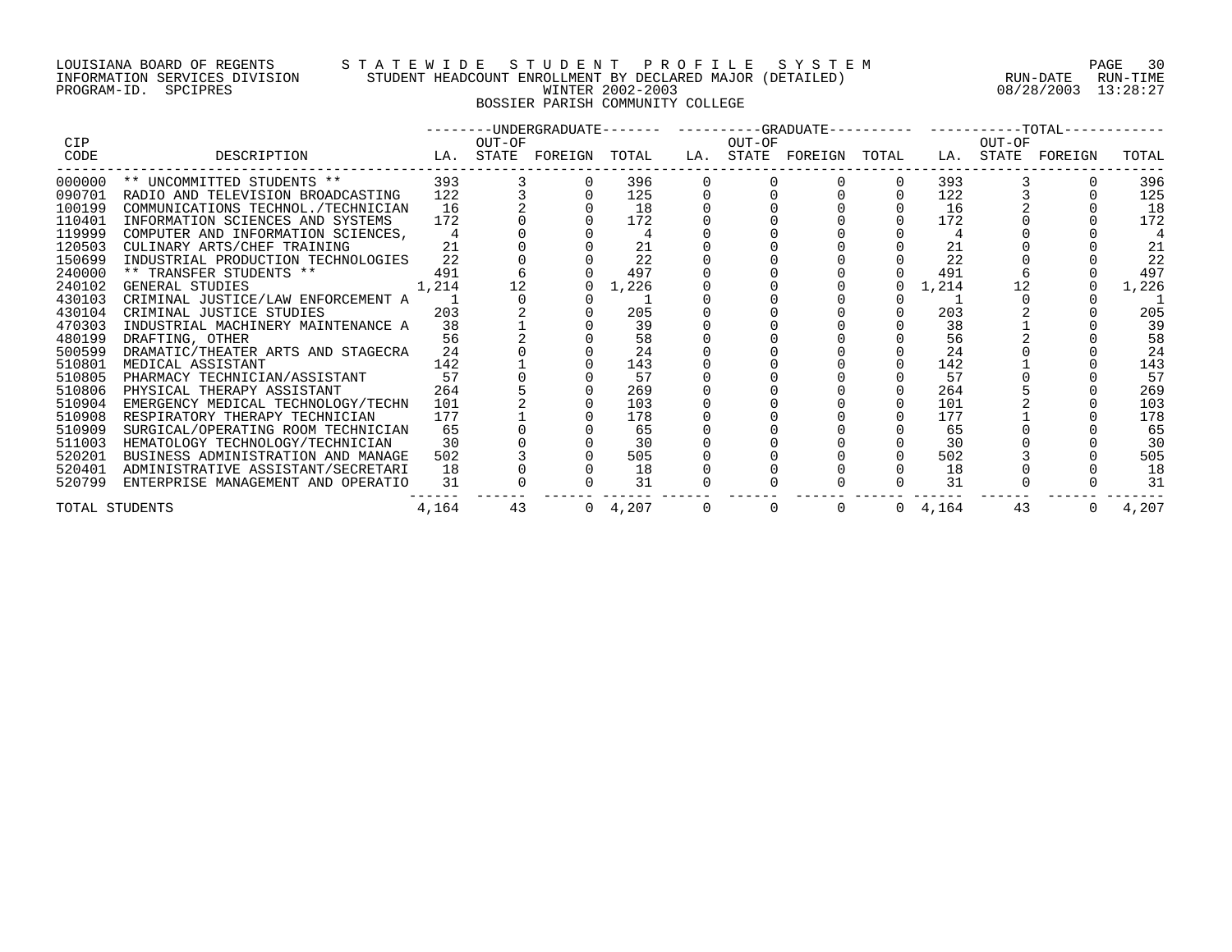## LOUISIANA BOARD OF REGENTS S T A T E W I D E S T U D E N T P R O F I L E S Y S T E M PAGE 30 INFORMATION SERVICES DIVISION STUDENT HEADCOUNT ENROLLMENT BY DECLARED MAJOR (DETAILED) RUN-DATE RUN-TIME PROGRAM-ID. SPCIPRES WINTER 2002-2003 08/28/2003 13:28:27 BOSSIER PARISH COMMUNITY COLLEGE

|            |                                                                                                                                                        |       |        |                 |          |             |          |                 |          | --------UNDERGRADUATE------- ----------GRADUATE---------- -----------TOTAL------------ |       |
|------------|--------------------------------------------------------------------------------------------------------------------------------------------------------|-------|--------|-----------------|----------|-------------|----------|-----------------|----------|----------------------------------------------------------------------------------------|-------|
| <b>CIP</b> |                                                                                                                                                        |       | OUT-OF |                 |          | OUT-OF      |          |                 | OUT-OF   |                                                                                        |       |
| CODE       | DESCRIPTION<br>LA. STATE FOREIGN TOTAL LA. STATE FOREIGN TOTAL                                                                                         |       |        |                 |          |             |          |                 |          | LA. STATE FOREIGN                                                                      | TOTAL |
| 000000     |                                                                                                                                                        |       |        | 396             |          |             |          |                 | 393 — 10 |                                                                                        | 396   |
| 090701     |                                                                                                                                                        |       |        | 125             |          |             |          | 122             |          |                                                                                        | 125   |
| 100199     |                                                                                                                                                        |       |        | 18              |          |             |          | 16              |          |                                                                                        | 18    |
| 110401     | INFORMATION SCIENCES AND SYSTEMS                                                                                                                       | 172   |        | 172             |          |             |          | 172             |          |                                                                                        | 172   |
| 119999     | COMPUTER AND INFORMATION SCIENCES,                                                                                                                     |       |        |                 |          |             |          |                 |          |                                                                                        |       |
| 120503     | CULINARY ARTS/CHEF TRAINING                                                                                                                            | 21    |        | 21              |          |             |          | 21              |          |                                                                                        | 21    |
| 150699     | INDUSTRIAL PRODUCTION TECHNOLOGIES 22                                                                                                                  |       |        | 22              |          |             |          | 22              |          |                                                                                        | 22    |
| 240000     |                                                                                                                                                        |       |        | 497             |          |             |          | 491             |          |                                                                                        | 497   |
| 240102     | $\begin{tabular}{lllllll} \star\star & \texttt{TRANSFER STUDENTS} & \star\star & & & & 491 \\ \texttt{GENERAL STUDIES} & & & & 1,214 \\ \end{tabular}$ |       | 12     | 1,226           |          |             |          | 1,214           | 12       |                                                                                        | 1,226 |
| 430103     | CRIMINAL JUSTICE/LAW ENFORCEMENT A 1                                                                                                                   |       |        |                 |          |             |          |                 |          |                                                                                        |       |
| 430104     | 203<br>CRIMINAL JUSTICE STUDIES                                                                                                                        |       |        | 205             |          |             |          | 203             |          |                                                                                        | 205   |
| 470303     | INDUSTRIAL MACHINERY MAINTENANCE A                                                                                                                     | 38    |        | 39              |          |             |          | 38              |          |                                                                                        | 39    |
| 480199     | DRAFTING, OTHER                                                                                                                                        | 56    |        | 58              |          |             |          | 56              |          |                                                                                        | 58    |
| 500599     | DRAMATIC/THEATER ARTS AND STAGECRA                                                                                                                     | 24    |        | 24              |          |             |          | 24              |          |                                                                                        | 24    |
| 510801     | 142<br>MEDICAL ASSISTANT                                                                                                                               |       |        | 143             |          |             |          | 142             |          |                                                                                        | 143   |
| 510805     | PHARMACY TECHNICIAN/ASSISTANT                                                                                                                          | 57    |        | 57              |          |             |          | 57              |          |                                                                                        | 57    |
| 510806     | PHYSICAL THERAPY ASSISTANT                                                                                                                             | 264   |        | 269             |          |             |          | 264             |          |                                                                                        | 269   |
| 510904     | EMERGENCY MEDICAL TECHNOLOGY/TECHN 101                                                                                                                 |       |        | 103             |          |             |          | 101             |          |                                                                                        | 103   |
| 510908     | RESPIRATORY THERAPY TECHNICIAN                                                                                                                         | 177   |        | 178             |          |             |          | 177             |          |                                                                                        | 178   |
| 510909     | SURGICAL/OPERATING ROOM TECHNICIAN                                                                                                                     | 65    |        | 65              |          |             |          | 65              |          |                                                                                        | 65    |
| 511003     | HEMATOLOGY TECHNOLOGY/TECHNICIAN                                                                                                                       | 30    |        | 30              |          |             |          | 30              |          |                                                                                        | 30    |
| 520201     | BUSINESS ADMINISTRATION AND MANAGE                                                                                                                     | 502   |        | 505             |          |             |          | 502             |          |                                                                                        | 505   |
| 520401     | ADMINISTRATIVE ASSISTANT/SECRETARI                                                                                                                     | 18    |        | 18              |          |             |          | 18              |          |                                                                                        | 18    |
| 520799     | ENTERPRISE MANAGEMENT AND OPERATIO                                                                                                                     | 31    |        | 31              |          |             |          | 31              |          |                                                                                        | 31    |
|            | TOTAL STUDENTS                                                                                                                                         | 4,164 | 43     | $0 \quad 4,207$ | $\Omega$ | $\mathbf 0$ | $\Omega$ | $0 \quad 4.164$ | 43       | $\Omega$                                                                               | 4,207 |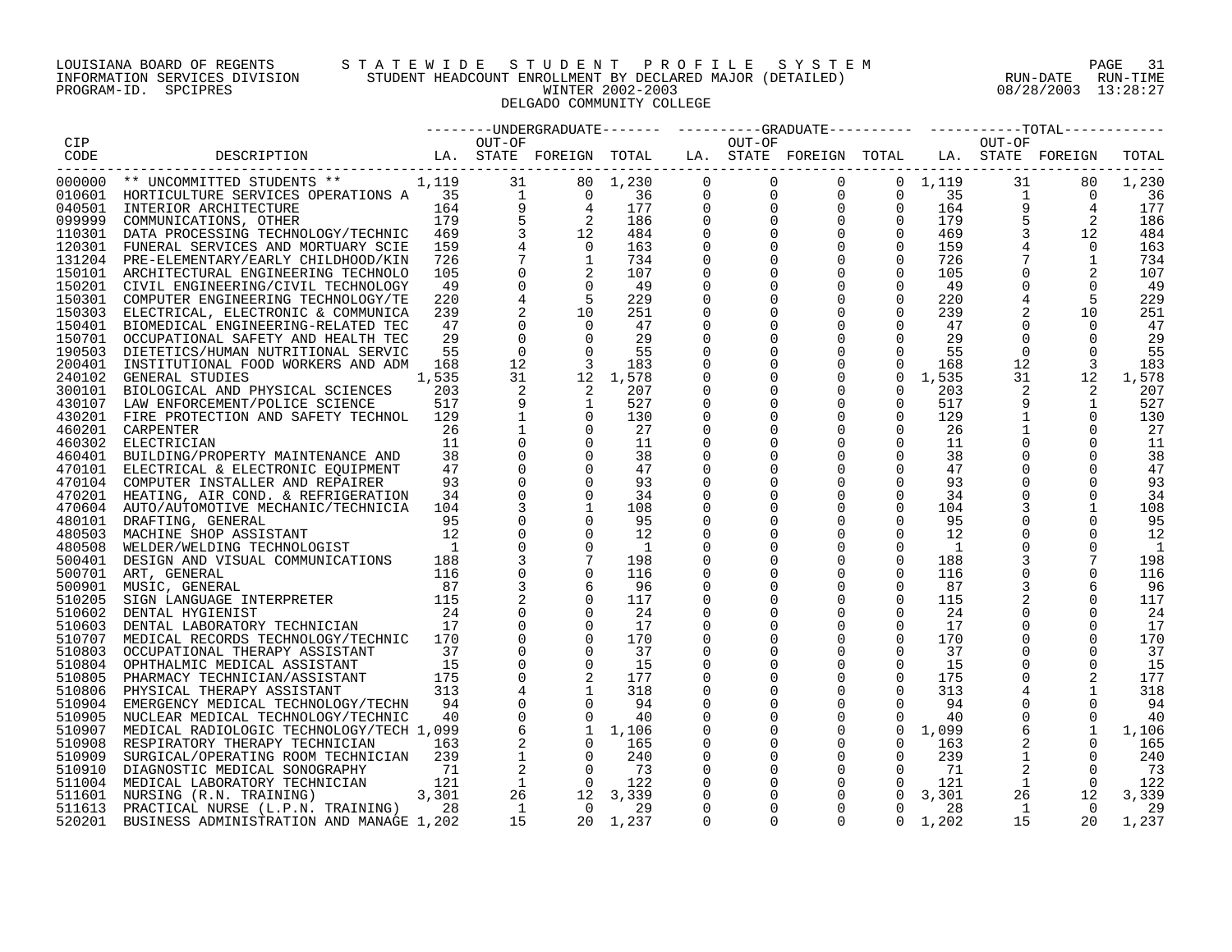# LOUISIANA BOARD OF REGENTS S T A T E W I D E S T U D E N T P R O F I L E S Y S T E M PAGE 31 INFORMATION SERVICES DIVISION STUDENT HEADCOUNT ENROLLMENT BY DECLARED MAJOR (DETAILED) RUN-DATE RUN-TIME PROGRAM-ID. SPCIPRES WINTER 2002-2003 08/28/2003 13:28:27 DELGADO COMMUNITY COLLEGE

|        |                                                                                                                                                                                                                                                                                                                                                                                                                                       |                |                |                                                                                                                                                                                                                                                  |                                                                                                   |             |                | -------UNDERGRADUATE------- ---------GRADUATE---------  ---------TOTAL----------                                                                                                                                                                                                             |                                      |                 |                 |                                                                                                                                           |       |
|--------|---------------------------------------------------------------------------------------------------------------------------------------------------------------------------------------------------------------------------------------------------------------------------------------------------------------------------------------------------------------------------------------------------------------------------------------|----------------|----------------|--------------------------------------------------------------------------------------------------------------------------------------------------------------------------------------------------------------------------------------------------|---------------------------------------------------------------------------------------------------|-------------|----------------|----------------------------------------------------------------------------------------------------------------------------------------------------------------------------------------------------------------------------------------------------------------------------------------------|--------------------------------------|-----------------|-----------------|-------------------------------------------------------------------------------------------------------------------------------------------|-------|
| CIP    | OUT-OF                  OUT-OF                   OUT-OF<br>LA. STATE FOREIGN TOTAL   LA. STATE FOREIGN TOTAL   LA. STATE FOREIGN                                                                                                                                                                                                                                                                                                      |                |                |                                                                                                                                                                                                                                                  |                                                                                                   |             |                |                                                                                                                                                                                                                                                                                              |                                      |                 |                 |                                                                                                                                           |       |
| CODE   | DESCRIPTION                                                                                                                                                                                                                                                                                                                                                                                                                           |                |                |                                                                                                                                                                                                                                                  |                                                                                                   |             |                |                                                                                                                                                                                                                                                                                              |                                      |                 |                 |                                                                                                                                           | TOTAL |
|        | ------------------------<br>$\begin{tabular}{l c c c c} \hline \texttt{1-11} & \texttt{2-12} & \texttt{3-13} & \texttt{3-13} & \texttt{3-14} \\ \hline 000000 & \texttt{*} & \texttt{UNCOMMITTED STUDENTS} & \texttt{**} & 1,119 & 31 & 80 \\ 010601 & \texttt{HNTICULTURE} & \texttt{BERTUCRES OPERATIONS A} & 15 & 1 & 0 \\ 040501 & \texttt{INTERIOR ARCHITECTURE} & 164 & 9 & 4 \\ 099999 & \texttt{COMMUNICATIONS, OTHER} & 179$ |                |                |                                                                                                                                                                                                                                                  | $\begin{array}{cccc} 80 & 1,230 & & 0 \ 0 & 36 & & 0 \ 4 & 177 & & 0 \ 2 & 186 & & 0 \end{array}$ |             | $\overline{0}$ |                                                                                                                                                                                                                                                                                              | $0 \t 0 \t 1,119$                    |                 | 31              | 80                                                                                                                                        | 1,230 |
|        |                                                                                                                                                                                                                                                                                                                                                                                                                                       |                |                |                                                                                                                                                                                                                                                  |                                                                                                   |             |                |                                                                                                                                                                                                                                                                                              |                                      | 35              | $\overline{1}$  |                                                                                                                                           | 36    |
|        |                                                                                                                                                                                                                                                                                                                                                                                                                                       |                |                |                                                                                                                                                                                                                                                  |                                                                                                   |             |                |                                                                                                                                                                                                                                                                                              |                                      | 164             |                 |                                                                                                                                           | 177   |
|        |                                                                                                                                                                                                                                                                                                                                                                                                                                       |                |                |                                                                                                                                                                                                                                                  |                                                                                                   |             |                |                                                                                                                                                                                                                                                                                              |                                      | 179             |                 |                                                                                                                                           | 186   |
|        |                                                                                                                                                                                                                                                                                                                                                                                                                                       |                |                |                                                                                                                                                                                                                                                  | 484                                                                                               |             |                |                                                                                                                                                                                                                                                                                              |                                      | 469             |                 |                                                                                                                                           | 484   |
|        |                                                                                                                                                                                                                                                                                                                                                                                                                                       |                |                |                                                                                                                                                                                                                                                  | 163                                                                                               |             |                |                                                                                                                                                                                                                                                                                              |                                      | 159             |                 |                                                                                                                                           | 163   |
|        |                                                                                                                                                                                                                                                                                                                                                                                                                                       |                |                |                                                                                                                                                                                                                                                  | 734                                                                                               | $\Omega$    |                |                                                                                                                                                                                                                                                                                              |                                      | 726             |                 |                                                                                                                                           | 734   |
|        |                                                                                                                                                                                                                                                                                                                                                                                                                                       |                |                |                                                                                                                                                                                                                                                  | 107                                                                                               | $\Omega$    |                |                                                                                                                                                                                                                                                                                              |                                      | 105             |                 |                                                                                                                                           | 107   |
|        |                                                                                                                                                                                                                                                                                                                                                                                                                                       |                |                |                                                                                                                                                                                                                                                  | - 49                                                                                              | $\mathbf 0$ |                |                                                                                                                                                                                                                                                                                              |                                      | 49              |                 | $\begin{array}{cccc} -\frac{1}{1} & & 80 \\ 9 & & 4 \\ 5 & & 2 \\ 3 & & 12 \\ 3 & & 12 \\ 1 & & 0 \\ 1 & & 2 \\ 0 & & 5 \\ 1 \end{array}$ | - 49  |
|        |                                                                                                                                                                                                                                                                                                                                                                                                                                       |                |                |                                                                                                                                                                                                                                                  | 229                                                                                               | $\mathbf 0$ |                |                                                                                                                                                                                                                                                                                              |                                      | 220             |                 |                                                                                                                                           | 229   |
|        |                                                                                                                                                                                                                                                                                                                                                                                                                                       |                |                |                                                                                                                                                                                                                                                  | 251                                                                                               |             |                |                                                                                                                                                                                                                                                                                              |                                      | 239             |                 | 10                                                                                                                                        | 251   |
|        |                                                                                                                                                                                                                                                                                                                                                                                                                                       |                |                |                                                                                                                                                                                                                                                  | 47                                                                                                | 0           |                |                                                                                                                                                                                                                                                                                              |                                      | 47              | $\overline{0}$  | $\Omega$                                                                                                                                  | 47    |
|        | 150701 OCCUPATIONAL SAFETY AND HEALTH TEC                                                                                                                                                                                                                                                                                                                                                                                             | 29             | $\mathbf 0$    | $\overline{0}$                                                                                                                                                                                                                                   | 29                                                                                                |             |                | $\begin{bmatrix} 0 & 0 & 0 & 0 \ 0 & 0 & 0 & 0 \ 0 & 0 & 0 & 0 \ 0 & 0 & 0 & 0 \ 0 & 0 & 0 & 0 \ 0 & 0 & 0 & 0 \ 0 & 0 & 0 & 0 \ 0 & 0 & 0 & 0 \ 0 & 0 & 0 & 0 \ 0 & 0 & 0 & 0 \ 0 & 0 & 0 & 0 \ 0 & 0 & 0 & 0 \ 0 & 0 & 0 & 0 \ 0 & 0 & 0 & 0 \ 0 & 0 & 0 & 0 \end{bmatrix}$<br>$\mathbf 0$ | $\Omega$                             | 29              | $\overline{0}$  | $\Omega$                                                                                                                                  | 29    |
|        | 190503 DIETETICS/HUMAN NUTRITIONAL SERVIC                                                                                                                                                                                                                                                                                                                                                                                             | 55             | $\overline{0}$ | $\frac{c}{3}$                                                                                                                                                                                                                                    | 55                                                                                                |             | 0              | $\mathbf 0$                                                                                                                                                                                                                                                                                  | $\Omega$                             | 55              | $\overline{0}$  | $\Omega$                                                                                                                                  | 55    |
| 200401 | INSTITUTIONAL FOOD WORKERS AND ADM                                                                                                                                                                                                                                                                                                                                                                                                    | 168            | 12             |                                                                                                                                                                                                                                                  | 183                                                                                               |             | $\Omega$       | $\mathbf 0$                                                                                                                                                                                                                                                                                  | $\Omega$                             | 168             | 12 <sup>°</sup> | $\overline{3}$                                                                                                                            | 183   |
| 240102 | GENERAL STUDIES                                                                                                                                                                                                                                                                                                                                                                                                                       | 1,535          | 31             |                                                                                                                                                                                                                                                  | 1,578                                                                                             |             |                | $\mathbf 0$                                                                                                                                                                                                                                                                                  | $\overline{0}$                       | 1,535           | 31              | 12                                                                                                                                        | 1,578 |
| 300101 | BIOLOGICAL AND PHYSICAL SCIENCES                                                                                                                                                                                                                                                                                                                                                                                                      | 203            | 2              | 2                                                                                                                                                                                                                                                | 207                                                                                               | $\mathbf 0$ | $\overline{0}$ | $\overline{0}$                                                                                                                                                                                                                                                                               | $\overline{0}$                       | 203             | 2               | 2                                                                                                                                         | 207   |
|        | 430107 LAW ENFORCEMENT/POLICE SCIENCE                                                                                                                                                                                                                                                                                                                                                                                                 | 517            | 9              | $\begin{array}{c} 2 \\ 1 \end{array}$                                                                                                                                                                                                            | 527                                                                                               | $\mathbf 0$ |                | $\mathbf 0$                                                                                                                                                                                                                                                                                  |                                      | 517             | 9               | 1                                                                                                                                         | 527   |
|        | 430201 FIRE PROTECTION AND SAFETY TECHNOL                                                                                                                                                                                                                                                                                                                                                                                             | 129            |                | $\overline{0}$                                                                                                                                                                                                                                   | 130                                                                                               |             | 0              | $\mathbf 0$                                                                                                                                                                                                                                                                                  | $\begin{matrix} 0 \\ 0 \end{matrix}$ | 129             |                 | $\overline{0}$                                                                                                                            | 130   |
| 460201 | CARPENTER                                                                                                                                                                                                                                                                                                                                                                                                                             | 26             |                | $\Omega$                                                                                                                                                                                                                                         | 27                                                                                                | $\Omega$    | $\Omega$       | $\mathbf 0$                                                                                                                                                                                                                                                                                  | $\Omega$                             | 26              |                 | $\Omega$                                                                                                                                  | 27    |
| 460302 | ELECTRICIAN                                                                                                                                                                                                                                                                                                                                                                                                                           | 11             |                | $\Omega$                                                                                                                                                                                                                                         | 11                                                                                                |             |                | $\Omega$                                                                                                                                                                                                                                                                                     | $\Omega$                             | 11              |                 | $\Omega$                                                                                                                                  | 11    |
| 460401 | BUILDING/PROPERTY MAINTENANCE AND                                                                                                                                                                                                                                                                                                                                                                                                     | 38             | $\mathbf 0$    | $\Omega$                                                                                                                                                                                                                                         | 38                                                                                                | 0           |                | $\mathbf 0$                                                                                                                                                                                                                                                                                  | $\mathbf 0$                          | 38              | $\overline{0}$  | $\Omega$                                                                                                                                  | 38    |
|        | 470101 ELECTRICAL & ELECTRONIC EQUIPMENT                                                                                                                                                                                                                                                                                                                                                                                              | 47             | $\Omega$       | $\Omega$                                                                                                                                                                                                                                         | 47                                                                                                |             |                | $\mathbf 0$                                                                                                                                                                                                                                                                                  | $\Omega$                             | 47              |                 | $\Omega$                                                                                                                                  | 47    |
|        | 470104 COMPUTER INSTALLER AND REPAIRER                                                                                                                                                                                                                                                                                                                                                                                                | 93             | $\mathbf 0$    | $\overline{0}$                                                                                                                                                                                                                                   | 93                                                                                                |             | 0              | 0                                                                                                                                                                                                                                                                                            | 0                                    | 93              | 0               | 0                                                                                                                                         | 93    |
|        | 470201 HEATING, AIR COND. & REFRIGERATION                                                                                                                                                                                                                                                                                                                                                                                             | 34             | $\mathbf 0$    | $\overline{0}$                                                                                                                                                                                                                                   | 34                                                                                                |             | $\Omega$       | $\mathbf 0$                                                                                                                                                                                                                                                                                  | $\mathbf 0$                          | 34              |                 | $\Omega$                                                                                                                                  | 34    |
|        | 470604 AUTO/AUTOMOTIVE MECHANIC/TECHNICIA 104                                                                                                                                                                                                                                                                                                                                                                                         |                |                | 1                                                                                                                                                                                                                                                | 108                                                                                               | $\Omega$    | $\Omega$       | $\mathbf 0$                                                                                                                                                                                                                                                                                  | $\overline{0}$                       | 104             |                 | 1                                                                                                                                         | 108   |
| 480101 | DRAFTING, GENERAL                                                                                                                                                                                                                                                                                                                                                                                                                     | 95             | $\mathbf 0$    |                                                                                                                                                                                                                                                  | 95                                                                                                | 0           |                | $\mathbf 0$                                                                                                                                                                                                                                                                                  | $\mathbf 0$                          | 95              | 0               | $\overline{0}$                                                                                                                            | 95    |
| 480503 | MACHINE SHOP ASSISTANT                                                                                                                                                                                                                                                                                                                                                                                                                | 12             | $\mathbf 0$    | $\Omega$                                                                                                                                                                                                                                         | 12                                                                                                |             |                | $\mathbf 0$                                                                                                                                                                                                                                                                                  | $\Omega$                             | 12              | $\overline{0}$  | $\Omega$                                                                                                                                  | 12    |
| 480508 | WELDER/WELDING TECHNOLOGIST                                                                                                                                                                                                                                                                                                                                                                                                           | $\overline{1}$ | $\mathbf 0$    | $\Omega$                                                                                                                                                                                                                                         | $\mathbf{1}$                                                                                      |             | 0              | $\mathbf 0$                                                                                                                                                                                                                                                                                  | $\Omega$                             | 1               | 0               | $\Omega$                                                                                                                                  | -1    |
| 500401 | DESIGN AND VISUAL COMMUNICATIONS                                                                                                                                                                                                                                                                                                                                                                                                      | 188            | $\mathbf{3}$   | $7\phantom{.0}$                                                                                                                                                                                                                                  | 198                                                                                               |             | $\Omega$       | $\mathsf 0$                                                                                                                                                                                                                                                                                  | $\mathbf 0$                          | 188             | $\mathbf{3}$    |                                                                                                                                           | 198   |
|        | 500701 ART, GENERAL                                                                                                                                                                                                                                                                                                                                                                                                                   |                | $\mathbf 0$    | $\Omega$                                                                                                                                                                                                                                         | 116                                                                                               | 0           |                | $\mathbf 0$                                                                                                                                                                                                                                                                                  | $\overline{0}$                       | 116             |                 | $\Omega$                                                                                                                                  | 116   |
| 500901 | MUSIC, GENERAL                                                                                                                                                                                                                                                                                                                                                                                                                        |                | 3              |                                                                                                                                                                                                                                                  | 96                                                                                                |             | 0              | $\mathbf 0$                                                                                                                                                                                                                                                                                  | $\mathbf 0$                          | 87              | 3               | 6                                                                                                                                         | 96    |
| 510205 | $\begin{tabular}{cc} 116 \\ \textbf{PRETER} & 87 \\ \end{tabular}$<br>SIGN LANGUAGE INTERPRETER                                                                                                                                                                                                                                                                                                                                       |                |                | $\Omega$                                                                                                                                                                                                                                         | 117                                                                                               |             | $\Omega$       | $\mathbf 0$                                                                                                                                                                                                                                                                                  | $\mathbf 0$                          | 115             |                 | $\Omega$                                                                                                                                  | 117   |
| 510602 | DENTAL HYGIENIST                                                                                                                                                                                                                                                                                                                                                                                                                      | 24             |                | $\Omega$                                                                                                                                                                                                                                         | 24                                                                                                |             |                | $\mathbf 0$                                                                                                                                                                                                                                                                                  | $\Omega$                             | 24              |                 | $\Omega$                                                                                                                                  | -24   |
| 510603 | DENTAL LABORATORY TECHNICIAN                                                                                                                                                                                                                                                                                                                                                                                                          | 17             | $\mathbf 0$    | $\Omega$                                                                                                                                                                                                                                         | 17                                                                                                | $\Omega$    |                | $\overline{0}$                                                                                                                                                                                                                                                                               | $\Omega$                             | 17              |                 | $\Omega$                                                                                                                                  | 17    |
|        | 510707 MEDICAL RECORDS TECHNOLOGY/TECHNIC 170                                                                                                                                                                                                                                                                                                                                                                                         |                | $\mathbf 0$    | $\Omega$                                                                                                                                                                                                                                         | 170                                                                                               | $\Omega$    |                | $\mathbf 0$                                                                                                                                                                                                                                                                                  | $\Omega$                             | 170             |                 | $\Omega$                                                                                                                                  | 170   |
| 510803 | OCCUPATIONAL THERAPY ASSISTANT                                                                                                                                                                                                                                                                                                                                                                                                        | 37             | $\mathbf 0$    |                                                                                                                                                                                                                                                  | 37                                                                                                |             | 0              | $\mathbf 0$                                                                                                                                                                                                                                                                                  | $\mathbf 0$                          | 37              | 0               |                                                                                                                                           | 37    |
| 510804 | OPHTHALMIC MEDICAL ASSISTANT                                                                                                                                                                                                                                                                                                                                                                                                          | 15             | $\mathbf 0$    | $\Omega$                                                                                                                                                                                                                                         | 15                                                                                                |             |                | $\mathbf 0$                                                                                                                                                                                                                                                                                  | $\mathbf 0$                          | 15              | 0               | $\Omega$                                                                                                                                  | 15    |
| 510805 | PHARMACY TECHNICIAN/ASSISTANT                                                                                                                                                                                                                                                                                                                                                                                                         | 175            |                |                                                                                                                                                                                                                                                  |                                                                                                   |             |                | $\mathbf 0$                                                                                                                                                                                                                                                                                  | $\overline{0}$                       | 175             | $\mathbf 0$     |                                                                                                                                           | 177   |
| 510806 | PHYSICAL THERAPY ASSISTANT                                                                                                                                                                                                                                                                                                                                                                                                            | 313            |                |                                                                                                                                                                                                                                                  |                                                                                                   | $\mathbf 0$ | $\overline{0}$ | $\mathsf{O}$                                                                                                                                                                                                                                                                                 | $\Omega$                             | 313             |                 | 1                                                                                                                                         | 318   |
|        | 510904 EMERGENCY MEDICAL TECHNOLOGY/TECHN                                                                                                                                                                                                                                                                                                                                                                                             | 94             |                |                                                                                                                                                                                                                                                  |                                                                                                   | $\mathbf 0$ |                | $\mathbf 0$                                                                                                                                                                                                                                                                                  | $\Omega$                             | 94              | $\overline{0}$  | $\Omega$                                                                                                                                  | - 94  |
| 510905 | NUCLEAR MEDICAL TECHNOLOGY/TECHNIC                                                                                                                                                                                                                                                                                                                                                                                                    | 40             |                |                                                                                                                                                                                                                                                  |                                                                                                   |             | $\mathbf 0$    | $\mathbf 0$                                                                                                                                                                                                                                                                                  | $\Omega$                             | 40              | $\overline{0}$  | $\Omega$                                                                                                                                  | 40    |
| 510907 | MEDICAL RADIOLOGIC TECHNOLOGY/TECH 1,099                                                                                                                                                                                                                                                                                                                                                                                              |                |                | $\begin{array}{cccc} 2 & 177 \\ 2 & 1 & 318 \\ 0 & 94 \\ 3 & 0 & 40 \\ 6 & 1 & 1,106 \\ 2 & 0 & 165 \\ 1 & 0 & 240 \\ 2 & 0 & 73 \\ 1 & 0 & 122 \\ 26 & 12 & 3,339 \\ 26 & 1 & 2 & 3 & 339 \\ 1 & 0 & 29 & 20 \\ 2 & 0 & 1 & 237 \\ \end{array}$ |                                                                                                   | $\Omega$    | $\Omega$       | $\mathsf 0$                                                                                                                                                                                                                                                                                  |                                      | $0 \quad 1,099$ | 6               | 1                                                                                                                                         | 1,106 |
| 510908 | RESPIRATORY THERAPY TECHNICIAN                                                                                                                                                                                                                                                                                                                                                                                                        | 163            |                |                                                                                                                                                                                                                                                  |                                                                                                   | $\mathbf 0$ | $\overline{0}$ | $\mathsf 0$                                                                                                                                                                                                                                                                                  | $\overline{0}$                       | 163             |                 | $\mathbf 0$                                                                                                                               | 165   |
| 510909 | SURGICAL/OPERATING ROOM TECHNICIAN                                                                                                                                                                                                                                                                                                                                                                                                    | 239            |                |                                                                                                                                                                                                                                                  |                                                                                                   | 0           | $\mathbf 0$    | $\mathsf{O}$                                                                                                                                                                                                                                                                                 | $\mathbf 0$                          | 239             |                 | 0                                                                                                                                         | 240   |
| 510910 | DIAGNOSTIC MEDICAL SONOGRAPHY                                                                                                                                                                                                                                                                                                                                                                                                         | 71             |                |                                                                                                                                                                                                                                                  |                                                                                                   |             |                | $\mathsf{O}$                                                                                                                                                                                                                                                                                 | $\overline{0}$                       | 71              | $\overline{2}$  | $\Omega$                                                                                                                                  | 73    |
|        | 511004 MEDICAL LABORATORY TECHNICIAN<br>$\mathbf{r}$                                                                                                                                                                                                                                                                                                                                                                                  | 121            |                |                                                                                                                                                                                                                                                  |                                                                                                   |             |                | $\overline{0}$                                                                                                                                                                                                                                                                               | $\Omega$                             | 121             | $\mathbf{1}$    | $\Omega$                                                                                                                                  | 122   |
|        | 511601 NURSING (R.N. TRAINING)                                                                                                                                                                                                                                                                                                                                                                                                        | 3,301          |                |                                                                                                                                                                                                                                                  |                                                                                                   | $\mathbf 0$ |                | $\mathbf 0$                                                                                                                                                                                                                                                                                  | $\Omega$                             | 3,301           |                 | 26<br>12                                                                                                                                  | 3,339 |
| 511613 | PRACTICAL NURSE (L.P.N. TRAINING)                                                                                                                                                                                                                                                                                                                                                                                                     | 28             |                |                                                                                                                                                                                                                                                  |                                                                                                   | $\Omega$    | $\Omega$       | $\Omega$                                                                                                                                                                                                                                                                                     | $\Omega$                             | 28              | $\mathbf{1}$    | $\overline{0}$                                                                                                                            | 29    |
| 520201 | BUSINESS ADMINISTRATION AND MANAGE 1,202                                                                                                                                                                                                                                                                                                                                                                                              |                |                |                                                                                                                                                                                                                                                  |                                                                                                   | $\cap$      | $\Omega$       | $\cap$                                                                                                                                                                                                                                                                                       | $\Omega$                             | 1,202           | 15              | 20                                                                                                                                        | 1,237 |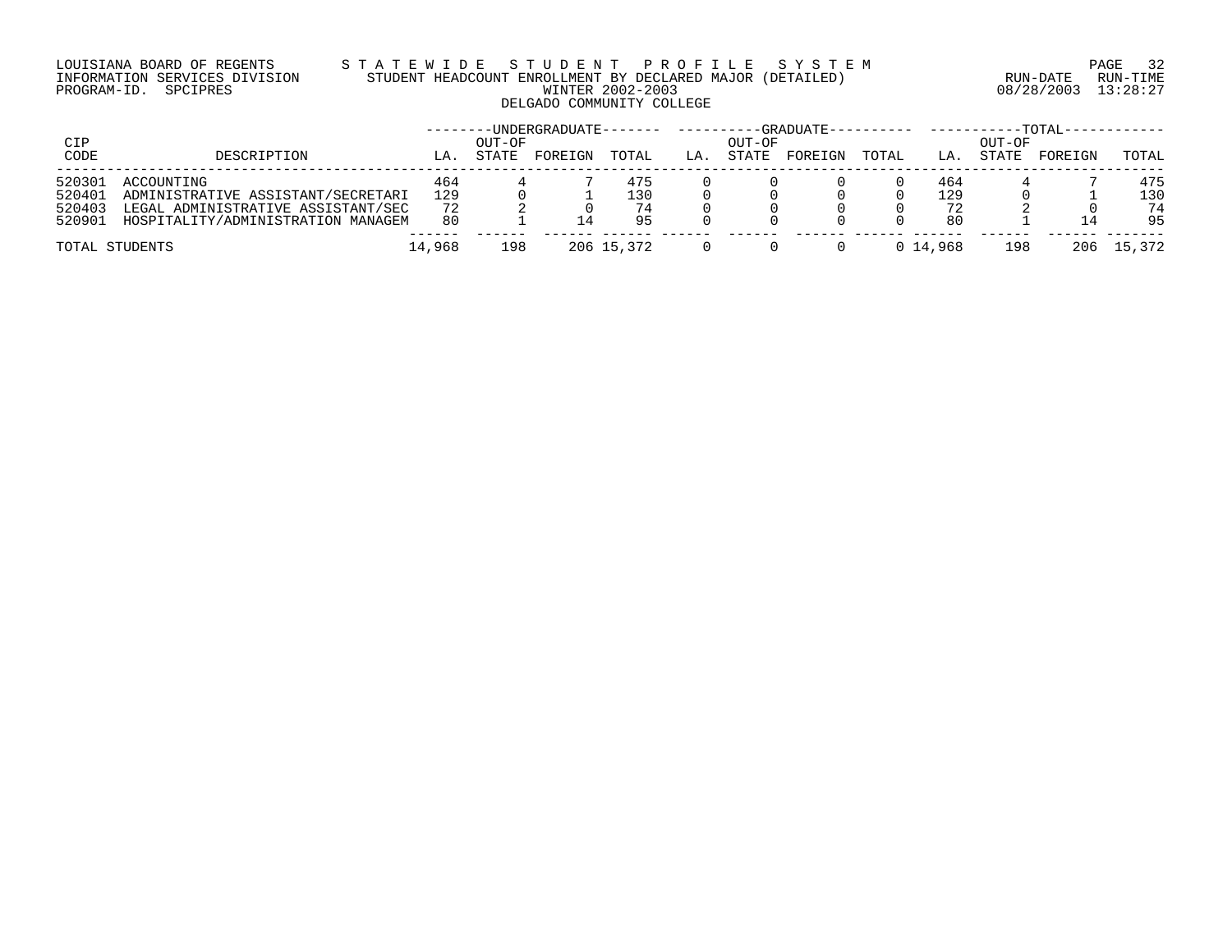# LOUISIANA BOARD OF REGENTS S T A T E W I D E S T U D E N T P R O F I L E S Y S T E M PAGE 32 INFORMATION SERVICES DIVISION STUDENT HEADCOUNT ENROLLMENT BY DECLARED MAJOR (DETAILED) RUN-DATE RUN-TIME PROGRAM-ID. SPCIPRES WINTER 2002-2003 08/28/2003 13:28:27 DELGADO COMMUNITY COLLEGE

| CIP    |                                    |        | OUT-OF       | -----UNDERGRADUATE------- |            |    | OUT-OF | --GRADUATE---------- |       |          | OUT-OF | -TOTAL- |        |
|--------|------------------------------------|--------|--------------|---------------------------|------------|----|--------|----------------------|-------|----------|--------|---------|--------|
| CODE   | DESCRIPTION                        | LA.    | <b>STATE</b> | FOREIGN                   | TOTAL      | LA | STATE  | FOREIGN              | TOTAL | LA       | STATE  | FOREIGN | TOTAL  |
| 520301 | ACCOUNTING                         | 464    |              |                           | 475        |    |        |                      |       | 464      |        |         | 475    |
| 520401 | ADMINISTRATIVE ASSISTANT/SECRETARI | 129    |              |                           | L30        |    |        |                      |       | 129      |        |         | 130    |
| 520403 | LEGAL ADMINISTRATIVE ASSISTANT/SEC | 72     |              |                           | 74         |    |        |                      |       | 72       |        |         | 74     |
| 520901 | HOSPITALITY/ADMINISTRATION MANAGEM | 80     |              |                           | 95         |    |        |                      |       | 80       |        |         | 95     |
|        | TOTAL STUDENTS                     | 14,968 | 198          |                           | 206 15,372 |    |        |                      |       | 0 14,968 | 198    | 206     | 15,372 |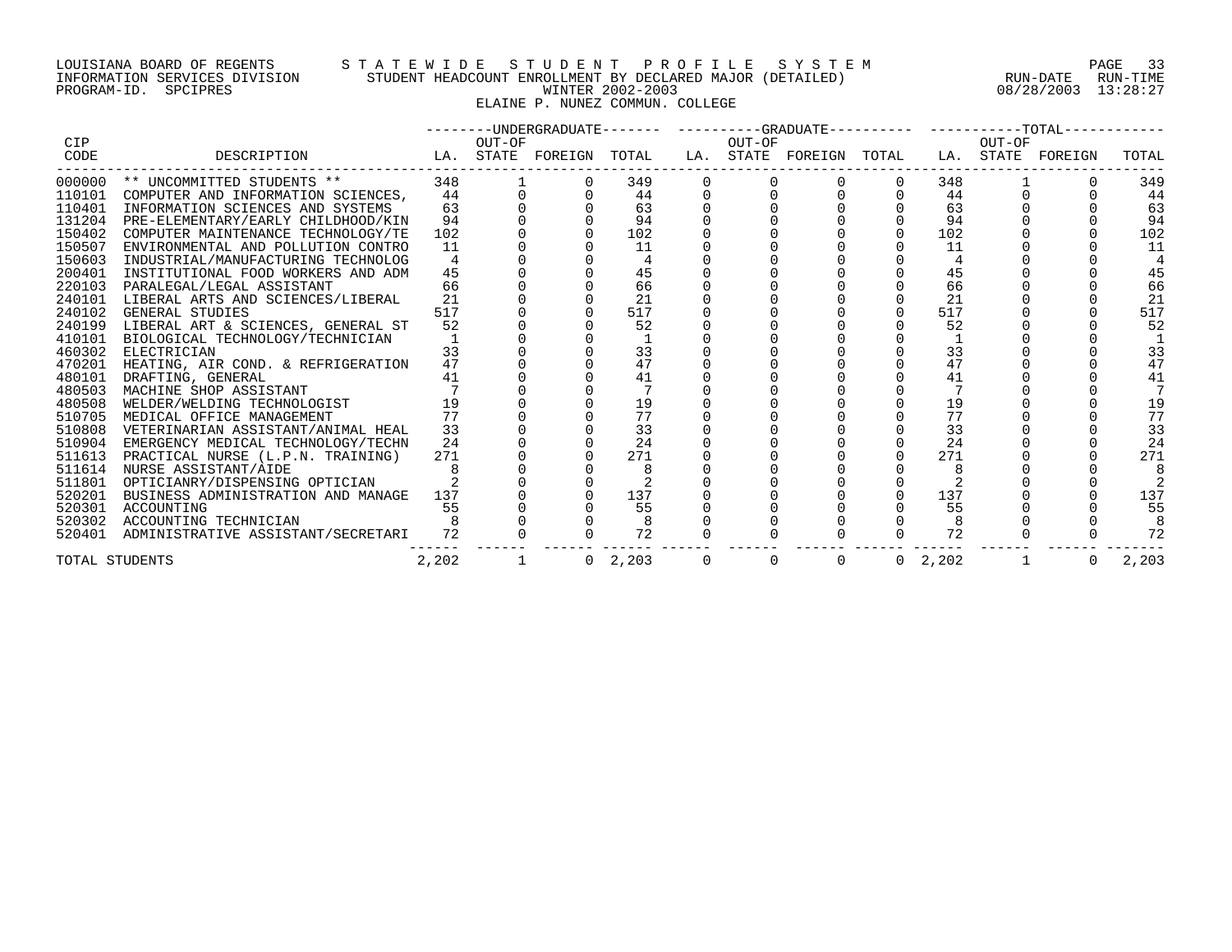# LOUISIANA BOARD OF REGENTS S T A T E W I D E S T U D E N T P R O F I L E S Y S T E M PAGE 33 INFORMATION SERVICES DIVISION STUDENT HEADCOUNT ENROLLMENT BY DECLARED MAJOR (DETAILED) RUN-DATE RUN-TIME PROGRAM-ID. SPCIPRES WINTER 2002-2003 08/28/2003 13:28:27 ELAINE P. NUNEZ COMMUN. COLLEGE

|        |                                                                                                            |       |              |                 |              |             |                 |        | --------UNDERGRADUATE------- ---------GRADUATE---------- -----------TOTAL----------- |       |
|--------|------------------------------------------------------------------------------------------------------------|-------|--------------|-----------------|--------------|-------------|-----------------|--------|--------------------------------------------------------------------------------------|-------|
| CIP    |                                                                                                            |       | OUT-OF       | OUT-OF          |              |             |                 | OUT-OF |                                                                                      |       |
| CODE   | DESCRIPTION                         LA. STATE FOREIGN TOTAL    LA. STATE FOREIGN TOTAL   LA. STATE FOREIGN |       |              |                 |              |             |                 |        |                                                                                      | TOTAL |
|        | 000000 ** UNCOMMITTED STUDENTS ** 348<br>110101 COMPUTER AND INFORMATION SCIENCES, 44                      |       |              | 349             |              |             | 348             |        |                                                                                      | 349   |
|        |                                                                                                            |       |              | 44              |              |             | 44              |        |                                                                                      | 44    |
| 110401 | INFORMATION SCIENCES AND SYSTEMS                                                                           | 63    |              | 63              |              |             | 63              |        |                                                                                      | 63    |
| 131204 | PRE-ELEMENTARY/EARLY CHILDHOOD/KIN                                                                         | 94    |              | 94              |              |             | 94              |        |                                                                                      | 94    |
| 150402 | COMPUTER MAINTENANCE TECHNOLOGY/TE                                                                         | 102   |              | 102             |              | $\mathbf 0$ | 102             |        |                                                                                      | 102   |
| 150507 | ENVIRONMENTAL AND POLLUTION CONTRO                                                                         | 11    |              | 11              |              |             | 11              |        |                                                                                      | 11    |
| 150603 | INDUSTRIAL/MANUFACTURING TECHNOLOG                                                                         | 4     |              | $\overline{4}$  |              |             |                 |        |                                                                                      |       |
| 200401 | INSTITUTIONAL FOOD WORKERS AND ADM                                                                         | 45    |              | 45              |              |             | 45              |        |                                                                                      | 45    |
| 220103 | PARALEGAL/LEGAL ASSISTANT                                                                                  | 66    |              | 66              |              |             | 66              |        |                                                                                      | 66    |
| 240101 | LIBERAL ARTS AND SCIENCES/LIBERAL                                                                          | 21    |              | 21              |              |             | 21              |        |                                                                                      | 21    |
| 240102 | GENERAL STUDIES                                                                                            | 517   |              | 517             |              |             | 517             |        |                                                                                      | 517   |
| 240199 | LIBERAL ART & SCIENCES, GENERAL ST                                                                         | 52    |              | 52              |              |             | 52              |        |                                                                                      | 52    |
| 410101 | BIOLOGICAL TECHNOLOGY/TECHNICIAN                                                                           |       |              |                 |              |             |                 |        |                                                                                      |       |
| 460302 | ELECTRICIAN                                                                                                | 33    |              | 33              |              |             | 33              |        |                                                                                      | 33    |
| 470201 | HEATING, AIR COND. & REFRIGERATION                                                                         | 47    |              | 47              |              |             | 47              |        |                                                                                      | 47    |
| 480101 | DRAFTING, GENERAL                                                                                          | 41    |              | 41              |              |             | 41              |        |                                                                                      | 41    |
| 480503 | MACHINE SHOP ASSISTANT                                                                                     |       |              |                 |              |             |                 |        |                                                                                      |       |
| 480508 | WELDER/WELDING TECHNOLOGIST                                                                                | 19    |              | 19              |              |             | 19              |        |                                                                                      | 19    |
| 510705 | MEDICAL OFFICE MANAGEMENT                                                                                  | 77    |              | 77              |              |             | 77              |        |                                                                                      | 77    |
| 510808 | VETERINARIAN ASSISTANT/ANIMAL HEAL                                                                         | 33    |              | 33              |              |             | 33              |        |                                                                                      | 33    |
|        | 510904 EMERGENCY MEDICAL TECHNOLOGY/TECHN                                                                  | 24    |              | 24              |              |             | 24              |        |                                                                                      | 24    |
| 511613 | PRACTICAL NURSE (L.P.N. TRAINING)                                                                          | 271   |              | 271             |              |             | 271             |        |                                                                                      | 271   |
| 511614 | NURSE ASSISTANT/AIDE                                                                                       |       |              |                 |              |             |                 |        |                                                                                      |       |
| 511801 | OPTICIANRY/DISPENSING OPTICIAN                                                                             |       |              |                 |              |             |                 |        |                                                                                      |       |
| 520201 | BUSINESS ADMINISTRATION AND MANAGE 137                                                                     |       |              | 137             |              |             | 137             |        |                                                                                      | 137   |
| 520301 | ACCOUNTING                                                                                                 | 55    |              | 55              |              |             | 55              |        |                                                                                      | 55    |
|        | 520302 ACCOUNTING TECHNICIAN                                                                               |       |              |                 |              |             |                 |        |                                                                                      |       |
|        | 520401 ADMINISTRATIVE ASSISTANT/SECRETARI 72                                                               |       |              | 72              |              |             | 72              |        |                                                                                      | 72    |
|        | TOTAL STUDENTS                                                                                             | 2,202 | $\mathbf{1}$ | $0 \quad 2,203$ | $\mathsf{O}$ | $\Omega$    | $0 \quad 2,202$ |        | $\overline{0}$                                                                       | 2,203 |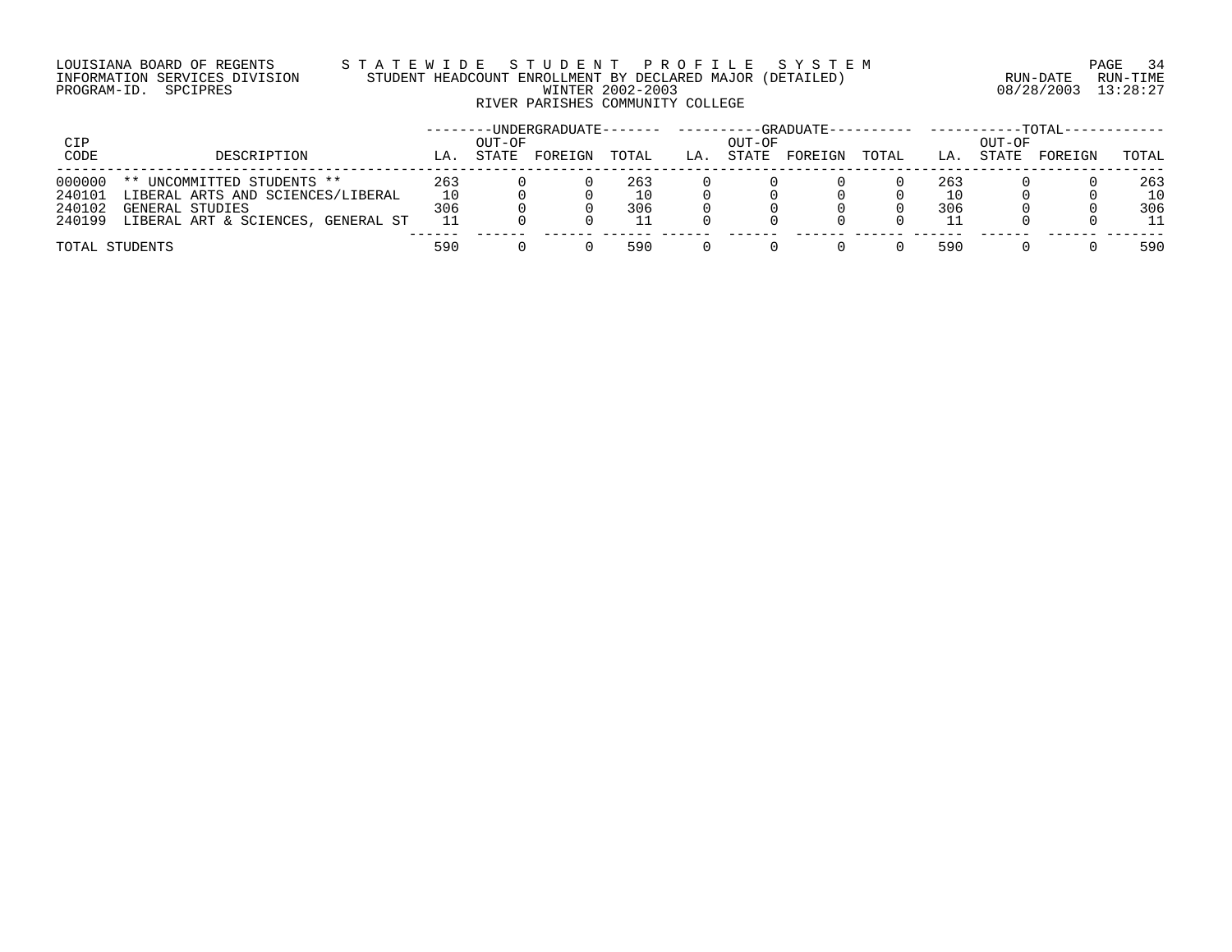# LOUISIANA BOARD OF REGENTS S T A T E W I D E S T U D E N T P R O F I L E S Y S T E M PAGE 34 INFORMATION SERVICES DIVISION STUDENT HEADCOUNT ENROLLMENT BY DECLARED MAJOR (DETAILED) RUN-DATE RUN-TIME PROGRAM-ID. SPCIPRES WINTER 2002-2003 08/28/2003 13:28:27 RIVER PARISHES COMMUNITY COLLEGE

|             |                                    |     |                 | ------UNDERGRADUATE------- |       |     |                 | ---GRADUATE---------- |       |     |                 | $-TOTAT -$ |       |
|-------------|------------------------------------|-----|-----------------|----------------------------|-------|-----|-----------------|-----------------------|-------|-----|-----------------|------------|-------|
| CIP<br>CODE | DESCRIPTION                        | LA. | OUT-OF<br>STATE | FOREIGN                    | TOTAL | LA. | OUT-OF<br>STATE | FOREIGN               | TOTAL | LA. | OUT-OF<br>STATE | FOREIGN    | TOTAL |
| 000000      | ** UNCOMMITTED STUDENTS **         | 263 |                 |                            | 263   |     |                 |                       |       | 263 |                 |            | 263   |
| 240101      | LIBERAL ARTS AND SCIENCES/LIBERAL  | 10  |                 |                            |       |     |                 |                       |       | 10  |                 |            | 10    |
| 240102      | GENERAL STUDIES                    | 306 |                 |                            | 306   |     |                 |                       |       | 306 |                 |            | 306   |
| 240199      | LIBERAL ART & SCIENCES, GENERAL ST | 11  |                 |                            |       |     |                 |                       |       |     |                 |            | 11    |
|             | TOTAL STUDENTS                     | 590 |                 |                            | 590   |     |                 |                       |       | 590 |                 |            | 590   |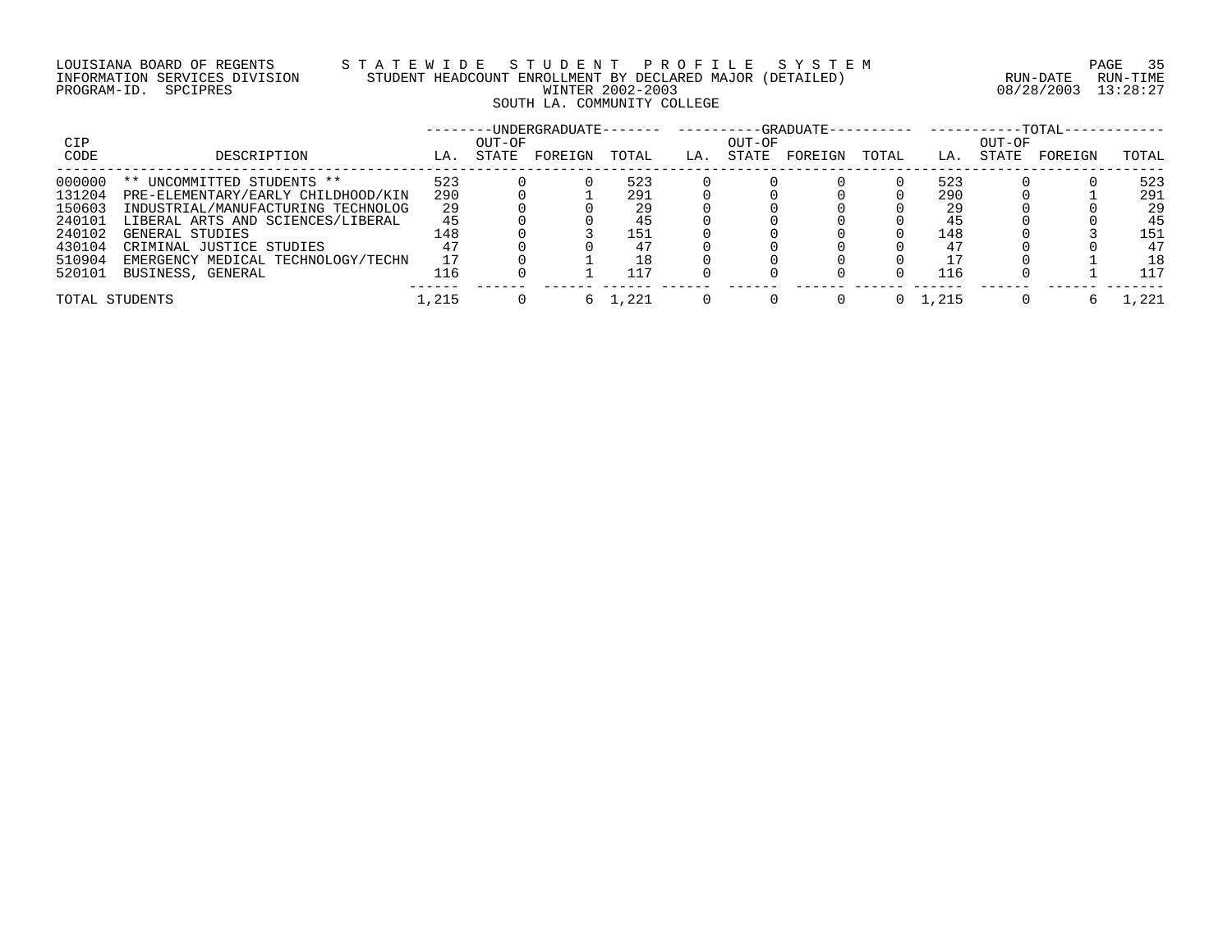# LOUISIANA BOARD OF REGENTS S T A T E W I D E S T U D E N T P R O F I L E S Y S T E M PAGE 35 INFORMATION SERVICES DIVISION STUDENT HEADCOUNT ENROLLMENT BY DECLARED MAJOR (DETAILED) RUN-DATE RUN-TIME PROGRAM-ID. SPCIPRES WINTER 2002-2003 08/28/2003 13:28:27 SOUTH LA. COMMUNITY COLLEGE

|        |                                    |       |        |         |       |     |        |         |       |       |        | $-TOTAL-$ |       |
|--------|------------------------------------|-------|--------|---------|-------|-----|--------|---------|-------|-------|--------|-----------|-------|
| CIP    |                                    |       | OUT-OF |         |       |     | OUT-OF |         |       |       | OUT-OF |           |       |
| CODE   | DESCRIPTION                        | LA.   | STATE  | FOREIGN | TOTAL | LA. | STATE  | FOREIGN | TOTAL | LA.   | STATE  | FOREIGN   | TOTAL |
| 000000 | ** UNCOMMITTED STUDENTS **         | 523   |        |         | 523   |     |        |         |       | 523   |        |           | 523   |
| 131204 | PRE-ELEMENTARY/EARLY CHILDHOOD/KIN | 290   |        |         | 291   |     |        |         |       | 290   |        |           | 291   |
| 150603 | INDUSTRIAL/MANUFACTURING TECHNOLOG | 29    |        |         | 29    |     |        |         |       | 29    |        |           | 29    |
| 240101 | LIBERAL ARTS AND SCIENCES/LIBERAL  | 45    |        |         |       |     |        |         |       | 45    |        |           | 45    |
| 240102 | GENERAL STUDIES                    | 148   |        |         | 151   |     |        |         |       | 148   |        |           | 151   |
| 430104 | CRIMINAL JUSTICE STUDIES           |       |        |         |       |     |        |         |       |       |        |           | 47    |
| 510904 | EMERGENCY MEDICAL TECHNOLOGY/TECHN |       |        |         | 18    |     |        |         |       |       |        |           | 18    |
| 520101 | BUSINESS, GENERAL                  | 116   |        |         |       |     |        |         |       | 116   |        |           | 117   |
|        | TOTAL STUDENTS                     | 1,215 |        |         | 1,221 |     |        |         |       | 1,215 |        |           | .221  |